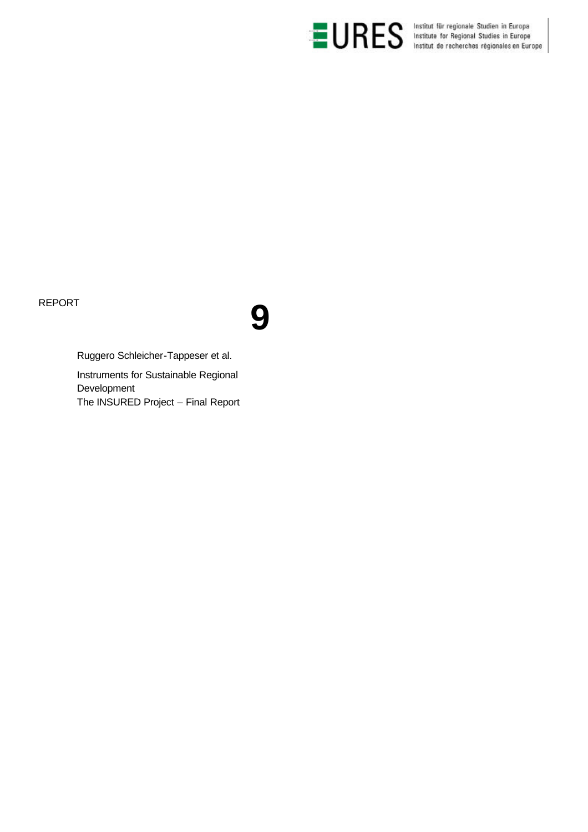



Ruggero Schleicher-Tappeser et al.

Instruments for Sustainable Regional Development The INSURED Project – Final Report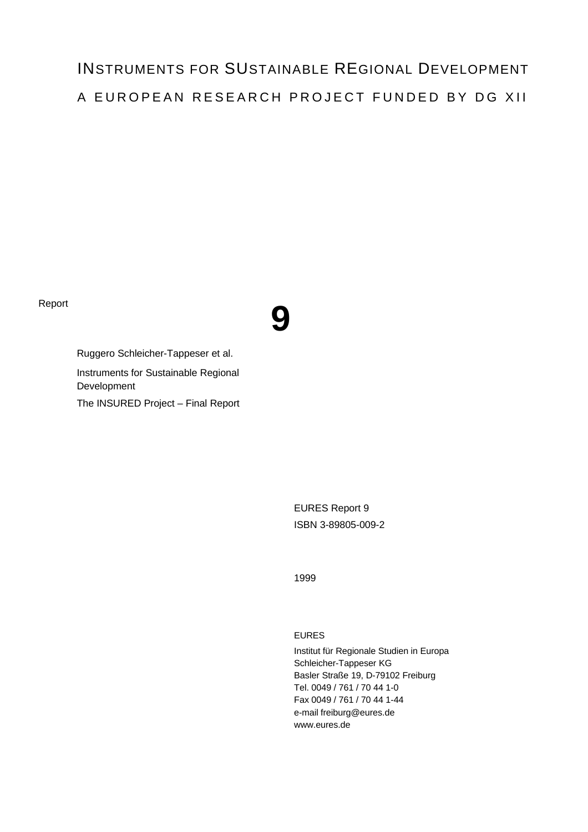# INSTRUMENTS FOR SUSTAINABLE REGIONAL DEVELOPMENT A EUROPEAN RESEARCH PROJECT FUNDED BY DG XII



Ruggero Schleicher-Tappeser et al. Instruments for Sustainable Regional Development The INSURED Project – Final Report

> EURES Report 9 ISBN 3-89805-009-2

1999

# EURES

Institut für Regionale Studien in Europa Schleicher-Tappeser KG Basler Straße 19, D-79102 Freiburg Tel. 0049 / 761 / 70 44 1-0 Fax 0049 / 761 / 70 44 1-44 e-mail freiburg@eures.de www.eures.de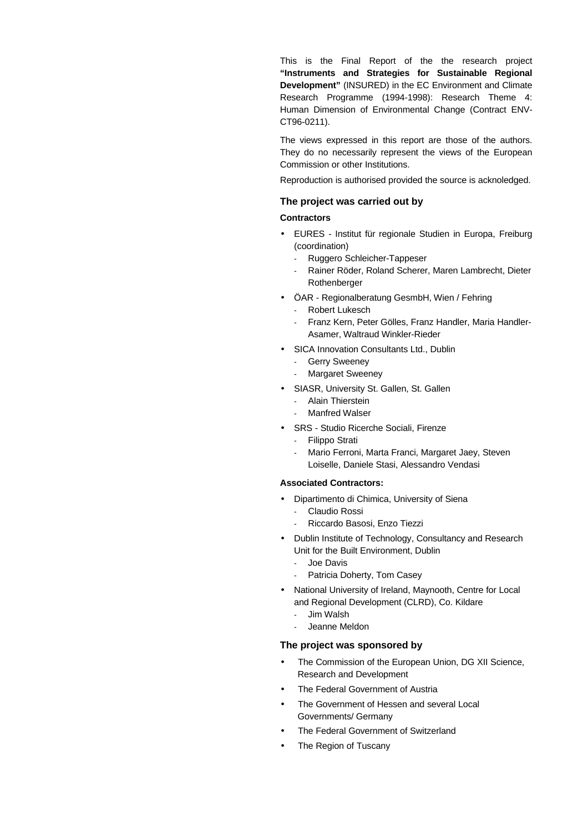This is the Final Report of the the research project **"Instruments and Strategies for Sustainable Regional Development"** (INSURED) in the EC Environment and Climate Research Programme (1994-1998): Research Theme 4: Human Dimension of Environmental Change (Contract ENV-CT96-0211).

The views expressed in this report are those of the authors. They do no necessarily represent the views of the European Commission or other Institutions.

Reproduction is authorised provided the source is acknoledged.

#### **The project was carried out by**

#### **Contractors**

- EURES Institut für regionale Studien in Europa, Freiburg (coordination)
	- Ruggero Schleicher-Tappeser
	- Rainer Röder, Roland Scherer, Maren Lambrecht, Dieter Rothenberger
- ÖAR Regionalberatung GesmbH, Wien / Fehring
	- Robert Lukesch
	- Franz Kern, Peter Gölles, Franz Handler, Maria Handler-Asamer, Waltraud Winkler-Rieder
- SICA Innovation Consultants Ltd., Dublin
	- Gerry Sweeney
	- Margaret Sweeney
- SIASR, University St. Gallen, St. Gallen
	- Alain Thierstein
	- Manfred Walser
- SRS Studio Ricerche Sociali, Firenze
	- Filippo Strati
	- Mario Ferroni, Marta Franci, Margaret Jaey, Steven Loiselle, Daniele Stasi, Alessandro Vendasi

## **Associated Contractors:**

- Dipartimento di Chimica, University of Siena Claudio Rossi
	- Riccardo Basosi, Enzo Tiezzi
- Dublin Institute of Technology, Consultancy and Research Unit for the Built Environment, Dublin
	- Joe Davis
	- Patricia Doherty, Tom Casey
- National University of Ireland, Maynooth, Centre for Local and Regional Development (CLRD), Co. Kildare
	- Jim Walsh
	- Jeanne Meldon

## **The project was sponsored by**

- The Commission of the European Union, DG XII Science, Research and Development
- The Federal Government of Austria
- The Government of Hessen and several Local Governments/ Germany
- The Federal Government of Switzerland
- The Region of Tuscany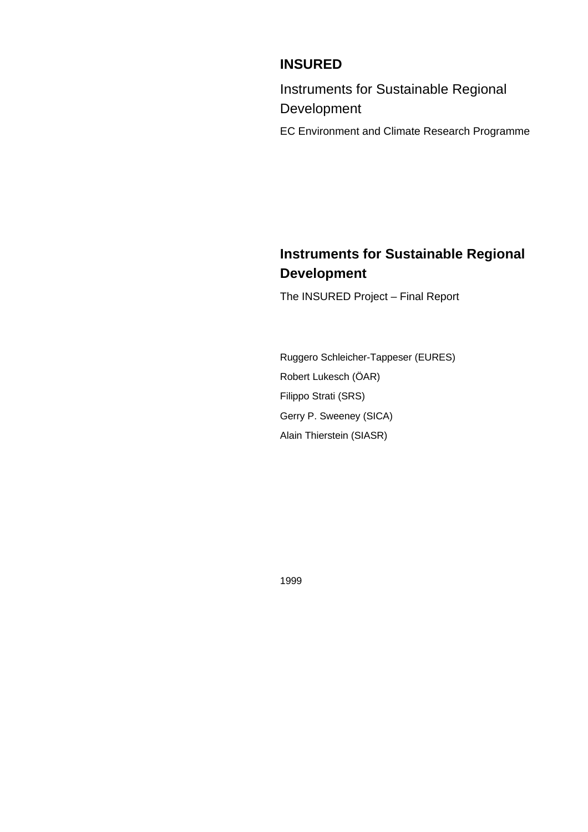# **INSURED**

Instruments for Sustainable Regional Development

EC Environment and Climate Research Programme

# **Instruments for Sustainable Regional Development**

The INSURED Project – Final Report

Ruggero Schleicher-Tappeser (EURES) Robert Lukesch (ÖAR) Filippo Strati (SRS) Gerry P. Sweeney (SICA) Alain Thierstein (SIASR)

1999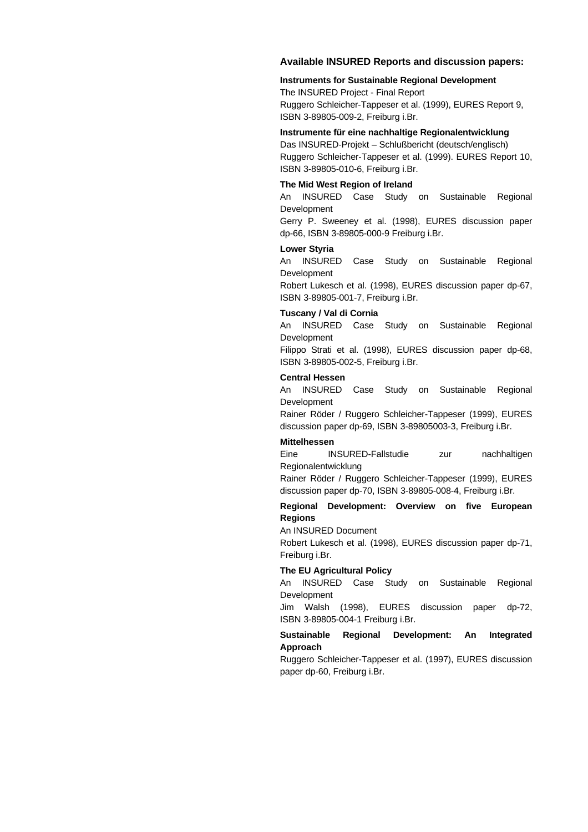#### **Available INSURED Reports and discussion papers:**

#### **Instruments for Sustainable Regional Development**

The INSURED Project - Final Report Ruggero Schleicher-Tappeser et al. (1999), EURES Report 9, ISBN 3-89805-009-2, Freiburg i.Br.

#### **Instrumente für eine nachhaltige Regionalentwicklung**

Das INSURED-Projekt – Schlußbericht (deutsch/englisch) Ruggero Schleicher-Tappeser et al. (1999). EURES Report 10, ISBN 3-89805-010-6, Freiburg i.Br.

#### **The Mid West Region of Ireland**

An INSURED Case Study on Sustainable Regional Development

Gerry P. Sweeney et al. (1998), EURES discussion paper dp-66, ISBN 3-89805-000-9 Freiburg i.Br.

#### **Lower Styria**

An INSURED Case Study on Sustainable Regional Development

Robert Lukesch et al. (1998), EURES discussion paper dp-67, ISBN 3-89805-001-7, Freiburg i.Br.

#### **Tuscany / Val di Cornia**

An INSURED Case Study on Sustainable Regional Development

Filippo Strati et al. (1998), EURES discussion paper dp-68, ISBN 3-89805-002-5, Freiburg i.Br.

#### **Central Hessen**

An INSURED Case Study on Sustainable Regional Development

Rainer Röder / Ruggero Schleicher-Tappeser (1999), EURES discussion paper dp-69, ISBN 3-89805003-3, Freiburg i.Br.

#### **Mittelhessen**

Eine INSURED-Fallstudie zur nachhaltigen Regionalentwicklung

Rainer Röder / Ruggero Schleicher-Tappeser (1999), EURES discussion paper dp-70, ISBN 3-89805-008-4, Freiburg i.Br.

#### **Regional Development: Overview on five European Regions**

An INSURED Document

Robert Lukesch et al. (1998), EURES discussion paper dp-71, Freiburg i.Br.

#### **The EU Agricultural Policy**

An INSURED Case Study on Sustainable Regional Development

Jim Walsh (1998), EURES discussion paper dp-72, ISBN 3-89805-004-1 Freiburg i.Br.

#### **Sustainable Regional Development: An Integrated Approach**

Ruggero Schleicher-Tappeser et al. (1997), EURES discussion paper dp-60, Freiburg i.Br.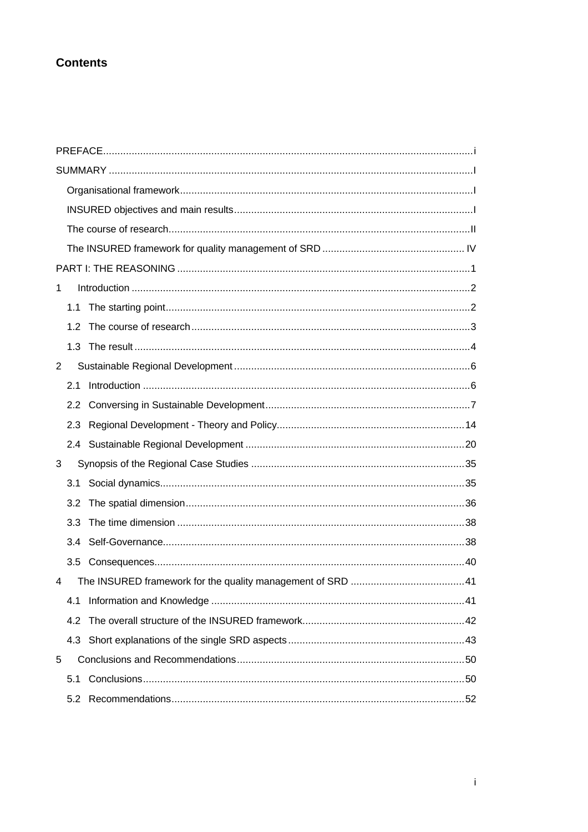# **Contents**

| 1   |  |
|-----|--|
| 1.1 |  |
| 1.2 |  |
| 1.3 |  |
| 2   |  |
| 2.1 |  |
| 2.2 |  |
|     |  |
|     |  |
| 3   |  |
|     |  |
| 3.2 |  |
| 3.3 |  |
| 3.4 |  |
| 3.5 |  |
| 4   |  |
| 4.1 |  |
| 4.2 |  |
| 4.3 |  |
| 5   |  |
| 5.1 |  |
| 5.2 |  |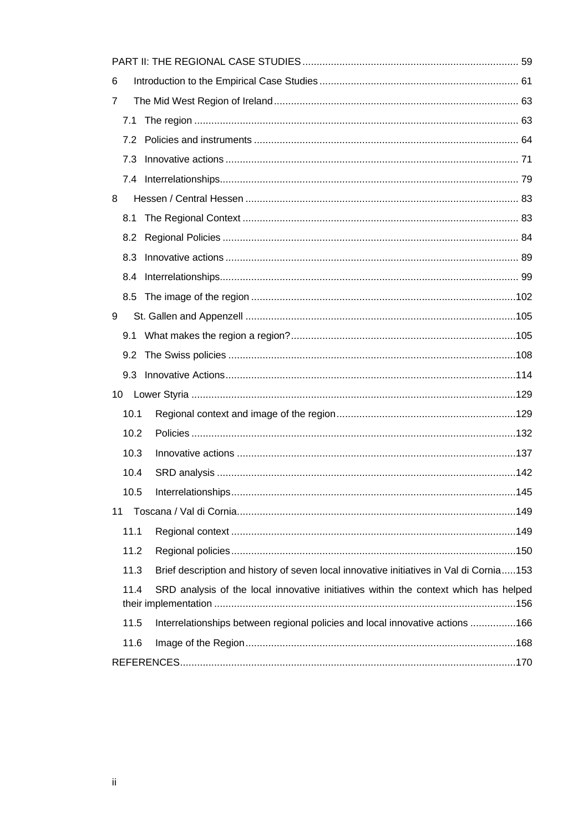| 6                                                                                               |  |
|-------------------------------------------------------------------------------------------------|--|
| 7                                                                                               |  |
| 7.1                                                                                             |  |
| 7.2                                                                                             |  |
| 7.3                                                                                             |  |
|                                                                                                 |  |
| 8                                                                                               |  |
| 8.1                                                                                             |  |
| 8.2                                                                                             |  |
| 8.3                                                                                             |  |
| 8.4                                                                                             |  |
|                                                                                                 |  |
| 9                                                                                               |  |
| 9.1                                                                                             |  |
| 9.2                                                                                             |  |
| 9.3                                                                                             |  |
| 10                                                                                              |  |
| 10.1                                                                                            |  |
| 10.2                                                                                            |  |
| 10.3                                                                                            |  |
| 10.4                                                                                            |  |
| 10.5                                                                                            |  |
| 11                                                                                              |  |
| 11.1                                                                                            |  |
| 11.2                                                                                            |  |
| Brief description and history of seven local innovative initiatives in Val di Cornia153<br>11.3 |  |
| 11.4<br>SRD analysis of the local innovative initiatives within the context which has helped    |  |
| Interrelationships between regional policies and local innovative actions 166<br>11.5           |  |
| 11.6                                                                                            |  |
|                                                                                                 |  |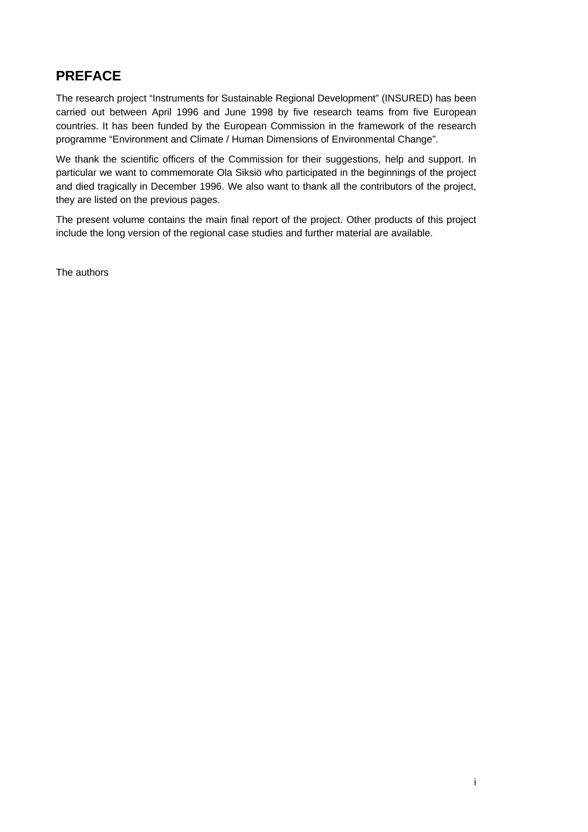# **PREFACE**

The research project "Instruments for Sustainable Regional Development" (INSURED) has been carried out between April 1996 and June 1998 by five research teams from five European countries. It has been funded by the European Commission in the framework of the research programme "Environment and Climate / Human Dimensions of Environmental Change".

We thank the scientific officers of the Commission for their suggestions, help and support. In particular we want to commemorate Ola Siksiö who participated in the beginnings of the project and died tragically in December 1996. We also want to thank all the contributors of the project, they are listed on the previous pages.

The present volume contains the main final report of the project. Other products of this project include the long version of the regional case studies and further material are available.

The authors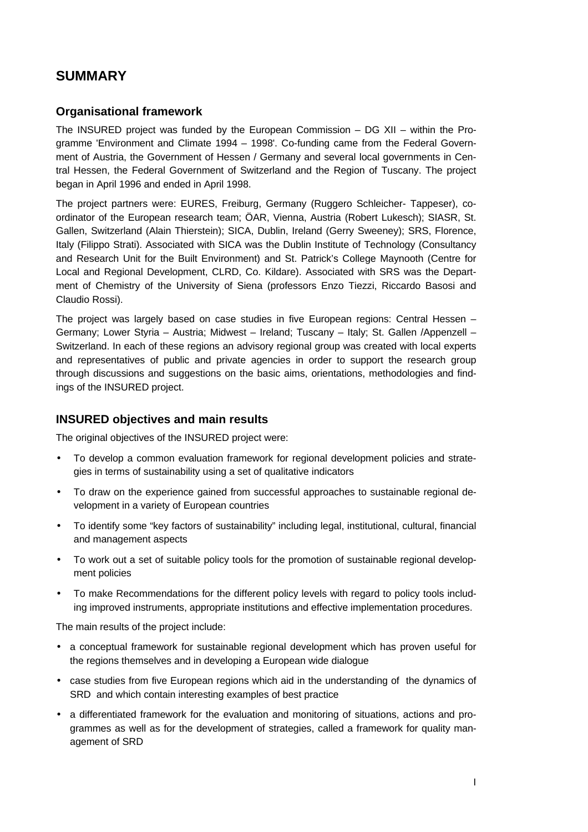# **SUMMARY**

# **Organisational framework**

The INSURED project was funded by the European Commission – DG XII – within the Programme 'Environment and Climate 1994 – 1998'. Co-funding came from the Federal Government of Austria, the Government of Hessen / Germany and several local governments in Central Hessen, the Federal Government of Switzerland and the Region of Tuscany. The project began in April 1996 and ended in April 1998.

The project partners were: EURES, Freiburg, Germany (Ruggero Schleicher- Tappeser), coordinator of the European research team; ÖAR, Vienna, Austria (Robert Lukesch); SIASR, St. Gallen, Switzerland (Alain Thierstein); SICA, Dublin, Ireland (Gerry Sweeney); SRS, Florence, Italy (Filippo Strati). Associated with SICA was the Dublin Institute of Technology (Consultancy and Research Unit for the Built Environment) and St. Patrick's College Maynooth (Centre for Local and Regional Development, CLRD, Co. Kildare). Associated with SRS was the Department of Chemistry of the University of Siena (professors Enzo Tiezzi, Riccardo Basosi and Claudio Rossi).

The project was largely based on case studies in five European regions: Central Hessen – Germany; Lower Styria – Austria; Midwest – Ireland; Tuscany – Italy; St. Gallen /Appenzell – Switzerland. In each of these regions an advisory regional group was created with local experts and representatives of public and private agencies in order to support the research group through discussions and suggestions on the basic aims, orientations, methodologies and findings of the INSURED project.

# **INSURED objectives and main results**

The original objectives of the INSURED project were:

- To develop a common evaluation framework for regional development policies and strategies in terms of sustainability using a set of qualitative indicators
- To draw on the experience gained from successful approaches to sustainable regional development in a variety of European countries
- To identify some "key factors of sustainability" including legal, institutional, cultural, financial and management aspects
- To work out a set of suitable policy tools for the promotion of sustainable regional development policies
- To make Recommendations for the different policy levels with regard to policy tools including improved instruments, appropriate institutions and effective implementation procedures.

The main results of the project include:

- a conceptual framework for sustainable regional development which has proven useful for the regions themselves and in developing a European wide dialogue
- case studies from five European regions which aid in the understanding of the dynamics of SRD and which contain interesting examples of best practice
- a differentiated framework for the evaluation and monitoring of situations, actions and programmes as well as for the development of strategies, called a framework for quality management of SRD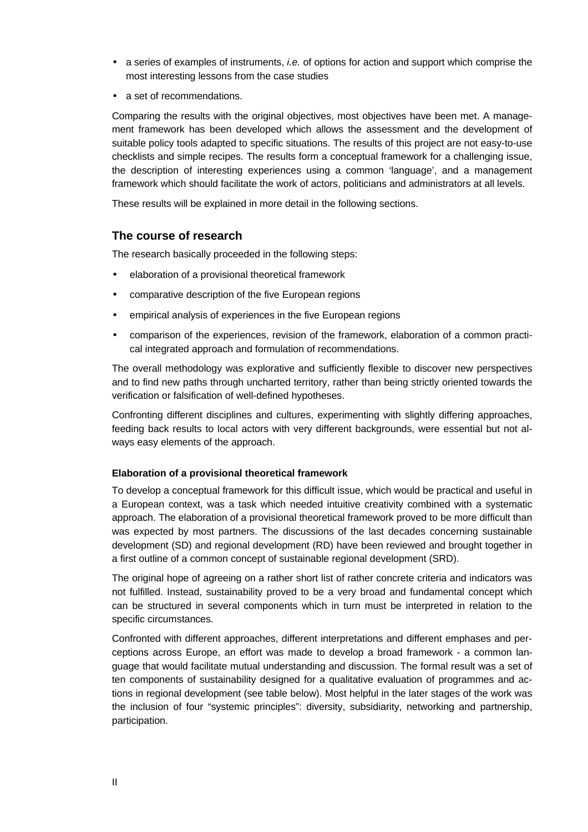- a series of examples of instruments, *i.e.* of options for action and support which comprise the most interesting lessons from the case studies
- a set of recommendations.

Comparing the results with the original objectives, most objectives have been met. A management framework has been developed which allows the assessment and the development of suitable policy tools adapted to specific situations. The results of this project are not easy-to-use checklists and simple recipes. The results form a conceptual framework for a challenging issue, the description of interesting experiences using a common 'language', and a management framework which should facilitate the work of actors, politicians and administrators at all levels.

These results will be explained in more detail in the following sections.

# **The course of research**

The research basically proceeded in the following steps:

- elaboration of a provisional theoretical framework
- comparative description of the five European regions
- empirical analysis of experiences in the five European regions
- comparison of the experiences, revision of the framework, elaboration of a common practical integrated approach and formulation of recommendations.

The overall methodology was explorative and sufficiently flexible to discover new perspectives and to find new paths through uncharted territory, rather than being strictly oriented towards the verification or falsification of well-defined hypotheses.

Confronting different disciplines and cultures, experimenting with slightly differing approaches, feeding back results to local actors with very different backgrounds, were essential but not always easy elements of the approach.

# **Elaboration of a provisional theoretical framework**

To develop a conceptual framework for this difficult issue, which would be practical and useful in a European context, was a task which needed intuitive creativity combined with a systematic approach. The elaboration of a provisional theoretical framework proved to be more difficult than was expected by most partners. The discussions of the last decades concerning sustainable development (SD) and regional development (RD) have been reviewed and brought together in a first outline of a common concept of sustainable regional development (SRD).

The original hope of agreeing on a rather short list of rather concrete criteria and indicators was not fulfilled. Instead, sustainability proved to be a very broad and fundamental concept which can be structured in several components which in turn must be interpreted in relation to the specific circumstances.

Confronted with different approaches, different interpretations and different emphases and perceptions across Europe, an effort was made to develop a broad framework - a common language that would facilitate mutual understanding and discussion. The formal result was a set of ten components of sustainability designed for a qualitative evaluation of programmes and actions in regional development (see table below). Most helpful in the later stages of the work was the inclusion of four "systemic principles": diversity, subsidiarity, networking and partnership, participation.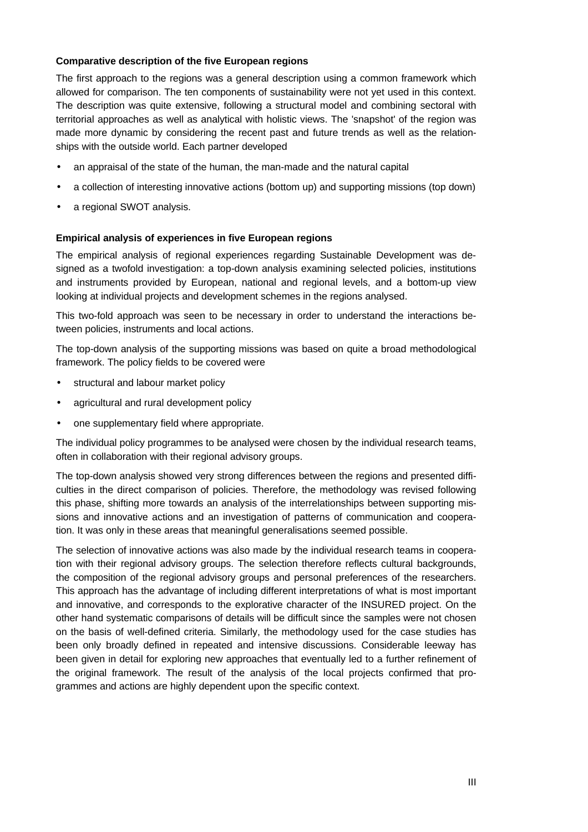# **Comparative description of the five European regions**

The first approach to the regions was a general description using a common framework which allowed for comparison. The ten components of sustainability were not yet used in this context. The description was quite extensive, following a structural model and combining sectoral with territorial approaches as well as analytical with holistic views. The 'snapshot' of the region was made more dynamic by considering the recent past and future trends as well as the relationships with the outside world. Each partner developed

- an appraisal of the state of the human, the man-made and the natural capital
- a collection of interesting innovative actions (bottom up) and supporting missions (top down)
- a regional SWOT analysis.

# **Empirical analysis of experiences in five European regions**

The empirical analysis of regional experiences regarding Sustainable Development was designed as a twofold investigation: a top-down analysis examining selected policies, institutions and instruments provided by European, national and regional levels, and a bottom-up view looking at individual projects and development schemes in the regions analysed.

This two-fold approach was seen to be necessary in order to understand the interactions between policies, instruments and local actions.

The top-down analysis of the supporting missions was based on quite a broad methodological framework. The policy fields to be covered were

- structural and labour market policy
- agricultural and rural development policy
- one supplementary field where appropriate.

The individual policy programmes to be analysed were chosen by the individual research teams, often in collaboration with their regional advisory groups.

The top-down analysis showed very strong differences between the regions and presented difficulties in the direct comparison of policies. Therefore, the methodology was revised following this phase, shifting more towards an analysis of the interrelationships between supporting missions and innovative actions and an investigation of patterns of communication and cooperation. It was only in these areas that meaningful generalisations seemed possible.

The selection of innovative actions was also made by the individual research teams in cooperation with their regional advisory groups. The selection therefore reflects cultural backgrounds, the composition of the regional advisory groups and personal preferences of the researchers. This approach has the advantage of including different interpretations of what is most important and innovative, and corresponds to the explorative character of the INSURED project. On the other hand systematic comparisons of details will be difficult since the samples were not chosen on the basis of well-defined criteria. Similarly, the methodology used for the case studies has been only broadly defined in repeated and intensive discussions. Considerable leeway has been given in detail for exploring new approaches that eventually led to a further refinement of the original framework. The result of the analysis of the local projects confirmed that programmes and actions are highly dependent upon the specific context.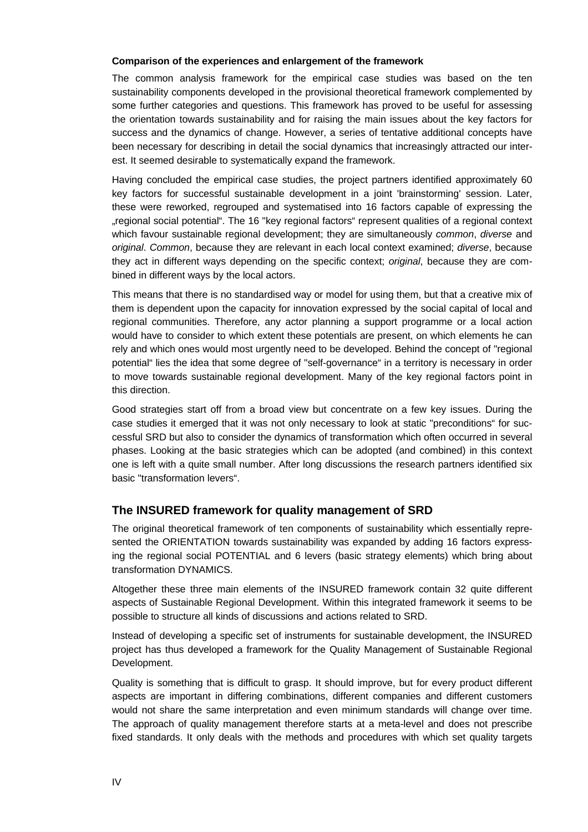## **Comparison of the experiences and enlargement of the framework**

The common analysis framework for the empirical case studies was based on the ten sustainability components developed in the provisional theoretical framework complemented by some further categories and questions. This framework has proved to be useful for assessing the orientation towards sustainability and for raising the main issues about the key factors for success and the dynamics of change. However, a series of tentative additional concepts have been necessary for describing in detail the social dynamics that increasingly attracted our interest. It seemed desirable to systematically expand the framework.

Having concluded the empirical case studies, the project partners identified approximately 60 key factors for successful sustainable development in a joint 'brainstorming' session. Later, these were reworked, regrouped and systematised into 16 factors capable of expressing the "regional social potential". The 16 "key regional factors" represent qualities of a regional context which favour sustainable regional development; they are simultaneously *common*, *diverse* and *original*. *Common*, because they are relevant in each local context examined; *diverse*, because they act in different ways depending on the specific context; *original*, because they are combined in different ways by the local actors.

This means that there is no standardised way or model for using them, but that a creative mix of them is dependent upon the capacity for innovation expressed by the social capital of local and regional communities. Therefore, any actor planning a support programme or a local action would have to consider to which extent these potentials are present, on which elements he can rely and which ones would most urgently need to be developed. Behind the concept of "regional potential" lies the idea that some degree of "self-governance" in a territory is necessary in order to move towards sustainable regional development. Many of the key regional factors point in this direction.

Good strategies start off from a broad view but concentrate on a few key issues. During the case studies it emerged that it was not only necessary to look at static "preconditions" for successful SRD but also to consider the dynamics of transformation which often occurred in several phases. Looking at the basic strategies which can be adopted (and combined) in this context one is left with a quite small number. After long discussions the research partners identified six basic "transformation levers".

# **The INSURED framework for quality management of SRD**

The original theoretical framework of ten components of sustainability which essentially represented the ORIENTATION towards sustainability was expanded by adding 16 factors expressing the regional social POTENTIAL and 6 levers (basic strategy elements) which bring about transformation DYNAMICS.

Altogether these three main elements of the INSURED framework contain 32 quite different aspects of Sustainable Regional Development. Within this integrated framework it seems to be possible to structure all kinds of discussions and actions related to SRD.

Instead of developing a specific set of instruments for sustainable development, the INSURED project has thus developed a framework for the Quality Management of Sustainable Regional Development.

Quality is something that is difficult to grasp. It should improve, but for every product different aspects are important in differing combinations, different companies and different customers would not share the same interpretation and even minimum standards will change over time. The approach of quality management therefore starts at a meta-level and does not prescribe fixed standards. It only deals with the methods and procedures with which set quality targets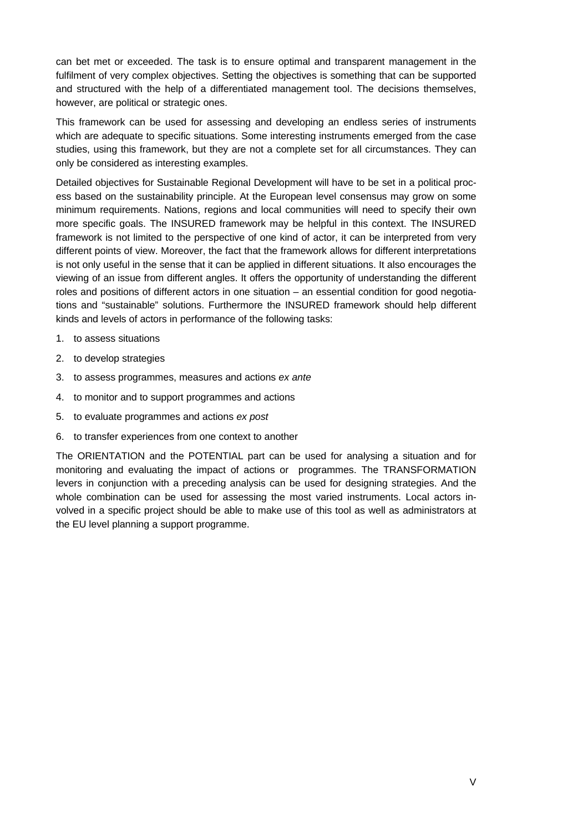can bet met or exceeded. The task is to ensure optimal and transparent management in the fulfilment of very complex objectives. Setting the objectives is something that can be supported and structured with the help of a differentiated management tool. The decisions themselves, however, are political or strategic ones.

This framework can be used for assessing and developing an endless series of instruments which are adequate to specific situations. Some interesting instruments emerged from the case studies, using this framework, but they are not a complete set for all circumstances. They can only be considered as interesting examples.

Detailed objectives for Sustainable Regional Development will have to be set in a political process based on the sustainability principle. At the European level consensus may grow on some minimum requirements. Nations, regions and local communities will need to specify their own more specific goals. The INSURED framework may be helpful in this context. The INSURED framework is not limited to the perspective of one kind of actor, it can be interpreted from very different points of view. Moreover, the fact that the framework allows for different interpretations is not only useful in the sense that it can be applied in different situations. It also encourages the viewing of an issue from different angles. It offers the opportunity of understanding the different roles and positions of different actors in one situation – an essential condition for good negotiations and "sustainable" solutions. Furthermore the INSURED framework should help different kinds and levels of actors in performance of the following tasks:

- 1. to assess situations
- 2. to develop strategies
- 3. to assess programmes, measures and actions *ex ante*
- 4. to monitor and to support programmes and actions
- 5. to evaluate programmes and actions *ex post*
- 6. to transfer experiences from one context to another

The ORIENTATION and the POTENTIAL part can be used for analysing a situation and for monitoring and evaluating the impact of actions or programmes. The TRANSFORMATION levers in conjunction with a preceding analysis can be used for designing strategies. And the whole combination can be used for assessing the most varied instruments. Local actors involved in a specific project should be able to make use of this tool as well as administrators at the EU level planning a support programme.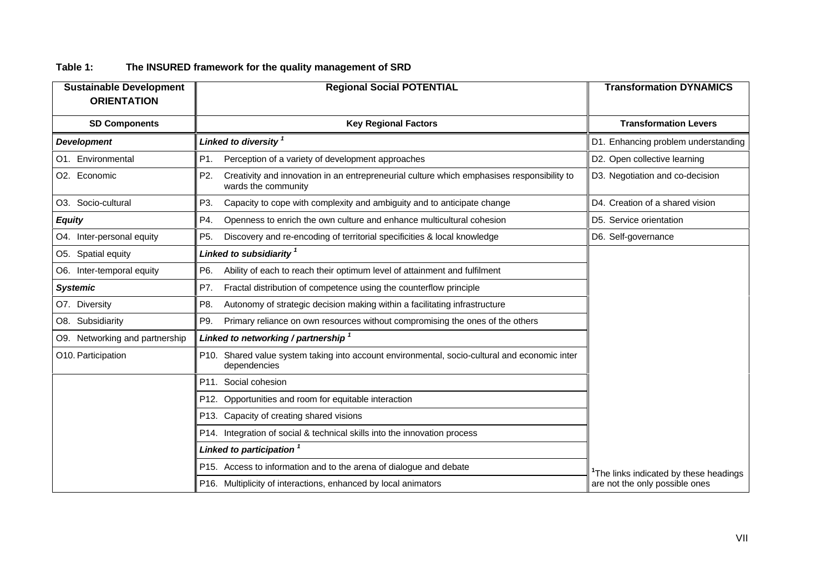| The INSURED framework for the quality management of SRD<br>Table 1: |  |
|---------------------------------------------------------------------|--|
|---------------------------------------------------------------------|--|

| <b>Sustainable Development</b><br><b>ORIENTATION</b> | <b>Regional Social POTENTIAL</b>                                                                                         | <b>Transformation DYNAMICS</b>        |  |
|------------------------------------------------------|--------------------------------------------------------------------------------------------------------------------------|---------------------------------------|--|
| <b>SD Components</b>                                 | <b>Key Regional Factors</b>                                                                                              | <b>Transformation Levers</b>          |  |
| <b>Development</b>                                   | Linked to diversity <sup>1</sup>                                                                                         | D1. Enhancing problem understanding   |  |
| O1. Environmental                                    | Perception of a variety of development approaches<br>P1.                                                                 | D2. Open collective learning          |  |
| O2. Economic                                         | P2.<br>Creativity and innovation in an entrepreneurial culture which emphasises responsibility to<br>wards the community | D3. Negotiation and co-decision       |  |
| O3. Socio-cultural                                   | P3.<br>Capacity to cope with complexity and ambiguity and to anticipate change                                           | D4. Creation of a shared vision       |  |
| <b>Equity</b>                                        | Openness to enrich the own culture and enhance multicultural cohesion<br>P4.                                             | D5. Service orientation               |  |
| O4. Inter-personal equity                            | P5.<br>Discovery and re-encoding of territorial specificities & local knowledge                                          | D6. Self-governance                   |  |
| O5. Spatial equity                                   | Linked to subsidiarity 1                                                                                                 |                                       |  |
| O6. Inter-temporal equity                            | P6.<br>Ability of each to reach their optimum level of attainment and fulfilment                                         |                                       |  |
| <b>Systemic</b>                                      | Fractal distribution of competence using the counterflow principle<br>P7.                                                |                                       |  |
| O7. Diversity                                        | Autonomy of strategic decision making within a facilitating infrastructure<br>P8.                                        |                                       |  |
| O8. Subsidiarity                                     | P9.<br>Primary reliance on own resources without compromising the ones of the others                                     |                                       |  |
| O9. Networking and partnership                       | Linked to networking / partnership 1                                                                                     |                                       |  |
| O10. Participation                                   | P10. Shared value system taking into account environmental, socio-cultural and economic inter<br>dependencies            |                                       |  |
|                                                      | P11. Social cohesion                                                                                                     |                                       |  |
|                                                      | P12. Opportunities and room for equitable interaction                                                                    |                                       |  |
|                                                      | P13. Capacity of creating shared visions                                                                                 |                                       |  |
|                                                      | P14. Integration of social & technical skills into the innovation process                                                |                                       |  |
|                                                      | Linked to participation 1                                                                                                |                                       |  |
|                                                      | P15. Access to information and to the arena of dialogue and debate                                                       | The links indicated by these headings |  |
|                                                      | P16. Multiplicity of interactions, enhanced by local animators                                                           | are not the only possible ones        |  |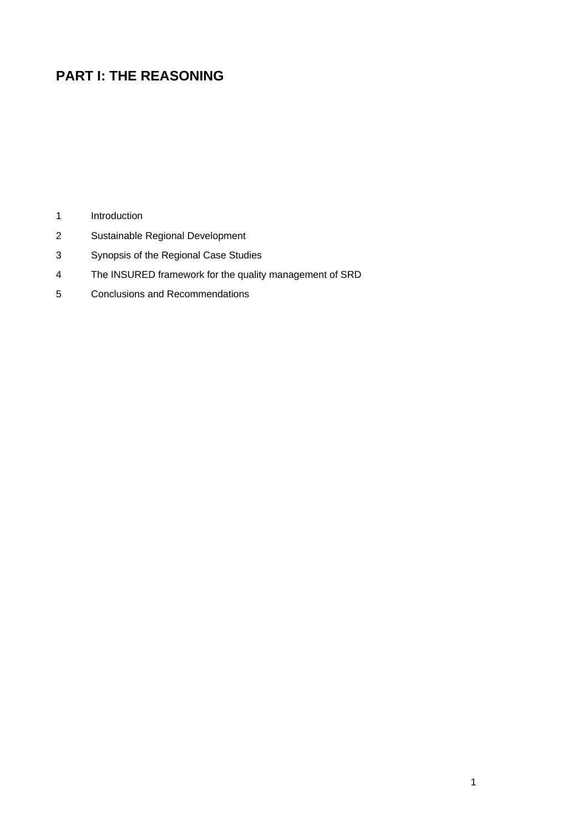# **PART I: THE REASONING**

- Introduction
- Sustainable Regional Development
- Synopsis of the Regional Case Studies
- The INSURED framework for the quality management of SRD
- Conclusions and Recommendations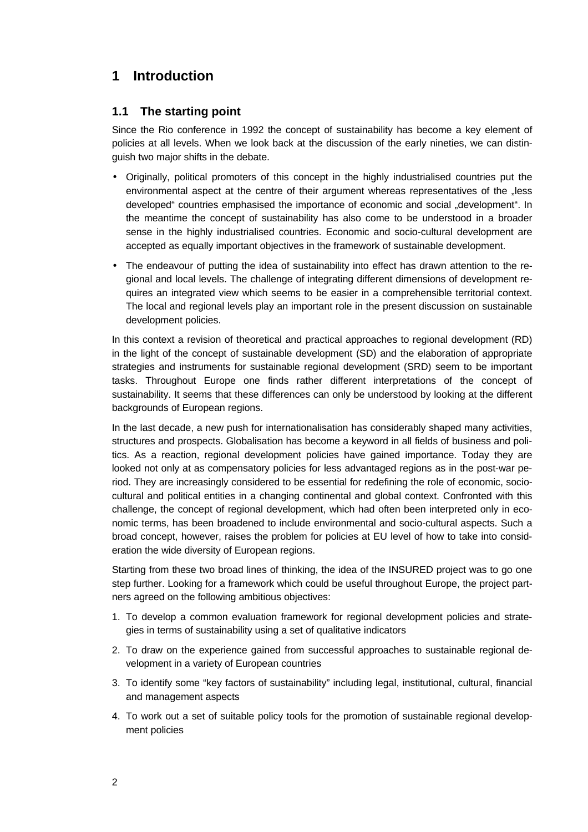# **1 Introduction**

# **1.1 The starting point**

Since the Rio conference in 1992 the concept of sustainability has become a key element of policies at all levels. When we look back at the discussion of the early nineties, we can distinguish two major shifts in the debate.

- Originally, political promoters of this concept in the highly industrialised countries put the environmental aspect at the centre of their argument whereas representatives of the "less developed" countries emphasised the importance of economic and social "development". In the meantime the concept of sustainability has also come to be understood in a broader sense in the highly industrialised countries. Economic and socio-cultural development are accepted as equally important objectives in the framework of sustainable development.
- The endeavour of putting the idea of sustainability into effect has drawn attention to the regional and local levels. The challenge of integrating different dimensions of development requires an integrated view which seems to be easier in a comprehensible territorial context. The local and regional levels play an important role in the present discussion on sustainable development policies.

In this context a revision of theoretical and practical approaches to regional development (RD) in the light of the concept of sustainable development (SD) and the elaboration of appropriate strategies and instruments for sustainable regional development (SRD) seem to be important tasks. Throughout Europe one finds rather different interpretations of the concept of sustainability. It seems that these differences can only be understood by looking at the different backgrounds of European regions.

In the last decade, a new push for internationalisation has considerably shaped many activities, structures and prospects. Globalisation has become a keyword in all fields of business and politics. As a reaction, regional development policies have gained importance. Today they are looked not only at as compensatory policies for less advantaged regions as in the post-war period. They are increasingly considered to be essential for redefining the role of economic, sociocultural and political entities in a changing continental and global context. Confronted with this challenge, the concept of regional development, which had often been interpreted only in economic terms, has been broadened to include environmental and socio-cultural aspects. Such a broad concept, however, raises the problem for policies at EU level of how to take into consideration the wide diversity of European regions.

Starting from these two broad lines of thinking, the idea of the INSURED project was to go one step further. Looking for a framework which could be useful throughout Europe, the project partners agreed on the following ambitious objectives:

- 1. To develop a common evaluation framework for regional development policies and strategies in terms of sustainability using a set of qualitative indicators
- 2. To draw on the experience gained from successful approaches to sustainable regional development in a variety of European countries
- 3. To identify some "key factors of sustainability" including legal, institutional, cultural, financial and management aspects
- 4. To work out a set of suitable policy tools for the promotion of sustainable regional development policies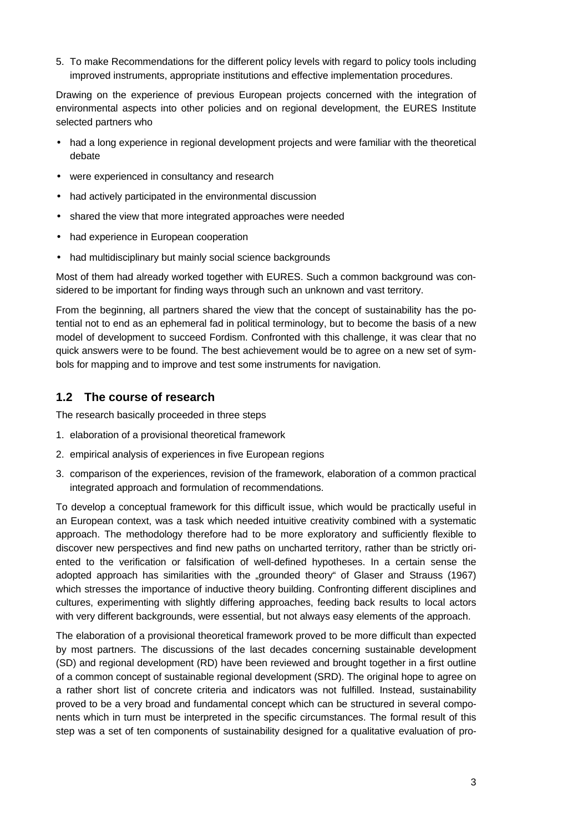5. To make Recommendations for the different policy levels with regard to policy tools including improved instruments, appropriate institutions and effective implementation procedures.

Drawing on the experience of previous European projects concerned with the integration of environmental aspects into other policies and on regional development, the EURES Institute selected partners who

- had a long experience in regional development projects and were familiar with the theoretical debate
- were experienced in consultancy and research
- had actively participated in the environmental discussion
- shared the view that more integrated approaches were needed
- had experience in European cooperation
- had multidisciplinary but mainly social science backgrounds

Most of them had already worked together with EURES. Such a common background was considered to be important for finding ways through such an unknown and vast territory.

From the beginning, all partners shared the view that the concept of sustainability has the potential not to end as an ephemeral fad in political terminology, but to become the basis of a new model of development to succeed Fordism. Confronted with this challenge, it was clear that no quick answers were to be found. The best achievement would be to agree on a new set of symbols for mapping and to improve and test some instruments for navigation.

# **1.2 The course of research**

The research basically proceeded in three steps

- 1. elaboration of a provisional theoretical framework
- 2. empirical analysis of experiences in five European regions
- 3. comparison of the experiences, revision of the framework, elaboration of a common practical integrated approach and formulation of recommendations.

To develop a conceptual framework for this difficult issue, which would be practically useful in an European context, was a task which needed intuitive creativity combined with a systematic approach. The methodology therefore had to be more exploratory and sufficiently flexible to discover new perspectives and find new paths on uncharted territory, rather than be strictly oriented to the verification or falsification of well-defined hypotheses. In a certain sense the adopted approach has similarities with the "grounded theory" of Glaser and Strauss (1967) which stresses the importance of inductive theory building. Confronting different disciplines and cultures, experimenting with slightly differing approaches, feeding back results to local actors with very different backgrounds, were essential, but not always easy elements of the approach.

The elaboration of a provisional theoretical framework proved to be more difficult than expected by most partners. The discussions of the last decades concerning sustainable development (SD) and regional development (RD) have been reviewed and brought together in a first outline of a common concept of sustainable regional development (SRD). The original hope to agree on a rather short list of concrete criteria and indicators was not fulfilled. Instead, sustainability proved to be a very broad and fundamental concept which can be structured in several components which in turn must be interpreted in the specific circumstances. The formal result of this step was a set of ten components of sustainability designed for a qualitative evaluation of pro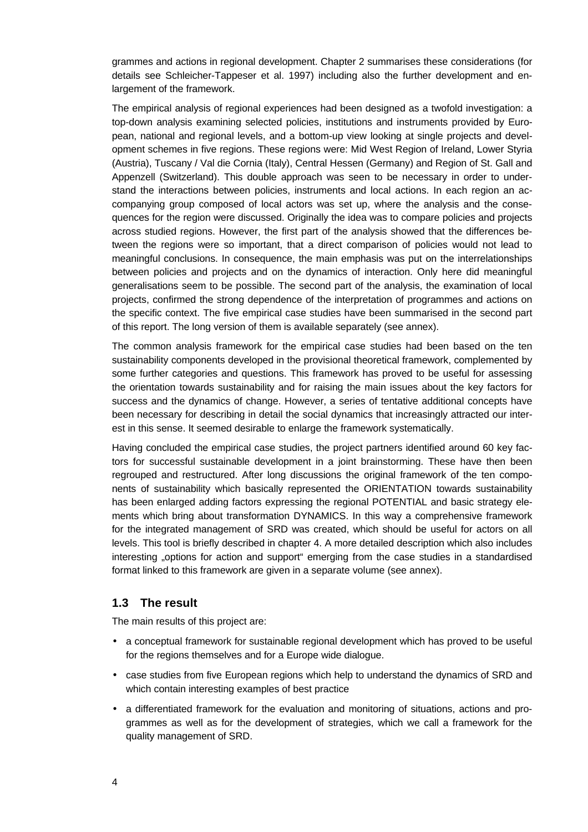grammes and actions in regional development. Chapter 2 summarises these considerations (for details see Schleicher-Tappeser et al. 1997) including also the further development and enlargement of the framework.

The empirical analysis of regional experiences had been designed as a twofold investigation: a top-down analysis examining selected policies, institutions and instruments provided by European, national and regional levels, and a bottom-up view looking at single projects and development schemes in five regions. These regions were: Mid West Region of Ireland, Lower Styria (Austria), Tuscany / Val die Cornia (Italy), Central Hessen (Germany) and Region of St. Gall and Appenzell (Switzerland). This double approach was seen to be necessary in order to understand the interactions between policies, instruments and local actions. In each region an accompanying group composed of local actors was set up, where the analysis and the consequences for the region were discussed. Originally the idea was to compare policies and projects across studied regions. However, the first part of the analysis showed that the differences between the regions were so important, that a direct comparison of policies would not lead to meaningful conclusions. In consequence, the main emphasis was put on the interrelationships between policies and projects and on the dynamics of interaction. Only here did meaningful generalisations seem to be possible. The second part of the analysis, the examination of local projects, confirmed the strong dependence of the interpretation of programmes and actions on the specific context. The five empirical case studies have been summarised in the second part of this report. The long version of them is available separately (see annex).

The common analysis framework for the empirical case studies had been based on the ten sustainability components developed in the provisional theoretical framework, complemented by some further categories and questions. This framework has proved to be useful for assessing the orientation towards sustainability and for raising the main issues about the key factors for success and the dynamics of change. However, a series of tentative additional concepts have been necessary for describing in detail the social dynamics that increasingly attracted our interest in this sense. It seemed desirable to enlarge the framework systematically.

Having concluded the empirical case studies, the project partners identified around 60 key factors for successful sustainable development in a joint brainstorming. These have then been regrouped and restructured. After long discussions the original framework of the ten components of sustainability which basically represented the ORIENTATION towards sustainability has been enlarged adding factors expressing the regional POTENTIAL and basic strategy elements which bring about transformation DYNAMICS. In this way a comprehensive framework for the integrated management of SRD was created, which should be useful for actors on all levels. This tool is briefly described in chapter 4. A more detailed description which also includes interesting "options for action and support" emerging from the case studies in a standardised format linked to this framework are given in a separate volume (see annex).

# **1.3 The result**

The main results of this project are:

- a conceptual framework for sustainable regional development which has proved to be useful for the regions themselves and for a Europe wide dialogue.
- case studies from five European regions which help to understand the dynamics of SRD and which contain interesting examples of best practice
- a differentiated framework for the evaluation and monitoring of situations, actions and programmes as well as for the development of strategies, which we call a framework for the quality management of SRD.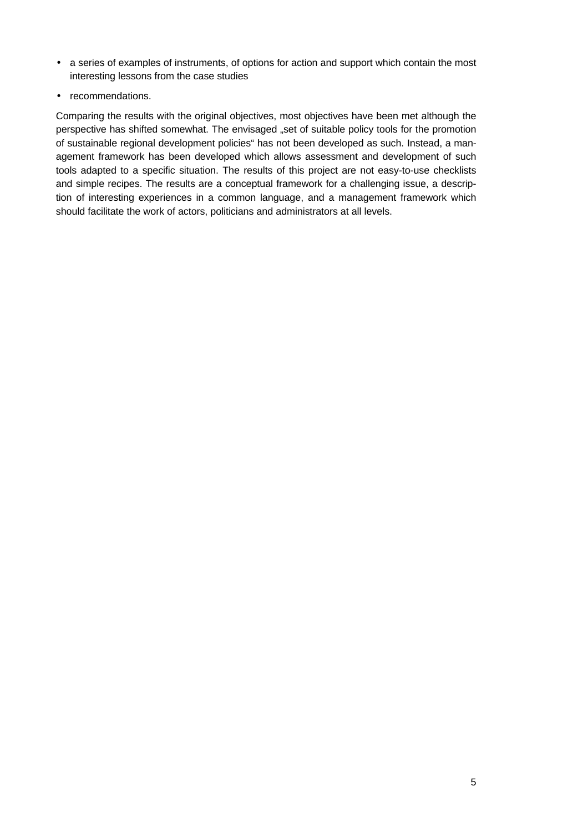- a series of examples of instruments, of options for action and support which contain the most interesting lessons from the case studies
- recommendations.

Comparing the results with the original objectives, most objectives have been met although the perspective has shifted somewhat. The envisaged "set of suitable policy tools for the promotion of sustainable regional development policies" has not been developed as such. Instead, a management framework has been developed which allows assessment and development of such tools adapted to a specific situation. The results of this project are not easy-to-use checklists and simple recipes. The results are a conceptual framework for a challenging issue, a description of interesting experiences in a common language, and a management framework which should facilitate the work of actors, politicians and administrators at all levels.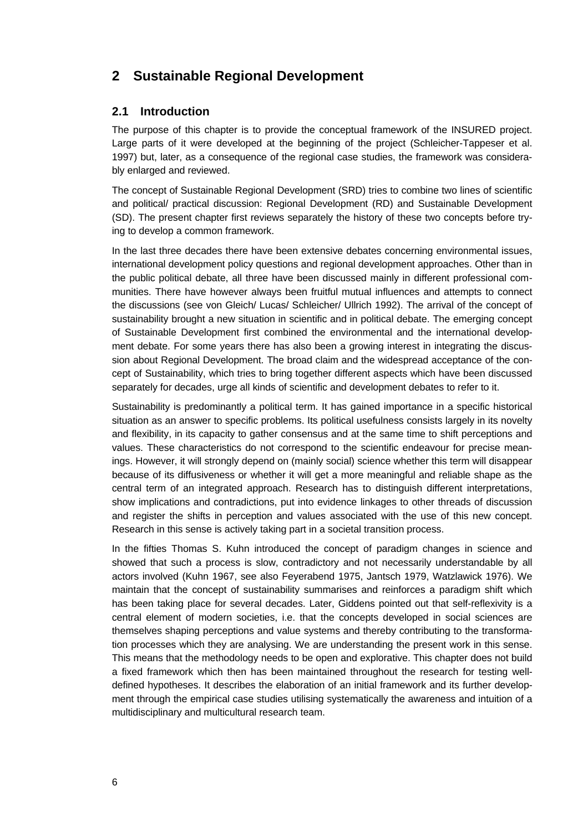# **2 Sustainable Regional Development**

# **2.1 Introduction**

The purpose of this chapter is to provide the conceptual framework of the INSURED project. Large parts of it were developed at the beginning of the project (Schleicher-Tappeser et al. 1997) but, later, as a consequence of the regional case studies, the framework was considerably enlarged and reviewed.

The concept of Sustainable Regional Development (SRD) tries to combine two lines of scientific and political/ practical discussion: Regional Development (RD) and Sustainable Development (SD). The present chapter first reviews separately the history of these two concepts before trying to develop a common framework.

In the last three decades there have been extensive debates concerning environmental issues, international development policy questions and regional development approaches. Other than in the public political debate, all three have been discussed mainly in different professional communities. There have however always been fruitful mutual influences and attempts to connect the discussions (see von Gleich/ Lucas/ Schleicher/ Ullrich 1992). The arrival of the concept of sustainability brought a new situation in scientific and in political debate. The emerging concept of Sustainable Development first combined the environmental and the international development debate. For some years there has also been a growing interest in integrating the discussion about Regional Development. The broad claim and the widespread acceptance of the concept of Sustainability, which tries to bring together different aspects which have been discussed separately for decades, urge all kinds of scientific and development debates to refer to it.

Sustainability is predominantly a political term. It has gained importance in a specific historical situation as an answer to specific problems. Its political usefulness consists largely in its novelty and flexibility, in its capacity to gather consensus and at the same time to shift perceptions and values. These characteristics do not correspond to the scientific endeavour for precise meanings. However, it will strongly depend on (mainly social) science whether this term will disappear because of its diffusiveness or whether it will get a more meaningful and reliable shape as the central term of an integrated approach. Research has to distinguish different interpretations, show implications and contradictions, put into evidence linkages to other threads of discussion and register the shifts in perception and values associated with the use of this new concept. Research in this sense is actively taking part in a societal transition process.

In the fifties Thomas S. Kuhn introduced the concept of paradigm changes in science and showed that such a process is slow, contradictory and not necessarily understandable by all actors involved (Kuhn 1967, see also Feyerabend 1975, Jantsch 1979, Watzlawick 1976). We maintain that the concept of sustainability summarises and reinforces a paradigm shift which has been taking place for several decades. Later, Giddens pointed out that self-reflexivity is a central element of modern societies, i.e. that the concepts developed in social sciences are themselves shaping perceptions and value systems and thereby contributing to the transformation processes which they are analysing. We are understanding the present work in this sense. This means that the methodology needs to be open and explorative. This chapter does not build a fixed framework which then has been maintained throughout the research for testing welldefined hypotheses. It describes the elaboration of an initial framework and its further development through the empirical case studies utilising systematically the awareness and intuition of a multidisciplinary and multicultural research team.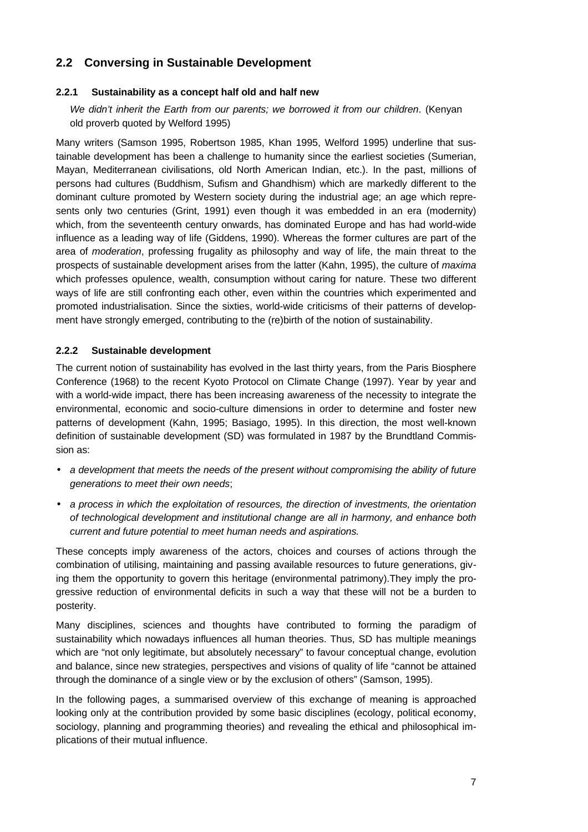# **2.2 Conversing in Sustainable Development**

# **2.2.1 Sustainability as a concept half old and half new**

*We didn't inherit the Earth from our parents; we borrowed it from our children*. (Kenyan old proverb quoted by Welford 1995)

Many writers (Samson 1995, Robertson 1985, Khan 1995, Welford 1995) underline that sustainable development has been a challenge to humanity since the earliest societies (Sumerian, Mayan, Mediterranean civilisations, old North American Indian, etc.). In the past, millions of persons had cultures (Buddhism, Sufism and Ghandhism) which are markedly different to the dominant culture promoted by Western society during the industrial age; an age which represents only two centuries (Grint, 1991) even though it was embedded in an era (modernity) which, from the seventeenth century onwards, has dominated Europe and has had world-wide influence as a leading way of life (Giddens, 1990). Whereas the former cultures are part of the area of *moderation*, professing frugality as philosophy and way of life, the main threat to the prospects of sustainable development arises from the latter (Kahn, 1995), the culture of *maxima* which professes opulence, wealth, consumption without caring for nature. These two different ways of life are still confronting each other, even within the countries which experimented and promoted industrialisation. Since the sixties, world-wide criticisms of their patterns of development have strongly emerged, contributing to the (re)birth of the notion of sustainability.

# **2.2.2 Sustainable development**

The current notion of sustainability has evolved in the last thirty years, from the Paris Biosphere Conference (1968) to the recent Kyoto Protocol on Climate Change (1997). Year by year and with a world-wide impact, there has been increasing awareness of the necessity to integrate the environmental, economic and socio-culture dimensions in order to determine and foster new patterns of development (Kahn, 1995; Basiago, 1995). In this direction, the most well-known definition of sustainable development (SD) was formulated in 1987 by the Brundtland Commission as:

- *a development that meets the needs of the present without compromising the ability of future generations to meet their own needs*;
- *a process in which the exploitation of resources, the direction of investments, the orientation of technological development and institutional change are all in harmony, and enhance both current and future potential to meet human needs and aspirations.*

These concepts imply awareness of the actors, choices and courses of actions through the combination of utilising, maintaining and passing available resources to future generations, giving them the opportunity to govern this heritage (environmental patrimony).They imply the progressive reduction of environmental deficits in such a way that these will not be a burden to posterity.

Many disciplines, sciences and thoughts have contributed to forming the paradigm of sustainability which nowadays influences all human theories. Thus, SD has multiple meanings which are "not only legitimate, but absolutely necessary" to favour conceptual change, evolution and balance, since new strategies, perspectives and visions of quality of life "cannot be attained through the dominance of a single view or by the exclusion of others" (Samson, 1995).

In the following pages, a summarised overview of this exchange of meaning is approached looking only at the contribution provided by some basic disciplines (ecology, political economy, sociology, planning and programming theories) and revealing the ethical and philosophical implications of their mutual influence.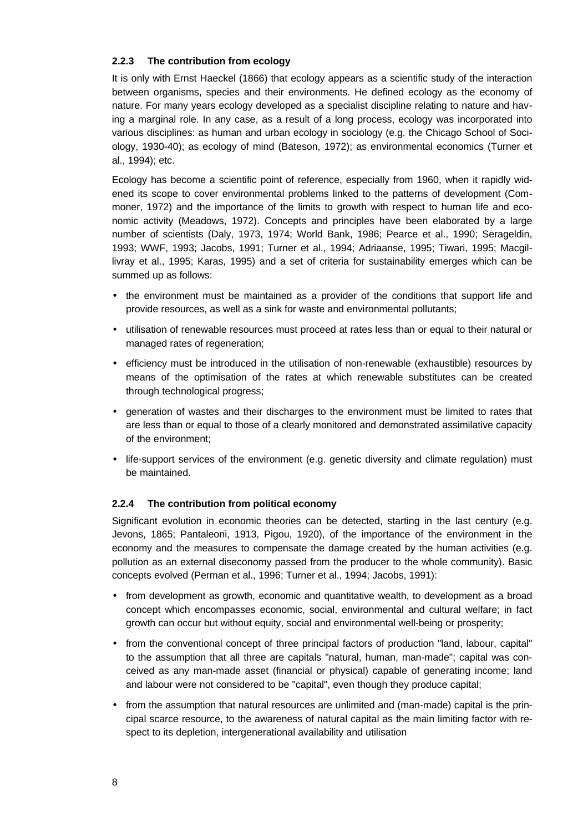# **2.2.3 The contribution from ecology**

It is only with Ernst Haeckel (1866) that ecology appears as a scientific study of the interaction between organisms, species and their environments. He defined ecology as the economy of nature. For many years ecology developed as a specialist discipline relating to nature and having a marginal role. In any case, as a result of a long process, ecology was incorporated into various disciplines: as human and urban ecology in sociology (e.g. the Chicago School of Sociology, 1930-40); as ecology of mind (Bateson, 1972); as environmental economics (Turner et al., 1994); etc.

Ecology has become a scientific point of reference, especially from 1960, when it rapidly widened its scope to cover environmental problems linked to the patterns of development (Commoner, 1972) and the importance of the limits to growth with respect to human life and economic activity (Meadows, 1972). Concepts and principles have been elaborated by a large number of scientists (Daly, 1973, 1974; World Bank, 1986; Pearce et al., 1990; Serageldin, 1993; WWF, 1993; Jacobs, 1991; Turner et al., 1994; Adriaanse, 1995; Tiwari, 1995; Macgillivray et al., 1995; Karas, 1995) and a set of criteria for sustainability emerges which can be summed up as follows:

- the environment must be maintained as a provider of the conditions that support life and provide resources, as well as a sink for waste and environmental pollutants;
- utilisation of renewable resources must proceed at rates less than or equal to their natural or managed rates of regeneration;
- efficiency must be introduced in the utilisation of non-renewable (exhaustible) resources by means of the optimisation of the rates at which renewable substitutes can be created through technological progress;
- generation of wastes and their discharges to the environment must be limited to rates that are less than or equal to those of a clearly monitored and demonstrated assimilative capacity of the environment;
- life-support services of the environment (e.g. genetic diversity and climate regulation) must be maintained.

# **2.2.4 The contribution from political economy**

Significant evolution in economic theories can be detected, starting in the last century (e.g. Jevons, 1865; Pantaleoni, 1913, Pigou, 1920), of the importance of the environment in the economy and the measures to compensate the damage created by the human activities (e.g. pollution as an external diseconomy passed from the producer to the whole community). Basic concepts evolved (Perman et al., 1996; Turner et al., 1994; Jacobs, 1991):

- from development as growth, economic and quantitative wealth, to development as a broad concept which encompasses economic, social, environmental and cultural welfare; in fact growth can occur but without equity, social and environmental well-being or prosperity;
- from the conventional concept of three principal factors of production "land, labour, capital" to the assumption that all three are capitals "natural, human, man-made"; capital was conceived as any man-made asset (financial or physical) capable of generating income; land and labour were not considered to be "capital", even though they produce capital;
- from the assumption that natural resources are unlimited and (man-made) capital is the principal scarce resource, to the awareness of natural capital as the main limiting factor with respect to its depletion, intergenerational availability and utilisation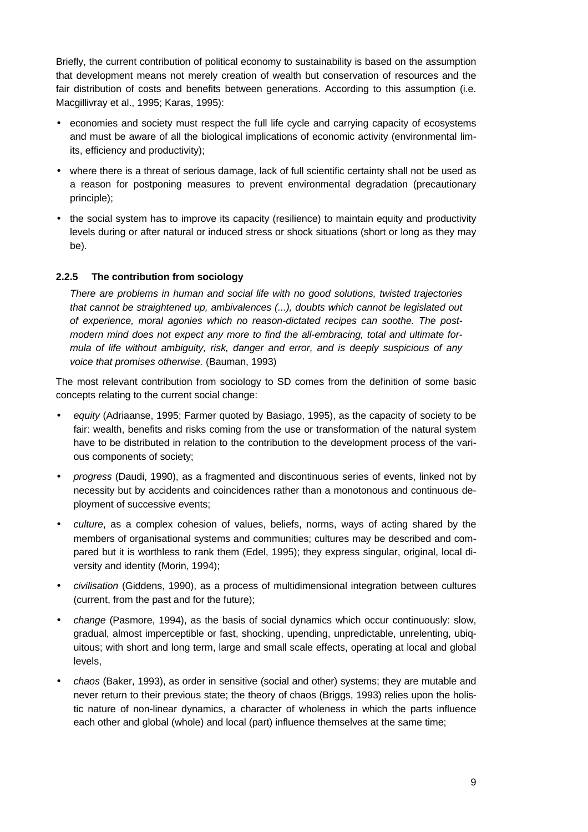Briefly, the current contribution of political economy to sustainability is based on the assumption that development means not merely creation of wealth but conservation of resources and the fair distribution of costs and benefits between generations. According to this assumption (i.e. Macgillivray et al., 1995; Karas, 1995):

- economies and society must respect the full life cycle and carrying capacity of ecosystems and must be aware of all the biological implications of economic activity (environmental limits, efficiency and productivity);
- where there is a threat of serious damage, lack of full scientific certainty shall not be used as a reason for postponing measures to prevent environmental degradation (precautionary principle);
- the social system has to improve its capacity (resilience) to maintain equity and productivity levels during or after natural or induced stress or shock situations (short or long as they may be).

# **2.2.5 The contribution from sociology**

*There are problems in human and social life with no good solutions, twisted trajectories that cannot be straightened up, ambivalences (...), doubts which cannot be legislated out of experience, moral agonies which no reason-dictated recipes can soothe. The postmodern mind does not expect any more to find the all-embracing, total and ultimate formula of life without ambiguity, risk, danger and error, and is deeply suspicious of any voice that promises otherwise.* (Bauman, 1993)

The most relevant contribution from sociology to SD comes from the definition of some basic concepts relating to the current social change:

- *equity* (Adriaanse, 1995; Farmer quoted by Basiago, 1995), as the capacity of society to be fair: wealth, benefits and risks coming from the use or transformation of the natural system have to be distributed in relation to the contribution to the development process of the various components of society;
- *progress* (Daudi, 1990), as a fragmented and discontinuous series of events, linked not by necessity but by accidents and coincidences rather than a monotonous and continuous deployment of successive events;
- *culture*, as a complex cohesion of values, beliefs, norms, ways of acting shared by the members of organisational systems and communities; cultures may be described and compared but it is worthless to rank them (Edel, 1995); they express singular, original, local diversity and identity (Morin, 1994);
- *civilisation* (Giddens, 1990), as a process of multidimensional integration between cultures (current, from the past and for the future);
- *change* (Pasmore, 1994), as the basis of social dynamics which occur continuously: slow, gradual, almost imperceptible or fast, shocking, upending, unpredictable, unrelenting, ubiquitous; with short and long term, large and small scale effects, operating at local and global levels,
- *chaos* (Baker, 1993), as order in sensitive (social and other) systems; they are mutable and never return to their previous state; the theory of chaos (Briggs, 1993) relies upon the holistic nature of non-linear dynamics, a character of wholeness in which the parts influence each other and global (whole) and local (part) influence themselves at the same time;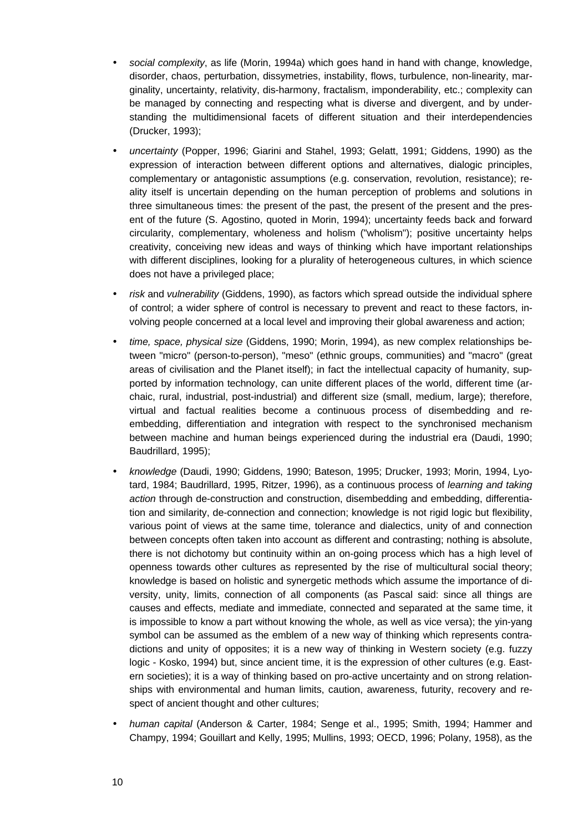- *social complexity*, as life (Morin, 1994a) which goes hand in hand with change, knowledge, disorder, chaos, perturbation, dissymetries, instability, flows, turbulence, non-linearity, marginality, uncertainty, relativity, dis-harmony, fractalism, imponderability, etc.; complexity can be managed by connecting and respecting what is diverse and divergent, and by understanding the multidimensional facets of different situation and their interdependencies (Drucker, 1993);
- *uncertainty* (Popper, 1996; Giarini and Stahel, 1993; Gelatt, 1991; Giddens, 1990) as the expression of interaction between different options and alternatives, dialogic principles, complementary or antagonistic assumptions (e.g. conservation, revolution, resistance); reality itself is uncertain depending on the human perception of problems and solutions in three simultaneous times: the present of the past, the present of the present and the present of the future (S. Agostino, quoted in Morin, 1994); uncertainty feeds back and forward circularity, complementary, wholeness and holism ("wholism"); positive uncertainty helps creativity, conceiving new ideas and ways of thinking which have important relationships with different disciplines, looking for a plurality of heterogeneous cultures, in which science does not have a privileged place;
- *risk* and *vulnerability* (Giddens, 1990), as factors which spread outside the individual sphere of control; a wider sphere of control is necessary to prevent and react to these factors, involving people concerned at a local level and improving their global awareness and action;
- *time, space, physical size* (Giddens, 1990; Morin, 1994), as new complex relationships between "micro" (person-to-person), "meso" (ethnic groups, communities) and "macro" (great areas of civilisation and the Planet itself); in fact the intellectual capacity of humanity, supported by information technology, can unite different places of the world, different time (archaic, rural, industrial, post-industrial) and different size (small, medium, large); therefore, virtual and factual realities become a continuous process of disembedding and reembedding, differentiation and integration with respect to the synchronised mechanism between machine and human beings experienced during the industrial era (Daudi, 1990; Baudrillard, 1995);
- *knowledge* (Daudi, 1990; Giddens, 1990; Bateson, 1995; Drucker, 1993; Morin, 1994, Lyotard, 1984; Baudrillard, 1995, Ritzer, 1996), as a continuous process of *learning and taking action* through de-construction and construction, disembedding and embedding, differentiation and similarity, de-connection and connection; knowledge is not rigid logic but flexibility, various point of views at the same time, tolerance and dialectics, unity of and connection between concepts often taken into account as different and contrasting; nothing is absolute, there is not dichotomy but continuity within an on-going process which has a high level of openness towards other cultures as represented by the rise of multicultural social theory; knowledge is based on holistic and synergetic methods which assume the importance of diversity, unity, limits, connection of all components (as Pascal said: since all things are causes and effects, mediate and immediate, connected and separated at the same time, it is impossible to know a part without knowing the whole, as well as vice versa); the yin-yang symbol can be assumed as the emblem of a new way of thinking which represents contradictions and unity of opposites; it is a new way of thinking in Western society (e.g. fuzzy logic - Kosko, 1994) but, since ancient time, it is the expression of other cultures (e.g. Eastern societies); it is a way of thinking based on pro-active uncertainty and on strong relationships with environmental and human limits, caution, awareness, futurity, recovery and respect of ancient thought and other cultures;
- *human capital* (Anderson & Carter, 1984; Senge et al., 1995; Smith, 1994; Hammer and Champy, 1994; Gouillart and Kelly, 1995; Mullins, 1993; OECD, 1996; Polany, 1958), as the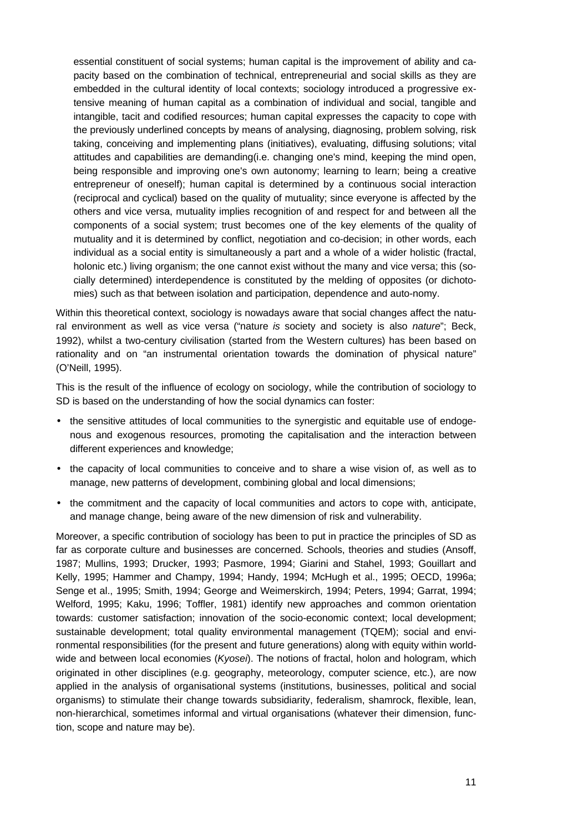essential constituent of social systems; human capital is the improvement of ability and capacity based on the combination of technical, entrepreneurial and social skills as they are embedded in the cultural identity of local contexts; sociology introduced a progressive extensive meaning of human capital as a combination of individual and social, tangible and intangible, tacit and codified resources; human capital expresses the capacity to cope with the previously underlined concepts by means of analysing, diagnosing, problem solving, risk taking, conceiving and implementing plans (initiatives), evaluating, diffusing solutions; vital attitudes and capabilities are demanding(i.e. changing one's mind, keeping the mind open, being responsible and improving one's own autonomy; learning to learn; being a creative entrepreneur of oneself); human capital is determined by a continuous social interaction (reciprocal and cyclical) based on the quality of mutuality; since everyone is affected by the others and vice versa, mutuality implies recognition of and respect for and between all the components of a social system; trust becomes one of the key elements of the quality of mutuality and it is determined by conflict, negotiation and co-decision; in other words, each individual as a social entity is simultaneously a part and a whole of a wider holistic (fractal, holonic etc.) living organism; the one cannot exist without the many and vice versa; this (socially determined) interdependence is constituted by the melding of opposites (or dichotomies) such as that between isolation and participation, dependence and auto-nomy.

Within this theoretical context, sociology is nowadays aware that social changes affect the natural environment as well as vice versa ("nature *is* society and society is also *nature*"; Beck, 1992), whilst a two-century civilisation (started from the Western cultures) has been based on rationality and on "an instrumental orientation towards the domination of physical nature" (O'Neill, 1995).

This is the result of the influence of ecology on sociology, while the contribution of sociology to SD is based on the understanding of how the social dynamics can foster:

- the sensitive attitudes of local communities to the synergistic and equitable use of endogenous and exogenous resources, promoting the capitalisation and the interaction between different experiences and knowledge;
- the capacity of local communities to conceive and to share a wise vision of, as well as to manage, new patterns of development, combining global and local dimensions;
- the commitment and the capacity of local communities and actors to cope with, anticipate, and manage change, being aware of the new dimension of risk and vulnerability.

Moreover, a specific contribution of sociology has been to put in practice the principles of SD as far as corporate culture and businesses are concerned. Schools, theories and studies (Ansoff, 1987; Mullins, 1993; Drucker, 1993; Pasmore, 1994; Giarini and Stahel, 1993; Gouillart and Kelly, 1995; Hammer and Champy, 1994; Handy, 1994; McHugh et al., 1995; OECD, 1996a; Senge et al., 1995; Smith, 1994; George and Weimerskirch, 1994; Peters, 1994; Garrat, 1994; Welford, 1995; Kaku, 1996; Toffler, 1981) identify new approaches and common orientation towards: customer satisfaction; innovation of the socio-economic context; local development; sustainable development; total quality environmental management (TQEM); social and environmental responsibilities (for the present and future generations) along with equity within worldwide and between local economies (*Kyosei*). The notions of fractal, holon and hologram, which originated in other disciplines (e.g. geography, meteorology, computer science, etc.), are now applied in the analysis of organisational systems (institutions, businesses, political and social organisms) to stimulate their change towards subsidiarity, federalism, shamrock, flexible, lean, non-hierarchical, sometimes informal and virtual organisations (whatever their dimension, function, scope and nature may be).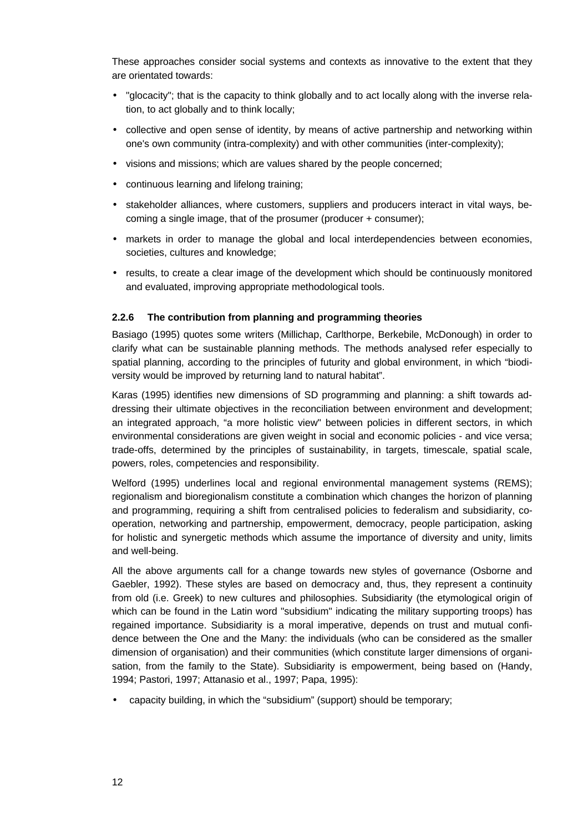These approaches consider social systems and contexts as innovative to the extent that they are orientated towards:

- "glocacity"; that is the capacity to think globally and to act locally along with the inverse relation, to act globally and to think locally;
- collective and open sense of identity, by means of active partnership and networking within one's own community (intra-complexity) and with other communities (inter-complexity);
- visions and missions; which are values shared by the people concerned;
- continuous learning and lifelong training;
- stakeholder alliances, where customers, suppliers and producers interact in vital ways, becoming a single image, that of the prosumer (producer + consumer);
- markets in order to manage the global and local interdependencies between economies, societies, cultures and knowledge;
- results, to create a clear image of the development which should be continuously monitored and evaluated, improving appropriate methodological tools.

# **2.2.6 The contribution from planning and programming theories**

Basiago (1995) quotes some writers (Millichap, Carlthorpe, Berkebile, McDonough) in order to clarify what can be sustainable planning methods. The methods analysed refer especially to spatial planning, according to the principles of futurity and global environment, in which "biodiversity would be improved by returning land to natural habitat".

Karas (1995) identifies new dimensions of SD programming and planning: a shift towards addressing their ultimate objectives in the reconciliation between environment and development; an integrated approach, "a more holistic view" between policies in different sectors, in which environmental considerations are given weight in social and economic policies - and vice versa; trade-offs, determined by the principles of sustainability, in targets, timescale, spatial scale, powers, roles, competencies and responsibility.

Welford (1995) underlines local and regional environmental management systems (REMS); regionalism and bioregionalism constitute a combination which changes the horizon of planning and programming, requiring a shift from centralised policies to federalism and subsidiarity, cooperation, networking and partnership, empowerment, democracy, people participation, asking for holistic and synergetic methods which assume the importance of diversity and unity, limits and well-being.

All the above arguments call for a change towards new styles of governance (Osborne and Gaebler, 1992). These styles are based on democracy and, thus, they represent a continuity from old (i.e. Greek) to new cultures and philosophies. Subsidiarity (the etymological origin of which can be found in the Latin word "subsidium" indicating the military supporting troops) has regained importance. Subsidiarity is a moral imperative, depends on trust and mutual confidence between the One and the Many: the individuals (who can be considered as the smaller dimension of organisation) and their communities (which constitute larger dimensions of organisation, from the family to the State). Subsidiarity is empowerment, being based on (Handy, 1994; Pastori, 1997; Attanasio et al., 1997; Papa, 1995):

• capacity building, in which the "subsidium" (support) should be temporary;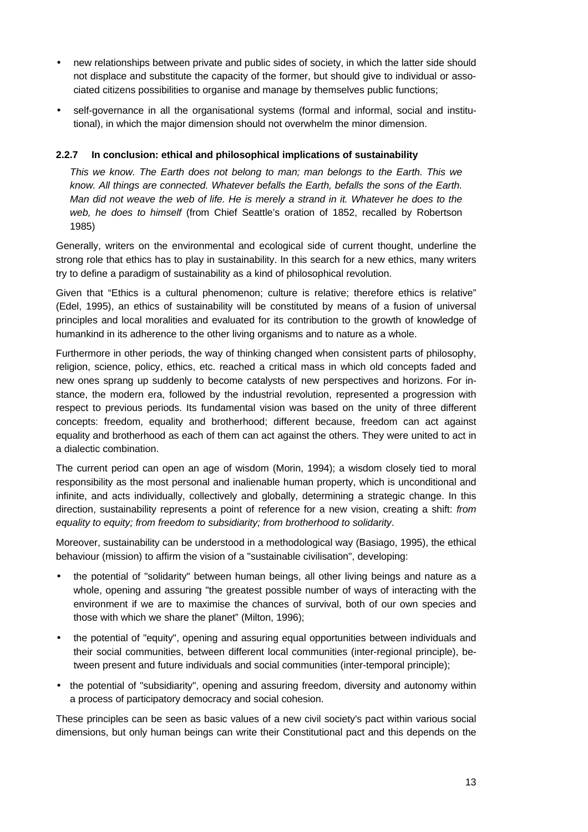- new relationships between private and public sides of society, in which the latter side should not displace and substitute the capacity of the former, but should give to individual or associated citizens possibilities to organise and manage by themselves public functions;
- self-governance in all the organisational systems (formal and informal, social and institutional), in which the major dimension should not overwhelm the minor dimension.

# **2.2.7 In conclusion: ethical and philosophical implications of sustainability**

*This we know. The Earth does not belong to man; man belongs to the Earth. This we know. All things are connected. Whatever befalls the Earth, befalls the sons of the Earth. Man did not weave the web of life. He is merely a strand in it. Whatever he does to the web, he does to himself* (from Chief Seattle's oration of 1852, recalled by Robertson 1985)

Generally, writers on the environmental and ecological side of current thought, underline the strong role that ethics has to play in sustainability. In this search for a new ethics, many writers try to define a paradigm of sustainability as a kind of philosophical revolution.

Given that "Ethics is a cultural phenomenon; culture is relative; therefore ethics is relative" (Edel, 1995), an ethics of sustainability will be constituted by means of a fusion of universal principles and local moralities and evaluated for its contribution to the growth of knowledge of humankind in its adherence to the other living organisms and to nature as a whole.

Furthermore in other periods, the way of thinking changed when consistent parts of philosophy, religion, science, policy, ethics, etc. reached a critical mass in which old concepts faded and new ones sprang up suddenly to become catalysts of new perspectives and horizons. For instance, the modern era, followed by the industrial revolution, represented a progression with respect to previous periods. Its fundamental vision was based on the unity of three different concepts: freedom, equality and brotherhood; different because, freedom can act against equality and brotherhood as each of them can act against the others. They were united to act in a dialectic combination.

The current period can open an age of wisdom (Morin, 1994); a wisdom closely tied to moral responsibility as the most personal and inalienable human property, which is unconditional and infinite, and acts individually, collectively and globally, determining a strategic change. In this direction, sustainability represents a point of reference for a new vision, creating a shift: *from equality to equity; from freedom to subsidiarity; from brotherhood to solidarity*.

Moreover, sustainability can be understood in a methodological way (Basiago, 1995), the ethical behaviour (mission) to affirm the vision of a "sustainable civilisation", developing:

- the potential of "solidarity" between human beings, all other living beings and nature as a whole, opening and assuring "the greatest possible number of ways of interacting with the environment if we are to maximise the chances of survival, both of our own species and those with which we share the planet" (Milton, 1996);
- the potential of "equity", opening and assuring equal opportunities between individuals and their social communities, between different local communities (inter-regional principle), between present and future individuals and social communities (inter-temporal principle);
- the potential of "subsidiarity", opening and assuring freedom, diversity and autonomy within a process of participatory democracy and social cohesion.

These principles can be seen as basic values of a new civil society's pact within various social dimensions, but only human beings can write their Constitutional pact and this depends on the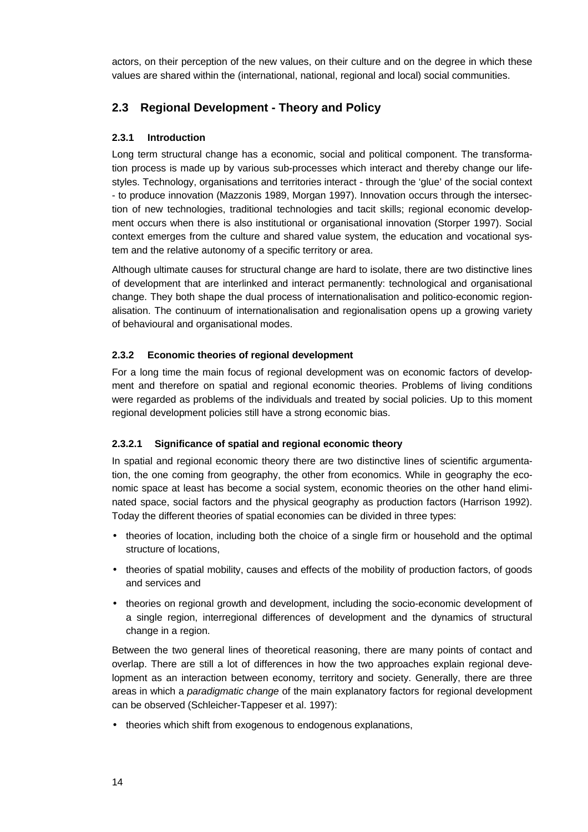actors, on their perception of the new values, on their culture and on the degree in which these values are shared within the (international, national, regional and local) social communities.

# **2.3 Regional Development - Theory and Policy**

# **2.3.1 Introduction**

Long term structural change has a economic, social and political component. The transformation process is made up by various sub-processes which interact and thereby change our lifestyles. Technology, organisations and territories interact - through the 'glue' of the social context - to produce innovation (Mazzonis 1989, Morgan 1997). Innovation occurs through the intersection of new technologies, traditional technologies and tacit skills; regional economic development occurs when there is also institutional or organisational innovation (Storper 1997). Social context emerges from the culture and shared value system, the education and vocational system and the relative autonomy of a specific territory or area.

Although ultimate causes for structural change are hard to isolate, there are two distinctive lines of development that are interlinked and interact permanently: technological and organisational change. They both shape the dual process of internationalisation and politico-economic regionalisation. The continuum of internationalisation and regionalisation opens up a growing variety of behavioural and organisational modes.

# **2.3.2 Economic theories of regional development**

For a long time the main focus of regional development was on economic factors of development and therefore on spatial and regional economic theories. Problems of living conditions were regarded as problems of the individuals and treated by social policies. Up to this moment regional development policies still have a strong economic bias.

# **2.3.2.1 Significance of spatial and regional economic theory**

In spatial and regional economic theory there are two distinctive lines of scientific argumentation, the one coming from geography, the other from economics. While in geography the economic space at least has become a social system, economic theories on the other hand eliminated space, social factors and the physical geography as production factors (Harrison 1992). Today the different theories of spatial economies can be divided in three types:

- theories of location, including both the choice of a single firm or household and the optimal structure of locations,
- theories of spatial mobility, causes and effects of the mobility of production factors, of goods and services and
- theories on regional growth and development, including the socio-economic development of a single region, interregional differences of development and the dynamics of structural change in a region.

Between the two general lines of theoretical reasoning, there are many points of contact and overlap. There are still a lot of differences in how the two approaches explain regional development as an interaction between economy, territory and society. Generally, there are three areas in which a *paradigmatic change* of the main explanatory factors for regional development can be observed (Schleicher-Tappeser et al. 1997):

• theories which shift from exogenous to endogenous explanations,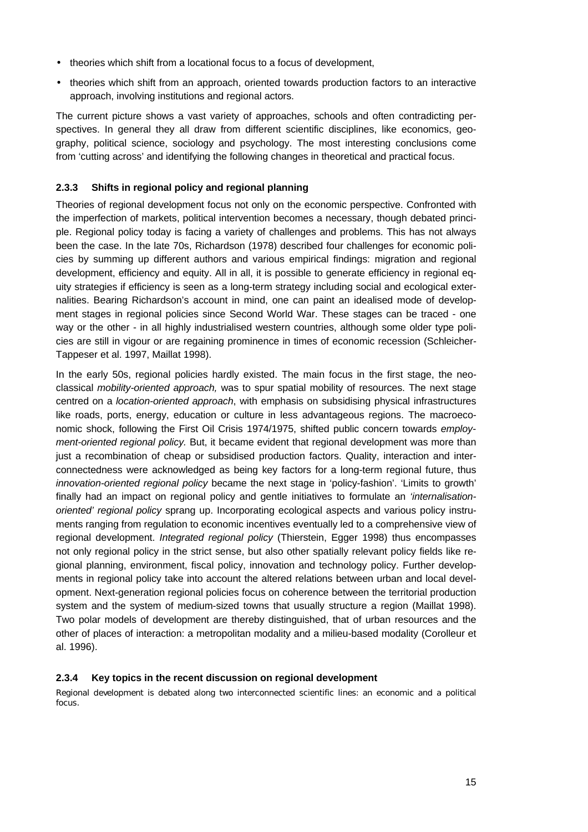- theories which shift from a locational focus to a focus of development,
- theories which shift from an approach, oriented towards production factors to an interactive approach, involving institutions and regional actors.

The current picture shows a vast variety of approaches, schools and often contradicting perspectives. In general they all draw from different scientific disciplines, like economics, geography, political science, sociology and psychology. The most interesting conclusions come from 'cutting across' and identifying the following changes in theoretical and practical focus.

# **2.3.3 Shifts in regional policy and regional planning**

Theories of regional development focus not only on the economic perspective. Confronted with the imperfection of markets, political intervention becomes a necessary, though debated principle. Regional policy today is facing a variety of challenges and problems. This has not always been the case. In the late 70s, Richardson (1978) described four challenges for economic policies by summing up different authors and various empirical findings: migration and regional development, efficiency and equity. All in all, it is possible to generate efficiency in regional equity strategies if efficiency is seen as a long-term strategy including social and ecological externalities. Bearing Richardson's account in mind, one can paint an idealised mode of development stages in regional policies since Second World War. These stages can be traced - one way or the other - in all highly industrialised western countries, although some older type policies are still in vigour or are regaining prominence in times of economic recession (Schleicher-Tappeser et al. 1997, Maillat 1998).

In the early 50s, regional policies hardly existed. The main focus in the first stage, the neoclassical *mobility-oriented approach,* was to spur spatial mobility of resources. The next stage centred on a *location-oriented approach*, with emphasis on subsidising physical infrastructures like roads, ports, energy, education or culture in less advantageous regions. The macroeconomic shock, following the First Oil Crisis 1974/1975, shifted public concern towards *employment-oriented regional policy.* But, it became evident that regional development was more than just a recombination of cheap or subsidised production factors. Quality, interaction and interconnectedness were acknowledged as being key factors for a long-term regional future, thus *innovation-oriented regional policy* became the next stage in 'policy-fashion'. 'Limits to growth' finally had an impact on regional policy and gentle initiatives to formulate an *'internalisationoriented' regional policy* sprang up. Incorporating ecological aspects and various policy instruments ranging from regulation to economic incentives eventually led to a comprehensive view of regional development. *Integrated regional policy* (Thierstein, Egger 1998) thus encompasses not only regional policy in the strict sense, but also other spatially relevant policy fields like regional planning, environment, fiscal policy, innovation and technology policy. Further developments in regional policy take into account the altered relations between urban and local development. Next-generation regional policies focus on coherence between the territorial production system and the system of medium-sized towns that usually structure a region (Maillat 1998). Two polar models of development are thereby distinguished, that of urban resources and the other of places of interaction: a metropolitan modality and a milieu-based modality (Corolleur et al. 1996).

# **2.3.4 Key topics in the recent discussion on regional development**

Regional development is debated along two interconnected scientific lines: an economic and a political focus.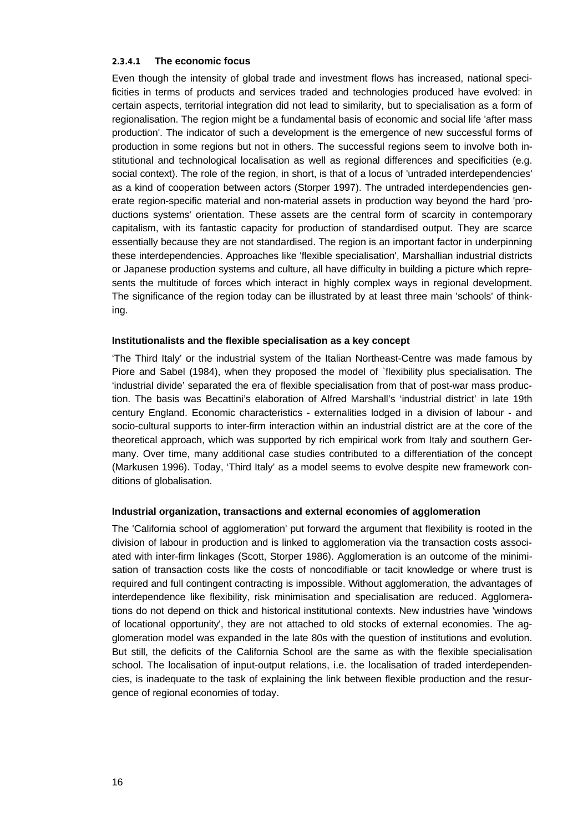## **2.3.4.1 The economic focus**

Even though the intensity of global trade and investment flows has increased, national specificities in terms of products and services traded and technologies produced have evolved: in certain aspects, territorial integration did not lead to similarity, but to specialisation as a form of regionalisation. The region might be a fundamental basis of economic and social life 'after mass production'. The indicator of such a development is the emergence of new successful forms of production in some regions but not in others. The successful regions seem to involve both institutional and technological localisation as well as regional differences and specificities (e.g. social context). The role of the region, in short, is that of a locus of 'untraded interdependencies' as a kind of cooperation between actors (Storper 1997). The untraded interdependencies generate region-specific material and non-material assets in production way beyond the hard 'productions systems' orientation. These assets are the central form of scarcity in contemporary capitalism, with its fantastic capacity for production of standardised output. They are scarce essentially because they are not standardised. The region is an important factor in underpinning these interdependencies. Approaches like 'flexible specialisation', Marshallian industrial districts or Japanese production systems and culture, all have difficulty in building a picture which represents the multitude of forces which interact in highly complex ways in regional development. The significance of the region today can be illustrated by at least three main 'schools' of thinking.

## **Institutionalists and the flexible specialisation as a key concept**

'The Third Italy' or the industrial system of the Italian Northeast-Centre was made famous by Piore and Sabel (1984), when they proposed the model of `flexibility plus specialisation. The 'industrial divide' separated the era of flexible specialisation from that of post-war mass production. The basis was Becattini's elaboration of Alfred Marshall's 'industrial district' in late 19th century England. Economic characteristics - externalities lodged in a division of labour - and socio-cultural supports to inter-firm interaction within an industrial district are at the core of the theoretical approach, which was supported by rich empirical work from Italy and southern Germany. Over time, many additional case studies contributed to a differentiation of the concept (Markusen 1996). Today, 'Third Italy' as a model seems to evolve despite new framework conditions of globalisation.

#### **Industrial organization, transactions and external economies of agglomeration**

The 'California school of agglomeration' put forward the argument that flexibility is rooted in the division of labour in production and is linked to agglomeration via the transaction costs associated with inter-firm linkages (Scott, Storper 1986). Agglomeration is an outcome of the minimisation of transaction costs like the costs of noncodifiable or tacit knowledge or where trust is required and full contingent contracting is impossible. Without agglomeration, the advantages of interdependence like flexibility, risk minimisation and specialisation are reduced. Agglomerations do not depend on thick and historical institutional contexts. New industries have 'windows of locational opportunity', they are not attached to old stocks of external economies. The agglomeration model was expanded in the late 80s with the question of institutions and evolution. But still, the deficits of the California School are the same as with the flexible specialisation school. The localisation of input-output relations, i.e. the localisation of traded interdependencies, is inadequate to the task of explaining the link between flexible production and the resurgence of regional economies of today.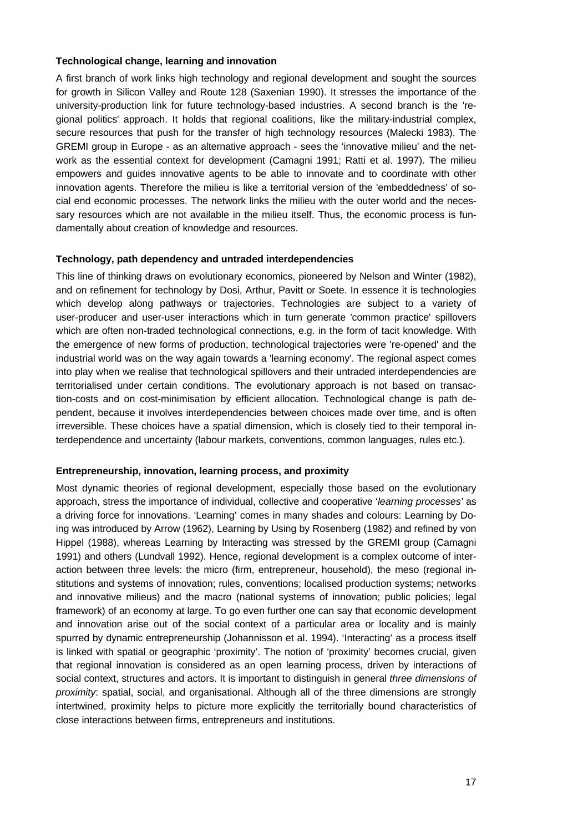## **Technological change, learning and innovation**

A first branch of work links high technology and regional development and sought the sources for growth in Silicon Valley and Route 128 (Saxenian 1990). It stresses the importance of the university-production link for future technology-based industries. A second branch is the 'regional politics' approach. It holds that regional coalitions, like the military-industrial complex, secure resources that push for the transfer of high technology resources (Malecki 1983). The GREMI group in Europe - as an alternative approach - sees the 'innovative milieu' and the network as the essential context for development (Camagni 1991; Ratti et al. 1997). The milieu empowers and guides innovative agents to be able to innovate and to coordinate with other innovation agents. Therefore the milieu is like a territorial version of the 'embeddedness' of social end economic processes. The network links the milieu with the outer world and the necessary resources which are not available in the milieu itself. Thus, the economic process is fundamentally about creation of knowledge and resources.

## **Technology, path dependency and untraded interdependencies**

This line of thinking draws on evolutionary economics, pioneered by Nelson and Winter (1982), and on refinement for technology by Dosi, Arthur, Pavitt or Soete. In essence it is technologies which develop along pathways or trajectories. Technologies are subject to a variety of user-producer and user-user interactions which in turn generate 'common practice' spillovers which are often non-traded technological connections, e.g. in the form of tacit knowledge. With the emergence of new forms of production, technological trajectories were 're-opened' and the industrial world was on the way again towards a 'learning economy'. The regional aspect comes into play when we realise that technological spillovers and their untraded interdependencies are territorialised under certain conditions. The evolutionary approach is not based on transaction-costs and on cost-minimisation by efficient allocation. Technological change is path dependent, because it involves interdependencies between choices made over time, and is often irreversible. These choices have a spatial dimension, which is closely tied to their temporal interdependence and uncertainty (labour markets, conventions, common languages, rules etc.).

# **Entrepreneurship, innovation, learning process, and proximity**

Most dynamic theories of regional development, especially those based on the evolutionary approach, stress the importance of individual, collective and cooperative '*learning processes'* as a driving force for innovations. 'Learning' comes in many shades and colours: Learning by Doing was introduced by Arrow (1962), Learning by Using by Rosenberg (1982) and refined by von Hippel (1988), whereas Learning by Interacting was stressed by the GREMI group (Camagni 1991) and others (Lundvall 1992). Hence, regional development is a complex outcome of interaction between three levels: the micro (firm, entrepreneur, household), the meso (regional institutions and systems of innovation; rules, conventions; localised production systems; networks and innovative milieus) and the macro (national systems of innovation; public policies; legal framework) of an economy at large. To go even further one can say that economic development and innovation arise out of the social context of a particular area or locality and is mainly spurred by dynamic entrepreneurship (Johannisson et al. 1994). 'Interacting' as a process itself is linked with spatial or geographic 'proximity'. The notion of 'proximity' becomes crucial, given that regional innovation is considered as an open learning process, driven by interactions of social context, structures and actors. It is important to distinguish in general *three dimensions of proximity*: spatial, social, and organisational. Although all of the three dimensions are strongly intertwined, proximity helps to picture more explicitly the territorially bound characteristics of close interactions between firms, entrepreneurs and institutions.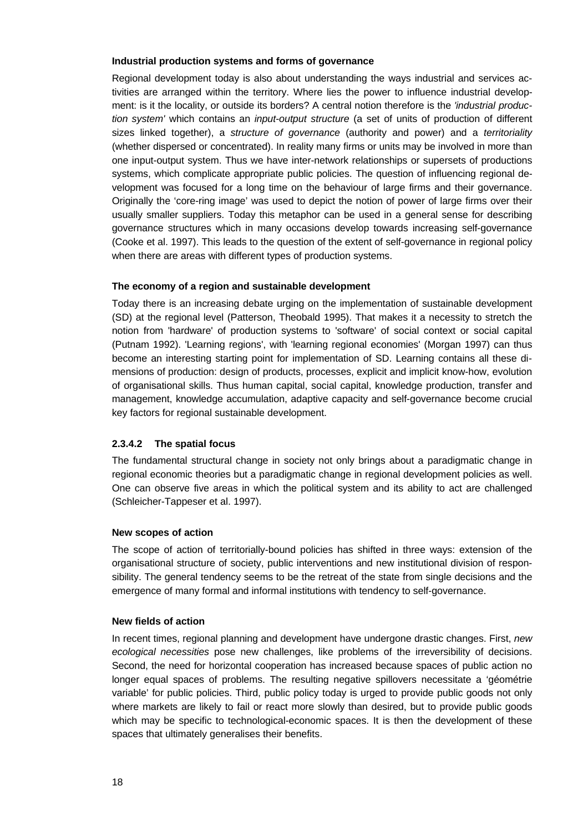## **Industrial production systems and forms of governance**

Regional development today is also about understanding the ways industrial and services activities are arranged within the territory. Where lies the power to influence industrial development: is it the locality, or outside its borders? A central notion therefore is the *'industrial production system'* which contains an *input-output structure* (a set of units of production of different sizes linked together), a *structure of governance* (authority and power) and a *territoriality* (whether dispersed or concentrated). In reality many firms or units may be involved in more than one input-output system. Thus we have inter-network relationships or supersets of productions systems, which complicate appropriate public policies. The question of influencing regional development was focused for a long time on the behaviour of large firms and their governance. Originally the 'core-ring image' was used to depict the notion of power of large firms over their usually smaller suppliers. Today this metaphor can be used in a general sense for describing governance structures which in many occasions develop towards increasing self-governance (Cooke et al. 1997). This leads to the question of the extent of self-governance in regional policy when there are areas with different types of production systems.

## **The economy of a region and sustainable development**

Today there is an increasing debate urging on the implementation of sustainable development (SD) at the regional level (Patterson, Theobald 1995). That makes it a necessity to stretch the notion from 'hardware' of production systems to 'software' of social context or social capital (Putnam 1992). 'Learning regions', with 'learning regional economies' (Morgan 1997) can thus become an interesting starting point for implementation of SD. Learning contains all these dimensions of production: design of products, processes, explicit and implicit know-how, evolution of organisational skills. Thus human capital, social capital, knowledge production, transfer and management, knowledge accumulation, adaptive capacity and self-governance become crucial key factors for regional sustainable development.

# **2.3.4.2 The spatial focus**

The fundamental structural change in society not only brings about a paradigmatic change in regional economic theories but a paradigmatic change in regional development policies as well. One can observe five areas in which the political system and its ability to act are challenged (Schleicher-Tappeser et al. 1997).

#### **New scopes of action**

The scope of action of territorially-bound policies has shifted in three ways: extension of the organisational structure of society, public interventions and new institutional division of responsibility. The general tendency seems to be the retreat of the state from single decisions and the emergence of many formal and informal institutions with tendency to self-governance.

#### **New fields of action**

In recent times, regional planning and development have undergone drastic changes. First, *new ecological necessities* pose new challenges, like problems of the irreversibility of decisions. Second, the need for horizontal cooperation has increased because spaces of public action no longer equal spaces of problems. The resulting negative spillovers necessitate a 'géométrie variable' for public policies. Third, public policy today is urged to provide public goods not only where markets are likely to fail or react more slowly than desired, but to provide public goods which may be specific to technological-economic spaces. It is then the development of these spaces that ultimately generalises their benefits.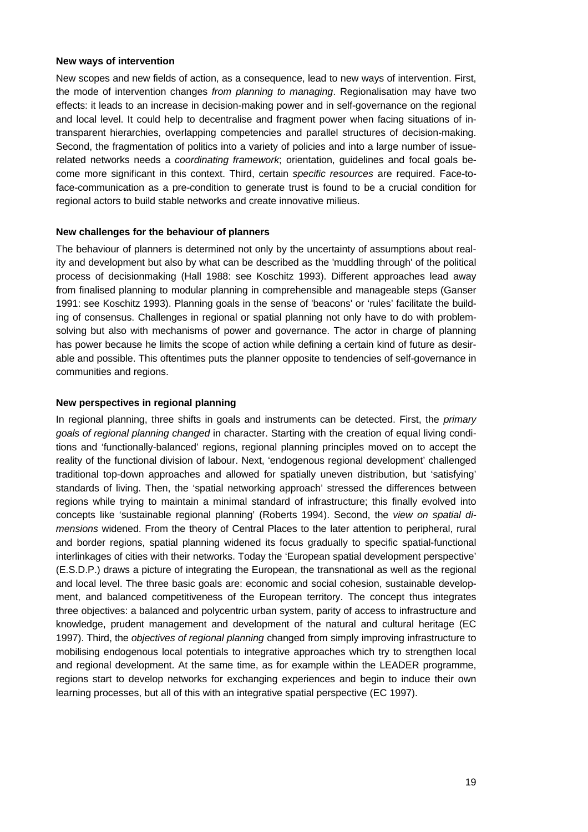#### **New ways of intervention**

New scopes and new fields of action, as a consequence, lead to new ways of intervention. First, the mode of intervention changes *from planning to managing*. Regionalisation may have two effects: it leads to an increase in decision-making power and in self-governance on the regional and local level. It could help to decentralise and fragment power when facing situations of intransparent hierarchies, overlapping competencies and parallel structures of decision-making. Second, the fragmentation of politics into a variety of policies and into a large number of issuerelated networks needs a *coordinating framework*; orientation, guidelines and focal goals become more significant in this context. Third, certain *specific resources* are required. Face-toface-communication as a pre-condition to generate trust is found to be a crucial condition for regional actors to build stable networks and create innovative milieus.

#### **New challenges for the behaviour of planners**

The behaviour of planners is determined not only by the uncertainty of assumptions about reality and development but also by what can be described as the 'muddling through' of the political process of decisionmaking (Hall 1988: see Koschitz 1993). Different approaches lead away from finalised planning to modular planning in comprehensible and manageable steps (Ganser 1991: see Koschitz 1993). Planning goals in the sense of 'beacons' or 'rules' facilitate the building of consensus. Challenges in regional or spatial planning not only have to do with problemsolving but also with mechanisms of power and governance. The actor in charge of planning has power because he limits the scope of action while defining a certain kind of future as desirable and possible. This oftentimes puts the planner opposite to tendencies of self-governance in communities and regions.

## **New perspectives in regional planning**

In regional planning, three shifts in goals and instruments can be detected. First, the *primary goals of regional planning changed* in character. Starting with the creation of equal living conditions and 'functionally-balanced' regions, regional planning principles moved on to accept the reality of the functional division of labour. Next, 'endogenous regional development' challenged traditional top-down approaches and allowed for spatially uneven distribution, but 'satisfying' standards of living. Then, the 'spatial networking approach' stressed the differences between regions while trying to maintain a minimal standard of infrastructure; this finally evolved into concepts like 'sustainable regional planning' (Roberts 1994). Second, the *view on spatial dimensions* widened. From the theory of Central Places to the later attention to peripheral, rural and border regions, spatial planning widened its focus gradually to specific spatial-functional interlinkages of cities with their networks. Today the 'European spatial development perspective' (E.S.D.P.) draws a picture of integrating the European, the transnational as well as the regional and local level. The three basic goals are: economic and social cohesion, sustainable development, and balanced competitiveness of the European territory. The concept thus integrates three objectives: a balanced and polycentric urban system, parity of access to infrastructure and knowledge, prudent management and development of the natural and cultural heritage (EC 1997). Third, the *objectives of regional planning* changed from simply improving infrastructure to mobilising endogenous local potentials to integrative approaches which try to strengthen local and regional development. At the same time, as for example within the LEADER programme, regions start to develop networks for exchanging experiences and begin to induce their own learning processes, but all of this with an integrative spatial perspective (EC 1997).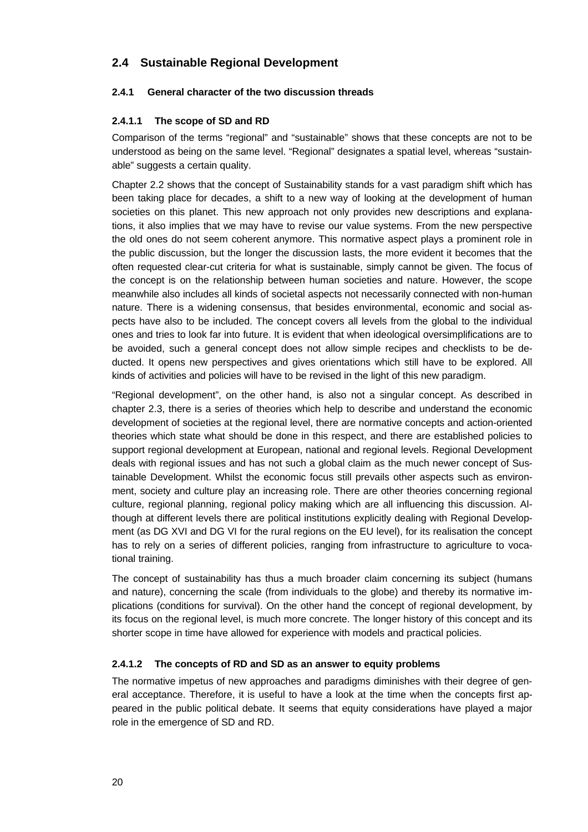# **2.4 Sustainable Regional Development**

## **2.4.1 General character of the two discussion threads**

## **2.4.1.1 The scope of SD and RD**

Comparison of the terms "regional" and "sustainable" shows that these concepts are not to be understood as being on the same level. "Regional" designates a spatial level, whereas "sustainable" suggests a certain quality.

Chapter 2.2 shows that the concept of Sustainability stands for a vast paradigm shift which has been taking place for decades, a shift to a new way of looking at the development of human societies on this planet. This new approach not only provides new descriptions and explanations, it also implies that we may have to revise our value systems. From the new perspective the old ones do not seem coherent anymore. This normative aspect plays a prominent role in the public discussion, but the longer the discussion lasts, the more evident it becomes that the often requested clear-cut criteria for what is sustainable, simply cannot be given. The focus of the concept is on the relationship between human societies and nature. However, the scope meanwhile also includes all kinds of societal aspects not necessarily connected with non-human nature. There is a widening consensus, that besides environmental, economic and social aspects have also to be included. The concept covers all levels from the global to the individual ones and tries to look far into future. It is evident that when ideological oversimplifications are to be avoided, such a general concept does not allow simple recipes and checklists to be deducted. It opens new perspectives and gives orientations which still have to be explored. All kinds of activities and policies will have to be revised in the light of this new paradigm.

"Regional development", on the other hand, is also not a singular concept. As described in chapter 2.3, there is a series of theories which help to describe and understand the economic development of societies at the regional level, there are normative concepts and action-oriented theories which state what should be done in this respect, and there are established policies to support regional development at European, national and regional levels. Regional Development deals with regional issues and has not such a global claim as the much newer concept of Sustainable Development. Whilst the economic focus still prevails other aspects such as environment, society and culture play an increasing role. There are other theories concerning regional culture, regional planning, regional policy making which are all influencing this discussion. Although at different levels there are political institutions explicitly dealing with Regional Development (as DG XVI and DG VI for the rural regions on the EU level), for its realisation the concept has to rely on a series of different policies, ranging from infrastructure to agriculture to vocational training.

The concept of sustainability has thus a much broader claim concerning its subject (humans and nature), concerning the scale (from individuals to the globe) and thereby its normative implications (conditions for survival). On the other hand the concept of regional development, by its focus on the regional level, is much more concrete. The longer history of this concept and its shorter scope in time have allowed for experience with models and practical policies.

## **2.4.1.2 The concepts of RD and SD as an answer to equity problems**

The normative impetus of new approaches and paradigms diminishes with their degree of general acceptance. Therefore, it is useful to have a look at the time when the concepts first appeared in the public political debate. It seems that equity considerations have played a major role in the emergence of SD and RD.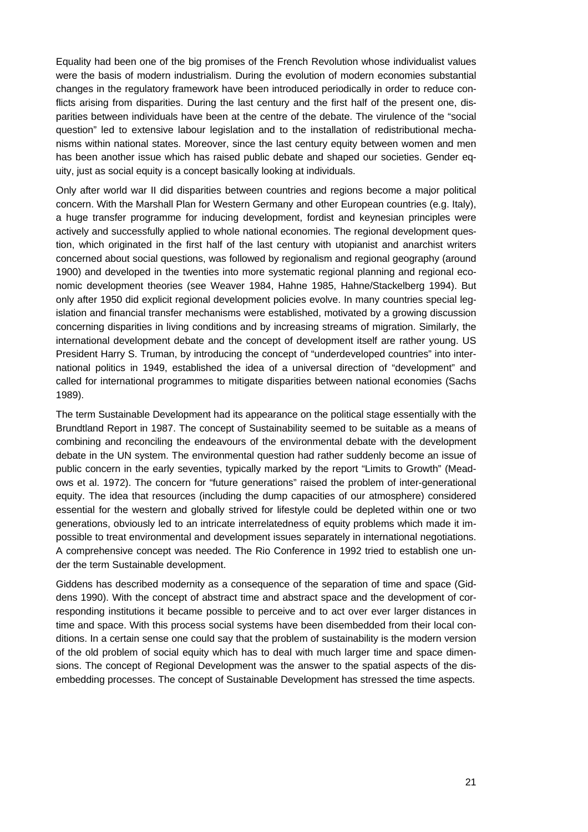Equality had been one of the big promises of the French Revolution whose individualist values were the basis of modern industrialism. During the evolution of modern economies substantial changes in the regulatory framework have been introduced periodically in order to reduce conflicts arising from disparities. During the last century and the first half of the present one, disparities between individuals have been at the centre of the debate. The virulence of the "social question" led to extensive labour legislation and to the installation of redistributional mechanisms within national states. Moreover, since the last century equity between women and men has been another issue which has raised public debate and shaped our societies. Gender equity, just as social equity is a concept basically looking at individuals.

Only after world war II did disparities between countries and regions become a major political concern. With the Marshall Plan for Western Germany and other European countries (e.g. Italy), a huge transfer programme for inducing development, fordist and keynesian principles were actively and successfully applied to whole national economies. The regional development question, which originated in the first half of the last century with utopianist and anarchist writers concerned about social questions, was followed by regionalism and regional geography (around 1900) and developed in the twenties into more systematic regional planning and regional economic development theories (see Weaver 1984, Hahne 1985, Hahne/Stackelberg 1994). But only after 1950 did explicit regional development policies evolve. In many countries special legislation and financial transfer mechanisms were established, motivated by a growing discussion concerning disparities in living conditions and by increasing streams of migration. Similarly, the international development debate and the concept of development itself are rather young. US President Harry S. Truman, by introducing the concept of "underdeveloped countries" into international politics in 1949, established the idea of a universal direction of "development" and called for international programmes to mitigate disparities between national economies (Sachs 1989).

The term Sustainable Development had its appearance on the political stage essentially with the Brundtland Report in 1987. The concept of Sustainability seemed to be suitable as a means of combining and reconciling the endeavours of the environmental debate with the development debate in the UN system. The environmental question had rather suddenly become an issue of public concern in the early seventies, typically marked by the report "Limits to Growth" (Meadows et al. 1972). The concern for "future generations" raised the problem of inter-generational equity. The idea that resources (including the dump capacities of our atmosphere) considered essential for the western and globally strived for lifestyle could be depleted within one or two generations, obviously led to an intricate interrelatedness of equity problems which made it impossible to treat environmental and development issues separately in international negotiations. A comprehensive concept was needed. The Rio Conference in 1992 tried to establish one under the term Sustainable development.

Giddens has described modernity as a consequence of the separation of time and space (Giddens 1990). With the concept of abstract time and abstract space and the development of corresponding institutions it became possible to perceive and to act over ever larger distances in time and space. With this process social systems have been disembedded from their local conditions. In a certain sense one could say that the problem of sustainability is the modern version of the old problem of social equity which has to deal with much larger time and space dimensions. The concept of Regional Development was the answer to the spatial aspects of the disembedding processes. The concept of Sustainable Development has stressed the time aspects.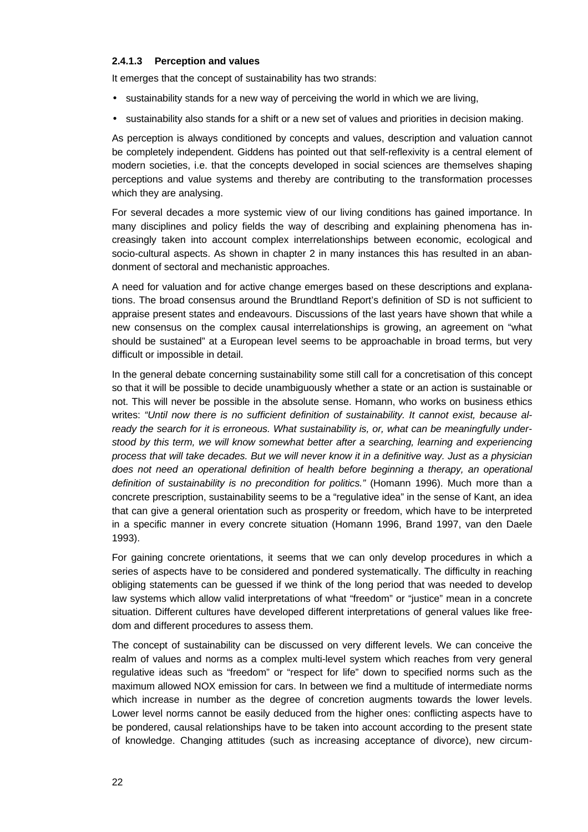## **2.4.1.3 Perception and values**

It emerges that the concept of sustainability has two strands:

- sustainability stands for a new way of perceiving the world in which we are living,
- sustainability also stands for a shift or a new set of values and priorities in decision making.

As perception is always conditioned by concepts and values, description and valuation cannot be completely independent. Giddens has pointed out that self-reflexivity is a central element of modern societies, i.e. that the concepts developed in social sciences are themselves shaping perceptions and value systems and thereby are contributing to the transformation processes which they are analysing.

For several decades a more systemic view of our living conditions has gained importance. In many disciplines and policy fields the way of describing and explaining phenomena has increasingly taken into account complex interrelationships between economic, ecological and socio-cultural aspects. As shown in chapter 2 in many instances this has resulted in an abandonment of sectoral and mechanistic approaches.

A need for valuation and for active change emerges based on these descriptions and explanations. The broad consensus around the Brundtland Report's definition of SD is not sufficient to appraise present states and endeavours. Discussions of the last years have shown that while a new consensus on the complex causal interrelationships is growing, an agreement on "what should be sustained" at a European level seems to be approachable in broad terms, but very difficult or impossible in detail.

In the general debate concerning sustainability some still call for a concretisation of this concept so that it will be possible to decide unambiguously whether a state or an action is sustainable or not. This will never be possible in the absolute sense. Homann, who works on business ethics writes: *"Until now there is no sufficient definition of sustainability. It cannot exist, because already the search for it is erroneous. What sustainability is, or, what can be meaningfully understood by this term, we will know somewhat better after a searching, learning and experiencing process that will take decades. But we will never know it in a definitive way. Just as a physician does not need an operational definition of health before beginning a therapy, an operational definition of sustainability is no precondition for politics."* (Homann 1996). Much more than a concrete prescription, sustainability seems to be a "regulative idea" in the sense of Kant, an idea that can give a general orientation such as prosperity or freedom, which have to be interpreted in a specific manner in every concrete situation (Homann 1996, Brand 1997, van den Daele 1993).

For gaining concrete orientations, it seems that we can only develop procedures in which a series of aspects have to be considered and pondered systematically. The difficulty in reaching obliging statements can be guessed if we think of the long period that was needed to develop law systems which allow valid interpretations of what "freedom" or "justice" mean in a concrete situation. Different cultures have developed different interpretations of general values like freedom and different procedures to assess them.

The concept of sustainability can be discussed on very different levels. We can conceive the realm of values and norms as a complex multi-level system which reaches from very general regulative ideas such as "freedom" or "respect for life" down to specified norms such as the maximum allowed NOX emission for cars. In between we find a multitude of intermediate norms which increase in number as the degree of concretion augments towards the lower levels. Lower level norms cannot be easily deduced from the higher ones: conflicting aspects have to be pondered, causal relationships have to be taken into account according to the present state of knowledge. Changing attitudes (such as increasing acceptance of divorce), new circum-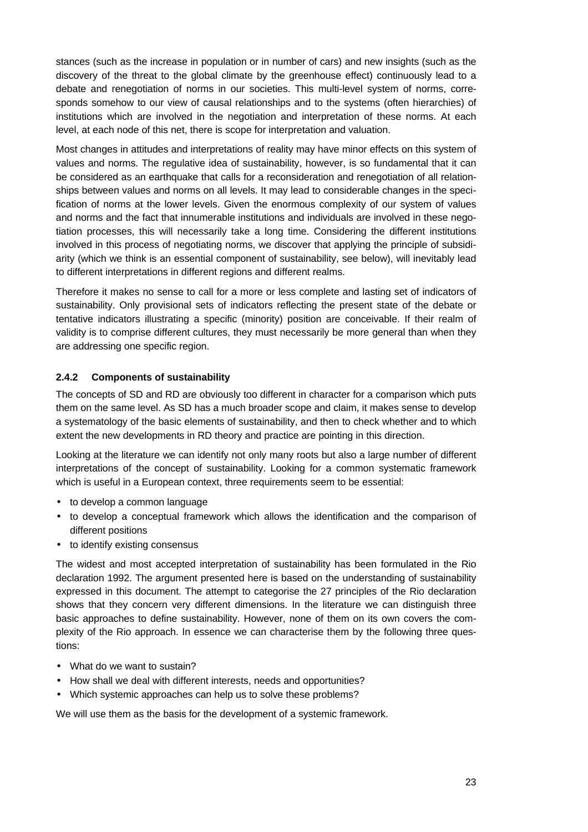stances (such as the increase in population or in number of cars) and new insights (such as the discovery of the threat to the global climate by the greenhouse effect) continuously lead to a debate and renegotiation of norms in our societies. This multi-level system of norms, corresponds somehow to our view of causal relationships and to the systems (often hierarchies) of institutions which are involved in the negotiation and interpretation of these norms. At each level, at each node of this net, there is scope for interpretation and valuation.

Most changes in attitudes and interpretations of reality may have minor effects on this system of values and norms. The regulative idea of sustainability, however, is so fundamental that it can be considered as an earthquake that calls for a reconsideration and renegotiation of all relationships between values and norms on all levels. It may lead to considerable changes in the specification of norms at the lower levels. Given the enormous complexity of our system of values and norms and the fact that innumerable institutions and individuals are involved in these negotiation processes, this will necessarily take a long time. Considering the different institutions involved in this process of negotiating norms, we discover that applying the principle of subsidiarity (which we think is an essential component of sustainability, see below), will inevitably lead to different interpretations in different regions and different realms.

Therefore it makes no sense to call for a more or less complete and lasting set of indicators of sustainability. Only provisional sets of indicators reflecting the present state of the debate or tentative indicators illustrating a specific (minority) position are conceivable. If their realm of validity is to comprise different cultures, they must necessarily be more general than when they are addressing one specific region.

# **2.4.2 Components of sustainability**

The concepts of SD and RD are obviously too different in character for a comparison which puts them on the same level. As SD has a much broader scope and claim, it makes sense to develop a systematology of the basic elements of sustainability, and then to check whether and to which extent the new developments in RD theory and practice are pointing in this direction.

Looking at the literature we can identify not only many roots but also a large number of different interpretations of the concept of sustainability. Looking for a common systematic framework which is useful in a European context, three requirements seem to be essential:

- to develop a common language
- to develop a conceptual framework which allows the identification and the comparison of different positions
- to identify existing consensus

The widest and most accepted interpretation of sustainability has been formulated in the Rio declaration 1992. The argument presented here is based on the understanding of sustainability expressed in this document. The attempt to categorise the 27 principles of the Rio declaration shows that they concern very different dimensions. In the literature we can distinguish three basic approaches to define sustainability. However, none of them on its own covers the complexity of the Rio approach. In essence we can characterise them by the following three questions:

- What do we want to sustain?
- How shall we deal with different interests, needs and opportunities?
- Which systemic approaches can help us to solve these problems?

We will use them as the basis for the development of a systemic framework.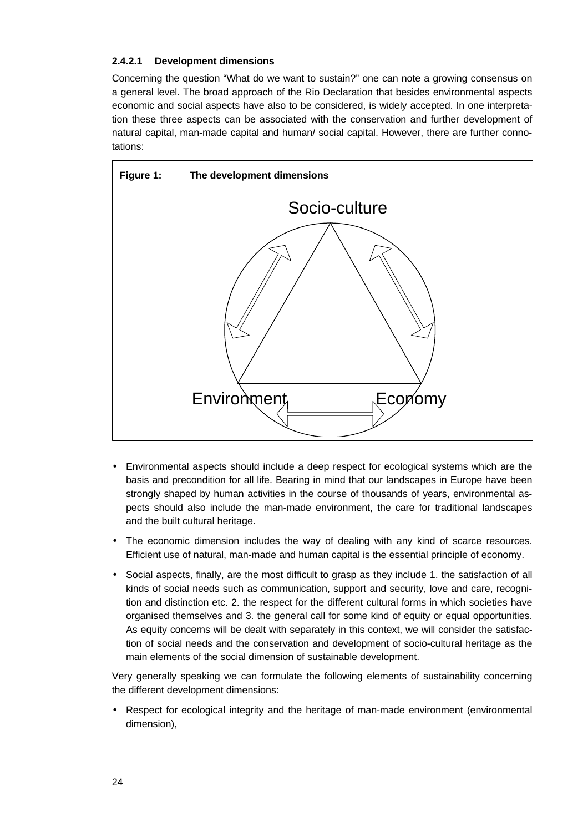# **2.4.2.1 Development dimensions**

Concerning the question "What do we want to sustain?" one can note a growing consensus on a general level. The broad approach of the Rio Declaration that besides environmental aspects economic and social aspects have also to be considered, is widely accepted. In one interpretation these three aspects can be associated with the conservation and further development of natural capital, man-made capital and human/ social capital. However, there are further connotations:



- Environmental aspects should include a deep respect for ecological systems which are the basis and precondition for all life. Bearing in mind that our landscapes in Europe have been strongly shaped by human activities in the course of thousands of years, environmental aspects should also include the man-made environment, the care for traditional landscapes and the built cultural heritage.
- The economic dimension includes the way of dealing with any kind of scarce resources. Efficient use of natural, man-made and human capital is the essential principle of economy.
- Social aspects, finally, are the most difficult to grasp as they include 1. the satisfaction of all kinds of social needs such as communication, support and security, love and care, recognition and distinction etc. 2. the respect for the different cultural forms in which societies have organised themselves and 3. the general call for some kind of equity or equal opportunities. As equity concerns will be dealt with separately in this context, we will consider the satisfaction of social needs and the conservation and development of socio-cultural heritage as the main elements of the social dimension of sustainable development.

Very generally speaking we can formulate the following elements of sustainability concerning the different development dimensions:

• Respect for ecological integrity and the heritage of man-made environment (environmental dimension),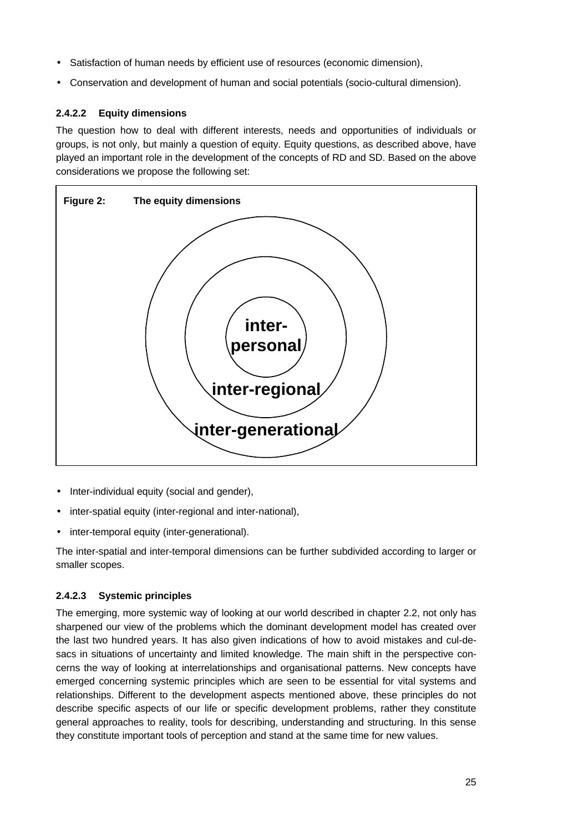- Satisfaction of human needs by efficient use of resources (economic dimension),
- Conservation and development of human and social potentials (socio-cultural dimension).

# **2.4.2.2 Equity dimensions**

The question how to deal with different interests, needs and opportunities of individuals or groups, is not only, but mainly a question of equity. Equity questions, as described above, have played an important role in the development of the concepts of RD and SD. Based on the above considerations we propose the following set:



- Inter-individual equity (social and gender),
- inter-spatial equity (inter-regional and inter-national),
- inter-temporal equity (inter-generational).

The inter-spatial and inter-temporal dimensions can be further subdivided according to larger or smaller scopes.

# **2.4.2.3 Systemic principles**

The emerging, more systemic way of looking at our world described in chapter 2.2, not only has sharpened our view of the problems which the dominant development model has created over the last two hundred years. It has also given indications of how to avoid mistakes and cul-desacs in situations of uncertainty and limited knowledge. The main shift in the perspective concerns the way of looking at interrelationships and organisational patterns. New concepts have emerged concerning systemic principles which are seen to be essential for vital systems and relationships. Different to the development aspects mentioned above, these principles do not describe specific aspects of our life or specific development problems, rather they constitute general approaches to reality, tools for describing, understanding and structuring. In this sense they constitute important tools of perception and stand at the same time for new values.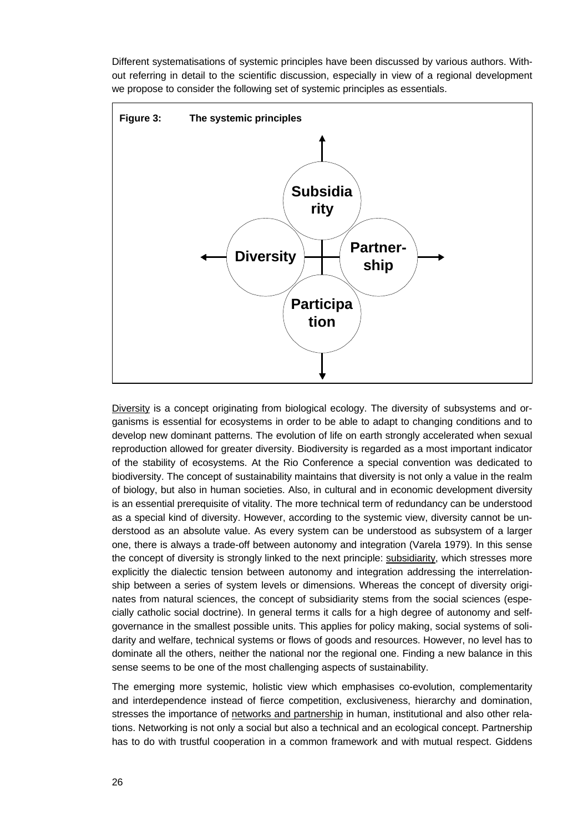Different systematisations of systemic principles have been discussed by various authors. Without referring in detail to the scientific discussion, especially in view of a regional development we propose to consider the following set of systemic principles as essentials.



Diversity is a concept originating from biological ecology. The diversity of subsystems and organisms is essential for ecosystems in order to be able to adapt to changing conditions and to develop new dominant patterns. The evolution of life on earth strongly accelerated when sexual reproduction allowed for greater diversity. Biodiversity is regarded as a most important indicator of the stability of ecosystems. At the Rio Conference a special convention was dedicated to biodiversity. The concept of sustainability maintains that diversity is not only a value in the realm of biology, but also in human societies. Also, in cultural and in economic development diversity is an essential prerequisite of vitality. The more technical term of redundancy can be understood as a special kind of diversity. However, according to the systemic view, diversity cannot be understood as an absolute value. As every system can be understood as subsystem of a larger one, there is always a trade-off between autonomy and integration (Varela 1979). In this sense the concept of diversity is strongly linked to the next principle: subsidiarity, which stresses more explicitly the dialectic tension between autonomy and integration addressing the interrelationship between a series of system levels or dimensions. Whereas the concept of diversity originates from natural sciences, the concept of subsidiarity stems from the social sciences (especially catholic social doctrine). In general terms it calls for a high degree of autonomy and selfgovernance in the smallest possible units. This applies for policy making, social systems of solidarity and welfare, technical systems or flows of goods and resources. However, no level has to dominate all the others, neither the national nor the regional one. Finding a new balance in this sense seems to be one of the most challenging aspects of sustainability.

The emerging more systemic, holistic view which emphasises co-evolution, complementarity and interdependence instead of fierce competition, exclusiveness, hierarchy and domination, stresses the importance of networks and partnership in human, institutional and also other relations. Networking is not only a social but also a technical and an ecological concept. Partnership has to do with trustful cooperation in a common framework and with mutual respect. Giddens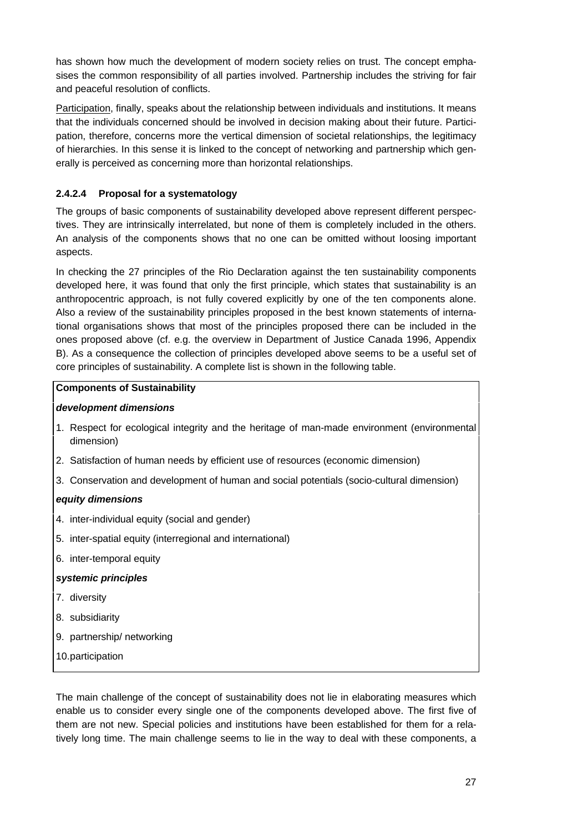has shown how much the development of modern society relies on trust. The concept emphasises the common responsibility of all parties involved. Partnership includes the striving for fair and peaceful resolution of conflicts.

Participation, finally, speaks about the relationship between individuals and institutions. It means that the individuals concerned should be involved in decision making about their future. Participation, therefore, concerns more the vertical dimension of societal relationships, the legitimacy of hierarchies. In this sense it is linked to the concept of networking and partnership which generally is perceived as concerning more than horizontal relationships.

# **2.4.2.4 Proposal for a systematology**

The groups of basic components of sustainability developed above represent different perspectives. They are intrinsically interrelated, but none of them is completely included in the others. An analysis of the components shows that no one can be omitted without loosing important aspects.

In checking the 27 principles of the Rio Declaration against the ten sustainability components developed here, it was found that only the first principle, which states that sustainability is an anthropocentric approach, is not fully covered explicitly by one of the ten components alone. Also a review of the sustainability principles proposed in the best known statements of international organisations shows that most of the principles proposed there can be included in the ones proposed above (cf. e.g. the overview in Department of Justice Canada 1996, Appendix B). As a consequence the collection of principles developed above seems to be a useful set of core principles of sustainability. A complete list is shown in the following table.

# **Components of Sustainability**

# *development dimensions*

- 1. Respect for ecological integrity and the heritage of man-made environment (environmental dimension)
- 2. Satisfaction of human needs by efficient use of resources (economic dimension)
- 3. Conservation and development of human and social potentials (socio-cultural dimension)

# *equity dimensions*

- 4. inter-individual equity (social and gender)
- 5. inter-spatial equity (interregional and international)
- 6. inter-temporal equity

# *systemic principles*

- 7. diversity
- 8. subsidiarity
- 9. partnership/ networking
- 10.participation

The main challenge of the concept of sustainability does not lie in elaborating measures which enable us to consider every single one of the components developed above. The first five of them are not new. Special policies and institutions have been established for them for a relatively long time. The main challenge seems to lie in the way to deal with these components, a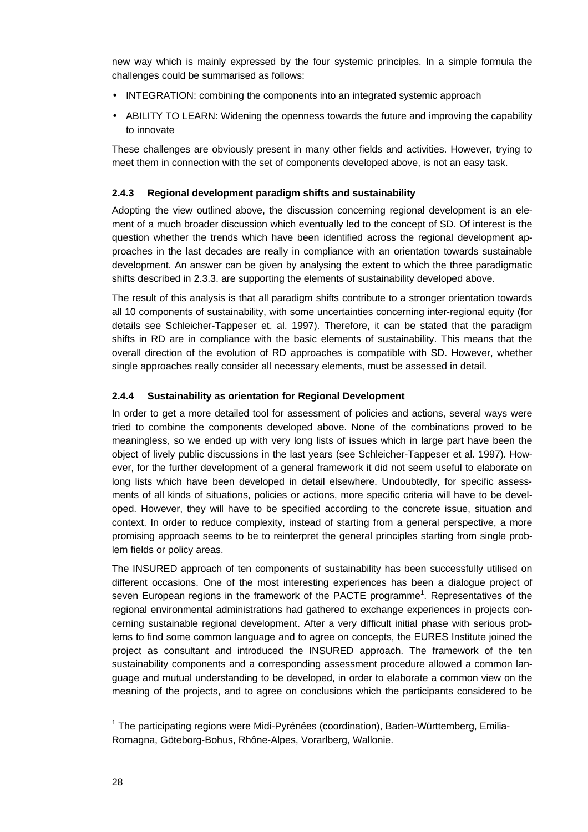new way which is mainly expressed by the four systemic principles. In a simple formula the challenges could be summarised as follows:

- INTEGRATION: combining the components into an integrated systemic approach
- ABILITY TO LEARN: Widening the openness towards the future and improving the capability to innovate

These challenges are obviously present in many other fields and activities. However, trying to meet them in connection with the set of components developed above, is not an easy task.

## **2.4.3 Regional development paradigm shifts and sustainability**

Adopting the view outlined above, the discussion concerning regional development is an element of a much broader discussion which eventually led to the concept of SD. Of interest is the question whether the trends which have been identified across the regional development approaches in the last decades are really in compliance with an orientation towards sustainable development. An answer can be given by analysing the extent to which the three paradigmatic shifts described in 2.3.3. are supporting the elements of sustainability developed above.

The result of this analysis is that all paradigm shifts contribute to a stronger orientation towards all 10 components of sustainability, with some uncertainties concerning inter-regional equity (for details see Schleicher-Tappeser et. al. 1997). Therefore, it can be stated that the paradigm shifts in RD are in compliance with the basic elements of sustainability. This means that the overall direction of the evolution of RD approaches is compatible with SD. However, whether single approaches really consider all necessary elements, must be assessed in detail.

# **2.4.4 Sustainability as orientation for Regional Development**

In order to get a more detailed tool for assessment of policies and actions, several ways were tried to combine the components developed above. None of the combinations proved to be meaningless, so we ended up with very long lists of issues which in large part have been the object of lively public discussions in the last years (see Schleicher-Tappeser et al. 1997). However, for the further development of a general framework it did not seem useful to elaborate on long lists which have been developed in detail elsewhere. Undoubtedly, for specific assessments of all kinds of situations, policies or actions, more specific criteria will have to be developed. However, they will have to be specified according to the concrete issue, situation and context. In order to reduce complexity, instead of starting from a general perspective, a more promising approach seems to be to reinterpret the general principles starting from single problem fields or policy areas.

The INSURED approach of ten components of sustainability has been successfully utilised on different occasions. One of the most interesting experiences has been a dialogue project of seven European regions in the framework of the PACTE programme<sup>1</sup>. Representatives of the regional environmental administrations had gathered to exchange experiences in projects concerning sustainable regional development. After a very difficult initial phase with serious problems to find some common language and to agree on concepts, the EURES Institute joined the project as consultant and introduced the INSURED approach. The framework of the ten sustainability components and a corresponding assessment procedure allowed a common language and mutual understanding to be developed, in order to elaborate a common view on the meaning of the projects, and to agree on conclusions which the participants considered to be

l

<sup>&</sup>lt;sup>1</sup> The participating regions were Midi-Pyrénées (coordination), Baden-Württemberg, Emilia-Romagna, Göteborg-Bohus, Rhône-Alpes, Vorarlberg, Wallonie.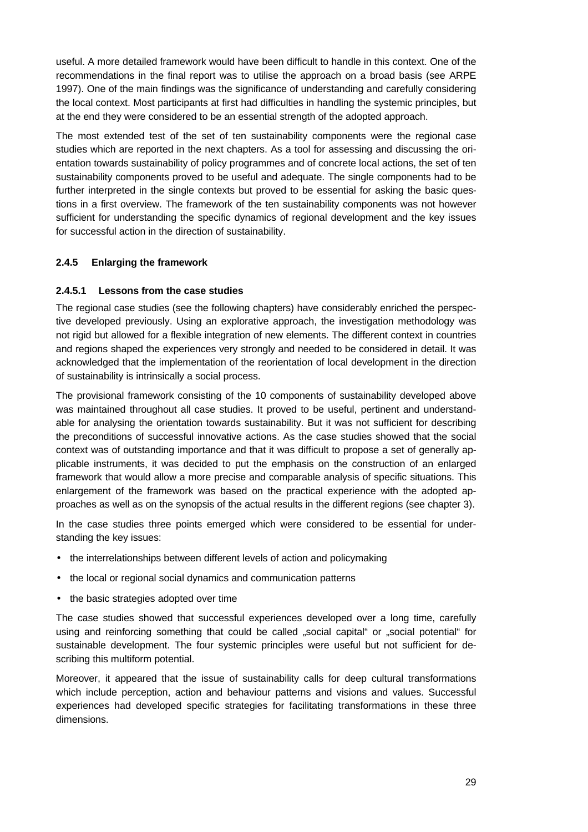useful. A more detailed framework would have been difficult to handle in this context. One of the recommendations in the final report was to utilise the approach on a broad basis (see ARPE 1997). One of the main findings was the significance of understanding and carefully considering the local context. Most participants at first had difficulties in handling the systemic principles, but at the end they were considered to be an essential strength of the adopted approach.

The most extended test of the set of ten sustainability components were the regional case studies which are reported in the next chapters. As a tool for assessing and discussing the orientation towards sustainability of policy programmes and of concrete local actions, the set of ten sustainability components proved to be useful and adequate. The single components had to be further interpreted in the single contexts but proved to be essential for asking the basic questions in a first overview. The framework of the ten sustainability components was not however sufficient for understanding the specific dynamics of regional development and the key issues for successful action in the direction of sustainability.

# **2.4.5 Enlarging the framework**

## **2.4.5.1 Lessons from the case studies**

The regional case studies (see the following chapters) have considerably enriched the perspective developed previously. Using an explorative approach, the investigation methodology was not rigid but allowed for a flexible integration of new elements. The different context in countries and regions shaped the experiences very strongly and needed to be considered in detail. It was acknowledged that the implementation of the reorientation of local development in the direction of sustainability is intrinsically a social process.

The provisional framework consisting of the 10 components of sustainability developed above was maintained throughout all case studies. It proved to be useful, pertinent and understandable for analysing the orientation towards sustainability. But it was not sufficient for describing the preconditions of successful innovative actions. As the case studies showed that the social context was of outstanding importance and that it was difficult to propose a set of generally applicable instruments, it was decided to put the emphasis on the construction of an enlarged framework that would allow a more precise and comparable analysis of specific situations. This enlargement of the framework was based on the practical experience with the adopted approaches as well as on the synopsis of the actual results in the different regions (see chapter 3).

In the case studies three points emerged which were considered to be essential for understanding the key issues:

- the interrelationships between different levels of action and policymaking
- the local or regional social dynamics and communication patterns
- the basic strategies adopted over time

The case studies showed that successful experiences developed over a long time, carefully using and reinforcing something that could be called "social capital" or "social potential" for sustainable development. The four systemic principles were useful but not sufficient for describing this multiform potential.

Moreover, it appeared that the issue of sustainability calls for deep cultural transformations which include perception, action and behaviour patterns and visions and values. Successful experiences had developed specific strategies for facilitating transformations in these three dimensions.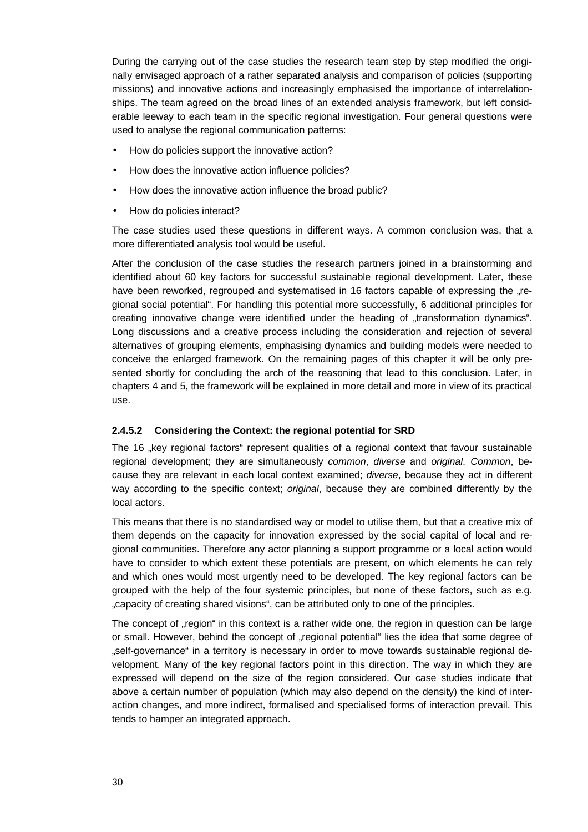During the carrying out of the case studies the research team step by step modified the originally envisaged approach of a rather separated analysis and comparison of policies (supporting missions) and innovative actions and increasingly emphasised the importance of interrelationships. The team agreed on the broad lines of an extended analysis framework, but left considerable leeway to each team in the specific regional investigation. Four general questions were used to analyse the regional communication patterns:

- How do policies support the innovative action?
- How does the innovative action influence policies?
- How does the innovative action influence the broad public?
- How do policies interact?

The case studies used these questions in different ways. A common conclusion was, that a more differentiated analysis tool would be useful.

After the conclusion of the case studies the research partners joined in a brainstorming and identified about 60 key factors for successful sustainable regional development. Later, these have been reworked, regrouped and systematised in 16 factors capable of expressing the ...regional social potential". For handling this potential more successfully, 6 additional principles for creating innovative change were identified under the heading of "transformation dynamics". Long discussions and a creative process including the consideration and rejection of several alternatives of grouping elements, emphasising dynamics and building models were needed to conceive the enlarged framework. On the remaining pages of this chapter it will be only presented shortly for concluding the arch of the reasoning that lead to this conclusion. Later, in chapters 4 and 5, the framework will be explained in more detail and more in view of its practical use.

# **2.4.5.2 Considering the Context: the regional potential for SRD**

The 16 "key regional factors" represent qualities of a regional context that favour sustainable regional development; they are simultaneously *common*, *diverse* and *original*. *Common*, because they are relevant in each local context examined; *diverse*, because they act in different way according to the specific context; *original*, because they are combined differently by the local actors.

This means that there is no standardised way or model to utilise them, but that a creative mix of them depends on the capacity for innovation expressed by the social capital of local and regional communities. Therefore any actor planning a support programme or a local action would have to consider to which extent these potentials are present, on which elements he can rely and which ones would most urgently need to be developed. The key regional factors can be grouped with the help of the four systemic principles, but none of these factors, such as e.g. "capacity of creating shared visions", can be attributed only to one of the principles.

The concept of "region" in this context is a rather wide one, the region in question can be large or small. However, behind the concept of "regional potential" lies the idea that some degree of "self-governance" in a territory is necessary in order to move towards sustainable regional development. Many of the key regional factors point in this direction. The way in which they are expressed will depend on the size of the region considered. Our case studies indicate that above a certain number of population (which may also depend on the density) the kind of interaction changes, and more indirect, formalised and specialised forms of interaction prevail. This tends to hamper an integrated approach.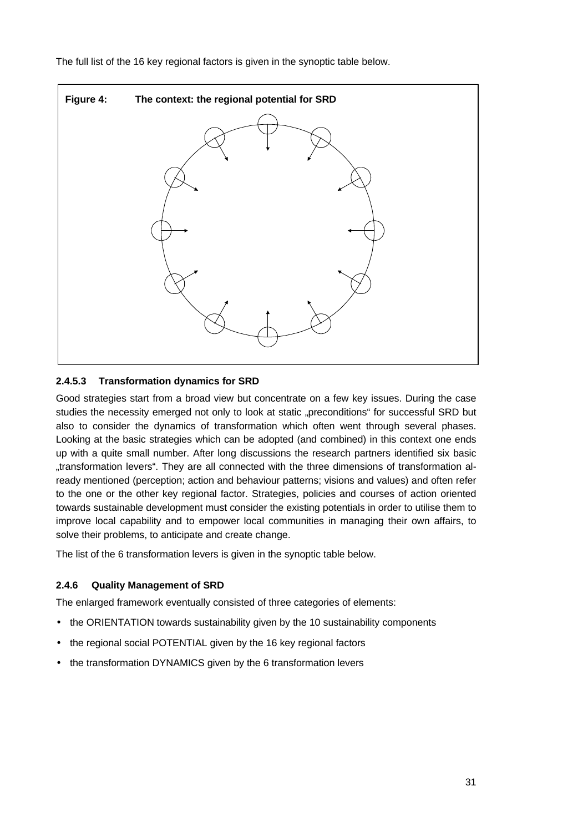The full list of the 16 key regional factors is given in the synoptic table below.



# **2.4.5.3 Transformation dynamics for SRD**

Good strategies start from a broad view but concentrate on a few key issues. During the case studies the necessity emerged not only to look at static "preconditions" for successful SRD but also to consider the dynamics of transformation which often went through several phases. Looking at the basic strategies which can be adopted (and combined) in this context one ends up with a quite small number. After long discussions the research partners identified six basic "transformation levers". They are all connected with the three dimensions of transformation already mentioned (perception; action and behaviour patterns; visions and values) and often refer to the one or the other key regional factor. Strategies, policies and courses of action oriented towards sustainable development must consider the existing potentials in order to utilise them to improve local capability and to empower local communities in managing their own affairs, to solve their problems, to anticipate and create change.

The list of the 6 transformation levers is given in the synoptic table below.

## **2.4.6 Quality Management of SRD**

The enlarged framework eventually consisted of three categories of elements:

- the ORIENTATION towards sustainability given by the 10 sustainability components
- the regional social POTENTIAL given by the 16 key regional factors
- the transformation DYNAMICS given by the 6 transformation levers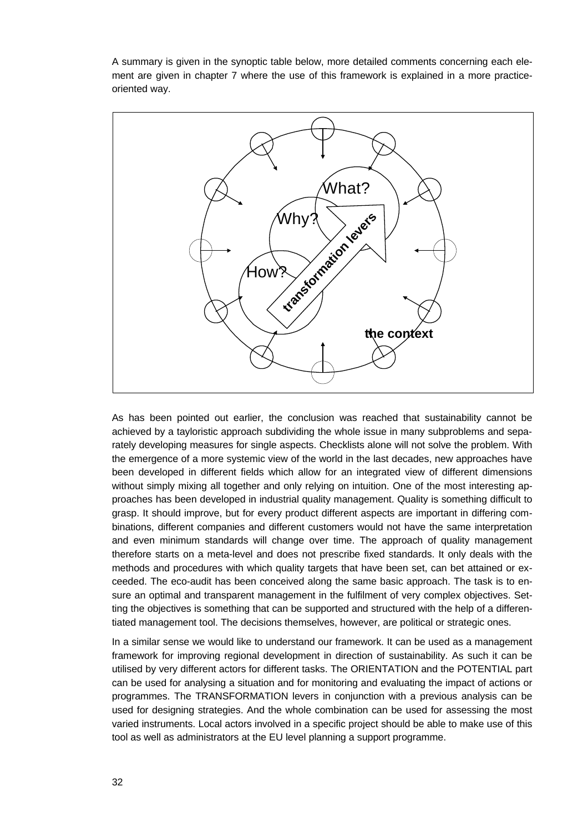A summary is given in the synoptic table below, more detailed comments concerning each element are given in chapter 7 where the use of this framework is explained in a more practiceoriented way.



As has been pointed out earlier, the conclusion was reached that sustainability cannot be achieved by a tayloristic approach subdividing the whole issue in many subproblems and separately developing measures for single aspects. Checklists alone will not solve the problem. With the emergence of a more systemic view of the world in the last decades, new approaches have been developed in different fields which allow for an integrated view of different dimensions without simply mixing all together and only relying on intuition. One of the most interesting approaches has been developed in industrial quality management. Quality is something difficult to grasp. It should improve, but for every product different aspects are important in differing combinations, different companies and different customers would not have the same interpretation and even minimum standards will change over time. The approach of quality management therefore starts on a meta-level and does not prescribe fixed standards. It only deals with the methods and procedures with which quality targets that have been set, can bet attained or exceeded. The eco-audit has been conceived along the same basic approach. The task is to ensure an optimal and transparent management in the fulfilment of very complex objectives. Setting the objectives is something that can be supported and structured with the help of a differentiated management tool. The decisions themselves, however, are political or strategic ones.

In a similar sense we would like to understand our framework. It can be used as a management framework for improving regional development in direction of sustainability. As such it can be utilised by very different actors for different tasks. The ORIENTATION and the POTENTIAL part can be used for analysing a situation and for monitoring and evaluating the impact of actions or programmes. The TRANSFORMATION levers in conjunction with a previous analysis can be used for designing strategies. And the whole combination can be used for assessing the most varied instruments. Local actors involved in a specific project should be able to make use of this tool as well as administrators at the EU level planning a support programme.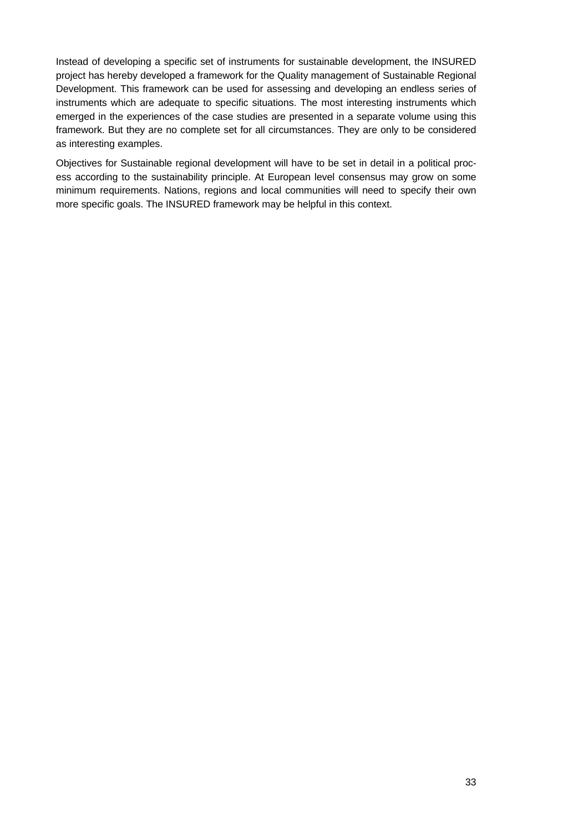Instead of developing a specific set of instruments for sustainable development, the INSURED project has hereby developed a framework for the Quality management of Sustainable Regional Development. This framework can be used for assessing and developing an endless series of instruments which are adequate to specific situations. The most interesting instruments which emerged in the experiences of the case studies are presented in a separate volume using this framework. But they are no complete set for all circumstances. They are only to be considered as interesting examples.

Objectives for Sustainable regional development will have to be set in detail in a political process according to the sustainability principle. At European level consensus may grow on some minimum requirements. Nations, regions and local communities will need to specify their own more specific goals. The INSURED framework may be helpful in this context.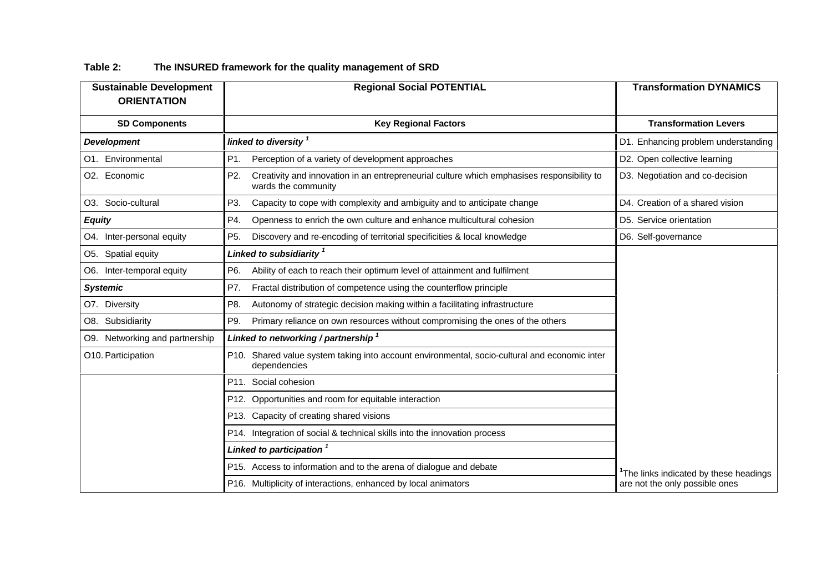| <b>Sustainable Development</b><br><b>ORIENTATION</b> | <b>Regional Social POTENTIAL</b>                                                                                         | <b>Transformation DYNAMICS</b>        |
|------------------------------------------------------|--------------------------------------------------------------------------------------------------------------------------|---------------------------------------|
|                                                      |                                                                                                                          |                                       |
| <b>SD Components</b>                                 | <b>Key Regional Factors</b>                                                                                              | <b>Transformation Levers</b>          |
| <b>Development</b>                                   | linked to diversity <sup>1</sup>                                                                                         | D1. Enhancing problem understanding   |
| O1. Environmental                                    | P1.<br>Perception of a variety of development approaches                                                                 | D2. Open collective learning          |
| O2. Economic                                         | P2.<br>Creativity and innovation in an entrepreneurial culture which emphasises responsibility to<br>wards the community | D3. Negotiation and co-decision       |
| O3. Socio-cultural                                   | P3.<br>Capacity to cope with complexity and ambiguity and to anticipate change                                           | D4. Creation of a shared vision       |
| <b>Equity</b>                                        | P4.<br>Openness to enrich the own culture and enhance multicultural cohesion                                             | D5. Service orientation               |
| O4. Inter-personal equity                            | P <sub>5</sub> .<br>Discovery and re-encoding of territorial specificities & local knowledge                             | D6. Self-governance                   |
| O5. Spatial equity                                   | Linked to subsidiarity 1                                                                                                 |                                       |
| O6. Inter-temporal equity                            | P6.<br>Ability of each to reach their optimum level of attainment and fulfilment                                         |                                       |
| <b>Systemic</b>                                      | Fractal distribution of competence using the counterflow principle<br>P7.                                                |                                       |
| O7. Diversity                                        | Autonomy of strategic decision making within a facilitating infrastructure<br>P8.                                        |                                       |
| O8. Subsidiarity                                     | Primary reliance on own resources without compromising the ones of the others<br>P9.                                     |                                       |
| O9. Networking and partnership                       | Linked to networking / partnership $1$                                                                                   |                                       |
| O10. Participation                                   | P10. Shared value system taking into account environmental, socio-cultural and economic inter<br>dependencies            |                                       |
|                                                      | P11. Social cohesion                                                                                                     |                                       |
|                                                      | P12. Opportunities and room for equitable interaction                                                                    |                                       |
|                                                      | P13. Capacity of creating shared visions                                                                                 |                                       |
|                                                      | P14. Integration of social & technical skills into the innovation process                                                |                                       |
|                                                      | Linked to participation 1                                                                                                |                                       |
|                                                      | P15. Access to information and to the arena of dialogue and debate                                                       | The links indicated by these headings |
|                                                      | P16. Multiplicity of interactions, enhanced by local animators                                                           | are not the only possible ones        |

# **Table 2: The INSURED framework for the quality management of SRD**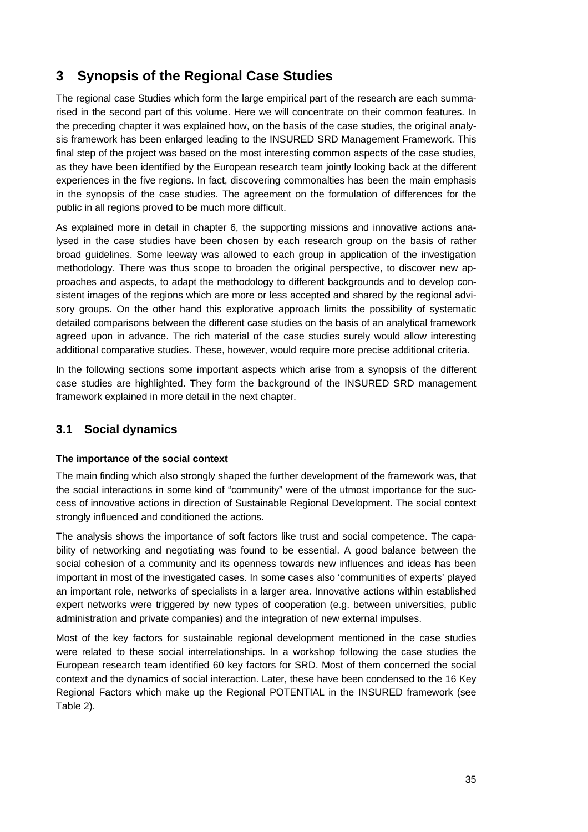# **3 Synopsis of the Regional Case Studies**

The regional case Studies which form the large empirical part of the research are each summarised in the second part of this volume. Here we will concentrate on their common features. In the preceding chapter it was explained how, on the basis of the case studies, the original analysis framework has been enlarged leading to the INSURED SRD Management Framework. This final step of the project was based on the most interesting common aspects of the case studies, as they have been identified by the European research team jointly looking back at the different experiences in the five regions. In fact, discovering commonalties has been the main emphasis in the synopsis of the case studies. The agreement on the formulation of differences for the public in all regions proved to be much more difficult.

As explained more in detail in chapter 6, the supporting missions and innovative actions analysed in the case studies have been chosen by each research group on the basis of rather broad guidelines. Some leeway was allowed to each group in application of the investigation methodology. There was thus scope to broaden the original perspective, to discover new approaches and aspects, to adapt the methodology to different backgrounds and to develop consistent images of the regions which are more or less accepted and shared by the regional advisory groups. On the other hand this explorative approach limits the possibility of systematic detailed comparisons between the different case studies on the basis of an analytical framework agreed upon in advance. The rich material of the case studies surely would allow interesting additional comparative studies. These, however, would require more precise additional criteria.

In the following sections some important aspects which arise from a synopsis of the different case studies are highlighted. They form the background of the INSURED SRD management framework explained in more detail in the next chapter.

# **3.1 Social dynamics**

## **The importance of the social context**

The main finding which also strongly shaped the further development of the framework was, that the social interactions in some kind of "community" were of the utmost importance for the success of innovative actions in direction of Sustainable Regional Development. The social context strongly influenced and conditioned the actions.

The analysis shows the importance of soft factors like trust and social competence. The capability of networking and negotiating was found to be essential. A good balance between the social cohesion of a community and its openness towards new influences and ideas has been important in most of the investigated cases. In some cases also 'communities of experts' played an important role, networks of specialists in a larger area. Innovative actions within established expert networks were triggered by new types of cooperation (e.g. between universities, public administration and private companies) and the integration of new external impulses.

Most of the key factors for sustainable regional development mentioned in the case studies were related to these social interrelationships. In a workshop following the case studies the European research team identified 60 key factors for SRD. Most of them concerned the social context and the dynamics of social interaction. Later, these have been condensed to the 16 Key Regional Factors which make up the Regional POTENTIAL in the INSURED framework (see Table 2).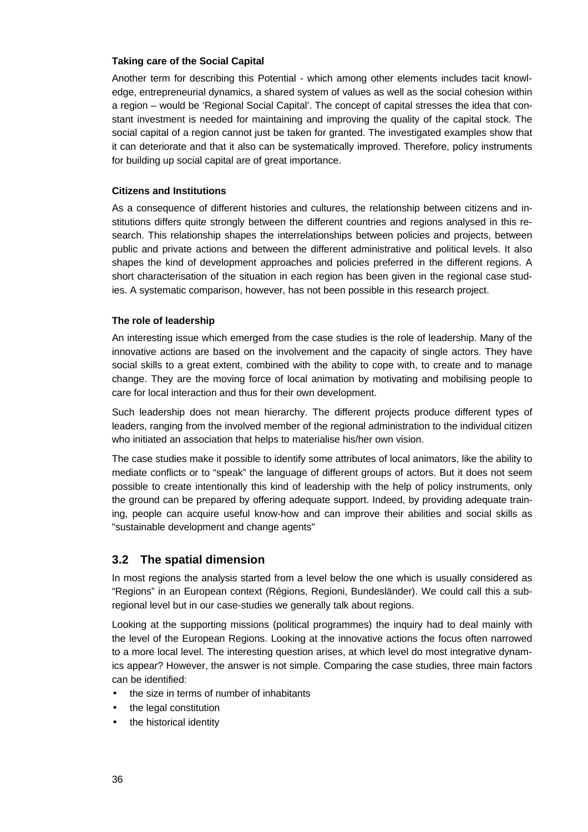### **Taking care of the Social Capital**

Another term for describing this Potential - which among other elements includes tacit knowledge, entrepreneurial dynamics, a shared system of values as well as the social cohesion within a region – would be 'Regional Social Capital'. The concept of capital stresses the idea that constant investment is needed for maintaining and improving the quality of the capital stock. The social capital of a region cannot just be taken for granted. The investigated examples show that it can deteriorate and that it also can be systematically improved. Therefore, policy instruments for building up social capital are of great importance.

### **Citizens and Institutions**

As a consequence of different histories and cultures, the relationship between citizens and institutions differs quite strongly between the different countries and regions analysed in this research. This relationship shapes the interrelationships between policies and projects, between public and private actions and between the different administrative and political levels. It also shapes the kind of development approaches and policies preferred in the different regions. A short characterisation of the situation in each region has been given in the regional case studies. A systematic comparison, however, has not been possible in this research project.

### **The role of leadership**

An interesting issue which emerged from the case studies is the role of leadership. Many of the innovative actions are based on the involvement and the capacity of single actors. They have social skills to a great extent, combined with the ability to cope with, to create and to manage change. They are the moving force of local animation by motivating and mobilising people to care for local interaction and thus for their own development.

Such leadership does not mean hierarchy. The different projects produce different types of leaders, ranging from the involved member of the regional administration to the individual citizen who initiated an association that helps to materialise his/her own vision.

The case studies make it possible to identify some attributes of local animators, like the ability to mediate conflicts or to "speak" the language of different groups of actors. But it does not seem possible to create intentionally this kind of leadership with the help of policy instruments, only the ground can be prepared by offering adequate support. Indeed, by providing adequate training, people can acquire useful know-how and can improve their abilities and social skills as "sustainable development and change agents"

# **3.2 The spatial dimension**

In most regions the analysis started from a level below the one which is usually considered as "Regions" in an European context (Régions, Regioni, Bundesländer). We could call this a subregional level but in our case-studies we generally talk about regions.

Looking at the supporting missions (political programmes) the inquiry had to deal mainly with the level of the European Regions. Looking at the innovative actions the focus often narrowed to a more local level. The interesting question arises, at which level do most integrative dynamics appear? However, the answer is not simple. Comparing the case studies, three main factors can be identified:

- the size in terms of number of inhabitants
- the legal constitution
- the historical identity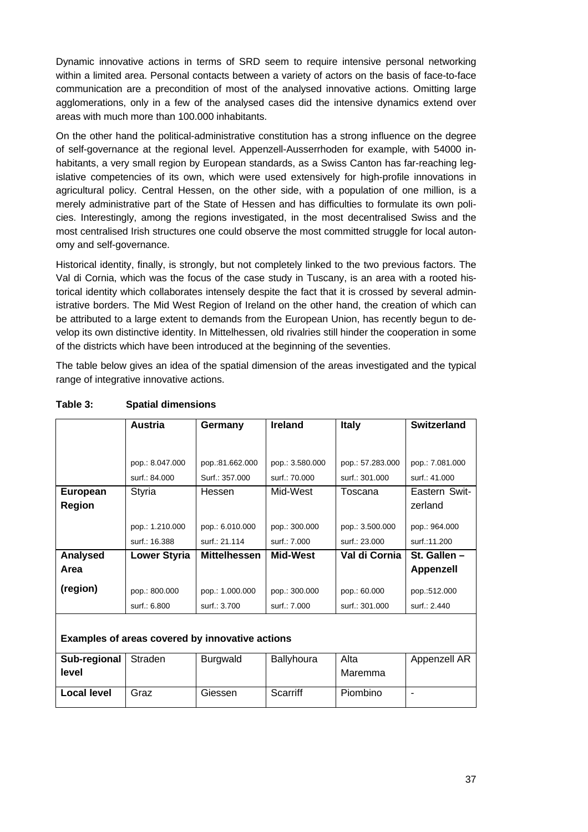Dynamic innovative actions in terms of SRD seem to require intensive personal networking within a limited area. Personal contacts between a variety of actors on the basis of face-to-face communication are a precondition of most of the analysed innovative actions. Omitting large agglomerations, only in a few of the analysed cases did the intensive dynamics extend over areas with much more than 100.000 inhabitants.

On the other hand the political-administrative constitution has a strong influence on the degree of self-governance at the regional level. Appenzell-Ausserrhoden for example, with 54000 inhabitants, a very small region by European standards, as a Swiss Canton has far-reaching legislative competencies of its own, which were used extensively for high-profile innovations in agricultural policy. Central Hessen, on the other side, with a population of one million, is a merely administrative part of the State of Hessen and has difficulties to formulate its own policies. Interestingly, among the regions investigated, in the most decentralised Swiss and the most centralised Irish structures one could observe the most committed struggle for local autonomy and self-governance.

Historical identity, finally, is strongly, but not completely linked to the two previous factors. The Val di Cornia, which was the focus of the case study in Tuscany, is an area with a rooted historical identity which collaborates intensely despite the fact that it is crossed by several administrative borders. The Mid West Region of Ireland on the other hand, the creation of which can be attributed to a large extent to demands from the European Union, has recently begun to develop its own distinctive identity. In Mittelhessen, old rivalries still hinder the cooperation in some of the districts which have been introduced at the beginning of the seventies.

The table below gives an idea of the spatial dimension of the areas investigated and the typical range of integrative innovative actions.

|                                                 | <b>Austria</b>      | Germany             | <b>Ireland</b>  | <b>Italy</b>     | <b>Switzerland</b>       |
|-------------------------------------------------|---------------------|---------------------|-----------------|------------------|--------------------------|
|                                                 |                     |                     |                 |                  |                          |
|                                                 | pop.: 8.047.000     | pop.:81.662.000     | pop.: 3.580.000 | pop.: 57.283.000 | pop.: 7.081.000          |
|                                                 | surf.: 84,000       | Surf.: 357.000      | surf.: 70.000   | surf.: 301.000   | surf.: 41.000            |
| European<br>Region                              | Styria              | Hessen              | Mid-West        | Toscana          | Eastern Swit-<br>zerland |
|                                                 | pop.: 1.210.000     | pop.: 6.010.000     | pop.: 300.000   | pop.: 3.500.000  | pop.: 964.000            |
|                                                 | surf.: 16.388       | surf.: 21.114       | surf.: 7.000    | surf.: 23.000    | surf.:11.200             |
| Analysed                                        | <b>Lower Styria</b> | <b>Mittelhessen</b> | Mid-West        | Val di Cornia    | St. Gallen -             |
| Area                                            |                     |                     |                 |                  | <b>Appenzell</b>         |
| (region)                                        | pop.: 800.000       | pop.: 1.000.000     | pop.: 300.000   | pop.: 60.000     | pop.:512.000             |
|                                                 | surf.: 6.800        | surf.: 3.700        | surf.: 7.000    | surf.: 301.000   | surf.: 2.440             |
| Examples of areas covered by innovative actions |                     |                     |                 |                  |                          |
| Sub-regional<br>level                           | Straden             | <b>Burgwald</b>     | Ballyhoura      | Alta<br>Maremma  | Appenzell AR             |
| <b>Local level</b>                              | Graz                | Giessen             | Scarriff        | Piombino         | ٠                        |

# **Table 3: Spatial dimensions**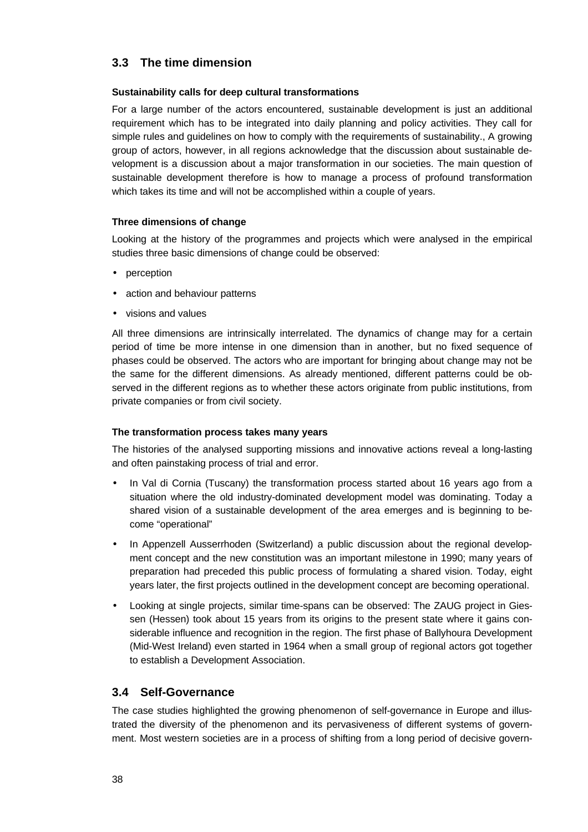# **3.3 The time dimension**

# **Sustainability calls for deep cultural transformations**

For a large number of the actors encountered, sustainable development is just an additional requirement which has to be integrated into daily planning and policy activities. They call for simple rules and guidelines on how to comply with the requirements of sustainability., A growing group of actors, however, in all regions acknowledge that the discussion about sustainable development is a discussion about a major transformation in our societies. The main question of sustainable development therefore is how to manage a process of profound transformation which takes its time and will not be accomplished within a couple of years.

# **Three dimensions of change**

Looking at the history of the programmes and projects which were analysed in the empirical studies three basic dimensions of change could be observed:

- perception
- action and behaviour patterns
- visions and values

All three dimensions are intrinsically interrelated. The dynamics of change may for a certain period of time be more intense in one dimension than in another, but no fixed sequence of phases could be observed. The actors who are important for bringing about change may not be the same for the different dimensions. As already mentioned, different patterns could be observed in the different regions as to whether these actors originate from public institutions, from private companies or from civil society.

## **The transformation process takes many years**

The histories of the analysed supporting missions and innovative actions reveal a long-lasting and often painstaking process of trial and error.

- In Val di Cornia (Tuscany) the transformation process started about 16 years ago from a situation where the old industry-dominated development model was dominating. Today a shared vision of a sustainable development of the area emerges and is beginning to become "operational"
- In Appenzell Ausserrhoden (Switzerland) a public discussion about the regional development concept and the new constitution was an important milestone in 1990; many years of preparation had preceded this public process of formulating a shared vision. Today, eight years later, the first projects outlined in the development concept are becoming operational.
- Looking at single projects, similar time-spans can be observed: The ZAUG project in Giessen (Hessen) took about 15 years from its origins to the present state where it gains considerable influence and recognition in the region. The first phase of Ballyhoura Development (Mid-West Ireland) even started in 1964 when a small group of regional actors got together to establish a Development Association.

# **3.4 Self-Governance**

The case studies highlighted the growing phenomenon of self-governance in Europe and illustrated the diversity of the phenomenon and its pervasiveness of different systems of government. Most western societies are in a process of shifting from a long period of decisive govern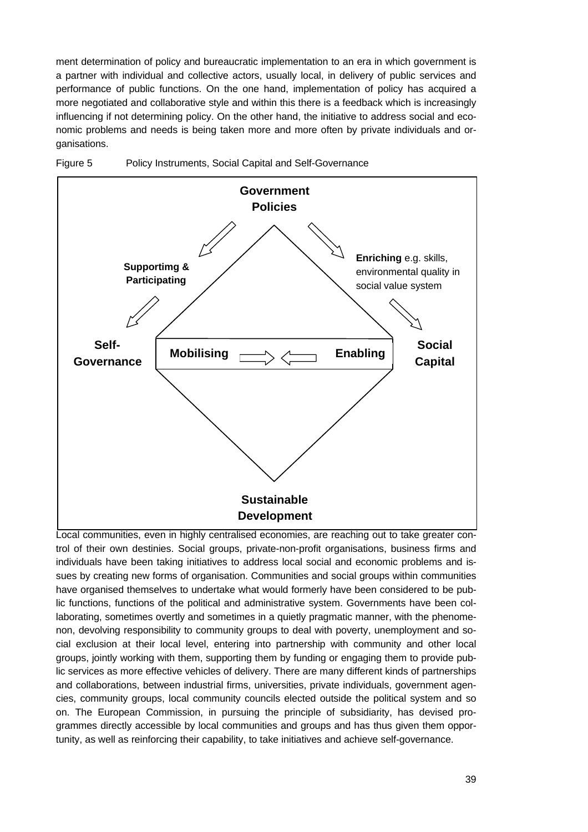ment determination of policy and bureaucratic implementation to an era in which government is a partner with individual and collective actors, usually local, in delivery of public services and performance of public functions. On the one hand, implementation of policy has acquired a more negotiated and collaborative style and within this there is a feedback which is increasingly influencing if not determining policy. On the other hand, the initiative to address social and economic problems and needs is being taken more and more often by private individuals and organisations.





Local communities, even in highly centralised economies, are reaching out to take greater control of their own destinies. Social groups, private-non-profit organisations, business firms and individuals have been taking initiatives to address local social and economic problems and issues by creating new forms of organisation. Communities and social groups within communities have organised themselves to undertake what would formerly have been considered to be public functions, functions of the political and administrative system. Governments have been collaborating, sometimes overtly and sometimes in a quietly pragmatic manner, with the phenomenon, devolving responsibility to community groups to deal with poverty, unemployment and social exclusion at their local level, entering into partnership with community and other local groups, jointly working with them, supporting them by funding or engaging them to provide public services as more effective vehicles of delivery. There are many different kinds of partnerships and collaborations, between industrial firms, universities, private individuals, government agencies, community groups, local community councils elected outside the political system and so on. The European Commission, in pursuing the principle of subsidiarity, has devised programmes directly accessible by local communities and groups and has thus given them opportunity, as well as reinforcing their capability, to take initiatives and achieve self-governance.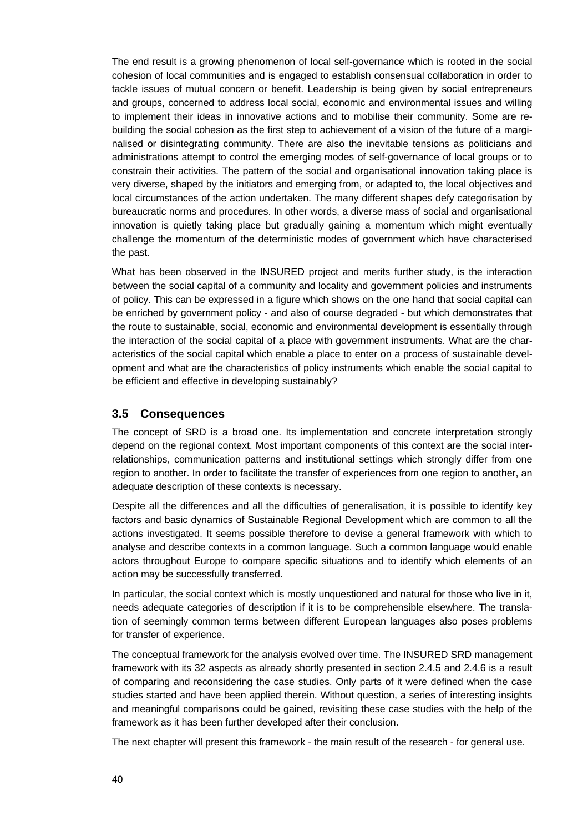The end result is a growing phenomenon of local self-governance which is rooted in the social cohesion of local communities and is engaged to establish consensual collaboration in order to tackle issues of mutual concern or benefit. Leadership is being given by social entrepreneurs and groups, concerned to address local social, economic and environmental issues and willing to implement their ideas in innovative actions and to mobilise their community. Some are rebuilding the social cohesion as the first step to achievement of a vision of the future of a marginalised or disintegrating community. There are also the inevitable tensions as politicians and administrations attempt to control the emerging modes of self-governance of local groups or to constrain their activities. The pattern of the social and organisational innovation taking place is very diverse, shaped by the initiators and emerging from, or adapted to, the local objectives and local circumstances of the action undertaken. The many different shapes defy categorisation by bureaucratic norms and procedures. In other words, a diverse mass of social and organisational innovation is quietly taking place but gradually gaining a momentum which might eventually challenge the momentum of the deterministic modes of government which have characterised the past.

What has been observed in the INSURED project and merits further study, is the interaction between the social capital of a community and locality and government policies and instruments of policy. This can be expressed in a figure which shows on the one hand that social capital can be enriched by government policy - and also of course degraded - but which demonstrates that the route to sustainable, social, economic and environmental development is essentially through the interaction of the social capital of a place with government instruments. What are the characteristics of the social capital which enable a place to enter on a process of sustainable development and what are the characteristics of policy instruments which enable the social capital to be efficient and effective in developing sustainably?

# **3.5 Consequences**

The concept of SRD is a broad one. Its implementation and concrete interpretation strongly depend on the regional context. Most important components of this context are the social interrelationships, communication patterns and institutional settings which strongly differ from one region to another. In order to facilitate the transfer of experiences from one region to another, an adequate description of these contexts is necessary.

Despite all the differences and all the difficulties of generalisation, it is possible to identify key factors and basic dynamics of Sustainable Regional Development which are common to all the actions investigated. It seems possible therefore to devise a general framework with which to analyse and describe contexts in a common language. Such a common language would enable actors throughout Europe to compare specific situations and to identify which elements of an action may be successfully transferred.

In particular, the social context which is mostly unquestioned and natural for those who live in it, needs adequate categories of description if it is to be comprehensible elsewhere. The translation of seemingly common terms between different European languages also poses problems for transfer of experience.

The conceptual framework for the analysis evolved over time. The INSURED SRD management framework with its 32 aspects as already shortly presented in section 2.4.5 and 2.4.6 is a result of comparing and reconsidering the case studies. Only parts of it were defined when the case studies started and have been applied therein. Without question, a series of interesting insights and meaningful comparisons could be gained, revisiting these case studies with the help of the framework as it has been further developed after their conclusion.

The next chapter will present this framework - the main result of the research - for general use.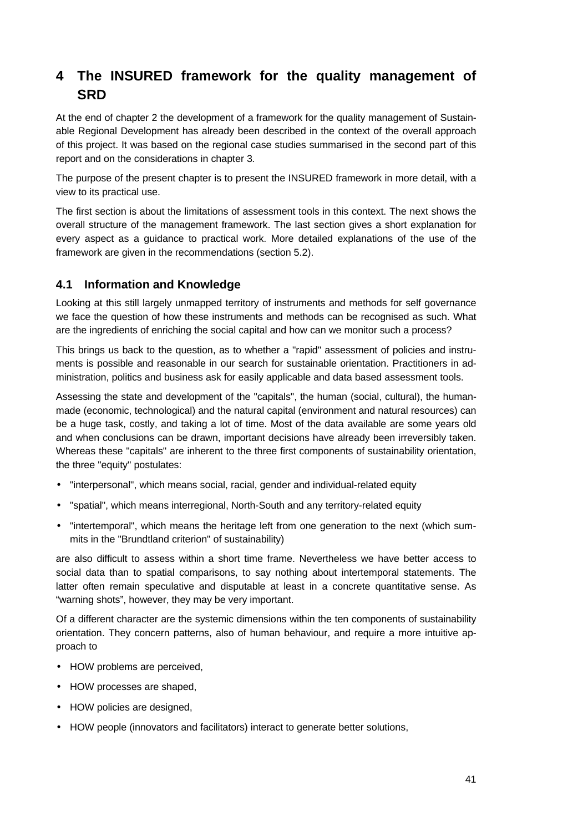# **4 The INSURED framework for the quality management of SRD**

At the end of chapter 2 the development of a framework for the quality management of Sustainable Regional Development has already been described in the context of the overall approach of this project. It was based on the regional case studies summarised in the second part of this report and on the considerations in chapter 3.

The purpose of the present chapter is to present the INSURED framework in more detail, with a view to its practical use.

The first section is about the limitations of assessment tools in this context. The next shows the overall structure of the management framework. The last section gives a short explanation for every aspect as a guidance to practical work. More detailed explanations of the use of the framework are given in the recommendations (section 5.2).

# **4.1 Information and Knowledge**

Looking at this still largely unmapped territory of instruments and methods for self governance we face the question of how these instruments and methods can be recognised as such. What are the ingredients of enriching the social capital and how can we monitor such a process?

This brings us back to the question, as to whether a "rapid" assessment of policies and instruments is possible and reasonable in our search for sustainable orientation. Practitioners in administration, politics and business ask for easily applicable and data based assessment tools.

Assessing the state and development of the "capitals", the human (social, cultural), the humanmade (economic, technological) and the natural capital (environment and natural resources) can be a huge task, costly, and taking a lot of time. Most of the data available are some years old and when conclusions can be drawn, important decisions have already been irreversibly taken. Whereas these "capitals" are inherent to the three first components of sustainability orientation, the three "equity" postulates:

- "interpersonal", which means social, racial, gender and individual-related equity
- "spatial", which means interregional, North-South and any territory-related equity
- "intertemporal", which means the heritage left from one generation to the next (which summits in the "Brundtland criterion" of sustainability)

are also difficult to assess within a short time frame. Nevertheless we have better access to social data than to spatial comparisons, to say nothing about intertemporal statements. The latter often remain speculative and disputable at least in a concrete quantitative sense. As "warning shots", however, they may be very important.

Of a different character are the systemic dimensions within the ten components of sustainability orientation. They concern patterns, also of human behaviour, and require a more intuitive approach to

- HOW problems are perceived,
- HOW processes are shaped,
- HOW policies are designed,
- HOW people (innovators and facilitators) interact to generate better solutions,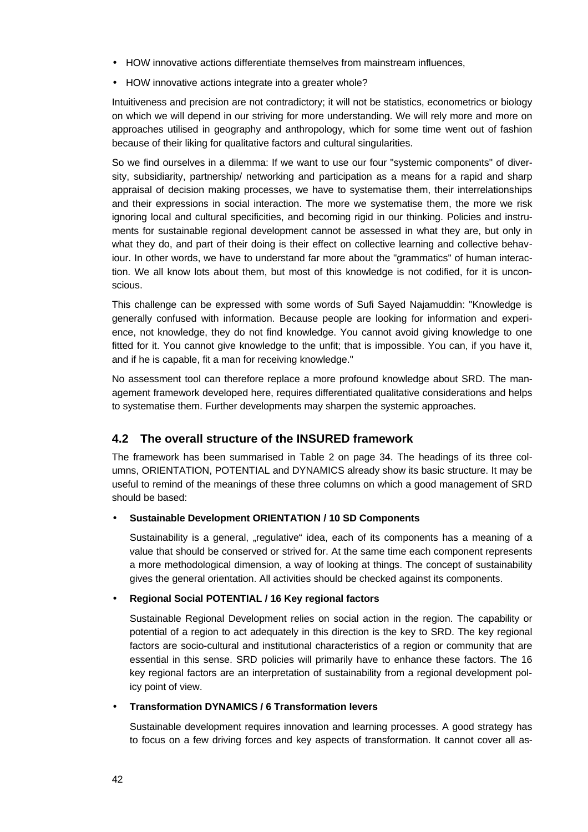- HOW innovative actions differentiate themselves from mainstream influences,
- HOW innovative actions integrate into a greater whole?

Intuitiveness and precision are not contradictory; it will not be statistics, econometrics or biology on which we will depend in our striving for more understanding. We will rely more and more on approaches utilised in geography and anthropology, which for some time went out of fashion because of their liking for qualitative factors and cultural singularities.

So we find ourselves in a dilemma: If we want to use our four "systemic components" of diversity, subsidiarity, partnership/ networking and participation as a means for a rapid and sharp appraisal of decision making processes, we have to systematise them, their interrelationships and their expressions in social interaction. The more we systematise them, the more we risk ignoring local and cultural specificities, and becoming rigid in our thinking. Policies and instruments for sustainable regional development cannot be assessed in what they are, but only in what they do, and part of their doing is their effect on collective learning and collective behaviour. In other words, we have to understand far more about the "grammatics" of human interaction. We all know lots about them, but most of this knowledge is not codified, for it is unconscious.

This challenge can be expressed with some words of Sufi Sayed Najamuddin: "Knowledge is generally confused with information. Because people are looking for information and experience, not knowledge, they do not find knowledge. You cannot avoid giving knowledge to one fitted for it. You cannot give knowledge to the unfit; that is impossible. You can, if you have it, and if he is capable, fit a man for receiving knowledge."

No assessment tool can therefore replace a more profound knowledge about SRD. The management framework developed here, requires differentiated qualitative considerations and helps to systematise them. Further developments may sharpen the systemic approaches.

# **4.2 The overall structure of the INSURED framework**

The framework has been summarised in Table 2 on page 34. The headings of its three columns, ORIENTATION, POTENTIAL and DYNAMICS already show its basic structure. It may be useful to remind of the meanings of these three columns on which a good management of SRD should be based:

# • **Sustainable Development ORIENTATION / 10 SD Components**

Sustainability is a general, "regulative" idea, each of its components has a meaning of a value that should be conserved or strived for. At the same time each component represents a more methodological dimension, a way of looking at things. The concept of sustainability gives the general orientation. All activities should be checked against its components.

# • **Regional Social POTENTIAL / 16 Key regional factors**

Sustainable Regional Development relies on social action in the region. The capability or potential of a region to act adequately in this direction is the key to SRD. The key regional factors are socio-cultural and institutional characteristics of a region or community that are essential in this sense. SRD policies will primarily have to enhance these factors. The 16 key regional factors are an interpretation of sustainability from a regional development policy point of view.

## • **Transformation DYNAMICS / 6 Transformation levers**

Sustainable development requires innovation and learning processes. A good strategy has to focus on a few driving forces and key aspects of transformation. It cannot cover all as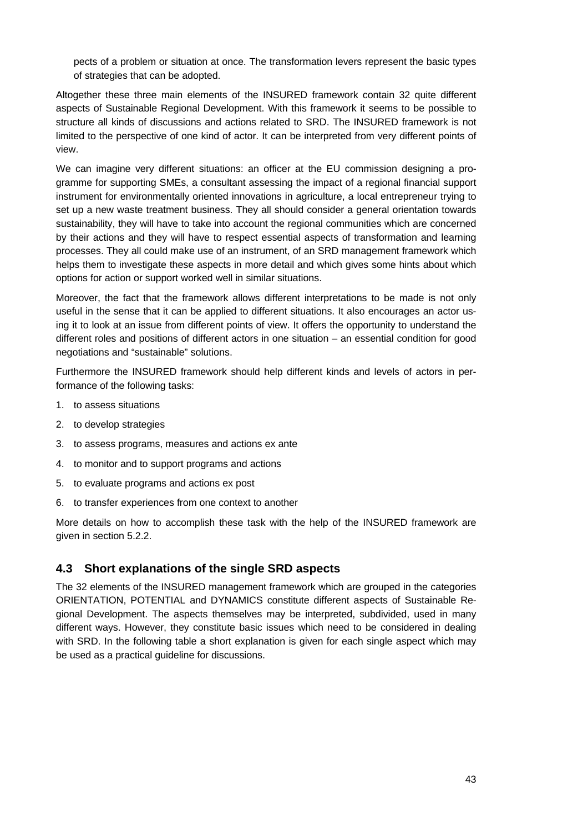pects of a problem or situation at once. The transformation levers represent the basic types of strategies that can be adopted.

Altogether these three main elements of the INSURED framework contain 32 quite different aspects of Sustainable Regional Development. With this framework it seems to be possible to structure all kinds of discussions and actions related to SRD. The INSURED framework is not limited to the perspective of one kind of actor. It can be interpreted from very different points of view.

We can imagine very different situations: an officer at the EU commission designing a programme for supporting SMEs, a consultant assessing the impact of a regional financial support instrument for environmentally oriented innovations in agriculture, a local entrepreneur trying to set up a new waste treatment business. They all should consider a general orientation towards sustainability, they will have to take into account the regional communities which are concerned by their actions and they will have to respect essential aspects of transformation and learning processes. They all could make use of an instrument, of an SRD management framework which helps them to investigate these aspects in more detail and which gives some hints about which options for action or support worked well in similar situations.

Moreover, the fact that the framework allows different interpretations to be made is not only useful in the sense that it can be applied to different situations. It also encourages an actor using it to look at an issue from different points of view. It offers the opportunity to understand the different roles and positions of different actors in one situation – an essential condition for good negotiations and "sustainable" solutions.

Furthermore the INSURED framework should help different kinds and levels of actors in performance of the following tasks:

- 1. to assess situations
- 2. to develop strategies
- 3. to assess programs, measures and actions ex ante
- 4. to monitor and to support programs and actions
- 5. to evaluate programs and actions ex post
- 6. to transfer experiences from one context to another

More details on how to accomplish these task with the help of the INSURED framework are given in section 5.2.2.

# **4.3 Short explanations of the single SRD aspects**

The 32 elements of the INSURED management framework which are grouped in the categories ORIENTATION, POTENTIAL and DYNAMICS constitute different aspects of Sustainable Regional Development. The aspects themselves may be interpreted, subdivided, used in many different ways. However, they constitute basic issues which need to be considered in dealing with SRD. In the following table a short explanation is given for each single aspect which may be used as a practical guideline for discussions.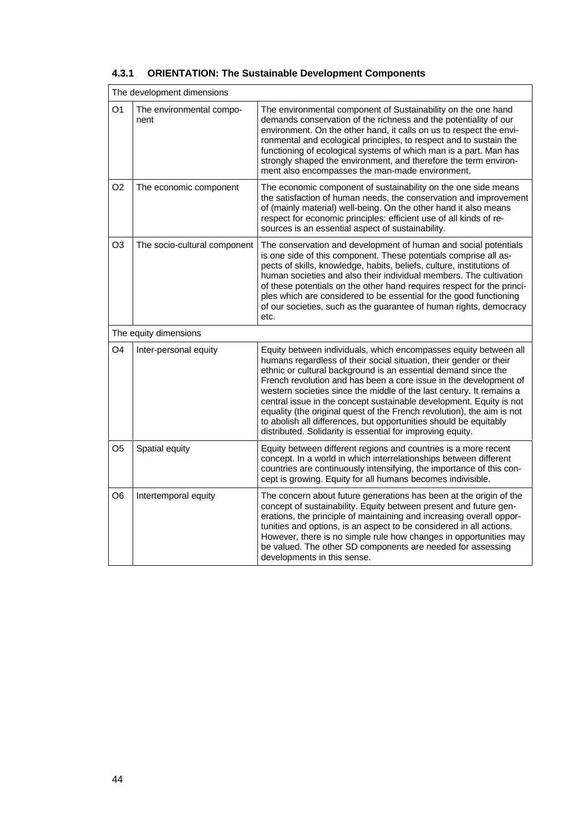|                | The development dimensions       |                                                                                                                                                                                                                                                                                                                                                                                                                                                                                                                                                                                                                                           |  |
|----------------|----------------------------------|-------------------------------------------------------------------------------------------------------------------------------------------------------------------------------------------------------------------------------------------------------------------------------------------------------------------------------------------------------------------------------------------------------------------------------------------------------------------------------------------------------------------------------------------------------------------------------------------------------------------------------------------|--|
| O1             | The environmental compo-<br>nent | The environmental component of Sustainability on the one hand<br>demands conservation of the richness and the potentiality of our<br>environment. On the other hand, it calls on us to respect the envi-<br>ronmental and ecological principles, to respect and to sustain the<br>functioning of ecological systems of which man is a part. Man has<br>strongly shaped the environment, and therefore the term environ-<br>ment also encompasses the man-made environment.                                                                                                                                                                |  |
| O <sub>2</sub> | The economic component           | The economic component of sustainability on the one side means<br>the satisfaction of human needs, the conservation and improvement<br>of (mainly material) well-being. On the other hand it also means<br>respect for economic principles: efficient use of all kinds of re-<br>sources is an essential aspect of sustainability.                                                                                                                                                                                                                                                                                                        |  |
| O <sub>3</sub> | The socio-cultural component     | The conservation and development of human and social potentials<br>is one side of this component. These potentials comprise all as-<br>pects of skills, knowledge, habits, beliefs, culture, institutions of<br>human societies and also their individual members. The cultivation<br>of these potentials on the other hand requires respect for the princi-<br>ples which are considered to be essential for the good functioning<br>of our societies, such as the guarantee of human rights, democracy<br>etc.                                                                                                                          |  |
|                | The equity dimensions            |                                                                                                                                                                                                                                                                                                                                                                                                                                                                                                                                                                                                                                           |  |
| O <sub>4</sub> | Inter-personal equity            | Equity between individuals, which encompasses equity between all<br>humans regardless of their social situation, their gender or their<br>ethnic or cultural background is an essential demand since the<br>French revolution and has been a core issue in the development of<br>western societies since the middle of the last century. It remains a<br>central issue in the concept sustainable development. Equity is not<br>equality (the original quest of the French revolution), the aim is not<br>to abolish all differences, but opportunities should be equitably<br>distributed. Solidarity is essential for improving equity. |  |
| O5             | Spatial equity                   | Equity between different regions and countries is a more recent<br>concept. In a world in which interrelationships between different<br>countries are continuously intensifying, the importance of this con-<br>cept is growing. Equity for all humans becomes indivisible.                                                                                                                                                                                                                                                                                                                                                               |  |
| O6             | Intertemporal equity             | The concern about future generations has been at the origin of the<br>concept of sustainability. Equity between present and future gen-<br>erations, the principle of maintaining and increasing overall oppor-<br>tunities and options, is an aspect to be considered in all actions.<br>However, there is no simple rule how changes in opportunities may<br>be valued. The other SD components are needed for assessing<br>developments in this sense.                                                                                                                                                                                 |  |

# **4.3.1 ORIENTATION: The Sustainable Development Components**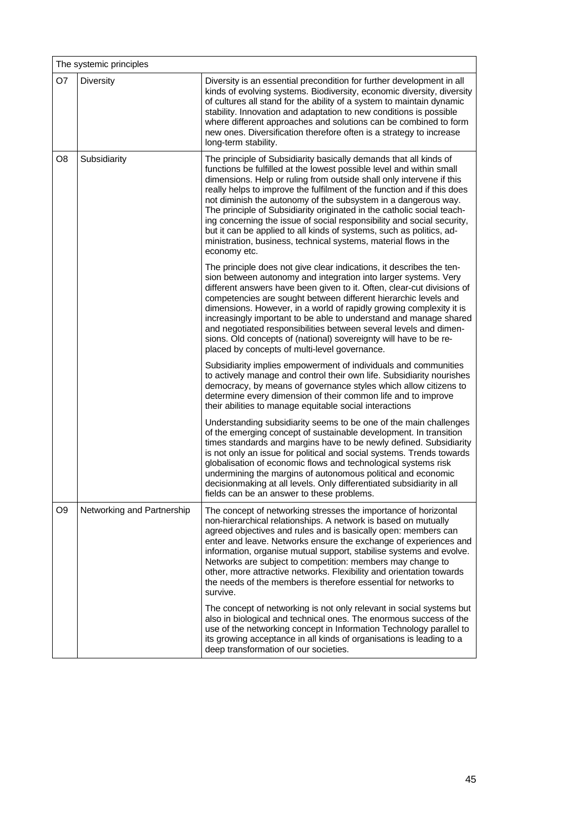|                | The systemic principles    |                                                                                                                                                                                                                                                                                                                                                                                                                                                                                                                                                                                                                                                                                |  |  |
|----------------|----------------------------|--------------------------------------------------------------------------------------------------------------------------------------------------------------------------------------------------------------------------------------------------------------------------------------------------------------------------------------------------------------------------------------------------------------------------------------------------------------------------------------------------------------------------------------------------------------------------------------------------------------------------------------------------------------------------------|--|--|
| O7             | <b>Diversity</b>           | Diversity is an essential precondition for further development in all<br>kinds of evolving systems. Biodiversity, economic diversity, diversity<br>of cultures all stand for the ability of a system to maintain dynamic<br>stability. Innovation and adaptation to new conditions is possible<br>where different approaches and solutions can be combined to form<br>new ones. Diversification therefore often is a strategy to increase<br>long-term stability.                                                                                                                                                                                                              |  |  |
| O <sub>8</sub> | Subsidiarity               | The principle of Subsidiarity basically demands that all kinds of<br>functions be fulfilled at the lowest possible level and within small<br>dimensions. Help or ruling from outside shall only intervene if this<br>really helps to improve the fulfilment of the function and if this does<br>not diminish the autonomy of the subsystem in a dangerous way.<br>The principle of Subsidiarity originated in the catholic social teach-<br>ing concerning the issue of social responsibility and social security,<br>but it can be applied to all kinds of systems, such as politics, ad-<br>ministration, business, technical systems, material flows in the<br>economy etc. |  |  |
|                |                            | The principle does not give clear indications, it describes the ten-<br>sion between autonomy and integration into larger systems. Very<br>different answers have been given to it. Often, clear-cut divisions of<br>competencies are sought between different hierarchic levels and<br>dimensions. However, in a world of rapidly growing complexity it is<br>increasingly important to be able to understand and manage shared<br>and negotiated responsibilities between several levels and dimen-<br>sions. Old concepts of (national) sovereignty will have to be re-<br>placed by concepts of multi-level governance.                                                    |  |  |
|                |                            | Subsidiarity implies empowerment of individuals and communities<br>to actively manage and control their own life. Subsidiarity nourishes<br>democracy, by means of governance styles which allow citizens to<br>determine every dimension of their common life and to improve<br>their abilities to manage equitable social interactions                                                                                                                                                                                                                                                                                                                                       |  |  |
|                |                            | Understanding subsidiarity seems to be one of the main challenges<br>of the emerging concept of sustainable development. In transition<br>times standards and margins have to be newly defined. Subsidiarity<br>is not only an issue for political and social systems. Trends towards<br>globalisation of economic flows and technological systems risk<br>undermining the margins of autonomous political and economic<br>decisionmaking at all levels. Only differentiated subsidiarity in all<br>fields can be an answer to these problems.                                                                                                                                 |  |  |
| O <sub>9</sub> | Networking and Partnership | The concept of networking stresses the importance of horizontal<br>non-hierarchical relationships. A network is based on mutually<br>agreed objectives and rules and is basically open: members can<br>enter and leave. Networks ensure the exchange of experiences and<br>information, organise mutual support, stabilise systems and evolve.<br>Networks are subject to competition: members may change to<br>other, more attractive networks. Flexibility and orientation towards<br>the needs of the members is therefore essential for networks to<br>survive.                                                                                                            |  |  |
|                |                            | The concept of networking is not only relevant in social systems but<br>also in biological and technical ones. The enormous success of the<br>use of the networking concept in Information Technology parallel to<br>its growing acceptance in all kinds of organisations is leading to a<br>deep transformation of our societies.                                                                                                                                                                                                                                                                                                                                             |  |  |

Ĭ.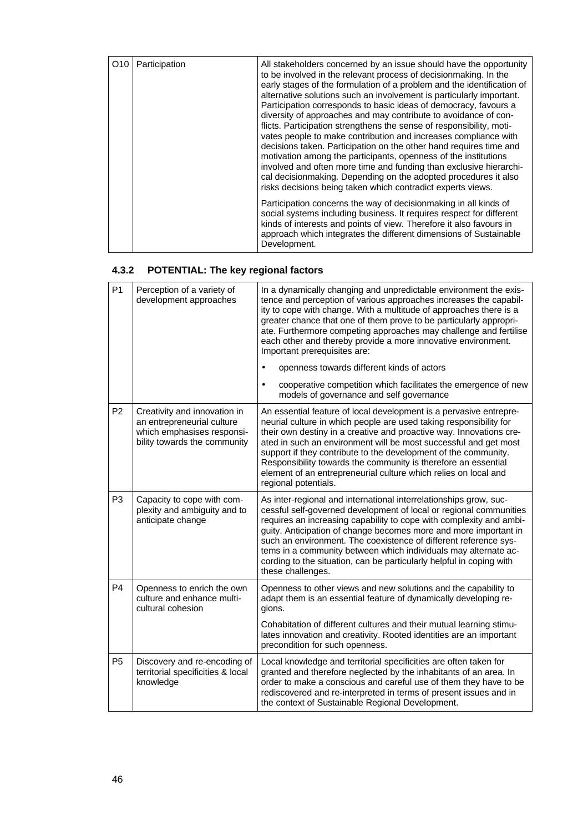| O10 | Participation | All stakeholders concerned by an issue should have the opportunity<br>to be involved in the relevant process of decisionmaking. In the<br>early stages of the formulation of a problem and the identification of<br>alternative solutions such an involvement is particularly important.<br>Participation corresponds to basic ideas of democracy, favours a<br>diversity of approaches and may contribute to avoidance of con-<br>flicts. Participation strengthens the sense of responsibility, moti-<br>vates people to make contribution and increases compliance with<br>decisions taken. Participation on the other hand requires time and<br>motivation among the participants, openness of the institutions<br>involved and often more time and funding than exclusive hierarchi-<br>cal decisionmaking. Depending on the adopted procedures it also<br>risks decisions being taken which contradict experts views. |
|-----|---------------|-----------------------------------------------------------------------------------------------------------------------------------------------------------------------------------------------------------------------------------------------------------------------------------------------------------------------------------------------------------------------------------------------------------------------------------------------------------------------------------------------------------------------------------------------------------------------------------------------------------------------------------------------------------------------------------------------------------------------------------------------------------------------------------------------------------------------------------------------------------------------------------------------------------------------------|
|     |               | Participation concerns the way of decision making in all kinds of<br>social systems including business. It requires respect for different<br>kinds of interests and points of view. Therefore it also favours in<br>approach which integrates the different dimensions of Sustainable<br>Development.                                                                                                                                                                                                                                                                                                                                                                                                                                                                                                                                                                                                                       |

# **4.3.2 POTENTIAL: The key regional factors**

| P <sub>1</sub> | Perception of a variety of<br>development approaches                                                                     | In a dynamically changing and unpredictable environment the exis-<br>tence and perception of various approaches increases the capabil-<br>ity to cope with change. With a multitude of approaches there is a<br>greater chance that one of them prove to be particularly appropri-<br>ate. Furthermore competing approaches may challenge and fertilise<br>each other and thereby provide a more innovative environment.<br>Important prerequisites are:                                                               |
|----------------|--------------------------------------------------------------------------------------------------------------------------|------------------------------------------------------------------------------------------------------------------------------------------------------------------------------------------------------------------------------------------------------------------------------------------------------------------------------------------------------------------------------------------------------------------------------------------------------------------------------------------------------------------------|
|                |                                                                                                                          | openness towards different kinds of actors<br>$\bullet$                                                                                                                                                                                                                                                                                                                                                                                                                                                                |
|                |                                                                                                                          | cooperative competition which facilitates the emergence of new<br>$\bullet$<br>models of governance and self governance                                                                                                                                                                                                                                                                                                                                                                                                |
| P <sub>2</sub> | Creativity and innovation in<br>an entrepreneurial culture<br>which emphasises responsi-<br>bility towards the community | An essential feature of local development is a pervasive entrepre-<br>neurial culture in which people are used taking responsibility for<br>their own destiny in a creative and proactive way. Innovations cre-<br>ated in such an environment will be most successful and get most<br>support if they contribute to the development of the community.<br>Responsibility towards the community is therefore an essential<br>element of an entrepreneurial culture which relies on local and<br>regional potentials.    |
| P <sub>3</sub> | Capacity to cope with com-<br>plexity and ambiguity and to<br>anticipate change                                          | As inter-regional and international interrelationships grow, suc-<br>cessful self-governed development of local or regional communities<br>requires an increasing capability to cope with complexity and ambi-<br>guity. Anticipation of change becomes more and more important in<br>such an environment. The coexistence of different reference sys-<br>tems in a community between which individuals may alternate ac-<br>cording to the situation, can be particularly helpful in coping with<br>these challenges. |
| P <sub>4</sub> | Openness to enrich the own<br>culture and enhance multi-<br>cultural cohesion                                            | Openness to other views and new solutions and the capability to<br>adapt them is an essential feature of dynamically developing re-<br>gions.                                                                                                                                                                                                                                                                                                                                                                          |
|                |                                                                                                                          | Cohabitation of different cultures and their mutual learning stimu-<br>lates innovation and creativity. Rooted identities are an important<br>precondition for such openness.                                                                                                                                                                                                                                                                                                                                          |
| <b>P5</b>      | Discovery and re-encoding of<br>territorial specificities & local<br>knowledge                                           | Local knowledge and territorial specificities are often taken for<br>granted and therefore neglected by the inhabitants of an area. In<br>order to make a conscious and careful use of them they have to be<br>rediscovered and re-interpreted in terms of present issues and in<br>the context of Sustainable Regional Development.                                                                                                                                                                                   |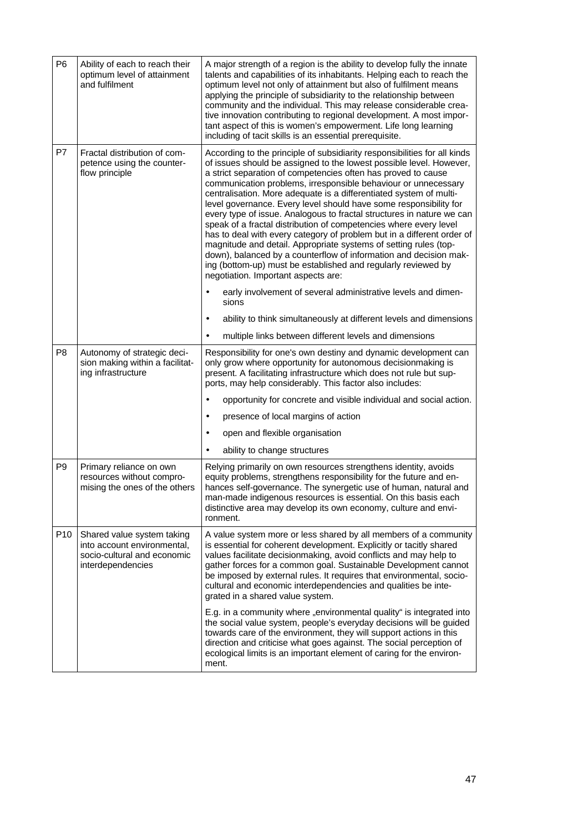| P <sub>6</sub>  | Ability of each to reach their<br>optimum level of attainment<br>and fulfilment                               | A major strength of a region is the ability to develop fully the innate<br>talents and capabilities of its inhabitants. Helping each to reach the<br>optimum level not only of attainment but also of fulfilment means<br>applying the principle of subsidiarity to the relationship between<br>community and the individual. This may release considerable crea-<br>tive innovation contributing to regional development. A most impor-<br>tant aspect of this is women's empowerment. Life long learning<br>including of tacit skills is an essential prerequisite.                                                                                                                                                                                                                                                                                                                                   |
|-----------------|---------------------------------------------------------------------------------------------------------------|---------------------------------------------------------------------------------------------------------------------------------------------------------------------------------------------------------------------------------------------------------------------------------------------------------------------------------------------------------------------------------------------------------------------------------------------------------------------------------------------------------------------------------------------------------------------------------------------------------------------------------------------------------------------------------------------------------------------------------------------------------------------------------------------------------------------------------------------------------------------------------------------------------|
| P7              | Fractal distribution of com-<br>petence using the counter-<br>flow principle                                  | According to the principle of subsidiarity responsibilities for all kinds<br>of issues should be assigned to the lowest possible level. However,<br>a strict separation of competencies often has proved to cause<br>communication problems, irresponsible behaviour or unnecessary<br>centralisation. More adequate is a differentiated system of multi-<br>level governance. Every level should have some responsibility for<br>every type of issue. Analogous to fractal structures in nature we can<br>speak of a fractal distribution of competencies where every level<br>has to deal with every category of problem but in a different order of<br>magnitude and detail. Appropriate systems of setting rules (top-<br>down), balanced by a counterflow of information and decision mak-<br>ing (bottom-up) must be established and regularly reviewed by<br>negotiation. Important aspects are: |
|                 |                                                                                                               | early involvement of several administrative levels and dimen-<br>$\bullet$<br>sions                                                                                                                                                                                                                                                                                                                                                                                                                                                                                                                                                                                                                                                                                                                                                                                                                     |
|                 |                                                                                                               | ability to think simultaneously at different levels and dimensions<br>$\bullet$                                                                                                                                                                                                                                                                                                                                                                                                                                                                                                                                                                                                                                                                                                                                                                                                                         |
|                 |                                                                                                               | multiple links between different levels and dimensions<br>$\bullet$                                                                                                                                                                                                                                                                                                                                                                                                                                                                                                                                                                                                                                                                                                                                                                                                                                     |
| P8              | Autonomy of strategic deci-<br>sion making within a facilitat-<br>ing infrastructure                          | Responsibility for one's own destiny and dynamic development can<br>only grow where opportunity for autonomous decisionmaking is<br>present. A facilitating infrastructure which does not rule but sup-<br>ports, may help considerably. This factor also includes:                                                                                                                                                                                                                                                                                                                                                                                                                                                                                                                                                                                                                                     |
|                 |                                                                                                               | opportunity for concrete and visible individual and social action.<br>۰                                                                                                                                                                                                                                                                                                                                                                                                                                                                                                                                                                                                                                                                                                                                                                                                                                 |
|                 |                                                                                                               | presence of local margins of action<br>٠                                                                                                                                                                                                                                                                                                                                                                                                                                                                                                                                                                                                                                                                                                                                                                                                                                                                |
|                 |                                                                                                               | open and flexible organisation<br>$\bullet$                                                                                                                                                                                                                                                                                                                                                                                                                                                                                                                                                                                                                                                                                                                                                                                                                                                             |
|                 |                                                                                                               | ability to change structures<br>$\bullet$                                                                                                                                                                                                                                                                                                                                                                                                                                                                                                                                                                                                                                                                                                                                                                                                                                                               |
| P <sub>9</sub>  | Primary reliance on own<br>resources without compro-<br>mising the ones of the others                         | Relying primarily on own resources strengthens identity, avoids<br>equity problems, strengthens responsibility for the future and en-<br>hances self-governance. The synergetic use of human, natural and<br>man-made indigenous resources is essential. On this basis each<br>distinctive area may develop its own economy, culture and envi-<br>ronment.                                                                                                                                                                                                                                                                                                                                                                                                                                                                                                                                              |
| P <sub>10</sub> | Shared value system taking<br>into account environmental,<br>socio-cultural and economic<br>interdependencies | A value system more or less shared by all members of a community<br>is essential for coherent development. Explicitly or tacitly shared<br>values facilitate decisionmaking, avoid conflicts and may help to<br>gather forces for a common goal. Sustainable Development cannot<br>be imposed by external rules. It requires that environmental, socio-<br>cultural and economic interdependencies and qualities be inte-<br>grated in a shared value system.                                                                                                                                                                                                                                                                                                                                                                                                                                           |
|                 |                                                                                                               | E.g. in a community where "environmental quality" is integrated into<br>the social value system, people's everyday decisions will be guided<br>towards care of the environment, they will support actions in this<br>direction and criticise what goes against. The social perception of<br>ecological limits is an important element of caring for the environ-<br>ment.                                                                                                                                                                                                                                                                                                                                                                                                                                                                                                                               |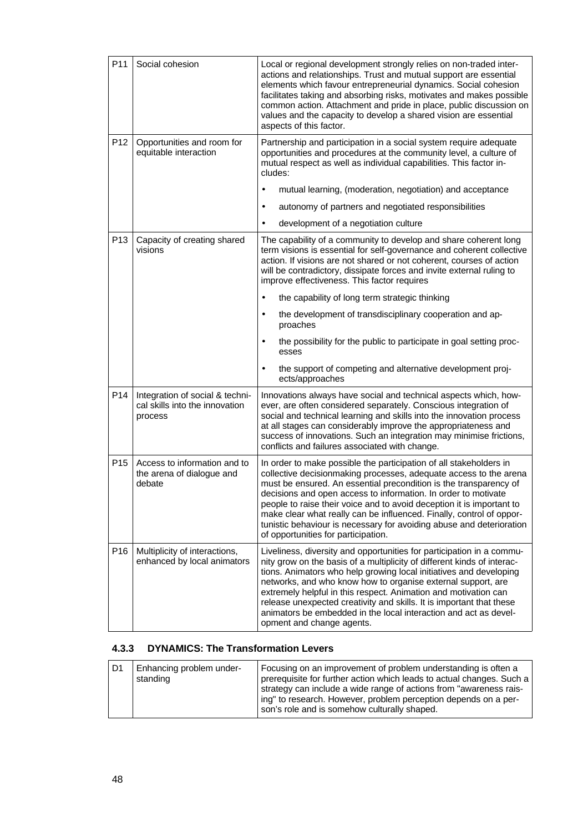| P11             | Social cohesion                                                              | Local or regional development strongly relies on non-traded inter-<br>actions and relationships. Trust and mutual support are essential<br>elements which favour entrepreneurial dynamics. Social cohesion<br>facilitates taking and absorbing risks, motivates and makes possible<br>common action. Attachment and pride in place, public discussion on<br>values and the capacity to develop a shared vision are essential<br>aspects of this factor.                                                                                        |
|-----------------|------------------------------------------------------------------------------|------------------------------------------------------------------------------------------------------------------------------------------------------------------------------------------------------------------------------------------------------------------------------------------------------------------------------------------------------------------------------------------------------------------------------------------------------------------------------------------------------------------------------------------------|
| P <sub>12</sub> | Opportunities and room for<br>equitable interaction                          | Partnership and participation in a social system require adequate<br>opportunities and procedures at the community level, a culture of<br>mutual respect as well as individual capabilities. This factor in-<br>cludes:                                                                                                                                                                                                                                                                                                                        |
|                 |                                                                              | mutual learning, (moderation, negotiation) and acceptance<br>$\bullet$                                                                                                                                                                                                                                                                                                                                                                                                                                                                         |
|                 |                                                                              | autonomy of partners and negotiated responsibilities<br>$\bullet$                                                                                                                                                                                                                                                                                                                                                                                                                                                                              |
|                 |                                                                              | development of a negotiation culture<br>$\bullet$                                                                                                                                                                                                                                                                                                                                                                                                                                                                                              |
| P <sub>13</sub> | Capacity of creating shared<br>visions                                       | The capability of a community to develop and share coherent long<br>term visions is essential for self-governance and coherent collective<br>action. If visions are not shared or not coherent, courses of action<br>will be contradictory, dissipate forces and invite external ruling to<br>improve effectiveness. This factor requires                                                                                                                                                                                                      |
|                 |                                                                              | the capability of long term strategic thinking<br>$\bullet$                                                                                                                                                                                                                                                                                                                                                                                                                                                                                    |
|                 |                                                                              | the development of transdisciplinary cooperation and ap-<br>٠<br>proaches                                                                                                                                                                                                                                                                                                                                                                                                                                                                      |
|                 |                                                                              | the possibility for the public to participate in goal setting proc-<br>$\bullet$<br>esses                                                                                                                                                                                                                                                                                                                                                                                                                                                      |
|                 |                                                                              | the support of competing and alternative development proj-<br>$\bullet$<br>ects/approaches                                                                                                                                                                                                                                                                                                                                                                                                                                                     |
| P14             | Integration of social & techni-<br>cal skills into the innovation<br>process | Innovations always have social and technical aspects which, how-<br>ever, are often considered separately. Conscious integration of<br>social and technical learning and skills into the innovation process<br>at all stages can considerably improve the appropriateness and<br>success of innovations. Such an integration may minimise frictions,<br>conflicts and failures associated with change.                                                                                                                                         |
| P <sub>15</sub> | Access to information and to<br>the arena of dialogue and<br>debate          | In order to make possible the participation of all stakeholders in<br>collective decisionmaking processes, adequate access to the arena<br>must be ensured. An essential precondition is the transparency of<br>decisions and open access to information. In order to motivate<br>people to raise their voice and to avoid deception it is important to<br>make clear what really can be influenced. Finally, control of oppor-<br>tunistic behaviour is necessary for avoiding abuse and deterioration<br>of opportunities for participation. |
| P <sub>16</sub> | Multiplicity of interactions,<br>enhanced by local animators                 | Liveliness, diversity and opportunities for participation in a commu-<br>nity grow on the basis of a multiplicity of different kinds of interac-<br>tions. Animators who help growing local initiatives and developing<br>networks, and who know how to organise external support, are<br>extremely helpful in this respect. Animation and motivation can<br>release unexpected creativity and skills. It is important that these<br>animators be embedded in the local interaction and act as devel-<br>opment and change agents.             |

# **4.3.3 DYNAMICS: The Transformation Levers**

| D1 | Enhancing problem under-<br>standing | Focusing on an improvement of problem understanding is often a<br>prerequisite for further action which leads to actual changes. Such a<br>strategy can include a wide range of actions from "awareness rais-<br>ing" to research. However, problem perception depends on a per-<br>son's role and is somehow culturally shaped. |
|----|--------------------------------------|----------------------------------------------------------------------------------------------------------------------------------------------------------------------------------------------------------------------------------------------------------------------------------------------------------------------------------|
|----|--------------------------------------|----------------------------------------------------------------------------------------------------------------------------------------------------------------------------------------------------------------------------------------------------------------------------------------------------------------------------------|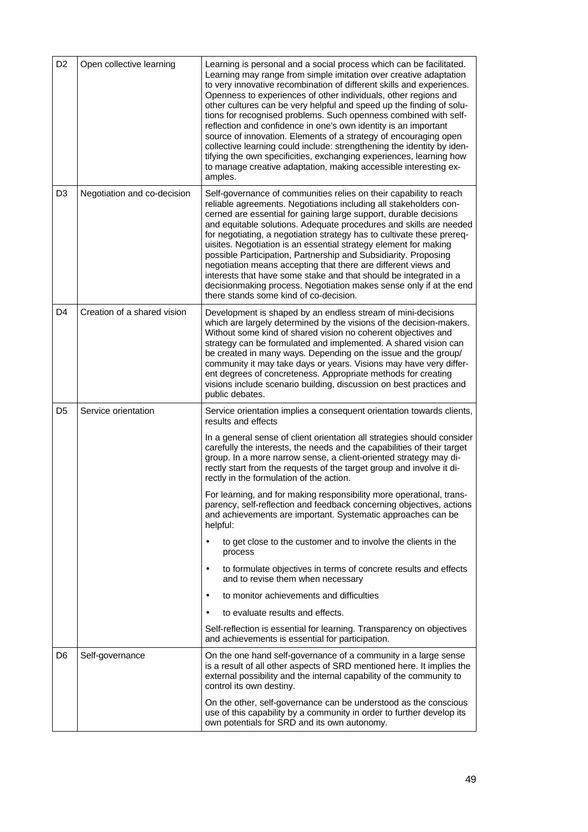| D <sub>2</sub> | Open collective learning    | Learning is personal and a social process which can be facilitated.<br>Learning may range from simple imitation over creative adaptation<br>to very innovative recombination of different skills and experiences.<br>Openness to experiences of other individuals, other regions and<br>other cultures can be very helpful and speed up the finding of solu-<br>tions for recognised problems. Such openness combined with self-<br>reflection and confidence in one's own identity is an important<br>source of innovation. Elements of a strategy of encouraging open<br>collective learning could include: strengthening the identity by iden-<br>tifying the own specificities, exchanging experiences, learning how<br>to manage creative adaptation, making accessible interesting ex-<br>amples. |
|----------------|-----------------------------|---------------------------------------------------------------------------------------------------------------------------------------------------------------------------------------------------------------------------------------------------------------------------------------------------------------------------------------------------------------------------------------------------------------------------------------------------------------------------------------------------------------------------------------------------------------------------------------------------------------------------------------------------------------------------------------------------------------------------------------------------------------------------------------------------------|
| D <sub>3</sub> | Negotiation and co-decision | Self-governance of communities relies on their capability to reach<br>reliable agreements. Negotiations including all stakeholders con-<br>cerned are essential for gaining large support, durable decisions<br>and equitable solutions. Adequate procedures and skills are needed<br>for negotiating, a negotiation strategy has to cultivate these prereq-<br>uisites. Negotiation is an essential strategy element for making<br>possible Participation, Partnership and Subsidiarity. Proposing<br>negotiation means accepting that there are different views and<br>interests that have some stake and that should be integrated in a<br>decisionmaking process. Negotiation makes sense only if at the end<br>there stands some kind of co-decision.                                              |
| D <sub>4</sub> | Creation of a shared vision | Development is shaped by an endless stream of mini-decisions<br>which are largely determined by the visions of the decision-makers.<br>Without some kind of shared vision no coherent objectives and<br>strategy can be formulated and implemented. A shared vision can<br>be created in many ways. Depending on the issue and the group/<br>community it may take days or years. Visions may have very differ-<br>ent degrees of concreteness. Appropriate methods for creating<br>visions include scenario building, discussion on best practices and<br>public debates.                                                                                                                                                                                                                              |
| D <sub>5</sub> | Service orientation         | Service orientation implies a consequent orientation towards clients,<br>results and effects                                                                                                                                                                                                                                                                                                                                                                                                                                                                                                                                                                                                                                                                                                            |
|                |                             | In a general sense of client orientation all strategies should consider<br>carefully the interests, the needs and the capabilities of their target<br>group. In a more narrow sense, a client-oriented strategy may di-<br>rectly start from the requests of the target group and involve it di-<br>rectly in the formulation of the action.                                                                                                                                                                                                                                                                                                                                                                                                                                                            |
|                |                             | For learning, and for making responsibility more operational, trans-<br>parency, self-reflection and feedback concerning objectives, actions<br>and achievements are important. Systematic approaches can be<br>helpful:                                                                                                                                                                                                                                                                                                                                                                                                                                                                                                                                                                                |
|                |                             | to get close to the customer and to involve the clients in the<br>$\bullet$<br>process                                                                                                                                                                                                                                                                                                                                                                                                                                                                                                                                                                                                                                                                                                                  |
|                |                             | to formulate objectives in terms of concrete results and effects<br>$\bullet$<br>and to revise them when necessary                                                                                                                                                                                                                                                                                                                                                                                                                                                                                                                                                                                                                                                                                      |
|                |                             | to monitor achievements and difficulties<br>٠                                                                                                                                                                                                                                                                                                                                                                                                                                                                                                                                                                                                                                                                                                                                                           |
|                |                             | to evaluate results and effects.<br>$\bullet$                                                                                                                                                                                                                                                                                                                                                                                                                                                                                                                                                                                                                                                                                                                                                           |
|                |                             | Self-reflection is essential for learning. Transparency on objectives<br>and achievements is essential for participation.                                                                                                                                                                                                                                                                                                                                                                                                                                                                                                                                                                                                                                                                               |
| D6             | Self-governance             | On the one hand self-governance of a community in a large sense<br>is a result of all other aspects of SRD mentioned here. It implies the<br>external possibility and the internal capability of the community to<br>control its own destiny.                                                                                                                                                                                                                                                                                                                                                                                                                                                                                                                                                           |
|                |                             | On the other, self-governance can be understood as the conscious<br>use of this capability by a community in order to further develop its<br>own potentials for SRD and its own autonomy.                                                                                                                                                                                                                                                                                                                                                                                                                                                                                                                                                                                                               |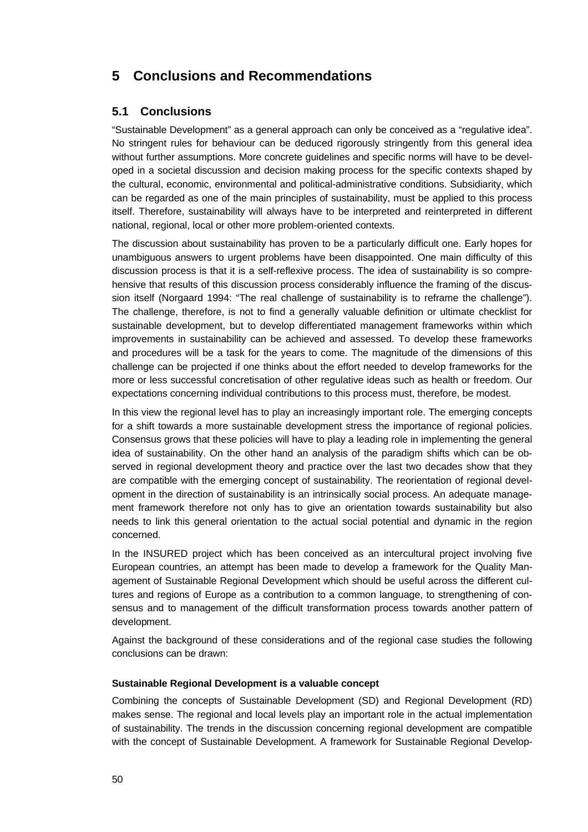# **5 Conclusions and Recommendations**

# **5.1 Conclusions**

"Sustainable Development" as a general approach can only be conceived as a "regulative idea". No stringent rules for behaviour can be deduced rigorously stringently from this general idea without further assumptions. More concrete guidelines and specific norms will have to be developed in a societal discussion and decision making process for the specific contexts shaped by the cultural, economic, environmental and political-administrative conditions. Subsidiarity, which can be regarded as one of the main principles of sustainability, must be applied to this process itself. Therefore, sustainability will always have to be interpreted and reinterpreted in different national, regional, local or other more problem-oriented contexts.

The discussion about sustainability has proven to be a particularly difficult one. Early hopes for unambiguous answers to urgent problems have been disappointed. One main difficulty of this discussion process is that it is a self-reflexive process. The idea of sustainability is so comprehensive that results of this discussion process considerably influence the framing of the discussion itself (Norgaard 1994: "The real challenge of sustainability is to reframe the challenge"). The challenge, therefore, is not to find a generally valuable definition or ultimate checklist for sustainable development, but to develop differentiated management frameworks within which improvements in sustainability can be achieved and assessed. To develop these frameworks and procedures will be a task for the years to come. The magnitude of the dimensions of this challenge can be projected if one thinks about the effort needed to develop frameworks for the more or less successful concretisation of other regulative ideas such as health or freedom. Our expectations concerning individual contributions to this process must, therefore, be modest.

In this view the regional level has to play an increasingly important role. The emerging concepts for a shift towards a more sustainable development stress the importance of regional policies. Consensus grows that these policies will have to play a leading role in implementing the general idea of sustainability. On the other hand an analysis of the paradigm shifts which can be observed in regional development theory and practice over the last two decades show that they are compatible with the emerging concept of sustainability. The reorientation of regional development in the direction of sustainability is an intrinsically social process. An adequate management framework therefore not only has to give an orientation towards sustainability but also needs to link this general orientation to the actual social potential and dynamic in the region concerned.

In the INSURED project which has been conceived as an intercultural project involving five European countries, an attempt has been made to develop a framework for the Quality Management of Sustainable Regional Development which should be useful across the different cultures and regions of Europe as a contribution to a common language, to strengthening of consensus and to management of the difficult transformation process towards another pattern of development.

Against the background of these considerations and of the regional case studies the following conclusions can be drawn:

## **Sustainable Regional Development is a valuable concept**

Combining the concepts of Sustainable Development (SD) and Regional Development (RD) makes sense. The regional and local levels play an important role in the actual implementation of sustainability. The trends in the discussion concerning regional development are compatible with the concept of Sustainable Development. A framework for Sustainable Regional Develop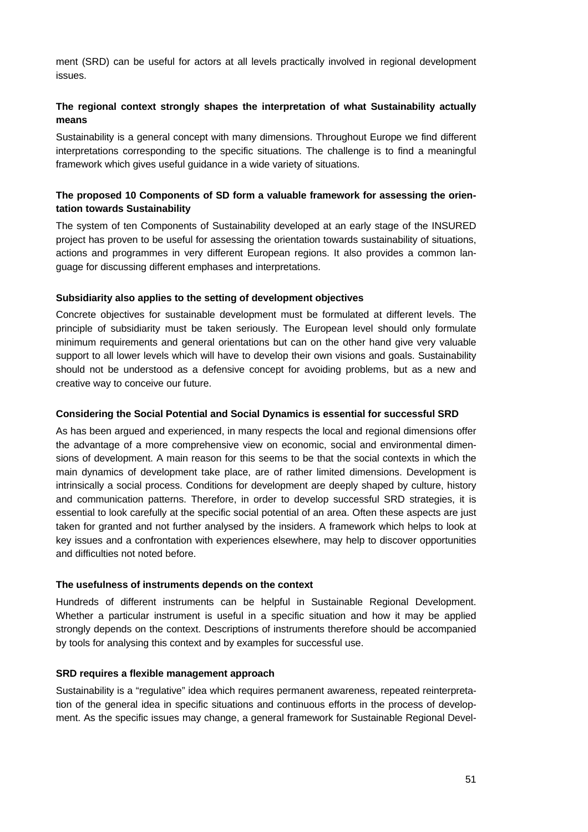ment (SRD) can be useful for actors at all levels practically involved in regional development issues.

# **The regional context strongly shapes the interpretation of what Sustainability actually means**

Sustainability is a general concept with many dimensions. Throughout Europe we find different interpretations corresponding to the specific situations. The challenge is to find a meaningful framework which gives useful guidance in a wide variety of situations.

# **The proposed 10 Components of SD form a valuable framework for assessing the orientation towards Sustainability**

The system of ten Components of Sustainability developed at an early stage of the INSURED project has proven to be useful for assessing the orientation towards sustainability of situations, actions and programmes in very different European regions. It also provides a common language for discussing different emphases and interpretations.

## **Subsidiarity also applies to the setting of development objectives**

Concrete objectives for sustainable development must be formulated at different levels. The principle of subsidiarity must be taken seriously. The European level should only formulate minimum requirements and general orientations but can on the other hand give very valuable support to all lower levels which will have to develop their own visions and goals. Sustainability should not be understood as a defensive concept for avoiding problems, but as a new and creative way to conceive our future.

## **Considering the Social Potential and Social Dynamics is essential for successful SRD**

As has been argued and experienced, in many respects the local and regional dimensions offer the advantage of a more comprehensive view on economic, social and environmental dimensions of development. A main reason for this seems to be that the social contexts in which the main dynamics of development take place, are of rather limited dimensions. Development is intrinsically a social process. Conditions for development are deeply shaped by culture, history and communication patterns. Therefore, in order to develop successful SRD strategies, it is essential to look carefully at the specific social potential of an area. Often these aspects are just taken for granted and not further analysed by the insiders. A framework which helps to look at key issues and a confrontation with experiences elsewhere, may help to discover opportunities and difficulties not noted before.

## **The usefulness of instruments depends on the context**

Hundreds of different instruments can be helpful in Sustainable Regional Development. Whether a particular instrument is useful in a specific situation and how it may be applied strongly depends on the context. Descriptions of instruments therefore should be accompanied by tools for analysing this context and by examples for successful use.

## **SRD requires a flexible management approach**

Sustainability is a "regulative" idea which requires permanent awareness, repeated reinterpretation of the general idea in specific situations and continuous efforts in the process of development. As the specific issues may change, a general framework for Sustainable Regional Devel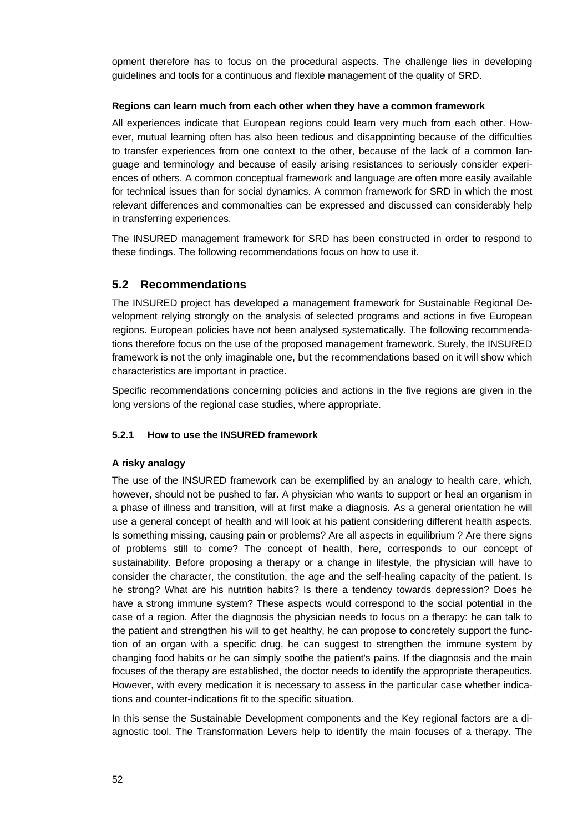opment therefore has to focus on the procedural aspects. The challenge lies in developing guidelines and tools for a continuous and flexible management of the quality of SRD.

## **Regions can learn much from each other when they have a common framework**

All experiences indicate that European regions could learn very much from each other. However, mutual learning often has also been tedious and disappointing because of the difficulties to transfer experiences from one context to the other, because of the lack of a common language and terminology and because of easily arising resistances to seriously consider experiences of others. A common conceptual framework and language are often more easily available for technical issues than for social dynamics. A common framework for SRD in which the most relevant differences and commonalties can be expressed and discussed can considerably help in transferring experiences.

The INSURED management framework for SRD has been constructed in order to respond to these findings. The following recommendations focus on how to use it.

# **5.2 Recommendations**

The INSURED project has developed a management framework for Sustainable Regional Development relying strongly on the analysis of selected programs and actions in five European regions. European policies have not been analysed systematically. The following recommendations therefore focus on the use of the proposed management framework. Surely, the INSURED framework is not the only imaginable one, but the recommendations based on it will show which characteristics are important in practice.

Specific recommendations concerning policies and actions in the five regions are given in the long versions of the regional case studies, where appropriate.

## **5.2.1 How to use the INSURED framework**

## **A risky analogy**

The use of the INSURED framework can be exemplified by an analogy to health care, which, however, should not be pushed to far. A physician who wants to support or heal an organism in a phase of illness and transition, will at first make a diagnosis. As a general orientation he will use a general concept of health and will look at his patient considering different health aspects. Is something missing, causing pain or problems? Are all aspects in equilibrium ? Are there signs of problems still to come? The concept of health, here, corresponds to our concept of sustainability. Before proposing a therapy or a change in lifestyle, the physician will have to consider the character, the constitution, the age and the self-healing capacity of the patient. Is he strong? What are his nutrition habits? Is there a tendency towards depression? Does he have a strong immune system? These aspects would correspond to the social potential in the case of a region. After the diagnosis the physician needs to focus on a therapy: he can talk to the patient and strengthen his will to get healthy, he can propose to concretely support the function of an organ with a specific drug, he can suggest to strengthen the immune system by changing food habits or he can simply soothe the patient's pains. If the diagnosis and the main focuses of the therapy are established, the doctor needs to identify the appropriate therapeutics. However, with every medication it is necessary to assess in the particular case whether indications and counter-indications fit to the specific situation.

In this sense the Sustainable Development components and the Key regional factors are a diagnostic tool. The Transformation Levers help to identify the main focuses of a therapy. The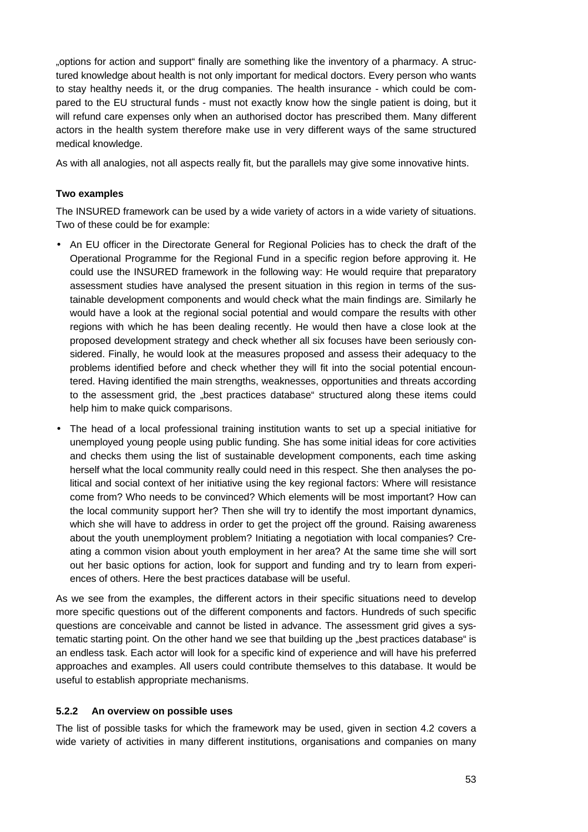"options for action and support" finally are something like the inventory of a pharmacy. A structured knowledge about health is not only important for medical doctors. Every person who wants to stay healthy needs it, or the drug companies. The health insurance - which could be compared to the EU structural funds - must not exactly know how the single patient is doing, but it will refund care expenses only when an authorised doctor has prescribed them. Many different actors in the health system therefore make use in very different ways of the same structured medical knowledge.

As with all analogies, not all aspects really fit, but the parallels may give some innovative hints.

# **Two examples**

The INSURED framework can be used by a wide variety of actors in a wide variety of situations. Two of these could be for example:

- An EU officer in the Directorate General for Regional Policies has to check the draft of the Operational Programme for the Regional Fund in a specific region before approving it. He could use the INSURED framework in the following way: He would require that preparatory assessment studies have analysed the present situation in this region in terms of the sustainable development components and would check what the main findings are. Similarly he would have a look at the regional social potential and would compare the results with other regions with which he has been dealing recently. He would then have a close look at the proposed development strategy and check whether all six focuses have been seriously considered. Finally, he would look at the measures proposed and assess their adequacy to the problems identified before and check whether they will fit into the social potential encountered. Having identified the main strengths, weaknesses, opportunities and threats according to the assessment grid, the "best practices database" structured along these items could help him to make quick comparisons.
- The head of a local professional training institution wants to set up a special initiative for unemployed young people using public funding. She has some initial ideas for core activities and checks them using the list of sustainable development components, each time asking herself what the local community really could need in this respect. She then analyses the political and social context of her initiative using the key regional factors: Where will resistance come from? Who needs to be convinced? Which elements will be most important? How can the local community support her? Then she will try to identify the most important dynamics, which she will have to address in order to get the project off the ground. Raising awareness about the youth unemployment problem? Initiating a negotiation with local companies? Creating a common vision about youth employment in her area? At the same time she will sort out her basic options for action, look for support and funding and try to learn from experiences of others. Here the best practices database will be useful.

As we see from the examples, the different actors in their specific situations need to develop more specific questions out of the different components and factors. Hundreds of such specific questions are conceivable and cannot be listed in advance. The assessment grid gives a systematic starting point. On the other hand we see that building up the "best practices database" is an endless task. Each actor will look for a specific kind of experience and will have his preferred approaches and examples. All users could contribute themselves to this database. It would be useful to establish appropriate mechanisms.

## **5.2.2 An overview on possible uses**

The list of possible tasks for which the framework may be used, given in section 4.2 covers a wide variety of activities in many different institutions, organisations and companies on many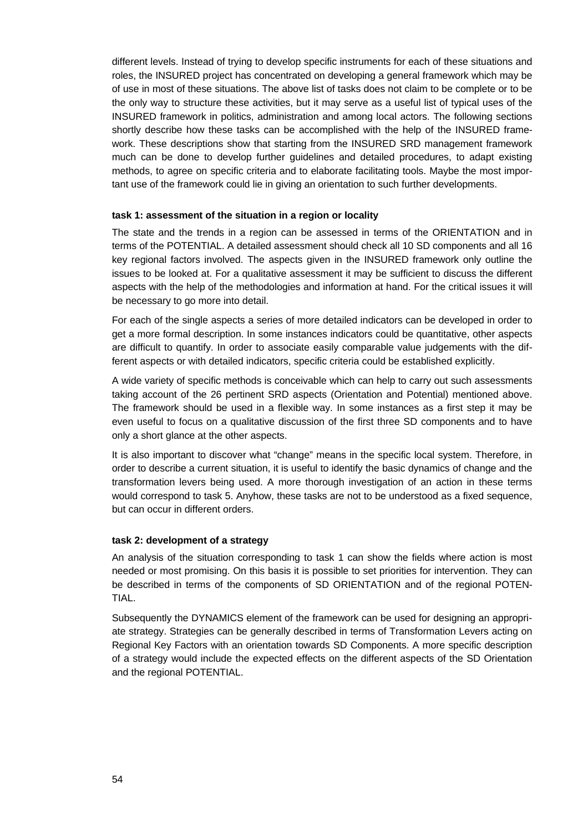different levels. Instead of trying to develop specific instruments for each of these situations and roles, the INSURED project has concentrated on developing a general framework which may be of use in most of these situations. The above list of tasks does not claim to be complete or to be the only way to structure these activities, but it may serve as a useful list of typical uses of the INSURED framework in politics, administration and among local actors. The following sections shortly describe how these tasks can be accomplished with the help of the INSURED framework. These descriptions show that starting from the INSURED SRD management framework much can be done to develop further guidelines and detailed procedures, to adapt existing methods, to agree on specific criteria and to elaborate facilitating tools. Maybe the most important use of the framework could lie in giving an orientation to such further developments.

#### **task 1: assessment of the situation in a region or locality**

The state and the trends in a region can be assessed in terms of the ORIENTATION and in terms of the POTENTIAL. A detailed assessment should check all 10 SD components and all 16 key regional factors involved. The aspects given in the INSURED framework only outline the issues to be looked at. For a qualitative assessment it may be sufficient to discuss the different aspects with the help of the methodologies and information at hand. For the critical issues it will be necessary to go more into detail.

For each of the single aspects a series of more detailed indicators can be developed in order to get a more formal description. In some instances indicators could be quantitative, other aspects are difficult to quantify. In order to associate easily comparable value judgements with the different aspects or with detailed indicators, specific criteria could be established explicitly.

A wide variety of specific methods is conceivable which can help to carry out such assessments taking account of the 26 pertinent SRD aspects (Orientation and Potential) mentioned above. The framework should be used in a flexible way. In some instances as a first step it may be even useful to focus on a qualitative discussion of the first three SD components and to have only a short glance at the other aspects.

It is also important to discover what "change" means in the specific local system. Therefore, in order to describe a current situation, it is useful to identify the basic dynamics of change and the transformation levers being used. A more thorough investigation of an action in these terms would correspond to task 5. Anyhow, these tasks are not to be understood as a fixed sequence, but can occur in different orders.

#### **task 2: development of a strategy**

An analysis of the situation corresponding to task 1 can show the fields where action is most needed or most promising. On this basis it is possible to set priorities for intervention. They can be described in terms of the components of SD ORIENTATION and of the regional POTEN-TIAL.

Subsequently the DYNAMICS element of the framework can be used for designing an appropriate strategy. Strategies can be generally described in terms of Transformation Levers acting on Regional Key Factors with an orientation towards SD Components. A more specific description of a strategy would include the expected effects on the different aspects of the SD Orientation and the regional POTENTIAL.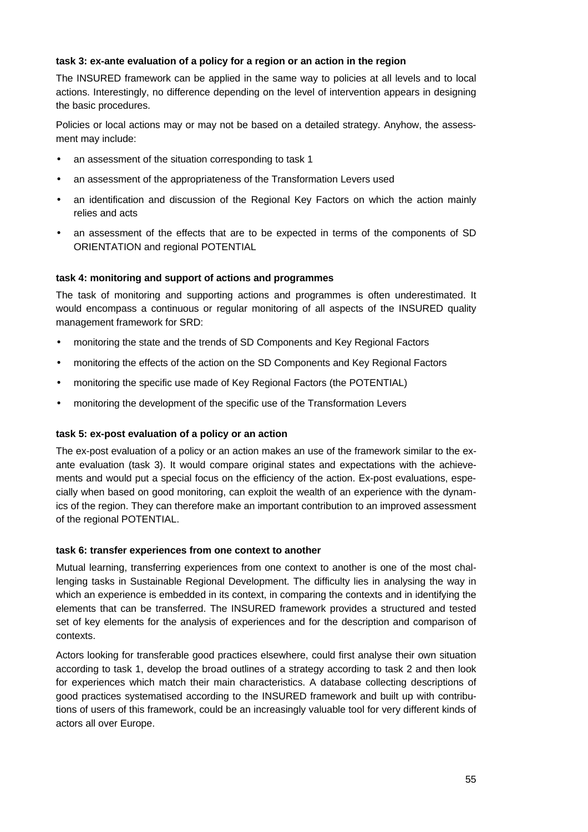## **task 3: ex-ante evaluation of a policy for a region or an action in the region**

The INSURED framework can be applied in the same way to policies at all levels and to local actions. Interestingly, no difference depending on the level of intervention appears in designing the basic procedures.

Policies or local actions may or may not be based on a detailed strategy. Anyhow, the assessment may include:

- an assessment of the situation corresponding to task 1
- an assessment of the appropriateness of the Transformation Levers used
- an identification and discussion of the Regional Key Factors on which the action mainly relies and acts
- an assessment of the effects that are to be expected in terms of the components of SD ORIENTATION and regional POTENTIAL

## **task 4: monitoring and support of actions and programmes**

The task of monitoring and supporting actions and programmes is often underestimated. It would encompass a continuous or regular monitoring of all aspects of the INSURED quality management framework for SRD:

- monitoring the state and the trends of SD Components and Key Regional Factors
- monitoring the effects of the action on the SD Components and Key Regional Factors
- monitoring the specific use made of Key Regional Factors (the POTENTIAL)
- monitoring the development of the specific use of the Transformation Levers

## **task 5: ex-post evaluation of a policy or an action**

The ex-post evaluation of a policy or an action makes an use of the framework similar to the exante evaluation (task 3). It would compare original states and expectations with the achievements and would put a special focus on the efficiency of the action. Ex-post evaluations, especially when based on good monitoring, can exploit the wealth of an experience with the dynamics of the region. They can therefore make an important contribution to an improved assessment of the regional POTENTIAL.

## **task 6: transfer experiences from one context to another**

Mutual learning, transferring experiences from one context to another is one of the most challenging tasks in Sustainable Regional Development. The difficulty lies in analysing the way in which an experience is embedded in its context, in comparing the contexts and in identifying the elements that can be transferred. The INSURED framework provides a structured and tested set of key elements for the analysis of experiences and for the description and comparison of contexts.

Actors looking for transferable good practices elsewhere, could first analyse their own situation according to task 1, develop the broad outlines of a strategy according to task 2 and then look for experiences which match their main characteristics. A database collecting descriptions of good practices systematised according to the INSURED framework and built up with contributions of users of this framework, could be an increasingly valuable tool for very different kinds of actors all over Europe.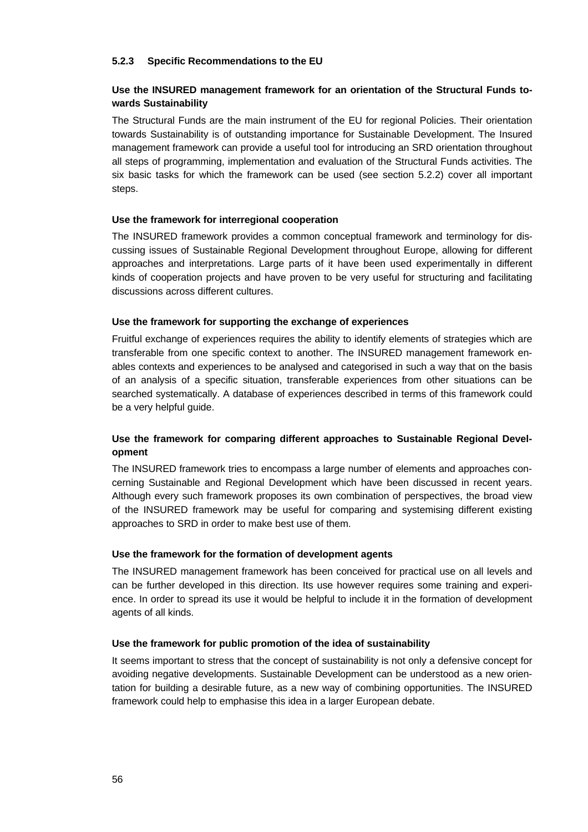### **5.2.3 Specific Recommendations to the EU**

### **Use the INSURED management framework for an orientation of the Structural Funds towards Sustainability**

The Structural Funds are the main instrument of the EU for regional Policies. Their orientation towards Sustainability is of outstanding importance for Sustainable Development. The Insured management framework can provide a useful tool for introducing an SRD orientation throughout all steps of programming, implementation and evaluation of the Structural Funds activities. The six basic tasks for which the framework can be used (see section 5.2.2) cover all important steps.

### **Use the framework for interregional cooperation**

The INSURED framework provides a common conceptual framework and terminology for discussing issues of Sustainable Regional Development throughout Europe, allowing for different approaches and interpretations. Large parts of it have been used experimentally in different kinds of cooperation projects and have proven to be very useful for structuring and facilitating discussions across different cultures.

### **Use the framework for supporting the exchange of experiences**

Fruitful exchange of experiences requires the ability to identify elements of strategies which are transferable from one specific context to another. The INSURED management framework enables contexts and experiences to be analysed and categorised in such a way that on the basis of an analysis of a specific situation, transferable experiences from other situations can be searched systematically. A database of experiences described in terms of this framework could be a very helpful guide.

### **Use the framework for comparing different approaches to Sustainable Regional Development**

The INSURED framework tries to encompass a large number of elements and approaches concerning Sustainable and Regional Development which have been discussed in recent years. Although every such framework proposes its own combination of perspectives, the broad view of the INSURED framework may be useful for comparing and systemising different existing approaches to SRD in order to make best use of them.

### **Use the framework for the formation of development agents**

The INSURED management framework has been conceived for practical use on all levels and can be further developed in this direction. Its use however requires some training and experience. In order to spread its use it would be helpful to include it in the formation of development agents of all kinds.

### **Use the framework for public promotion of the idea of sustainability**

It seems important to stress that the concept of sustainability is not only a defensive concept for avoiding negative developments. Sustainable Development can be understood as a new orientation for building a desirable future, as a new way of combining opportunities. The INSURED framework could help to emphasise this idea in a larger European debate.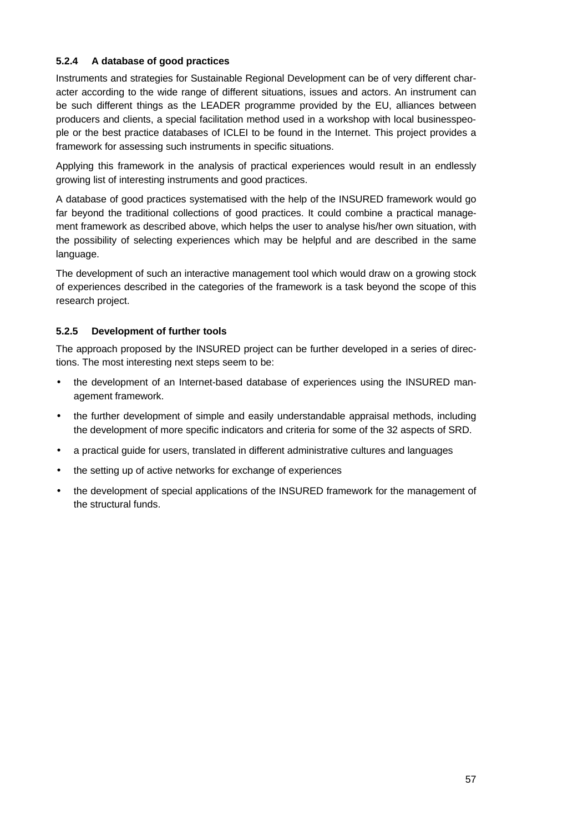### **5.2.4 A database of good practices**

Instruments and strategies for Sustainable Regional Development can be of very different character according to the wide range of different situations, issues and actors. An instrument can be such different things as the LEADER programme provided by the EU, alliances between producers and clients, a special facilitation method used in a workshop with local businesspeople or the best practice databases of ICLEI to be found in the Internet. This project provides a framework for assessing such instruments in specific situations.

Applying this framework in the analysis of practical experiences would result in an endlessly growing list of interesting instruments and good practices.

A database of good practices systematised with the help of the INSURED framework would go far beyond the traditional collections of good practices. It could combine a practical management framework as described above, which helps the user to analyse his/her own situation, with the possibility of selecting experiences which may be helpful and are described in the same language.

The development of such an interactive management tool which would draw on a growing stock of experiences described in the categories of the framework is a task beyond the scope of this research project.

### **5.2.5 Development of further tools**

The approach proposed by the INSURED project can be further developed in a series of directions. The most interesting next steps seem to be:

- the development of an Internet-based database of experiences using the INSURED management framework.
- the further development of simple and easily understandable appraisal methods, including the development of more specific indicators and criteria for some of the 32 aspects of SRD.
- a practical guide for users, translated in different administrative cultures and languages
- the setting up of active networks for exchange of experiences
- the development of special applications of the INSURED framework for the management of the structural funds.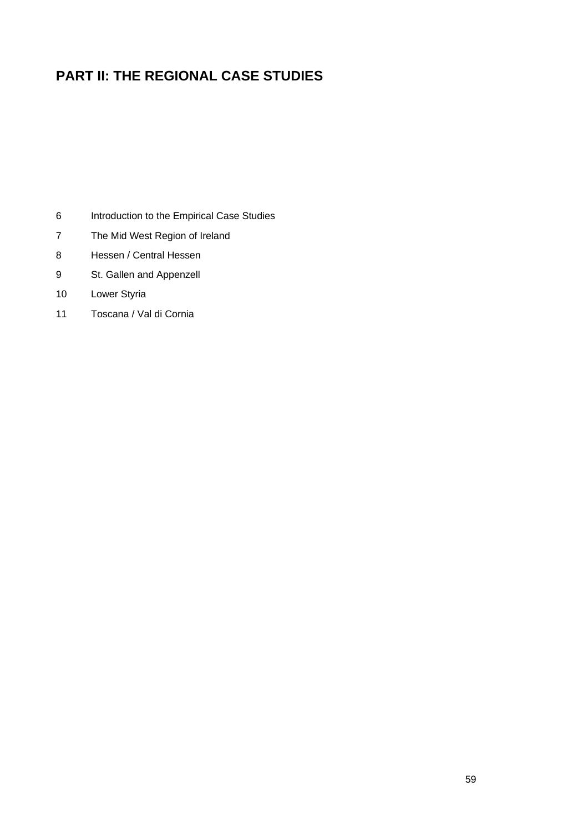# **PART II: THE REGIONAL CASE STUDIES**

- Introduction to the Empirical Case Studies
- The Mid West Region of Ireland
- Hessen / Central Hessen
- St. Gallen and Appenzell
- Lower Styria
- Toscana / Val di Cornia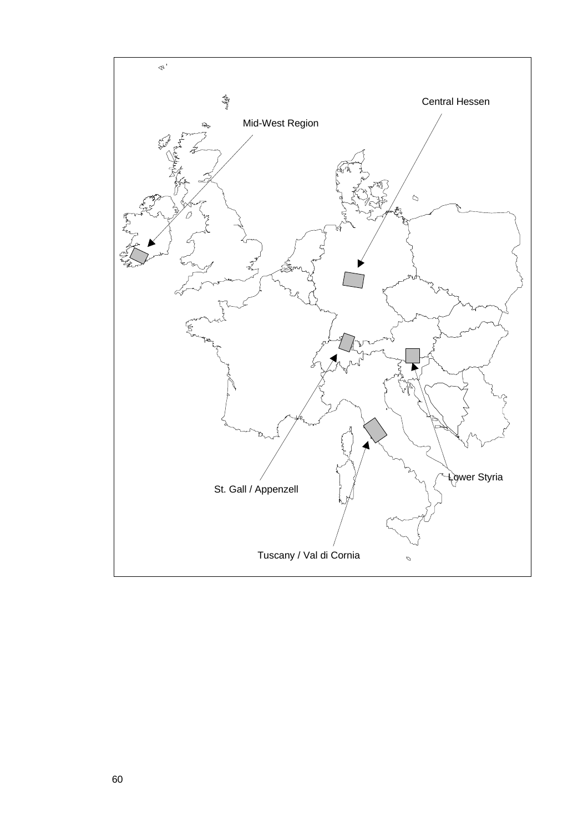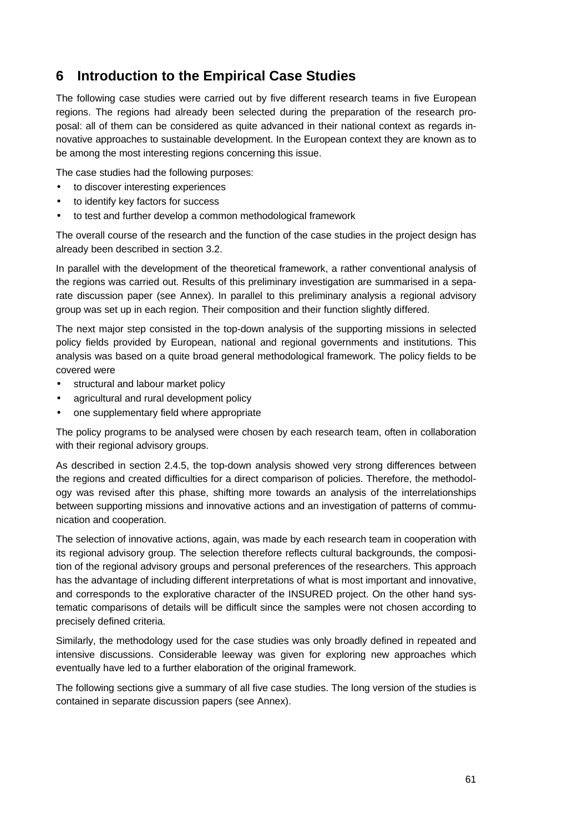# **6 Introduction to the Empirical Case Studies**

The following case studies were carried out by five different research teams in five European regions. The regions had already been selected during the preparation of the research proposal: all of them can be considered as quite advanced in their national context as regards innovative approaches to sustainable development. In the European context they are known as to be among the most interesting regions concerning this issue.

The case studies had the following purposes:

- to discover interesting experiences
- to identify key factors for success
- to test and further develop a common methodological framework

The overall course of the research and the function of the case studies in the project design has already been described in section 3.2.

In parallel with the development of the theoretical framework, a rather conventional analysis of the regions was carried out. Results of this preliminary investigation are summarised in a separate discussion paper (see Annex). In parallel to this preliminary analysis a regional advisory group was set up in each region. Their composition and their function slightly differed.

The next major step consisted in the top-down analysis of the supporting missions in selected policy fields provided by European, national and regional governments and institutions. This analysis was based on a quite broad general methodological framework. The policy fields to be covered were

- structural and labour market policy
- agricultural and rural development policy
- one supplementary field where appropriate

The policy programs to be analysed were chosen by each research team, often in collaboration with their regional advisory groups.

As described in section 2.4.5, the top-down analysis showed very strong differences between the regions and created difficulties for a direct comparison of policies. Therefore, the methodology was revised after this phase, shifting more towards an analysis of the interrelationships between supporting missions and innovative actions and an investigation of patterns of communication and cooperation.

The selection of innovative actions, again, was made by each research team in cooperation with its regional advisory group. The selection therefore reflects cultural backgrounds, the composition of the regional advisory groups and personal preferences of the researchers. This approach has the advantage of including different interpretations of what is most important and innovative, and corresponds to the explorative character of the INSURED project. On the other hand systematic comparisons of details will be difficult since the samples were not chosen according to precisely defined criteria.

Similarly, the methodology used for the case studies was only broadly defined in repeated and intensive discussions. Considerable leeway was given for exploring new approaches which eventually have led to a further elaboration of the original framework.

The following sections give a summary of all five case studies. The long version of the studies is contained in separate discussion papers (see Annex).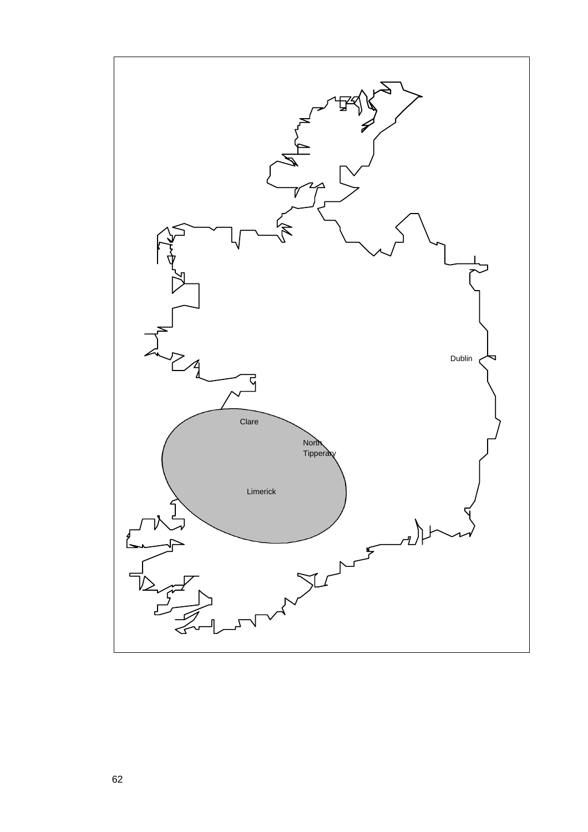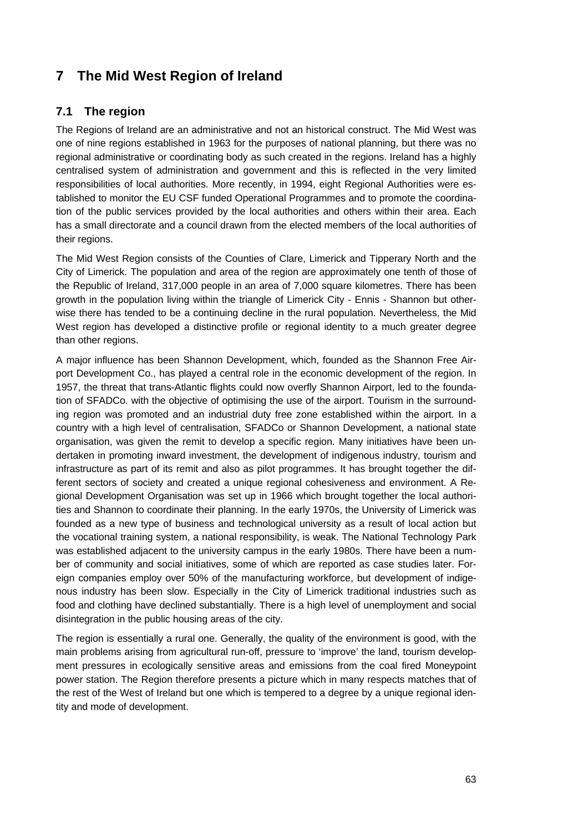# **7 The Mid West Region of Ireland**

# **7.1 The region**

The Regions of Ireland are an administrative and not an historical construct. The Mid West was one of nine regions established in 1963 for the purposes of national planning, but there was no regional administrative or coordinating body as such created in the regions. Ireland has a highly centralised system of administration and government and this is reflected in the very limited responsibilities of local authorities. More recently, in 1994, eight Regional Authorities were established to monitor the EU CSF funded Operational Programmes and to promote the coordination of the public services provided by the local authorities and others within their area. Each has a small directorate and a council drawn from the elected members of the local authorities of their regions.

The Mid West Region consists of the Counties of Clare, Limerick and Tipperary North and the City of Limerick. The population and area of the region are approximately one tenth of those of the Republic of Ireland, 317,000 people in an area of 7,000 square kilometres. There has been growth in the population living within the triangle of Limerick City - Ennis - Shannon but otherwise there has tended to be a continuing decline in the rural population. Nevertheless, the Mid West region has developed a distinctive profile or regional identity to a much greater degree than other regions.

A major influence has been Shannon Development, which, founded as the Shannon Free Airport Development Co., has played a central role in the economic development of the region. In 1957, the threat that trans-Atlantic flights could now overfly Shannon Airport, led to the foundation of SFADCo. with the objective of optimising the use of the airport. Tourism in the surrounding region was promoted and an industrial duty free zone established within the airport. In a country with a high level of centralisation, SFADCo or Shannon Development, a national state organisation, was given the remit to develop a specific region. Many initiatives have been undertaken in promoting inward investment, the development of indigenous industry, tourism and infrastructure as part of its remit and also as pilot programmes. It has brought together the different sectors of society and created a unique regional cohesiveness and environment. A Regional Development Organisation was set up in 1966 which brought together the local authorities and Shannon to coordinate their planning. In the early 1970s, the University of Limerick was founded as a new type of business and technological university as a result of local action but the vocational training system, a national responsibility, is weak. The National Technology Park was established adjacent to the university campus in the early 1980s. There have been a number of community and social initiatives, some of which are reported as case studies later. Foreign companies employ over 50% of the manufacturing workforce, but development of indigenous industry has been slow. Especially in the City of Limerick traditional industries such as food and clothing have declined substantially. There is a high level of unemployment and social disintegration in the public housing areas of the city.

The region is essentially a rural one. Generally, the quality of the environment is good, with the main problems arising from agricultural run-off, pressure to 'improve' the land, tourism development pressures in ecologically sensitive areas and emissions from the coal fired Moneypoint power station. The Region therefore presents a picture which in many respects matches that of the rest of the West of Ireland but one which is tempered to a degree by a unique regional identity and mode of development.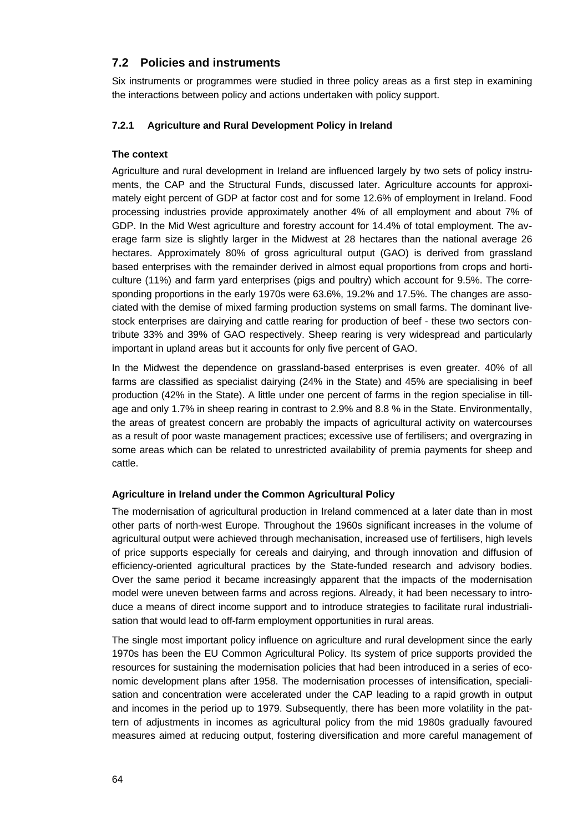# **7.2 Policies and instruments**

Six instruments or programmes were studied in three policy areas as a first step in examining the interactions between policy and actions undertaken with policy support.

### **7.2.1 Agriculture and Rural Development Policy in Ireland**

### **The context**

Agriculture and rural development in Ireland are influenced largely by two sets of policy instruments, the CAP and the Structural Funds, discussed later. Agriculture accounts for approximately eight percent of GDP at factor cost and for some 12.6% of employment in Ireland. Food processing industries provide approximately another 4% of all employment and about 7% of GDP. In the Mid West agriculture and forestry account for 14.4% of total employment. The average farm size is slightly larger in the Midwest at 28 hectares than the national average 26 hectares. Approximately 80% of gross agricultural output (GAO) is derived from grassland based enterprises with the remainder derived in almost equal proportions from crops and horticulture (11%) and farm yard enterprises (pigs and poultry) which account for 9.5%. The corresponding proportions in the early 1970s were 63.6%, 19.2% and 17.5%. The changes are associated with the demise of mixed farming production systems on small farms. The dominant livestock enterprises are dairying and cattle rearing for production of beef - these two sectors contribute 33% and 39% of GAO respectively. Sheep rearing is very widespread and particularly important in upland areas but it accounts for only five percent of GAO.

In the Midwest the dependence on grassland-based enterprises is even greater. 40% of all farms are classified as specialist dairying (24% in the State) and 45% are specialising in beef production (42% in the State). A little under one percent of farms in the region specialise in tillage and only 1.7% in sheep rearing in contrast to 2.9% and 8.8 % in the State. Environmentally, the areas of greatest concern are probably the impacts of agricultural activity on watercourses as a result of poor waste management practices; excessive use of fertilisers; and overgrazing in some areas which can be related to unrestricted availability of premia payments for sheep and cattle.

### **Agriculture in Ireland under the Common Agricultural Policy**

The modernisation of agricultural production in Ireland commenced at a later date than in most other parts of north-west Europe. Throughout the 1960s significant increases in the volume of agricultural output were achieved through mechanisation, increased use of fertilisers, high levels of price supports especially for cereals and dairying, and through innovation and diffusion of efficiency-oriented agricultural practices by the State-funded research and advisory bodies. Over the same period it became increasingly apparent that the impacts of the modernisation model were uneven between farms and across regions. Already, it had been necessary to introduce a means of direct income support and to introduce strategies to facilitate rural industrialisation that would lead to off-farm employment opportunities in rural areas.

The single most important policy influence on agriculture and rural development since the early 1970s has been the EU Common Agricultural Policy. Its system of price supports provided the resources for sustaining the modernisation policies that had been introduced in a series of economic development plans after 1958. The modernisation processes of intensification, specialisation and concentration were accelerated under the CAP leading to a rapid growth in output and incomes in the period up to 1979. Subsequently, there has been more volatility in the pattern of adjustments in incomes as agricultural policy from the mid 1980s gradually favoured measures aimed at reducing output, fostering diversification and more careful management of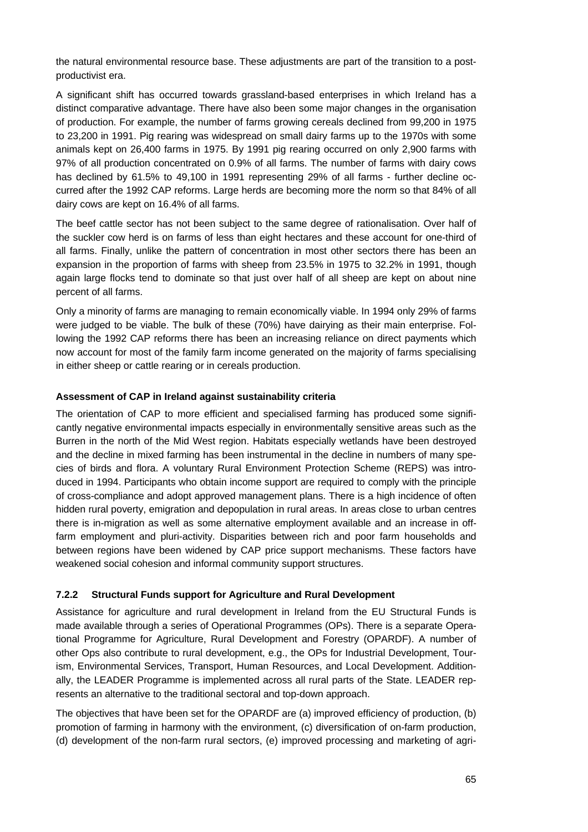the natural environmental resource base. These adjustments are part of the transition to a postproductivist era.

A significant shift has occurred towards grassland-based enterprises in which Ireland has a distinct comparative advantage. There have also been some major changes in the organisation of production. For example, the number of farms growing cereals declined from 99,200 in 1975 to 23,200 in 1991. Pig rearing was widespread on small dairy farms up to the 1970s with some animals kept on 26,400 farms in 1975. By 1991 pig rearing occurred on only 2,900 farms with 97% of all production concentrated on 0.9% of all farms. The number of farms with dairy cows has declined by 61.5% to 49,100 in 1991 representing 29% of all farms - further decline occurred after the 1992 CAP reforms. Large herds are becoming more the norm so that 84% of all dairy cows are kept on 16.4% of all farms.

The beef cattle sector has not been subject to the same degree of rationalisation. Over half of the suckler cow herd is on farms of less than eight hectares and these account for one-third of all farms. Finally, unlike the pattern of concentration in most other sectors there has been an expansion in the proportion of farms with sheep from 23.5% in 1975 to 32.2% in 1991, though again large flocks tend to dominate so that just over half of all sheep are kept on about nine percent of all farms.

Only a minority of farms are managing to remain economically viable. In 1994 only 29% of farms were judged to be viable. The bulk of these (70%) have dairying as their main enterprise. Following the 1992 CAP reforms there has been an increasing reliance on direct payments which now account for most of the family farm income generated on the majority of farms specialising in either sheep or cattle rearing or in cereals production.

### **Assessment of CAP in Ireland against sustainability criteria**

The orientation of CAP to more efficient and specialised farming has produced some significantly negative environmental impacts especially in environmentally sensitive areas such as the Burren in the north of the Mid West region. Habitats especially wetlands have been destroyed and the decline in mixed farming has been instrumental in the decline in numbers of many species of birds and flora. A voluntary Rural Environment Protection Scheme (REPS) was introduced in 1994. Participants who obtain income support are required to comply with the principle of cross-compliance and adopt approved management plans. There is a high incidence of often hidden rural poverty, emigration and depopulation in rural areas. In areas close to urban centres there is in-migration as well as some alternative employment available and an increase in offfarm employment and pluri-activity. Disparities between rich and poor farm households and between regions have been widened by CAP price support mechanisms. These factors have weakened social cohesion and informal community support structures.

### **7.2.2 Structural Funds support for Agriculture and Rural Development**

Assistance for agriculture and rural development in Ireland from the EU Structural Funds is made available through a series of Operational Programmes (OPs). There is a separate Operational Programme for Agriculture, Rural Development and Forestry (OPARDF). A number of other Ops also contribute to rural development, e.g., the OPs for Industrial Development, Tourism, Environmental Services, Transport, Human Resources, and Local Development. Additionally, the LEADER Programme is implemented across all rural parts of the State. LEADER represents an alternative to the traditional sectoral and top-down approach.

The objectives that have been set for the OPARDF are (a) improved efficiency of production, (b) promotion of farming in harmony with the environment, (c) diversification of on-farm production, (d) development of the non-farm rural sectors, (e) improved processing and marketing of agri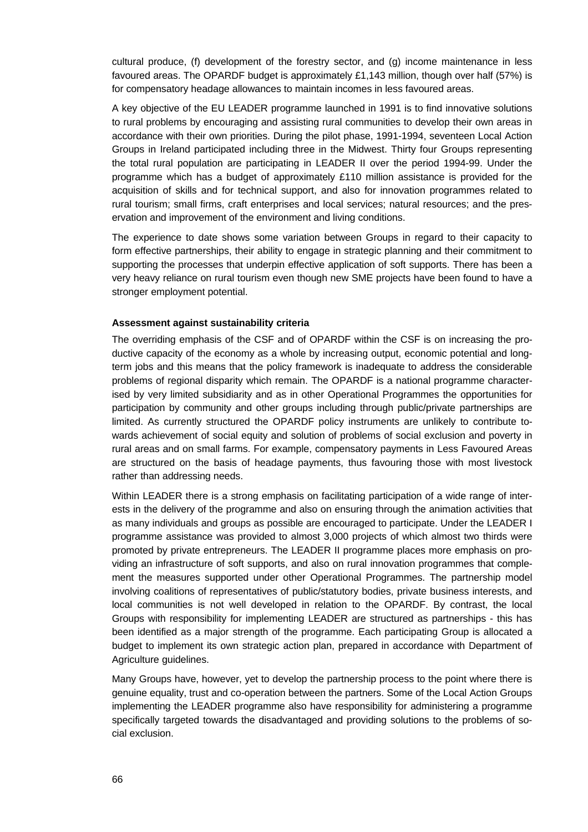cultural produce, (f) development of the forestry sector, and (g) income maintenance in less favoured areas. The OPARDF budget is approximately £1,143 million, though over half (57%) is for compensatory headage allowances to maintain incomes in less favoured areas.

A key objective of the EU LEADER programme launched in 1991 is to find innovative solutions to rural problems by encouraging and assisting rural communities to develop their own areas in accordance with their own priorities. During the pilot phase, 1991-1994, seventeen Local Action Groups in Ireland participated including three in the Midwest. Thirty four Groups representing the total rural population are participating in LEADER II over the period 1994-99. Under the programme which has a budget of approximately £110 million assistance is provided for the acquisition of skills and for technical support, and also for innovation programmes related to rural tourism; small firms, craft enterprises and local services; natural resources; and the preservation and improvement of the environment and living conditions.

The experience to date shows some variation between Groups in regard to their capacity to form effective partnerships, their ability to engage in strategic planning and their commitment to supporting the processes that underpin effective application of soft supports. There has been a very heavy reliance on rural tourism even though new SME projects have been found to have a stronger employment potential.

#### **Assessment against sustainability criteria**

The overriding emphasis of the CSF and of OPARDF within the CSF is on increasing the productive capacity of the economy as a whole by increasing output, economic potential and longterm jobs and this means that the policy framework is inadequate to address the considerable problems of regional disparity which remain. The OPARDF is a national programme characterised by very limited subsidiarity and as in other Operational Programmes the opportunities for participation by community and other groups including through public/private partnerships are limited. As currently structured the OPARDF policy instruments are unlikely to contribute towards achievement of social equity and solution of problems of social exclusion and poverty in rural areas and on small farms. For example, compensatory payments in Less Favoured Areas are structured on the basis of headage payments, thus favouring those with most livestock rather than addressing needs.

Within LEADER there is a strong emphasis on facilitating participation of a wide range of interests in the delivery of the programme and also on ensuring through the animation activities that as many individuals and groups as possible are encouraged to participate. Under the LEADER I programme assistance was provided to almost 3,000 projects of which almost two thirds were promoted by private entrepreneurs. The LEADER II programme places more emphasis on providing an infrastructure of soft supports, and also on rural innovation programmes that complement the measures supported under other Operational Programmes. The partnership model involving coalitions of representatives of public/statutory bodies, private business interests, and local communities is not well developed in relation to the OPARDF. By contrast, the local Groups with responsibility for implementing LEADER are structured as partnerships - this has been identified as a major strength of the programme. Each participating Group is allocated a budget to implement its own strategic action plan, prepared in accordance with Department of Agriculture guidelines.

Many Groups have, however, yet to develop the partnership process to the point where there is genuine equality, trust and co-operation between the partners. Some of the Local Action Groups implementing the LEADER programme also have responsibility for administering a programme specifically targeted towards the disadvantaged and providing solutions to the problems of social exclusion.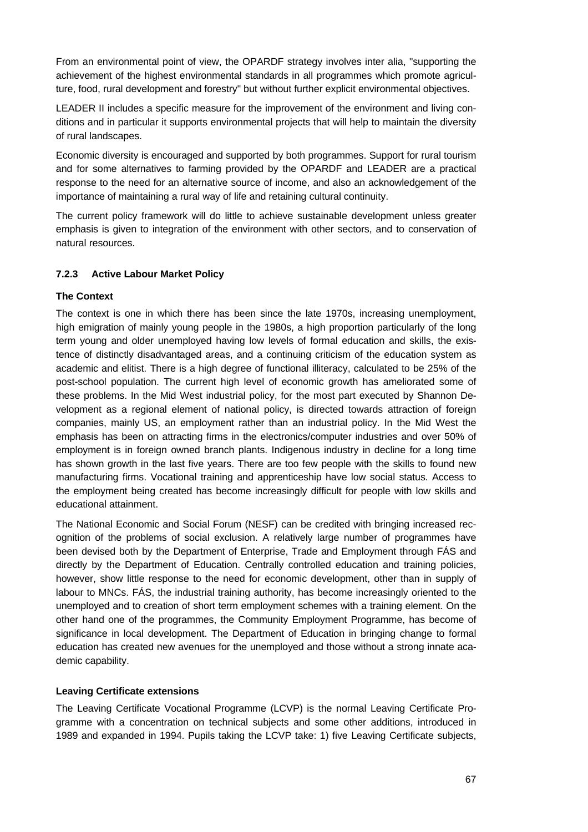From an environmental point of view, the OPARDF strategy involves inter alia, "supporting the achievement of the highest environmental standards in all programmes which promote agriculture, food, rural development and forestry" but without further explicit environmental objectives.

LEADER II includes a specific measure for the improvement of the environment and living conditions and in particular it supports environmental projects that will help to maintain the diversity of rural landscapes.

Economic diversity is encouraged and supported by both programmes. Support for rural tourism and for some alternatives to farming provided by the OPARDF and LEADER are a practical response to the need for an alternative source of income, and also an acknowledgement of the importance of maintaining a rural way of life and retaining cultural continuity.

The current policy framework will do little to achieve sustainable development unless greater emphasis is given to integration of the environment with other sectors, and to conservation of natural resources.

### **7.2.3 Active Labour Market Policy**

### **The Context**

The context is one in which there has been since the late 1970s, increasing unemployment, high emigration of mainly young people in the 1980s, a high proportion particularly of the long term young and older unemployed having low levels of formal education and skills, the existence of distinctly disadvantaged areas, and a continuing criticism of the education system as academic and elitist. There is a high degree of functional illiteracy, calculated to be 25% of the post-school population. The current high level of economic growth has ameliorated some of these problems. In the Mid West industrial policy, for the most part executed by Shannon Development as a regional element of national policy, is directed towards attraction of foreign companies, mainly US, an employment rather than an industrial policy. In the Mid West the emphasis has been on attracting firms in the electronics/computer industries and over 50% of employment is in foreign owned branch plants. Indigenous industry in decline for a long time has shown growth in the last five years. There are too few people with the skills to found new manufacturing firms. Vocational training and apprenticeship have low social status. Access to the employment being created has become increasingly difficult for people with low skills and educational attainment.

The National Economic and Social Forum (NESF) can be credited with bringing increased recognition of the problems of social exclusion. A relatively large number of programmes have been devised both by the Department of Enterprise, Trade and Employment through FÁS and directly by the Department of Education. Centrally controlled education and training policies, however, show little response to the need for economic development, other than in supply of labour to MNCs. FÁS, the industrial training authority, has become increasingly oriented to the unemployed and to creation of short term employment schemes with a training element. On the other hand one of the programmes, the Community Employment Programme, has become of significance in local development. The Department of Education in bringing change to formal education has created new avenues for the unemployed and those without a strong innate academic capability.

### **Leaving Certificate extensions**

The Leaving Certificate Vocational Programme (LCVP) is the normal Leaving Certificate Programme with a concentration on technical subjects and some other additions, introduced in 1989 and expanded in 1994. Pupils taking the LCVP take: 1) five Leaving Certificate subjects,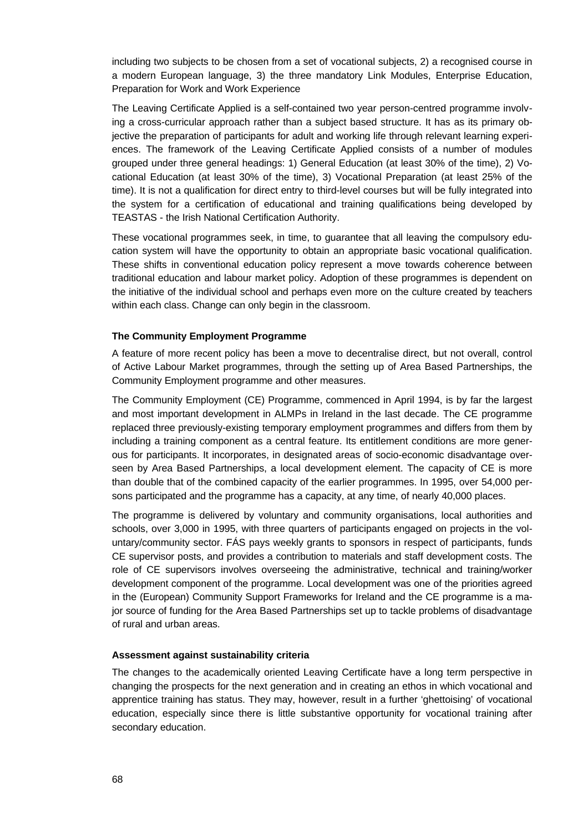including two subjects to be chosen from a set of vocational subjects, 2) a recognised course in a modern European language, 3) the three mandatory Link Modules, Enterprise Education, Preparation for Work and Work Experience

The Leaving Certificate Applied is a self-contained two year person-centred programme involving a cross-curricular approach rather than a subject based structure. It has as its primary objective the preparation of participants for adult and working life through relevant learning experiences. The framework of the Leaving Certificate Applied consists of a number of modules grouped under three general headings: 1) General Education (at least 30% of the time), 2) Vocational Education (at least 30% of the time), 3) Vocational Preparation (at least 25% of the time). It is not a qualification for direct entry to third-level courses but will be fully integrated into the system for a certification of educational and training qualifications being developed by TEASTAS - the Irish National Certification Authority.

These vocational programmes seek, in time, to guarantee that all leaving the compulsory education system will have the opportunity to obtain an appropriate basic vocational qualification. These shifts in conventional education policy represent a move towards coherence between traditional education and labour market policy. Adoption of these programmes is dependent on the initiative of the individual school and perhaps even more on the culture created by teachers within each class. Change can only begin in the classroom.

#### **The Community Employment Programme**

A feature of more recent policy has been a move to decentralise direct, but not overall, control of Active Labour Market programmes, through the setting up of Area Based Partnerships, the Community Employment programme and other measures.

The Community Employment (CE) Programme, commenced in April 1994, is by far the largest and most important development in ALMPs in Ireland in the last decade. The CE programme replaced three previously-existing temporary employment programmes and differs from them by including a training component as a central feature. Its entitlement conditions are more generous for participants. It incorporates, in designated areas of socio-economic disadvantage overseen by Area Based Partnerships, a local development element. The capacity of CE is more than double that of the combined capacity of the earlier programmes. In 1995, over 54,000 persons participated and the programme has a capacity, at any time, of nearly 40,000 places.

The programme is delivered by voluntary and community organisations, local authorities and schools, over 3,000 in 1995, with three quarters of participants engaged on projects in the voluntary/community sector. FÁS pays weekly grants to sponsors in respect of participants, funds CE supervisor posts, and provides a contribution to materials and staff development costs. The role of CE supervisors involves overseeing the administrative, technical and training/worker development component of the programme. Local development was one of the priorities agreed in the (European) Community Support Frameworks for Ireland and the CE programme is a major source of funding for the Area Based Partnerships set up to tackle problems of disadvantage of rural and urban areas.

#### **Assessment against sustainability criteria**

The changes to the academically oriented Leaving Certificate have a long term perspective in changing the prospects for the next generation and in creating an ethos in which vocational and apprentice training has status. They may, however, result in a further 'ghettoising' of vocational education, especially since there is little substantive opportunity for vocational training after secondary education.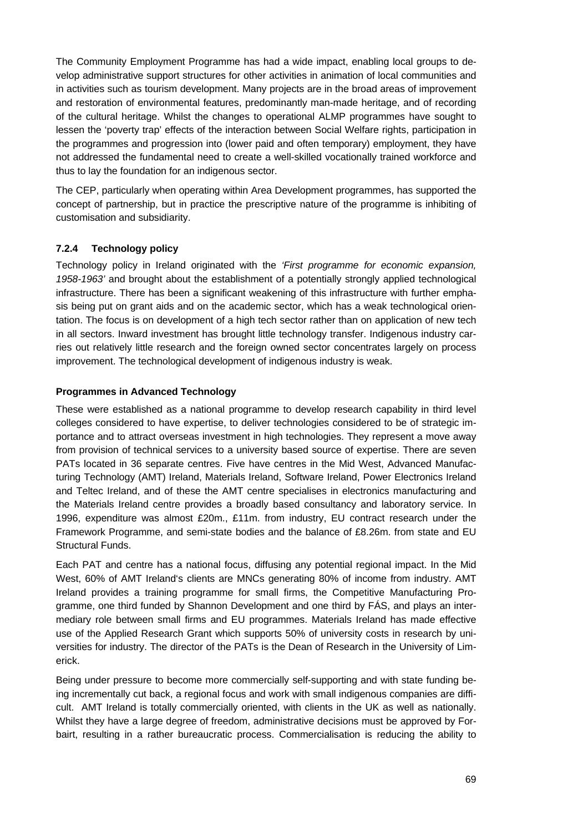The Community Employment Programme has had a wide impact, enabling local groups to develop administrative support structures for other activities in animation of local communities and in activities such as tourism development. Many projects are in the broad areas of improvement and restoration of environmental features, predominantly man-made heritage, and of recording of the cultural heritage. Whilst the changes to operational ALMP programmes have sought to lessen the 'poverty trap' effects of the interaction between Social Welfare rights, participation in the programmes and progression into (lower paid and often temporary) employment, they have not addressed the fundamental need to create a well-skilled vocationally trained workforce and thus to lay the foundation for an indigenous sector.

The CEP, particularly when operating within Area Development programmes, has supported the concept of partnership, but in practice the prescriptive nature of the programme is inhibiting of customisation and subsidiarity.

### **7.2.4 Technology policy**

Technology policy in Ireland originated with the *'First programme for economic expansion, 1958-1963'* and brought about the establishment of a potentially strongly applied technological infrastructure. There has been a significant weakening of this infrastructure with further emphasis being put on grant aids and on the academic sector, which has a weak technological orientation. The focus is on development of a high tech sector rather than on application of new tech in all sectors. Inward investment has brought little technology transfer. Indigenous industry carries out relatively little research and the foreign owned sector concentrates largely on process improvement. The technological development of indigenous industry is weak.

### **Programmes in Advanced Technology**

These were established as a national programme to develop research capability in third level colleges considered to have expertise, to deliver technologies considered to be of strategic importance and to attract overseas investment in high technologies. They represent a move away from provision of technical services to a university based source of expertise. There are seven PATs located in 36 separate centres. Five have centres in the Mid West, Advanced Manufacturing Technology (AMT) Ireland, Materials Ireland, Software Ireland, Power Electronics Ireland and Teltec Ireland, and of these the AMT centre specialises in electronics manufacturing and the Materials Ireland centre provides a broadly based consultancy and laboratory service. In 1996, expenditure was almost £20m., £11m. from industry, EU contract research under the Framework Programme, and semi-state bodies and the balance of £8.26m. from state and EU Structural Funds.

Each PAT and centre has a national focus, diffusing any potential regional impact. In the Mid West, 60% of AMT Ireland's clients are MNCs generating 80% of income from industry. AMT Ireland provides a training programme for small firms, the Competitive Manufacturing Programme, one third funded by Shannon Development and one third by FÁS, and plays an intermediary role between small firms and EU programmes. Materials Ireland has made effective use of the Applied Research Grant which supports 50% of university costs in research by universities for industry. The director of the PATs is the Dean of Research in the University of Limerick.

Being under pressure to become more commercially self-supporting and with state funding being incrementally cut back, a regional focus and work with small indigenous companies are difficult. AMT Ireland is totally commercially oriented, with clients in the UK as well as nationally. Whilst they have a large degree of freedom, administrative decisions must be approved by Forbairt, resulting in a rather bureaucratic process. Commercialisation is reducing the ability to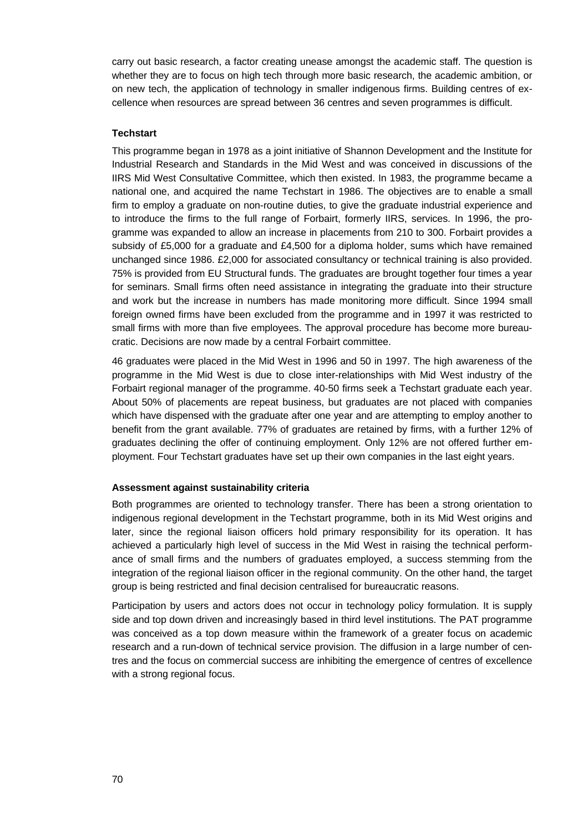carry out basic research, a factor creating unease amongst the academic staff. The question is whether they are to focus on high tech through more basic research, the academic ambition, or on new tech, the application of technology in smaller indigenous firms. Building centres of excellence when resources are spread between 36 centres and seven programmes is difficult.

#### **Techstart**

This programme began in 1978 as a joint initiative of Shannon Development and the Institute for Industrial Research and Standards in the Mid West and was conceived in discussions of the IIRS Mid West Consultative Committee, which then existed. In 1983, the programme became a national one, and acquired the name Techstart in 1986. The objectives are to enable a small firm to employ a graduate on non-routine duties, to give the graduate industrial experience and to introduce the firms to the full range of Forbairt, formerly IIRS, services. In 1996, the programme was expanded to allow an increase in placements from 210 to 300. Forbairt provides a subsidy of £5,000 for a graduate and £4,500 for a diploma holder, sums which have remained unchanged since 1986. £2,000 for associated consultancy or technical training is also provided. 75% is provided from EU Structural funds. The graduates are brought together four times a year for seminars. Small firms often need assistance in integrating the graduate into their structure and work but the increase in numbers has made monitoring more difficult. Since 1994 small foreign owned firms have been excluded from the programme and in 1997 it was restricted to small firms with more than five employees. The approval procedure has become more bureaucratic. Decisions are now made by a central Forbairt committee.

46 graduates were placed in the Mid West in 1996 and 50 in 1997. The high awareness of the programme in the Mid West is due to close inter-relationships with Mid West industry of the Forbairt regional manager of the programme. 40-50 firms seek a Techstart graduate each year. About 50% of placements are repeat business, but graduates are not placed with companies which have dispensed with the graduate after one year and are attempting to employ another to benefit from the grant available. 77% of graduates are retained by firms, with a further 12% of graduates declining the offer of continuing employment. Only 12% are not offered further employment. Four Techstart graduates have set up their own companies in the last eight years.

#### **Assessment against sustainability criteria**

Both programmes are oriented to technology transfer. There has been a strong orientation to indigenous regional development in the Techstart programme, both in its Mid West origins and later, since the regional liaison officers hold primary responsibility for its operation. It has achieved a particularly high level of success in the Mid West in raising the technical performance of small firms and the numbers of graduates employed, a success stemming from the integration of the regional liaison officer in the regional community. On the other hand, the target group is being restricted and final decision centralised for bureaucratic reasons.

Participation by users and actors does not occur in technology policy formulation. It is supply side and top down driven and increasingly based in third level institutions. The PAT programme was conceived as a top down measure within the framework of a greater focus on academic research and a run-down of technical service provision. The diffusion in a large number of centres and the focus on commercial success are inhibiting the emergence of centres of excellence with a strong regional focus.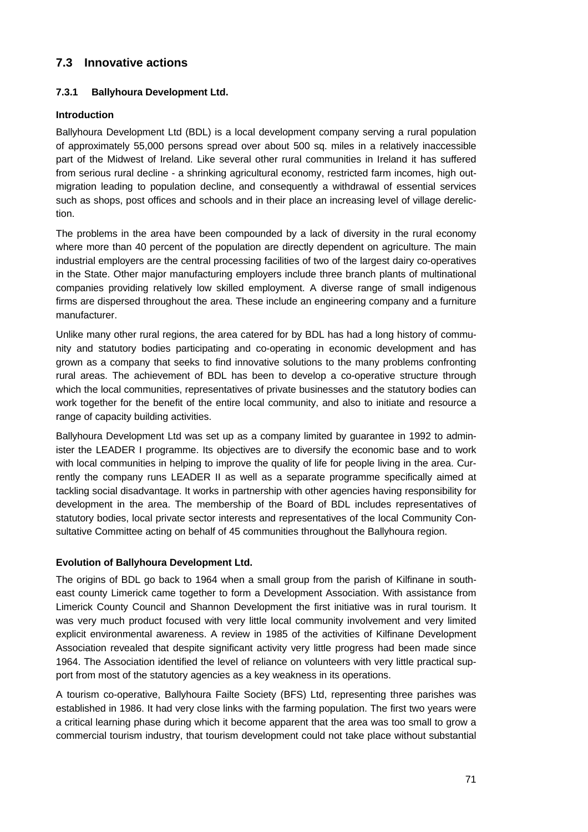# **7.3 Innovative actions**

### **7.3.1 Ballyhoura Development Ltd.**

### **Introduction**

Ballyhoura Development Ltd (BDL) is a local development company serving a rural population of approximately 55,000 persons spread over about 500 sq. miles in a relatively inaccessible part of the Midwest of Ireland. Like several other rural communities in Ireland it has suffered from serious rural decline - a shrinking agricultural economy, restricted farm incomes, high outmigration leading to population decline, and consequently a withdrawal of essential services such as shops, post offices and schools and in their place an increasing level of village dereliction.

The problems in the area have been compounded by a lack of diversity in the rural economy where more than 40 percent of the population are directly dependent on agriculture. The main industrial employers are the central processing facilities of two of the largest dairy co-operatives in the State. Other major manufacturing employers include three branch plants of multinational companies providing relatively low skilled employment. A diverse range of small indigenous firms are dispersed throughout the area. These include an engineering company and a furniture manufacturer.

Unlike many other rural regions, the area catered for by BDL has had a long history of community and statutory bodies participating and co-operating in economic development and has grown as a company that seeks to find innovative solutions to the many problems confronting rural areas. The achievement of BDL has been to develop a co-operative structure through which the local communities, representatives of private businesses and the statutory bodies can work together for the benefit of the entire local community, and also to initiate and resource a range of capacity building activities.

Ballyhoura Development Ltd was set up as a company limited by guarantee in 1992 to administer the LEADER I programme. Its objectives are to diversify the economic base and to work with local communities in helping to improve the quality of life for people living in the area. Currently the company runs LEADER II as well as a separate programme specifically aimed at tackling social disadvantage. It works in partnership with other agencies having responsibility for development in the area. The membership of the Board of BDL includes representatives of statutory bodies, local private sector interests and representatives of the local Community Consultative Committee acting on behalf of 45 communities throughout the Ballyhoura region.

### **Evolution of Ballyhoura Development Ltd.**

The origins of BDL go back to 1964 when a small group from the parish of Kilfinane in southeast county Limerick came together to form a Development Association. With assistance from Limerick County Council and Shannon Development the first initiative was in rural tourism. It was very much product focused with very little local community involvement and very limited explicit environmental awareness. A review in 1985 of the activities of Kilfinane Development Association revealed that despite significant activity very little progress had been made since 1964. The Association identified the level of reliance on volunteers with very little practical support from most of the statutory agencies as a key weakness in its operations.

A tourism co-operative, Ballyhoura Failte Society (BFS) Ltd, representing three parishes was established in 1986. It had very close links with the farming population. The first two years were a critical learning phase during which it become apparent that the area was too small to grow a commercial tourism industry, that tourism development could not take place without substantial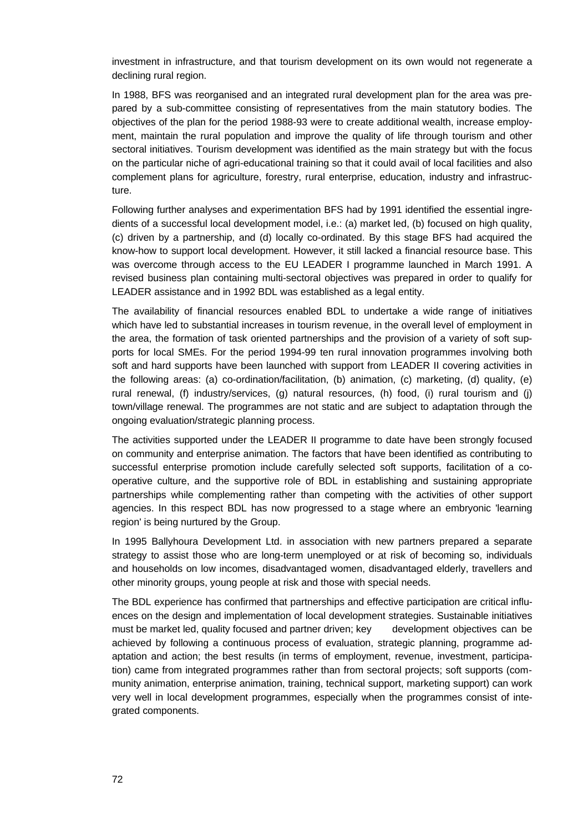investment in infrastructure, and that tourism development on its own would not regenerate a declining rural region.

In 1988, BFS was reorganised and an integrated rural development plan for the area was prepared by a sub-committee consisting of representatives from the main statutory bodies. The objectives of the plan for the period 1988-93 were to create additional wealth, increase employment, maintain the rural population and improve the quality of life through tourism and other sectoral initiatives. Tourism development was identified as the main strategy but with the focus on the particular niche of agri-educational training so that it could avail of local facilities and also complement plans for agriculture, forestry, rural enterprise, education, industry and infrastructure.

Following further analyses and experimentation BFS had by 1991 identified the essential ingredients of a successful local development model, i.e.: (a) market led, (b) focused on high quality, (c) driven by a partnership, and (d) locally co-ordinated. By this stage BFS had acquired the know-how to support local development. However, it still lacked a financial resource base. This was overcome through access to the EU LEADER I programme launched in March 1991. A revised business plan containing multi-sectoral objectives was prepared in order to qualify for LEADER assistance and in 1992 BDL was established as a legal entity.

The availability of financial resources enabled BDL to undertake a wide range of initiatives which have led to substantial increases in tourism revenue, in the overall level of employment in the area, the formation of task oriented partnerships and the provision of a variety of soft supports for local SMEs. For the period 1994-99 ten rural innovation programmes involving both soft and hard supports have been launched with support from LEADER II covering activities in the following areas: (a) co-ordination/facilitation, (b) animation, (c) marketing, (d) quality, (e) rural renewal, (f) industry/services, (g) natural resources, (h) food, (i) rural tourism and (j) town/village renewal. The programmes are not static and are subject to adaptation through the ongoing evaluation/strategic planning process.

The activities supported under the LEADER II programme to date have been strongly focused on community and enterprise animation. The factors that have been identified as contributing to successful enterprise promotion include carefully selected soft supports, facilitation of a cooperative culture, and the supportive role of BDL in establishing and sustaining appropriate partnerships while complementing rather than competing with the activities of other support agencies. In this respect BDL has now progressed to a stage where an embryonic 'learning region' is being nurtured by the Group.

In 1995 Ballyhoura Development Ltd. in association with new partners prepared a separate strategy to assist those who are long-term unemployed or at risk of becoming so, individuals and households on low incomes, disadvantaged women, disadvantaged elderly, travellers and other minority groups, young people at risk and those with special needs.

The BDL experience has confirmed that partnerships and effective participation are critical influences on the design and implementation of local development strategies. Sustainable initiatives must be market led, quality focused and partner driven; key development objectives can be achieved by following a continuous process of evaluation, strategic planning, programme adaptation and action; the best results (in terms of employment, revenue, investment, participation) came from integrated programmes rather than from sectoral projects; soft supports (community animation, enterprise animation, training, technical support, marketing support) can work very well in local development programmes, especially when the programmes consist of integrated components.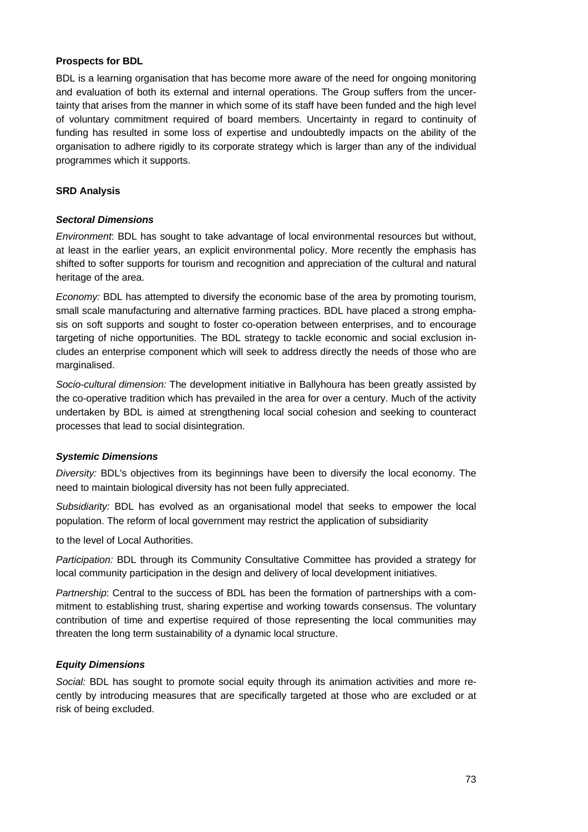### **Prospects for BDL**

BDL is a learning organisation that has become more aware of the need for ongoing monitoring and evaluation of both its external and internal operations. The Group suffers from the uncertainty that arises from the manner in which some of its staff have been funded and the high level of voluntary commitment required of board members. Uncertainty in regard to continuity of funding has resulted in some loss of expertise and undoubtedly impacts on the ability of the organisation to adhere rigidly to its corporate strategy which is larger than any of the individual programmes which it supports.

#### **SRD Analysis**

#### *Sectoral Dimensions*

*Environment*: BDL has sought to take advantage of local environmental resources but without, at least in the earlier years, an explicit environmental policy. More recently the emphasis has shifted to softer supports for tourism and recognition and appreciation of the cultural and natural heritage of the area.

*Economy:* BDL has attempted to diversify the economic base of the area by promoting tourism, small scale manufacturing and alternative farming practices. BDL have placed a strong emphasis on soft supports and sought to foster co-operation between enterprises, and to encourage targeting of niche opportunities. The BDL strategy to tackle economic and social exclusion includes an enterprise component which will seek to address directly the needs of those who are marginalised.

*Socio-cultural dimension:* The development initiative in Ballyhoura has been greatly assisted by the co-operative tradition which has prevailed in the area for over a century. Much of the activity undertaken by BDL is aimed at strengthening local social cohesion and seeking to counteract processes that lead to social disintegration.

### *Systemic Dimensions*

*Diversity:* BDL's objectives from its beginnings have been to diversify the local economy. The need to maintain biological diversity has not been fully appreciated.

*Subsidiarity:* BDL has evolved as an organisational model that seeks to empower the local population. The reform of local government may restrict the application of subsidiarity

to the level of Local Authorities.

*Participation:* BDL through its Community Consultative Committee has provided a strategy for local community participation in the design and delivery of local development initiatives.

*Partnership*: Central to the success of BDL has been the formation of partnerships with a commitment to establishing trust, sharing expertise and working towards consensus. The voluntary contribution of time and expertise required of those representing the local communities may threaten the long term sustainability of a dynamic local structure.

### *Equity Dimensions*

*Social:* BDL has sought to promote social equity through its animation activities and more recently by introducing measures that are specifically targeted at those who are excluded or at risk of being excluded.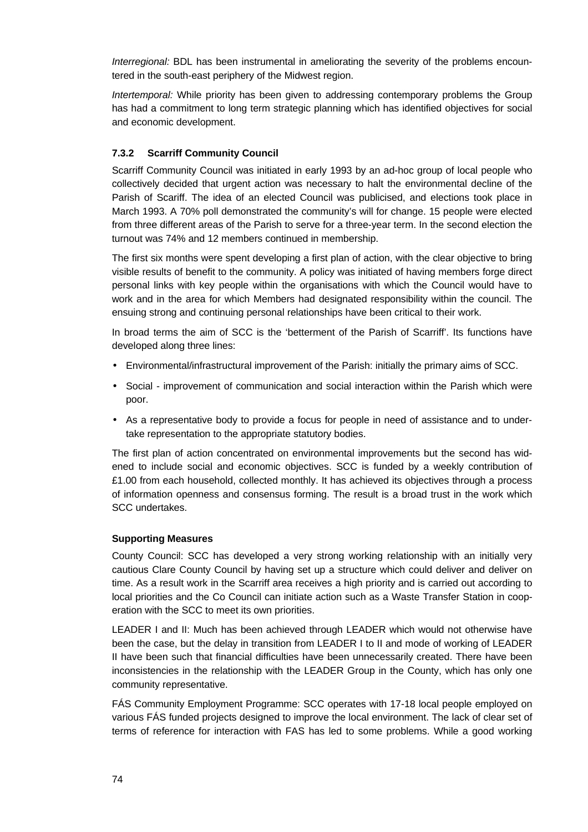*Interregional:* BDL has been instrumental in ameliorating the severity of the problems encountered in the south-east periphery of the Midwest region.

*Intertemporal:* While priority has been given to addressing contemporary problems the Group has had a commitment to long term strategic planning which has identified objectives for social and economic development.

### **7.3.2 Scarriff Community Council**

Scarriff Community Council was initiated in early 1993 by an ad-hoc group of local people who collectively decided that urgent action was necessary to halt the environmental decline of the Parish of Scariff. The idea of an elected Council was publicised, and elections took place in March 1993. A 70% poll demonstrated the community's will for change. 15 people were elected from three different areas of the Parish to serve for a three-year term. In the second election the turnout was 74% and 12 members continued in membership.

The first six months were spent developing a first plan of action, with the clear objective to bring visible results of benefit to the community. A policy was initiated of having members forge direct personal links with key people within the organisations with which the Council would have to work and in the area for which Members had designated responsibility within the council. The ensuing strong and continuing personal relationships have been critical to their work.

In broad terms the aim of SCC is the 'betterment of the Parish of Scarriff'. Its functions have developed along three lines:

- Environmental/infrastructural improvement of the Parish: initially the primary aims of SCC.
- Social improvement of communication and social interaction within the Parish which were poor.
- As a representative body to provide a focus for people in need of assistance and to undertake representation to the appropriate statutory bodies.

The first plan of action concentrated on environmental improvements but the second has widened to include social and economic objectives. SCC is funded by a weekly contribution of £1.00 from each household, collected monthly. It has achieved its objectives through a process of information openness and consensus forming. The result is a broad trust in the work which SCC undertakes.

### **Supporting Measures**

County Council: SCC has developed a very strong working relationship with an initially very cautious Clare County Council by having set up a structure which could deliver and deliver on time. As a result work in the Scarriff area receives a high priority and is carried out according to local priorities and the Co Council can initiate action such as a Waste Transfer Station in cooperation with the SCC to meet its own priorities.

LEADER I and II: Much has been achieved through LEADER which would not otherwise have been the case, but the delay in transition from LEADER I to II and mode of working of LEADER II have been such that financial difficulties have been unnecessarily created. There have been inconsistencies in the relationship with the LEADER Group in the County, which has only one community representative.

FÁS Community Employment Programme: SCC operates with 17-18 local people employed on various FÁS funded projects designed to improve the local environment. The lack of clear set of terms of reference for interaction with FAS has led to some problems. While a good working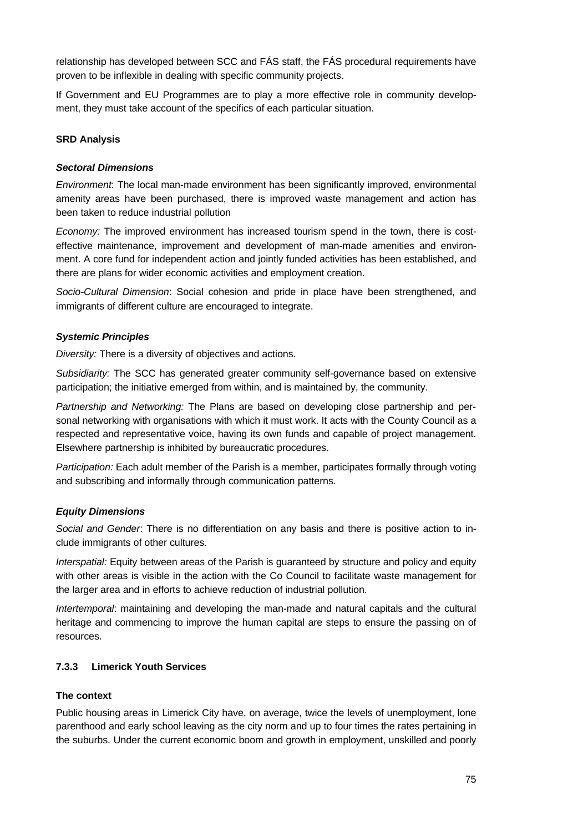relationship has developed between SCC and FÁS staff, the FÁS procedural requirements have proven to be inflexible in dealing with specific community projects.

If Government and EU Programmes are to play a more effective role in community development, they must take account of the specifics of each particular situation.

#### **SRD Analysis**

#### *Sectoral Dimensions*

*Environment*: The local man-made environment has been significantly improved, environmental amenity areas have been purchased, there is improved waste management and action has been taken to reduce industrial pollution

*Economy:* The improved environment has increased tourism spend in the town, there is costeffective maintenance, improvement and development of man-made amenities and environment. A core fund for independent action and jointly funded activities has been established, and there are plans for wider economic activities and employment creation.

*Socio-Cultural Dimension*: Social cohesion and pride in place have been strengthened, and immigrants of different culture are encouraged to integrate.

#### *Systemic Principles*

*Diversity:* There is a diversity of objectives and actions.

*Subsidiarity:* The SCC has generated greater community self-governance based on extensive participation; the initiative emerged from within, and is maintained by, the community.

*Partnership and Networking:* The Plans are based on developing close partnership and personal networking with organisations with which it must work. It acts with the County Council as a respected and representative voice, having its own funds and capable of project management. Elsewhere partnership is inhibited by bureaucratic procedures.

*Participation:* Each adult member of the Parish is a member, participates formally through voting and subscribing and informally through communication patterns.

#### *Equity Dimensions*

*Social and Gender*: There is no differentiation on any basis and there is positive action to include immigrants of other cultures.

*Interspatial:* Equity between areas of the Parish is guaranteed by structure and policy and equity with other areas is visible in the action with the Co Council to facilitate waste management for the larger area and in efforts to achieve reduction of industrial pollution.

*Intertemporal*: maintaining and developing the man-made and natural capitals and the cultural heritage and commencing to improve the human capital are steps to ensure the passing on of resources.

### **7.3.3 Limerick Youth Services**

#### **The context**

Public housing areas in Limerick City have, on average, twice the levels of unemployment, lone parenthood and early school leaving as the city norm and up to four times the rates pertaining in the suburbs. Under the current economic boom and growth in employment, unskilled and poorly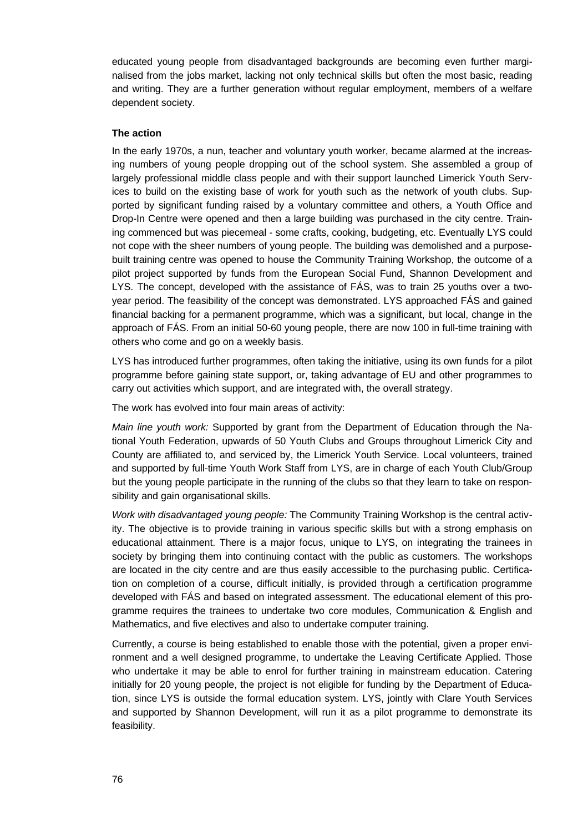educated young people from disadvantaged backgrounds are becoming even further marginalised from the jobs market, lacking not only technical skills but often the most basic, reading and writing. They are a further generation without regular employment, members of a welfare dependent society.

### **The action**

In the early 1970s, a nun, teacher and voluntary youth worker, became alarmed at the increasing numbers of young people dropping out of the school system. She assembled a group of largely professional middle class people and with their support launched Limerick Youth Services to build on the existing base of work for youth such as the network of youth clubs. Supported by significant funding raised by a voluntary committee and others, a Youth Office and Drop-In Centre were opened and then a large building was purchased in the city centre. Training commenced but was piecemeal - some crafts, cooking, budgeting, etc. Eventually LYS could not cope with the sheer numbers of young people. The building was demolished and a purposebuilt training centre was opened to house the Community Training Workshop, the outcome of a pilot project supported by funds from the European Social Fund, Shannon Development and LYS. The concept, developed with the assistance of FÁS, was to train 25 youths over a twoyear period. The feasibility of the concept was demonstrated. LYS approached FÁS and gained financial backing for a permanent programme, which was a significant, but local, change in the approach of FÁS. From an initial 50-60 young people, there are now 100 in full-time training with others who come and go on a weekly basis.

LYS has introduced further programmes, often taking the initiative, using its own funds for a pilot programme before gaining state support, or, taking advantage of EU and other programmes to carry out activities which support, and are integrated with, the overall strategy.

The work has evolved into four main areas of activity:

*Main line youth work:* Supported by grant from the Department of Education through the National Youth Federation, upwards of 50 Youth Clubs and Groups throughout Limerick City and County are affiliated to, and serviced by, the Limerick Youth Service. Local volunteers, trained and supported by full-time Youth Work Staff from LYS, are in charge of each Youth Club/Group but the young people participate in the running of the clubs so that they learn to take on responsibility and gain organisational skills.

*Work with disadvantaged young people:* The Community Training Workshop is the central activity. The objective is to provide training in various specific skills but with a strong emphasis on educational attainment. There is a major focus, unique to LYS, on integrating the trainees in society by bringing them into continuing contact with the public as customers. The workshops are located in the city centre and are thus easily accessible to the purchasing public. Certification on completion of a course, difficult initially, is provided through a certification programme developed with FÁS and based on integrated assessment. The educational element of this programme requires the trainees to undertake two core modules, Communication & English and Mathematics, and five electives and also to undertake computer training.

Currently, a course is being established to enable those with the potential, given a proper environment and a well designed programme, to undertake the Leaving Certificate Applied. Those who undertake it may be able to enrol for further training in mainstream education. Catering initially for 20 young people, the project is not eligible for funding by the Department of Education, since LYS is outside the formal education system. LYS, jointly with Clare Youth Services and supported by Shannon Development, will run it as a pilot programme to demonstrate its feasibility.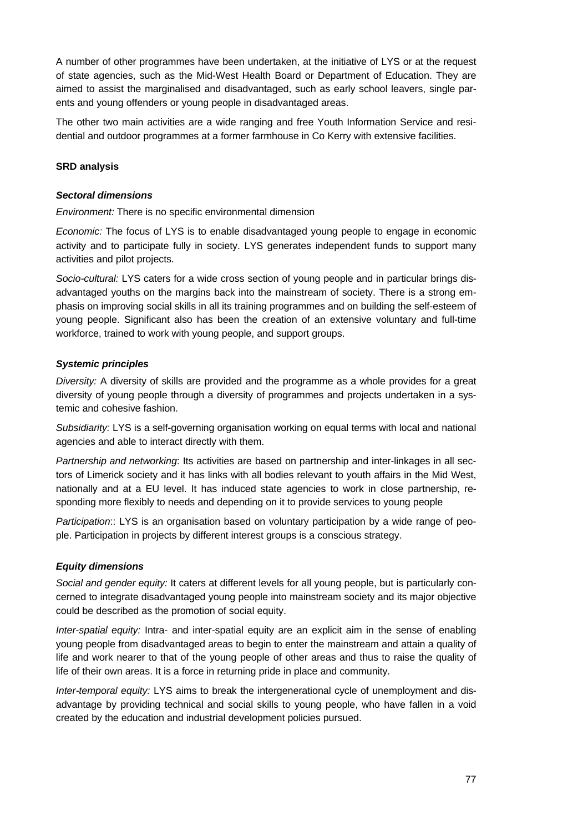A number of other programmes have been undertaken, at the initiative of LYS or at the request of state agencies, such as the Mid-West Health Board or Department of Education. They are aimed to assist the marginalised and disadvantaged, such as early school leavers, single parents and young offenders or young people in disadvantaged areas.

The other two main activities are a wide ranging and free Youth Information Service and residential and outdoor programmes at a former farmhouse in Co Kerry with extensive facilities.

### **SRD analysis**

#### *Sectoral dimensions*

*Environment:* There is no specific environmental dimension

*Economic:* The focus of LYS is to enable disadvantaged young people to engage in economic activity and to participate fully in society. LYS generates independent funds to support many activities and pilot projects.

*Socio-cultural:* LYS caters for a wide cross section of young people and in particular brings disadvantaged youths on the margins back into the mainstream of society. There is a strong emphasis on improving social skills in all its training programmes and on building the self-esteem of young people. Significant also has been the creation of an extensive voluntary and full-time workforce, trained to work with young people, and support groups.

### *Systemic principles*

*Diversity:* A diversity of skills are provided and the programme as a whole provides for a great diversity of young people through a diversity of programmes and projects undertaken in a systemic and cohesive fashion.

*Subsidiarity:* LYS is a self-governing organisation working on equal terms with local and national agencies and able to interact directly with them.

*Partnership and networking*: Its activities are based on partnership and inter-linkages in all sectors of Limerick society and it has links with all bodies relevant to youth affairs in the Mid West, nationally and at a EU level. It has induced state agencies to work in close partnership, responding more flexibly to needs and depending on it to provide services to young people

*Participation*:: LYS is an organisation based on voluntary participation by a wide range of people. Participation in projects by different interest groups is a conscious strategy.

### *Equity dimensions*

*Social and gender equity:* It caters at different levels for all young people, but is particularly concerned to integrate disadvantaged young people into mainstream society and its major objective could be described as the promotion of social equity.

*Inter-spatial equity:* Intra- and inter-spatial equity are an explicit aim in the sense of enabling young people from disadvantaged areas to begin to enter the mainstream and attain a quality of life and work nearer to that of the young people of other areas and thus to raise the quality of life of their own areas. It is a force in returning pride in place and community.

*Inter-temporal equity:* LYS aims to break the intergenerational cycle of unemployment and disadvantage by providing technical and social skills to young people, who have fallen in a void created by the education and industrial development policies pursued.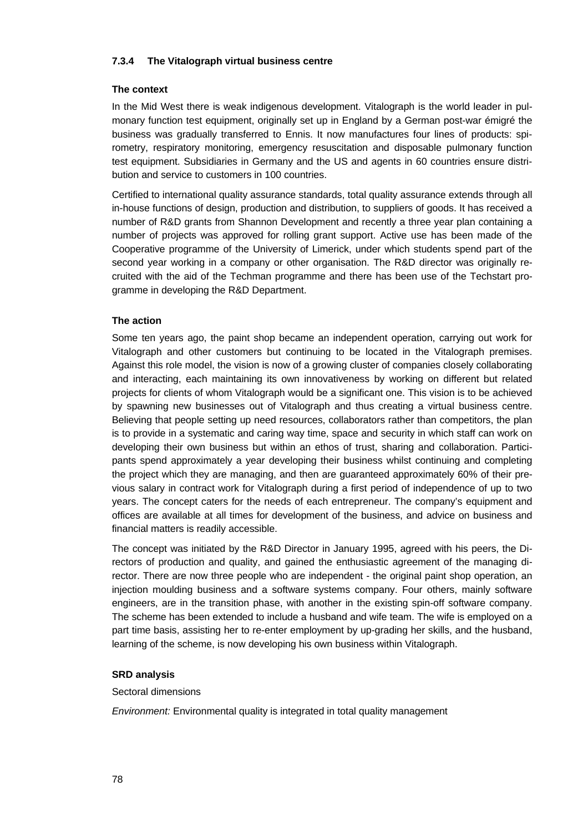### **7.3.4 The Vitalograph virtual business centre**

### **The context**

In the Mid West there is weak indigenous development. Vitalograph is the world leader in pulmonary function test equipment, originally set up in England by a German post-war émigré the business was gradually transferred to Ennis. It now manufactures four lines of products: spirometry, respiratory monitoring, emergency resuscitation and disposable pulmonary function test equipment. Subsidiaries in Germany and the US and agents in 60 countries ensure distribution and service to customers in 100 countries.

Certified to international quality assurance standards, total quality assurance extends through all in-house functions of design, production and distribution, to suppliers of goods. It has received a number of R&D grants from Shannon Development and recently a three year plan containing a number of projects was approved for rolling grant support. Active use has been made of the Cooperative programme of the University of Limerick, under which students spend part of the second year working in a company or other organisation. The R&D director was originally recruited with the aid of the Techman programme and there has been use of the Techstart programme in developing the R&D Department.

### **The action**

Some ten years ago, the paint shop became an independent operation, carrying out work for Vitalograph and other customers but continuing to be located in the Vitalograph premises. Against this role model, the vision is now of a growing cluster of companies closely collaborating and interacting, each maintaining its own innovativeness by working on different but related projects for clients of whom Vitalograph would be a significant one. This vision is to be achieved by spawning new businesses out of Vitalograph and thus creating a virtual business centre. Believing that people setting up need resources, collaborators rather than competitors, the plan is to provide in a systematic and caring way time, space and security in which staff can work on developing their own business but within an ethos of trust, sharing and collaboration. Participants spend approximately a year developing their business whilst continuing and completing the project which they are managing, and then are guaranteed approximately 60% of their previous salary in contract work for Vitalograph during a first period of independence of up to two years. The concept caters for the needs of each entrepreneur. The company's equipment and offices are available at all times for development of the business, and advice on business and financial matters is readily accessible.

The concept was initiated by the R&D Director in January 1995, agreed with his peers, the Directors of production and quality, and gained the enthusiastic agreement of the managing director. There are now three people who are independent - the original paint shop operation, an injection moulding business and a software systems company. Four others, mainly software engineers, are in the transition phase, with another in the existing spin-off software company. The scheme has been extended to include a husband and wife team. The wife is employed on a part time basis, assisting her to re-enter employment by up-grading her skills, and the husband, learning of the scheme, is now developing his own business within Vitalograph.

### **SRD analysis**

### Sectoral dimensions

*Environment:* Environmental quality is integrated in total quality management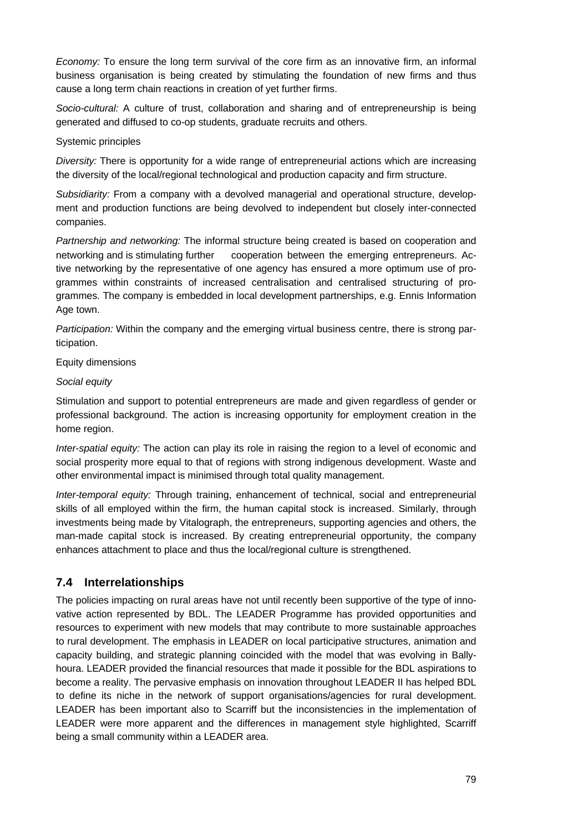*Economy:* To ensure the long term survival of the core firm as an innovative firm, an informal business organisation is being created by stimulating the foundation of new firms and thus cause a long term chain reactions in creation of yet further firms.

*Socio-cultural:* A culture of trust, collaboration and sharing and of entrepreneurship is being generated and diffused to co-op students, graduate recruits and others.

### Systemic principles

*Diversity:* There is opportunity for a wide range of entrepreneurial actions which are increasing the diversity of the local/regional technological and production capacity and firm structure.

*Subsidiarity:* From a company with a devolved managerial and operational structure, development and production functions are being devolved to independent but closely inter-connected companies.

*Partnership and networking:* The informal structure being created is based on cooperation and networking and is stimulating further cooperation between the emerging entrepreneurs. Active networking by the representative of one agency has ensured a more optimum use of programmes within constraints of increased centralisation and centralised structuring of programmes. The company is embedded in local development partnerships, e.g. Ennis Information Age town.

*Participation:* Within the company and the emerging virtual business centre, there is strong participation.

### Equity dimensions

### *Social equity*

Stimulation and support to potential entrepreneurs are made and given regardless of gender or professional background. The action is increasing opportunity for employment creation in the home region.

*Inter-spatial equity:* The action can play its role in raising the region to a level of economic and social prosperity more equal to that of regions with strong indigenous development. Waste and other environmental impact is minimised through total quality management.

*Inter-temporal equity:* Through training, enhancement of technical, social and entrepreneurial skills of all employed within the firm, the human capital stock is increased. Similarly, through investments being made by Vitalograph, the entrepreneurs, supporting agencies and others, the man-made capital stock is increased. By creating entrepreneurial opportunity, the company enhances attachment to place and thus the local/regional culture is strengthened.

## **7.4 Interrelationships**

The policies impacting on rural areas have not until recently been supportive of the type of innovative action represented by BDL. The LEADER Programme has provided opportunities and resources to experiment with new models that may contribute to more sustainable approaches to rural development. The emphasis in LEADER on local participative structures, animation and capacity building, and strategic planning coincided with the model that was evolving in Ballyhoura. LEADER provided the financial resources that made it possible for the BDL aspirations to become a reality. The pervasive emphasis on innovation throughout LEADER II has helped BDL to define its niche in the network of support organisations/agencies for rural development. LEADER has been important also to Scarriff but the inconsistencies in the implementation of LEADER were more apparent and the differences in management style highlighted, Scarriff being a small community within a LEADER area.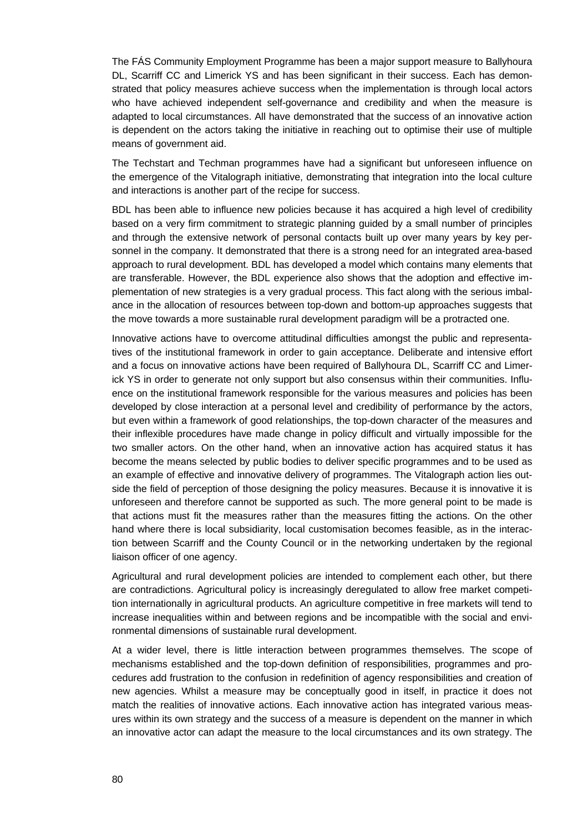The FÁS Community Employment Programme has been a major support measure to Ballyhoura DL, Scarriff CC and Limerick YS and has been significant in their success. Each has demonstrated that policy measures achieve success when the implementation is through local actors who have achieved independent self-governance and credibility and when the measure is adapted to local circumstances. All have demonstrated that the success of an innovative action is dependent on the actors taking the initiative in reaching out to optimise their use of multiple means of government aid.

The Techstart and Techman programmes have had a significant but unforeseen influence on the emergence of the Vitalograph initiative, demonstrating that integration into the local culture and interactions is another part of the recipe for success.

BDL has been able to influence new policies because it has acquired a high level of credibility based on a very firm commitment to strategic planning guided by a small number of principles and through the extensive network of personal contacts built up over many years by key personnel in the company. It demonstrated that there is a strong need for an integrated area-based approach to rural development. BDL has developed a model which contains many elements that are transferable. However, the BDL experience also shows that the adoption and effective implementation of new strategies is a very gradual process. This fact along with the serious imbalance in the allocation of resources between top-down and bottom-up approaches suggests that the move towards a more sustainable rural development paradigm will be a protracted one.

Innovative actions have to overcome attitudinal difficulties amongst the public and representatives of the institutional framework in order to gain acceptance. Deliberate and intensive effort and a focus on innovative actions have been required of Ballyhoura DL, Scarriff CC and Limerick YS in order to generate not only support but also consensus within their communities. Influence on the institutional framework responsible for the various measures and policies has been developed by close interaction at a personal level and credibility of performance by the actors, but even within a framework of good relationships, the top-down character of the measures and their inflexible procedures have made change in policy difficult and virtually impossible for the two smaller actors. On the other hand, when an innovative action has acquired status it has become the means selected by public bodies to deliver specific programmes and to be used as an example of effective and innovative delivery of programmes. The Vitalograph action lies outside the field of perception of those designing the policy measures. Because it is innovative it is unforeseen and therefore cannot be supported as such. The more general point to be made is that actions must fit the measures rather than the measures fitting the actions. On the other hand where there is local subsidiarity, local customisation becomes feasible, as in the interaction between Scarriff and the County Council or in the networking undertaken by the regional liaison officer of one agency.

Agricultural and rural development policies are intended to complement each other, but there are contradictions. Agricultural policy is increasingly deregulated to allow free market competition internationally in agricultural products. An agriculture competitive in free markets will tend to increase inequalities within and between regions and be incompatible with the social and environmental dimensions of sustainable rural development.

At a wider level, there is little interaction between programmes themselves. The scope of mechanisms established and the top-down definition of responsibilities, programmes and procedures add frustration to the confusion in redefinition of agency responsibilities and creation of new agencies. Whilst a measure may be conceptually good in itself, in practice it does not match the realities of innovative actions. Each innovative action has integrated various measures within its own strategy and the success of a measure is dependent on the manner in which an innovative actor can adapt the measure to the local circumstances and its own strategy. The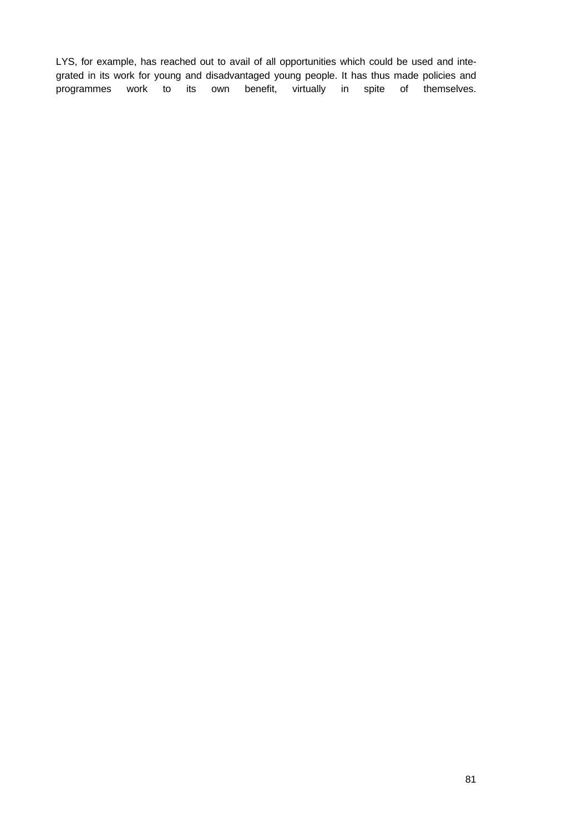LYS, for example, has reached out to avail of all opportunities which could be used and integrated in its work for young and disadvantaged young people. It has thus made policies and programmes work to its own benefit, virtually in spite of themselves.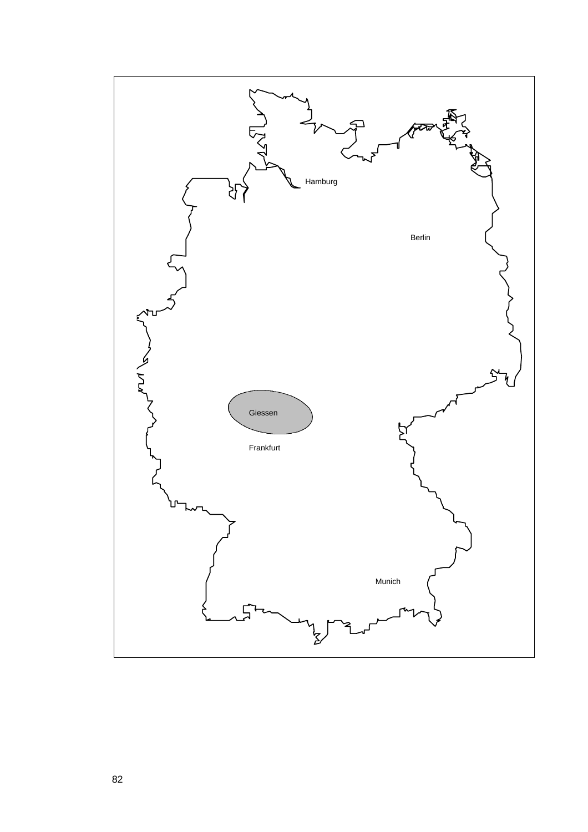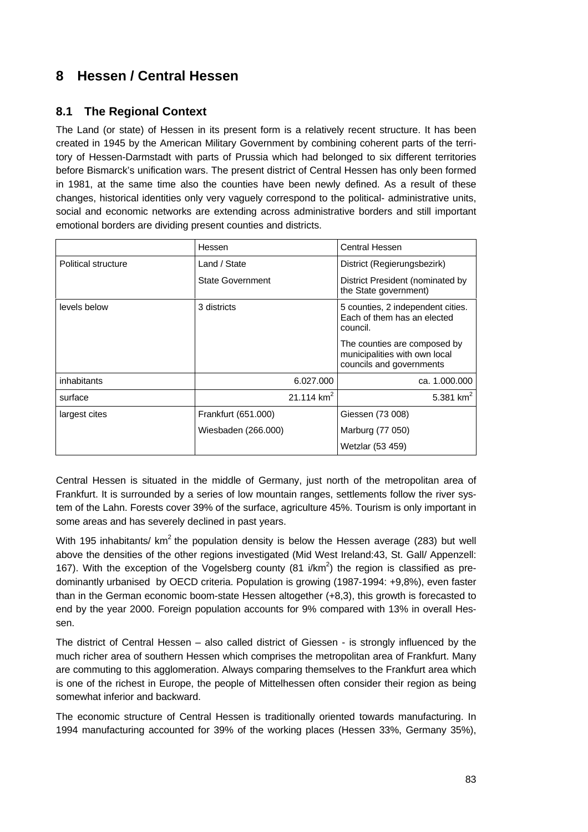# **8 Hessen / Central Hessen**

# **8.1 The Regional Context**

The Land (or state) of Hessen in its present form is a relatively recent structure. It has been created in 1945 by the American Military Government by combining coherent parts of the territory of Hessen-Darmstadt with parts of Prussia which had belonged to six different territories before Bismarck's unification wars. The present district of Central Hessen has only been formed in 1981, at the same time also the counties have been newly defined. As a result of these changes, historical identities only very vaguely correspond to the political- administrative units, social and economic networks are extending across administrative borders and still important emotional borders are dividing present counties and districts.

|                     | Hessen                  | <b>Central Hessen</b>                                                                     |
|---------------------|-------------------------|-------------------------------------------------------------------------------------------|
| Political structure | Land / State            | District (Regierungsbezirk)                                                               |
|                     | <b>State Government</b> | District President (nominated by<br>the State government)                                 |
| levels below        | 3 districts             | 5 counties, 2 independent cities.<br>Each of them has an elected<br>council.              |
|                     |                         | The counties are composed by<br>municipalities with own local<br>councils and governments |
| inhabitants         | 6.027.000               | ca. 1.000.000                                                                             |
| surface             | 21.114 $km^2$           | 5.381 $km^2$                                                                              |
| largest cites       | Frankfurt (651.000)     | Giessen (73 008)                                                                          |
|                     | Wiesbaden (266.000)     | Marburg (77 050)                                                                          |
|                     |                         | Wetzlar (53 459)                                                                          |

Central Hessen is situated in the middle of Germany, just north of the metropolitan area of Frankfurt. It is surrounded by a series of low mountain ranges, settlements follow the river system of the Lahn. Forests cover 39% of the surface, agriculture 45%. Tourism is only important in some areas and has severely declined in past years.

With 195 inhabitants/  $km^2$  the population density is below the Hessen average (283) but well above the densities of the other regions investigated (Mid West Ireland:43, St. Gall/ Appenzell: 167). With the exception of the Vogelsberg county (81 i/km<sup>2</sup>) the region is classified as predominantly urbanised by OECD criteria. Population is growing (1987-1994: +9,8%), even faster than in the German economic boom-state Hessen altogether (+8,3), this growth is forecasted to end by the year 2000. Foreign population accounts for 9% compared with 13% in overall Hessen.

The district of Central Hessen – also called district of Giessen - is strongly influenced by the much richer area of southern Hessen which comprises the metropolitan area of Frankfurt. Many are commuting to this agglomeration. Always comparing themselves to the Frankfurt area which is one of the richest in Europe, the people of Mittelhessen often consider their region as being somewhat inferior and backward.

The economic structure of Central Hessen is traditionally oriented towards manufacturing. In 1994 manufacturing accounted for 39% of the working places (Hessen 33%, Germany 35%),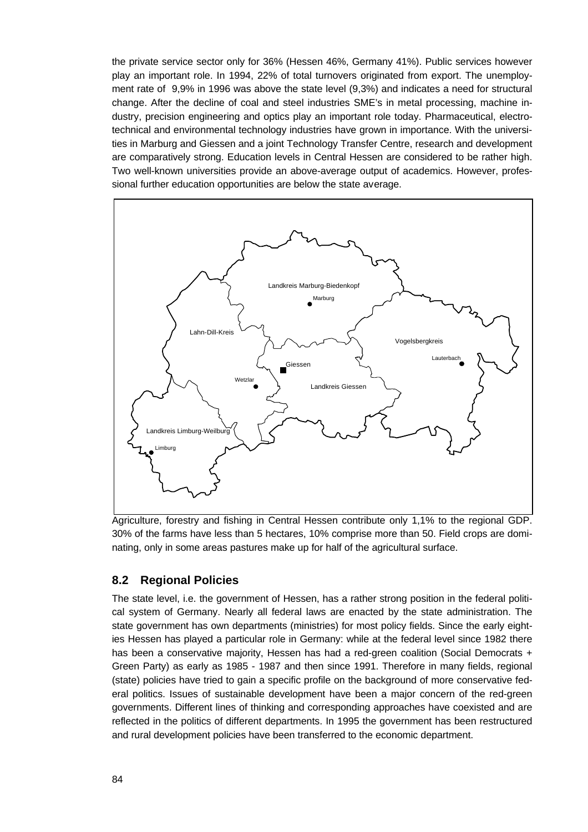the private service sector only for 36% (Hessen 46%, Germany 41%). Public services however play an important role. In 1994, 22% of total turnovers originated from export. The unemployment rate of 9,9% in 1996 was above the state level (9,3%) and indicates a need for structural change. After the decline of coal and steel industries SME's in metal processing, machine industry, precision engineering and optics play an important role today. Pharmaceutical, electrotechnical and environmental technology industries have grown in importance. With the universities in Marburg and Giessen and a joint Technology Transfer Centre, research and development are comparatively strong. Education levels in Central Hessen are considered to be rather high. Two well-known universities provide an above-average output of academics. However, professional further education opportunities are below the state average.



Agriculture, forestry and fishing in Central Hessen contribute only 1,1% to the regional GDP. 30% of the farms have less than 5 hectares, 10% comprise more than 50. Field crops are dominating, only in some areas pastures make up for half of the agricultural surface.

## **8.2 Regional Policies**

The state level, i.e. the government of Hessen, has a rather strong position in the federal political system of Germany. Nearly all federal laws are enacted by the state administration. The state government has own departments (ministries) for most policy fields. Since the early eighties Hessen has played a particular role in Germany: while at the federal level since 1982 there has been a conservative majority, Hessen has had a red-green coalition (Social Democrats + Green Party) as early as 1985 - 1987 and then since 1991. Therefore in many fields, regional (state) policies have tried to gain a specific profile on the background of more conservative federal politics. Issues of sustainable development have been a major concern of the red-green governments. Different lines of thinking and corresponding approaches have coexisted and are reflected in the politics of different departments. In 1995 the government has been restructured and rural development policies have been transferred to the economic department.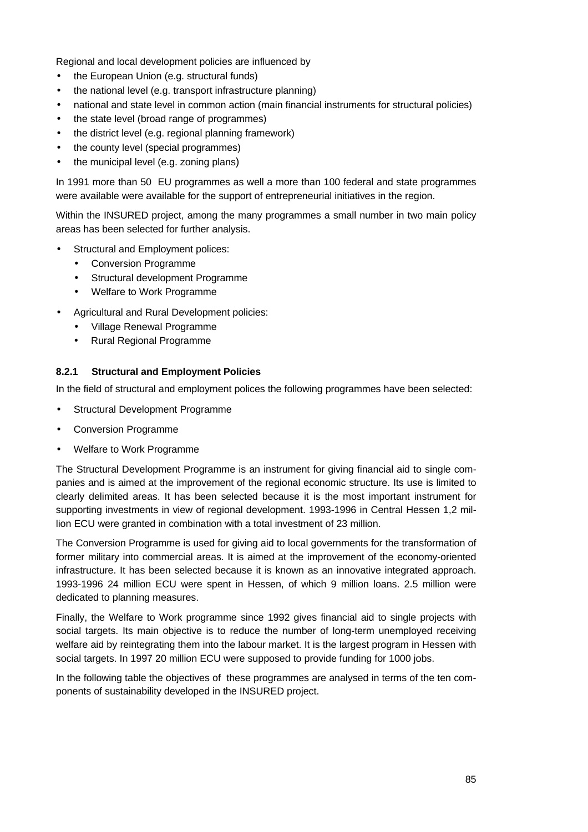Regional and local development policies are influenced by

- the European Union (e.g. structural funds)
- the national level (e.g. transport infrastructure planning)
- national and state level in common action (main financial instruments for structural policies)
- the state level (broad range of programmes)
- the district level (e.g. regional planning framework)
- the county level (special programmes)
- the municipal level (e.g. zoning plans)

In 1991 more than 50 EU programmes as well a more than 100 federal and state programmes were available were available for the support of entrepreneurial initiatives in the region.

Within the INSURED project, among the many programmes a small number in two main policy areas has been selected for further analysis.

- Structural and Employment polices:
	- Conversion Programme
	- Structural development Programme
	- Welfare to Work Programme
- Agricultural and Rural Development policies:
	- Village Renewal Programme
	- Rural Regional Programme

### **8.2.1 Structural and Employment Policies**

In the field of structural and employment polices the following programmes have been selected:

- Structural Development Programme
- Conversion Programme
- Welfare to Work Programme

The Structural Development Programme is an instrument for giving financial aid to single companies and is aimed at the improvement of the regional economic structure. Its use is limited to clearly delimited areas. It has been selected because it is the most important instrument for supporting investments in view of regional development. 1993-1996 in Central Hessen 1,2 million ECU were granted in combination with a total investment of 23 million.

The Conversion Programme is used for giving aid to local governments for the transformation of former military into commercial areas. It is aimed at the improvement of the economy-oriented infrastructure. It has been selected because it is known as an innovative integrated approach. 1993-1996 24 million ECU were spent in Hessen, of which 9 million loans. 2.5 million were dedicated to planning measures.

Finally, the Welfare to Work programme since 1992 gives financial aid to single projects with social targets. Its main objective is to reduce the number of long-term unemployed receiving welfare aid by reintegrating them into the labour market. It is the largest program in Hessen with social targets. In 1997 20 million ECU were supposed to provide funding for 1000 jobs.

In the following table the objectives of these programmes are analysed in terms of the ten components of sustainability developed in the INSURED project.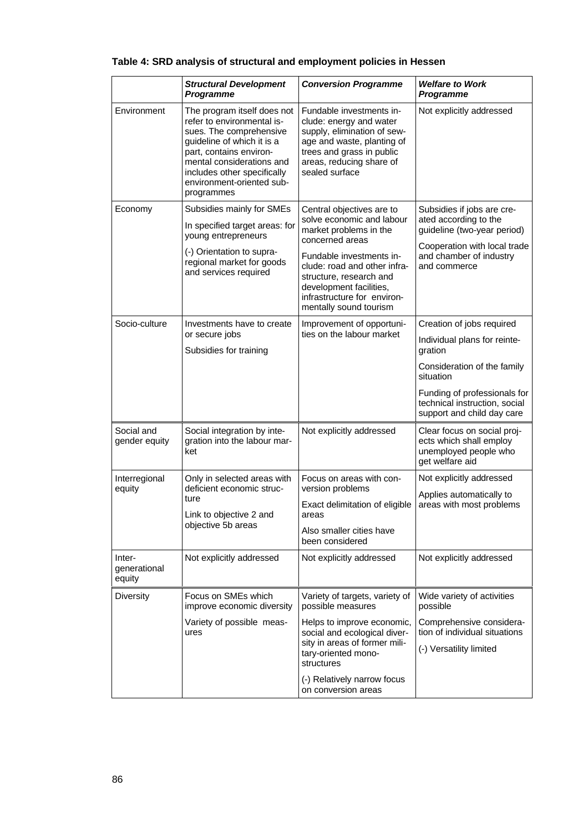|                                  | <b>Structural Development</b><br>Programme                                                                                                                                                                                                           | <b>Conversion Programme</b>                                                                                                                                                                                                                                                    | <b>Welfare to Work</b><br>Programme                                                                                                                                                                             |
|----------------------------------|------------------------------------------------------------------------------------------------------------------------------------------------------------------------------------------------------------------------------------------------------|--------------------------------------------------------------------------------------------------------------------------------------------------------------------------------------------------------------------------------------------------------------------------------|-----------------------------------------------------------------------------------------------------------------------------------------------------------------------------------------------------------------|
| Environment                      | The program itself does not<br>refer to environmental is-<br>sues. The comprehensive<br>guideline of which it is a<br>part, contains environ-<br>mental considerations and<br>includes other specifically<br>environment-oriented sub-<br>programmes | Fundable investments in-<br>clude: energy and water<br>supply, elimination of sew-<br>age and waste, planting of<br>trees and grass in public<br>areas, reducing share of<br>sealed surface                                                                                    | Not explicitly addressed                                                                                                                                                                                        |
| Economy                          | Subsidies mainly for SMEs<br>In specified target areas: for<br>young entrepreneurs<br>(-) Orientation to supra-<br>regional market for goods<br>and services required                                                                                | Central objectives are to<br>solve economic and labour<br>market problems in the<br>concerned areas<br>Fundable investments in-<br>clude: road and other infra-<br>structure, research and<br>development facilities,<br>infrastructure for environ-<br>mentally sound tourism | Subsidies if jobs are cre-<br>ated according to the<br>guideline (two-year period)<br>Cooperation with local trade<br>and chamber of industry<br>and commerce                                                   |
| Socio-culture                    | Investments have to create<br>or secure jobs<br>Subsidies for training                                                                                                                                                                               | Improvement of opportuni-<br>ties on the labour market                                                                                                                                                                                                                         | Creation of jobs required<br>Individual plans for reinte-<br>gration<br>Consideration of the family<br>situation<br>Funding of professionals for<br>technical instruction, social<br>support and child day care |
| Social and<br>gender equity      | Social integration by inte-<br>gration into the labour mar-<br>ket                                                                                                                                                                                   | Not explicitly addressed                                                                                                                                                                                                                                                       | Clear focus on social proj-<br>ects which shall employ<br>unemployed people who<br>get welfare aid                                                                                                              |
| Interregional<br>equity          | Only in selected areas with<br>deficient economic struc-<br>ture<br>Link to objective 2 and<br>objective 5b areas                                                                                                                                    | Focus on areas with con-<br>version problems<br>Exact delimitation of eligible<br>areas<br>Also smaller cities have<br>been considered                                                                                                                                         | Not explicitly addressed<br>Applies automatically to<br>areas with most problems                                                                                                                                |
| Inter-<br>generational<br>equity | Not explicitly addressed                                                                                                                                                                                                                             | Not explicitly addressed                                                                                                                                                                                                                                                       | Not explicitly addressed                                                                                                                                                                                        |
| Diversity                        | Focus on SMEs which<br>improve economic diversity<br>Variety of possible meas-<br>ures                                                                                                                                                               | Variety of targets, variety of<br>possible measures<br>Helps to improve economic,<br>social and ecological diver-<br>sity in areas of former mili-<br>tary-oriented mono-<br>structures<br>(-) Relatively narrow focus<br>on conversion areas                                  | Wide variety of activities<br>possible<br>Comprehensive considera-<br>tion of individual situations<br>(-) Versatility limited                                                                                  |

# **Table 4: SRD analysis of structural and employment policies in Hessen**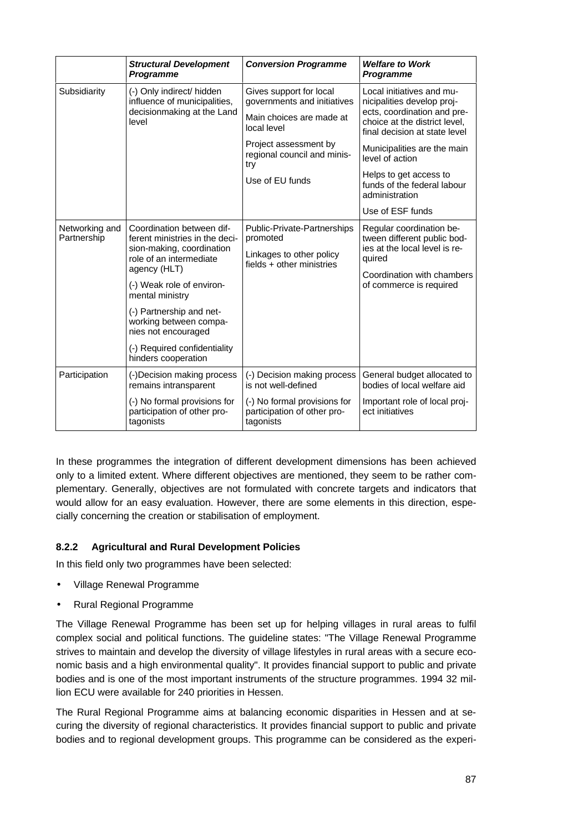|                               | <b>Structural Development</b><br>Programme                                                                                                                                                                                                                                                                              | <b>Conversion Programme</b>                                                                                                                                                         | <b>Welfare to Work</b><br>Programme                                                                                                                                                                                                                                                                       |
|-------------------------------|-------------------------------------------------------------------------------------------------------------------------------------------------------------------------------------------------------------------------------------------------------------------------------------------------------------------------|-------------------------------------------------------------------------------------------------------------------------------------------------------------------------------------|-----------------------------------------------------------------------------------------------------------------------------------------------------------------------------------------------------------------------------------------------------------------------------------------------------------|
| Subsidiarity                  | (-) Only indirect/ hidden<br>influence of municipalities,<br>decisionmaking at the Land<br>level                                                                                                                                                                                                                        | Gives support for local<br>governments and initiatives<br>Main choices are made at<br>local level<br>Project assessment by<br>regional council and minis-<br>try<br>Use of EU funds | Local initiatives and mu-<br>nicipalities develop proj-<br>ects, coordination and pre-<br>choice at the district level,<br>final decision at state level<br>Municipalities are the main<br>level of action<br>Helps to get access to<br>funds of the federal labour<br>administration<br>Use of ESF funds |
| Networking and<br>Partnership | Coordination between dif-<br>ferent ministries in the deci-<br>sion-making, coordination<br>role of an intermediate<br>agency (HLT)<br>(-) Weak role of environ-<br>mental ministry<br>(-) Partnership and net-<br>working between compa-<br>nies not encouraged<br>(-) Required confidentiality<br>hinders cooperation | Public-Private-Partnerships<br>promoted<br>Linkages to other policy<br>fields + other ministries                                                                                    | Regular coordination be-<br>tween different public bod-<br>ies at the local level is re-<br>quired<br>Coordination with chambers<br>of commerce is required                                                                                                                                               |
| Participation                 | (-)Decision making process<br>remains intransparent                                                                                                                                                                                                                                                                     | (-) Decision making process<br>is not well-defined                                                                                                                                  | General budget allocated to<br>bodies of local welfare aid                                                                                                                                                                                                                                                |
|                               | (-) No formal provisions for<br>participation of other pro-<br>tagonists                                                                                                                                                                                                                                                | (-) No formal provisions for<br>participation of other pro-<br>tagonists                                                                                                            | Important role of local proj-<br>ect initiatives                                                                                                                                                                                                                                                          |

In these programmes the integration of different development dimensions has been achieved only to a limited extent. Where different objectives are mentioned, they seem to be rather complementary. Generally, objectives are not formulated with concrete targets and indicators that would allow for an easy evaluation. However, there are some elements in this direction, especially concerning the creation or stabilisation of employment.

### **8.2.2 Agricultural and Rural Development Policies**

In this field only two programmes have been selected:

- Village Renewal Programme
- Rural Regional Programme

The Village Renewal Programme has been set up for helping villages in rural areas to fulfil complex social and political functions. The guideline states: "The Village Renewal Programme strives to maintain and develop the diversity of village lifestyles in rural areas with a secure economic basis and a high environmental quality". It provides financial support to public and private bodies and is one of the most important instruments of the structure programmes. 1994 32 million ECU were available for 240 priorities in Hessen.

The Rural Regional Programme aims at balancing economic disparities in Hessen and at securing the diversity of regional characteristics. It provides financial support to public and private bodies and to regional development groups. This programme can be considered as the experi-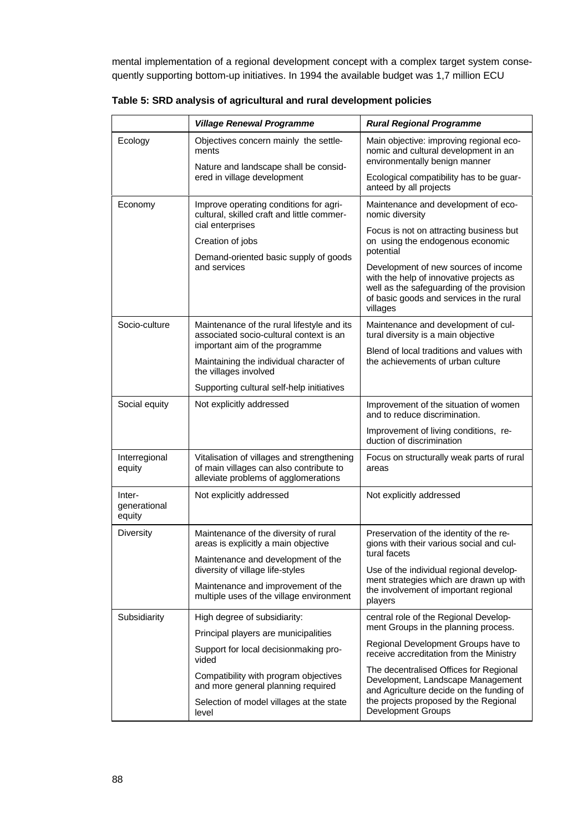mental implementation of a regional development concept with a complex target system consequently supporting bottom-up initiatives. In 1994 the available budget was 1,7 million ECU

|                                  | <b>Village Renewal Programme</b>                                                                                                                        | <b>Rural Regional Programme</b>                                                                                                                                                      |  |
|----------------------------------|---------------------------------------------------------------------------------------------------------------------------------------------------------|--------------------------------------------------------------------------------------------------------------------------------------------------------------------------------------|--|
| Ecology                          | Objectives concern mainly the settle-<br>ments                                                                                                          | Main objective: improving regional eco-<br>nomic and cultural development in an<br>environmentally benign manner                                                                     |  |
|                                  | Nature and landscape shall be consid-<br>ered in village development                                                                                    | Ecological compatibility has to be guar-<br>anteed by all projects                                                                                                                   |  |
| Economy                          | Improve operating conditions for agri-<br>cultural, skilled craft and little commer-<br>cial enterprises                                                | Maintenance and development of eco-<br>nomic diversity                                                                                                                               |  |
|                                  | Creation of jobs                                                                                                                                        | Focus is not on attracting business but<br>on using the endogenous economic<br>potential                                                                                             |  |
|                                  | Demand-oriented basic supply of goods<br>and services                                                                                                   | Development of new sources of income<br>with the help of innovative projects as<br>well as the safeguarding of the provision<br>of basic goods and services in the rural<br>villages |  |
| Socio-culture                    | Maintenance of the rural lifestyle and its<br>associated socio-cultural context is an<br>important aim of the programme                                 | Maintenance and development of cul-<br>tural diversity is a main objective                                                                                                           |  |
|                                  | Maintaining the individual character of<br>the villages involved                                                                                        | Blend of local traditions and values with<br>the achievements of urban culture                                                                                                       |  |
|                                  | Supporting cultural self-help initiatives                                                                                                               |                                                                                                                                                                                      |  |
| Social equity                    | Not explicitly addressed                                                                                                                                | Improvement of the situation of women<br>and to reduce discrimination.                                                                                                               |  |
|                                  |                                                                                                                                                         | Improvement of living conditions, re-<br>duction of discrimination                                                                                                                   |  |
| Interregional<br>equity          | Vitalisation of villages and strengthening<br>of main villages can also contribute to<br>alleviate problems of agglomerations                           | Focus on structurally weak parts of rural<br>areas                                                                                                                                   |  |
| Inter-<br>generational<br>equity | Not explicitly addressed                                                                                                                                | Not explicitly addressed                                                                                                                                                             |  |
| <b>Diversity</b>                 | Maintenance of the diversity of rural<br>areas is explicitly a main objective<br>Maintenance and development of the<br>diversity of village life-styles | Preservation of the identity of the re-<br>gions with their various social and cul-<br>tural facets<br>Use of the individual regional develop-                                       |  |
|                                  |                                                                                                                                                         |                                                                                                                                                                                      |  |
|                                  | Maintenance and improvement of the<br>multiple uses of the village environment                                                                          | ment strategies which are drawn up with<br>the involvement of important regional<br>players                                                                                          |  |
| Subsidiarity                     | High degree of subsidiarity:                                                                                                                            | central role of the Regional Develop-                                                                                                                                                |  |
|                                  | Principal players are municipalities                                                                                                                    | ment Groups in the planning process.                                                                                                                                                 |  |
|                                  | Support for local decisionmaking pro-<br>vided                                                                                                          | Regional Development Groups have to<br>receive accreditation from the Ministry                                                                                                       |  |
|                                  | Compatibility with program objectives<br>and more general planning required                                                                             | The decentralised Offices for Regional<br>Development, Landscape Management<br>and Agriculture decide on the funding of                                                              |  |
|                                  | Selection of model villages at the state<br>level                                                                                                       | the projects proposed by the Regional<br><b>Development Groups</b>                                                                                                                   |  |

**Table 5: SRD analysis of agricultural and rural development policies**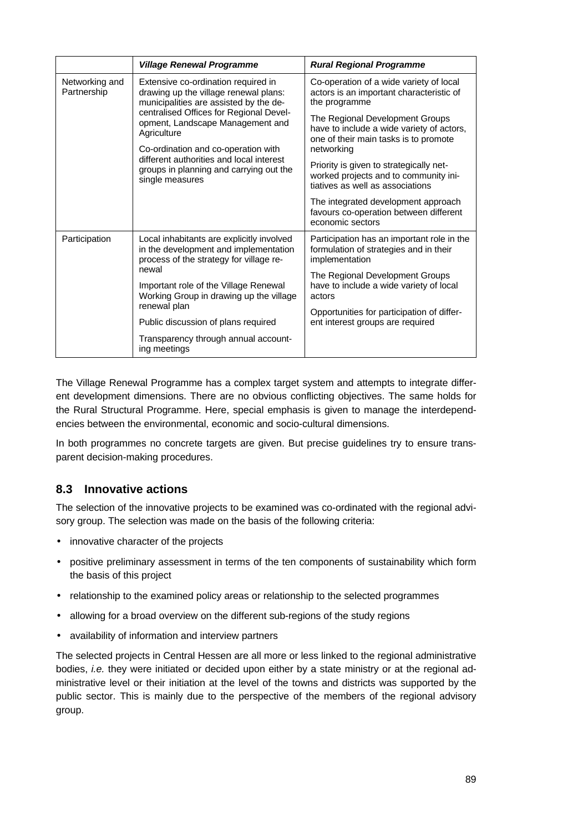|                                                                                                             | <b>Village Renewal Programme</b>                                                                                                                                                                      | <b>Rural Regional Programme</b>                                                                                       |  |
|-------------------------------------------------------------------------------------------------------------|-------------------------------------------------------------------------------------------------------------------------------------------------------------------------------------------------------|-----------------------------------------------------------------------------------------------------------------------|--|
| Networking and<br>Partnership<br>Agriculture<br>different authorities and local interest<br>single measures | Extensive co-ordination required in<br>drawing up the village renewal plans:<br>municipalities are assisted by the de-<br>centralised Offices for Regional Devel-<br>opment, Landscape Management and | Co-operation of a wide variety of local<br>actors is an important characteristic of<br>the programme                  |  |
|                                                                                                             |                                                                                                                                                                                                       | The Regional Development Groups<br>have to include a wide variety of actors,<br>one of their main tasks is to promote |  |
|                                                                                                             | Co-ordination and co-operation with                                                                                                                                                                   | networking                                                                                                            |  |
|                                                                                                             | groups in planning and carrying out the                                                                                                                                                               | Priority is given to strategically net-<br>worked projects and to community ini-<br>tiatives as well as associations  |  |
|                                                                                                             |                                                                                                                                                                                                       | The integrated development approach<br>favours co-operation between different<br>economic sectors                     |  |
| Participation                                                                                               | Local inhabitants are explicitly involved<br>in the development and implementation<br>process of the strategy for village re-                                                                         | Participation has an important role in the<br>formulation of strategies and in their<br>implementation                |  |
|                                                                                                             | newal                                                                                                                                                                                                 | The Regional Development Groups                                                                                       |  |
|                                                                                                             | Important role of the Village Renewal<br>Working Group in drawing up the village<br>renewal plan                                                                                                      | have to include a wide variety of local<br>actors                                                                     |  |
|                                                                                                             |                                                                                                                                                                                                       | Opportunities for participation of differ-                                                                            |  |
|                                                                                                             | Public discussion of plans required                                                                                                                                                                   | ent interest groups are required                                                                                      |  |
|                                                                                                             | Transparency through annual account-<br>ing meetings                                                                                                                                                  |                                                                                                                       |  |

The Village Renewal Programme has a complex target system and attempts to integrate different development dimensions. There are no obvious conflicting objectives. The same holds for the Rural Structural Programme. Here, special emphasis is given to manage the interdependencies between the environmental, economic and socio-cultural dimensions.

In both programmes no concrete targets are given. But precise guidelines try to ensure transparent decision-making procedures.

## **8.3 Innovative actions**

The selection of the innovative projects to be examined was co-ordinated with the regional advisory group. The selection was made on the basis of the following criteria:

- innovative character of the projects
- positive preliminary assessment in terms of the ten components of sustainability which form the basis of this project
- relationship to the examined policy areas or relationship to the selected programmes
- allowing for a broad overview on the different sub-regions of the study regions
- availability of information and interview partners

The selected projects in Central Hessen are all more or less linked to the regional administrative bodies, *i.e.* they were initiated or decided upon either by a state ministry or at the regional administrative level or their initiation at the level of the towns and districts was supported by the public sector. This is mainly due to the perspective of the members of the regional advisory group.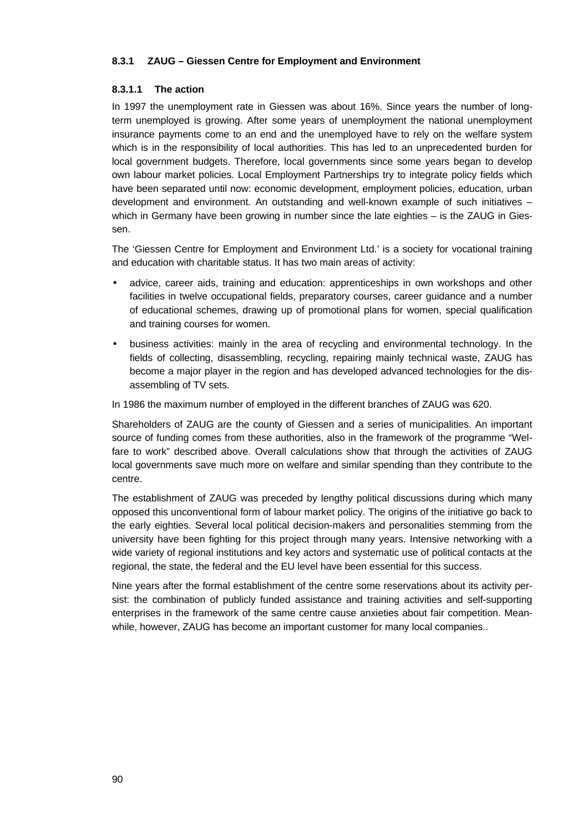### **8.3.1 ZAUG – Giessen Centre for Employment and Environment**

### **8.3.1.1 The action**

In 1997 the unemployment rate in Giessen was about 16%. Since years the number of longterm unemployed is growing. After some years of unemployment the national unemployment insurance payments come to an end and the unemployed have to rely on the welfare system which is in the responsibility of local authorities. This has led to an unprecedented burden for local government budgets. Therefore, local governments since some years began to develop own labour market policies. Local Employment Partnerships try to integrate policy fields which have been separated until now: economic development, employment policies, education, urban development and environment. An outstanding and well-known example of such initiatives – which in Germany have been growing in number since the late eighties – is the ZAUG in Giessen.

The 'Giessen Centre for Employment and Environment Ltd.' is a society for vocational training and education with charitable status. It has two main areas of activity:

- advice, career aids, training and education: apprenticeships in own workshops and other facilities in twelve occupational fields, preparatory courses, career guidance and a number of educational schemes, drawing up of promotional plans for women, special qualification and training courses for women.
- business activities: mainly in the area of recycling and environmental technology. In the fields of collecting, disassembling, recycling, repairing mainly technical waste, ZAUG has become a major player in the region and has developed advanced technologies for the disassembling of TV sets.

In 1986 the maximum number of employed in the different branches of ZAUG was 620.

Shareholders of ZAUG are the county of Giessen and a series of municipalities. An important source of funding comes from these authorities, also in the framework of the programme "Welfare to work" described above. Overall calculations show that through the activities of ZAUG local governments save much more on welfare and similar spending than they contribute to the centre.

The establishment of ZAUG was preceded by lengthy political discussions during which many opposed this unconventional form of labour market policy. The origins of the initiative go back to the early eighties. Several local political decision-makers and personalities stemming from the university have been fighting for this project through many years. Intensive networking with a wide variety of regional institutions and key actors and systematic use of political contacts at the regional, the state, the federal and the EU level have been essential for this success.

Nine years after the formal establishment of the centre some reservations about its activity persist: the combination of publicly funded assistance and training activities and self-supporting enterprises in the framework of the same centre cause anxieties about fair competition. Meanwhile, however, ZAUG has become an important customer for many local companies..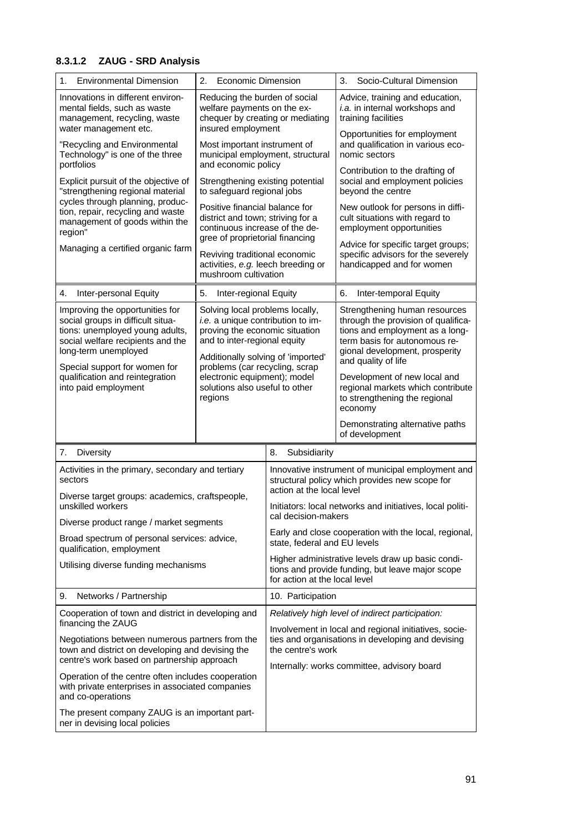# **8.3.1.2 ZAUG - SRD Analysis**

| 1.<br><b>Environmental Dimension</b>                                                                                                                                                                         | 2.<br>Economic Dimension                                                                                                                                                                                                                                                                           |                                                                                                                                        | 3.<br>Socio-Cultural Dimension                                                                                                                                                                    |
|--------------------------------------------------------------------------------------------------------------------------------------------------------------------------------------------------------------|----------------------------------------------------------------------------------------------------------------------------------------------------------------------------------------------------------------------------------------------------------------------------------------------------|----------------------------------------------------------------------------------------------------------------------------------------|---------------------------------------------------------------------------------------------------------------------------------------------------------------------------------------------------|
| Innovations in different environ-<br>mental fields, such as waste<br>management, recycling, waste<br>water management etc.                                                                                   | Reducing the burden of social<br>welfare payments on the ex-<br>chequer by creating or mediating<br>insured employment<br>Most important instrument of<br>municipal employment, structural<br>and economic policy                                                                                  |                                                                                                                                        | Advice, training and education,<br>i.a. in internal workshops and<br>training facilities                                                                                                          |
| "Recycling and Environmental<br>Technology" is one of the three                                                                                                                                              |                                                                                                                                                                                                                                                                                                    |                                                                                                                                        | Opportunities for employment<br>and qualification in various eco-<br>nomic sectors                                                                                                                |
| portfolios<br>Explicit pursuit of the objective of<br>"strengthening regional material<br>cycles through planning, produc-<br>tion, repair, recycling and waste<br>management of goods within the<br>region" | Strengthening existing potential<br>to safeguard regional jobs                                                                                                                                                                                                                                     |                                                                                                                                        | Contribution to the drafting of<br>social and employment policies<br>beyond the centre                                                                                                            |
|                                                                                                                                                                                                              | Positive financial balance for<br>district and town; striving for a<br>continuous increase of the de-                                                                                                                                                                                              |                                                                                                                                        | New outlook for persons in diffi-<br>cult situations with regard to<br>employment opportunities                                                                                                   |
| Managing a certified organic farm                                                                                                                                                                            | gree of proprietorial financing<br>Reviving traditional economic<br>activities, e.g. leech breeding or<br>mushroom cultivation                                                                                                                                                                     |                                                                                                                                        | Advice for specific target groups;<br>specific advisors for the severely<br>handicapped and for women                                                                                             |
| Inter-personal Equity<br>4.                                                                                                                                                                                  | 5.<br>Inter-regional Equity                                                                                                                                                                                                                                                                        |                                                                                                                                        | 6.<br>Inter-temporal Equity                                                                                                                                                                       |
| Improving the opportunities for<br>social groups in difficult situa-<br>tions: unemployed young adults,<br>social welfare recipients and the<br>long-term unemployed<br>Special support for women for        | Solving local problems locally,<br><i>i.e.</i> a unique contribution to im-<br>proving the economic situation<br>and to inter-regional equity<br>Additionally solving of 'imported'<br>problems (car recycling, scrap<br>electronic equipment); model<br>solutions also useful to other<br>regions |                                                                                                                                        | Strengthening human resources<br>through the provision of qualifica-<br>tions and employment as a long-<br>term basis for autonomous re-<br>gional development, prosperity<br>and quality of life |
| qualification and reintegration<br>into paid employment                                                                                                                                                      |                                                                                                                                                                                                                                                                                                    |                                                                                                                                        | Development of new local and<br>regional markets which contribute<br>to strengthening the regional<br>economy                                                                                     |
|                                                                                                                                                                                                              |                                                                                                                                                                                                                                                                                                    |                                                                                                                                        | Demonstrating alternative paths<br>of development                                                                                                                                                 |
| Diversity<br>7.                                                                                                                                                                                              |                                                                                                                                                                                                                                                                                                    | 8.<br>Subsidiarity                                                                                                                     |                                                                                                                                                                                                   |
| Activities in the primary, secondary and tertiary<br>sectors<br>Diverse target groups: academics, craftspeople,<br>unskilled workers                                                                         |                                                                                                                                                                                                                                                                                                    | Innovative instrument of municipal employment and<br>structural policy which provides new scope for<br>action at the local level       |                                                                                                                                                                                                   |
|                                                                                                                                                                                                              |                                                                                                                                                                                                                                                                                                    | Initiators: local networks and initiatives, local politi-<br>cal decision-makers                                                       |                                                                                                                                                                                                   |
| Diverse product range / market segments<br>Broad spectrum of personal services: advice,                                                                                                                      |                                                                                                                                                                                                                                                                                                    | Early and close cooperation with the local, regional,<br>state, federal and EU levels                                                  |                                                                                                                                                                                                   |
| qualification, employment<br>Utilising diverse funding mechanisms                                                                                                                                            |                                                                                                                                                                                                                                                                                                    | Higher administrative levels draw up basic condi-<br>tions and provide funding, but leave major scope<br>for action at the local level |                                                                                                                                                                                                   |
| Networks / Partnership<br>9.                                                                                                                                                                                 |                                                                                                                                                                                                                                                                                                    | 10. Participation                                                                                                                      |                                                                                                                                                                                                   |
| Cooperation of town and district in developing and                                                                                                                                                           |                                                                                                                                                                                                                                                                                                    | Relatively high level of indirect participation:                                                                                       |                                                                                                                                                                                                   |
| financing the ZAUG<br>Negotiations between numerous partners from the<br>town and district on developing and devising the<br>centre's work based on partnership approach                                     |                                                                                                                                                                                                                                                                                                    | the centre's work                                                                                                                      | Involvement in local and regional initiatives, socie-<br>ties and organisations in developing and devising<br>Internally: works committee, advisory board                                         |
| Operation of the centre often includes cooperation<br>with private enterprises in associated companies<br>and co-operations                                                                                  |                                                                                                                                                                                                                                                                                                    |                                                                                                                                        |                                                                                                                                                                                                   |
| The present company ZAUG is an important part-<br>ner in devising local policies                                                                                                                             |                                                                                                                                                                                                                                                                                                    |                                                                                                                                        |                                                                                                                                                                                                   |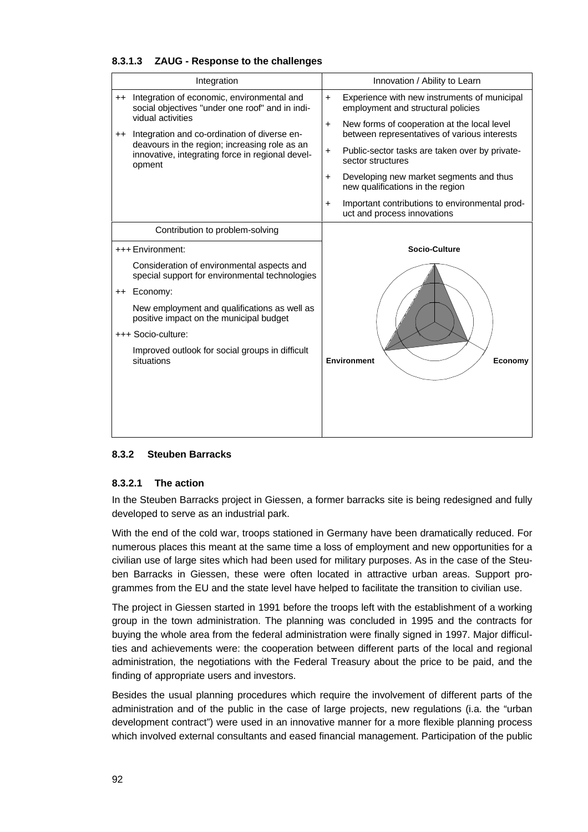| Integration                                                                                                 | Innovation / Ability to Learn                                                                            |
|-------------------------------------------------------------------------------------------------------------|----------------------------------------------------------------------------------------------------------|
| Integration of economic, environmental and<br>$+ +$<br>social objectives "under one roof" and in indi-      | Experience with new instruments of municipal<br>$+$<br>employment and structural policies                |
| vidual activities<br>Integration and co-ordination of diverse en-<br>$^{\mathrm{++}}$                       | New forms of cooperation at the local level<br>$\ddot{}$<br>between representatives of various interests |
| deavours in the region; increasing role as an<br>innovative, integrating force in regional devel-<br>opment | Public-sector tasks are taken over by private-<br>$\ddot{}$<br>sector structures                         |
|                                                                                                             | Developing new market segments and thus<br>$\ddot{}$<br>new qualifications in the region                 |
|                                                                                                             | Important contributions to environmental prod-<br>$\ddot{}$<br>uct and process innovations               |
| Contribution to problem-solving                                                                             |                                                                                                          |
| +++ Environment:                                                                                            | <b>Socio-Culture</b>                                                                                     |
| Consideration of environmental aspects and<br>special support for environmental technologies                |                                                                                                          |
| ++ Economy:                                                                                                 |                                                                                                          |
| New employment and qualifications as well as<br>positive impact on the municipal budget                     |                                                                                                          |
| +++ Socio-culture:                                                                                          |                                                                                                          |
| Improved outlook for social groups in difficult<br>situations                                               | <b>Environment</b><br>Economy                                                                            |
|                                                                                                             |                                                                                                          |
|                                                                                                             |                                                                                                          |
|                                                                                                             |                                                                                                          |

#### **8.3.1.3 ZAUG - Response to the challenges**

## **8.3.2 Steuben Barracks**

#### **8.3.2.1 The action**

In the Steuben Barracks project in Giessen, a former barracks site is being redesigned and fully developed to serve as an industrial park.

With the end of the cold war, troops stationed in Germany have been dramatically reduced. For numerous places this meant at the same time a loss of employment and new opportunities for a civilian use of large sites which had been used for military purposes. As in the case of the Steuben Barracks in Giessen, these were often located in attractive urban areas. Support programmes from the EU and the state level have helped to facilitate the transition to civilian use.

The project in Giessen started in 1991 before the troops left with the establishment of a working group in the town administration. The planning was concluded in 1995 and the contracts for buying the whole area from the federal administration were finally signed in 1997. Major difficulties and achievements were: the cooperation between different parts of the local and regional administration, the negotiations with the Federal Treasury about the price to be paid, and the finding of appropriate users and investors.

Besides the usual planning procedures which require the involvement of different parts of the administration and of the public in the case of large projects, new regulations (i.a. the "urban development contract") were used in an innovative manner for a more flexible planning process which involved external consultants and eased financial management. Participation of the public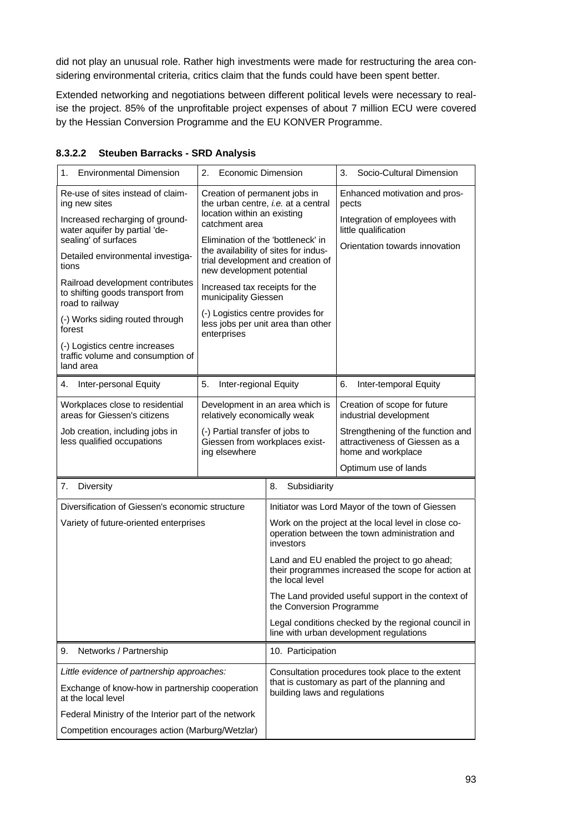did not play an unusual role. Rather high investments were made for restructuring the area considering environmental criteria, critics claim that the funds could have been spent better.

Extended networking and negotiations between different political levels were necessary to realise the project. 85% of the unprofitable project expenses of about 7 million ECU were covered by the Hessian Conversion Programme and the EU KONVER Programme.

| <b>Environmental Dimension</b><br>1.                                                                                                                                                                                                                                                                                                                                                                                     | <b>Economic Dimension</b><br>2.                                                                                                                                                                                                                                                                                                                                                                                           |                                                                                                                       | Socio-Cultural Dimension<br>3.                                                                                                    |
|--------------------------------------------------------------------------------------------------------------------------------------------------------------------------------------------------------------------------------------------------------------------------------------------------------------------------------------------------------------------------------------------------------------------------|---------------------------------------------------------------------------------------------------------------------------------------------------------------------------------------------------------------------------------------------------------------------------------------------------------------------------------------------------------------------------------------------------------------------------|-----------------------------------------------------------------------------------------------------------------------|-----------------------------------------------------------------------------------------------------------------------------------|
| Re-use of sites instead of claim-<br>ing new sites<br>Increased recharging of ground-<br>water aquifer by partial 'de-<br>sealing' of surfaces<br>Detailed environmental investiga-<br>tions<br>Railroad development contributes<br>to shifting goods transport from<br>road to railway<br>(-) Works siding routed through<br>forest<br>(-) Logistics centre increases<br>traffic volume and consumption of<br>land area | Creation of permanent jobs in<br>the urban centre, i.e. at a central<br>location within an existing<br>catchment area<br>Elimination of the 'bottleneck' in<br>the availability of sites for indus-<br>trial development and creation of<br>new development potential<br>Increased tax receipts for the<br>municipality Giessen<br>(-) Logistics centre provides for<br>less jobs per unit area than other<br>enterprises |                                                                                                                       | Enhanced motivation and pros-<br>pects<br>Integration of employees with<br>little qualification<br>Orientation towards innovation |
| Inter-personal Equity<br>4.                                                                                                                                                                                                                                                                                                                                                                                              | 5.<br>Inter-regional Equity                                                                                                                                                                                                                                                                                                                                                                                               |                                                                                                                       | Inter-temporal Equity<br>6.                                                                                                       |
| Workplaces close to residential<br>areas for Giessen's citizens                                                                                                                                                                                                                                                                                                                                                          | relatively economically weak                                                                                                                                                                                                                                                                                                                                                                                              | Development in an area which is                                                                                       | Creation of scope for future<br>industrial development                                                                            |
| Job creation, including jobs in<br>less qualified occupations                                                                                                                                                                                                                                                                                                                                                            | (-) Partial transfer of jobs to<br>Giessen from workplaces exist-<br>ing elsewhere                                                                                                                                                                                                                                                                                                                                        |                                                                                                                       | Strengthening of the function and<br>attractiveness of Giessen as a<br>home and workplace                                         |
|                                                                                                                                                                                                                                                                                                                                                                                                                          |                                                                                                                                                                                                                                                                                                                                                                                                                           |                                                                                                                       | Optimum use of lands                                                                                                              |
| <b>Diversity</b><br>7.                                                                                                                                                                                                                                                                                                                                                                                                   |                                                                                                                                                                                                                                                                                                                                                                                                                           | 8.<br>Subsidiarity                                                                                                    |                                                                                                                                   |
| Diversification of Giessen's economic structure                                                                                                                                                                                                                                                                                                                                                                          |                                                                                                                                                                                                                                                                                                                                                                                                                           | Initiator was Lord Mayor of the town of Giessen                                                                       |                                                                                                                                   |
| Variety of future-oriented enterprises                                                                                                                                                                                                                                                                                                                                                                                   |                                                                                                                                                                                                                                                                                                                                                                                                                           | Work on the project at the local level in close co-<br>operation between the town administration and<br>investors     |                                                                                                                                   |
|                                                                                                                                                                                                                                                                                                                                                                                                                          |                                                                                                                                                                                                                                                                                                                                                                                                                           | Land and EU enabled the project to go ahead;<br>their programmes increased the scope for action at<br>the local level |                                                                                                                                   |
|                                                                                                                                                                                                                                                                                                                                                                                                                          |                                                                                                                                                                                                                                                                                                                                                                                                                           | The Land provided useful support in the context of<br>the Conversion Programme                                        |                                                                                                                                   |
|                                                                                                                                                                                                                                                                                                                                                                                                                          |                                                                                                                                                                                                                                                                                                                                                                                                                           | Legal conditions checked by the regional council in<br>line with urban development regulations                        |                                                                                                                                   |
| Networks / Partnership<br>9.                                                                                                                                                                                                                                                                                                                                                                                             |                                                                                                                                                                                                                                                                                                                                                                                                                           | 10. Participation                                                                                                     |                                                                                                                                   |
| Little evidence of partnership approaches:                                                                                                                                                                                                                                                                                                                                                                               |                                                                                                                                                                                                                                                                                                                                                                                                                           |                                                                                                                       | Consultation procedures took place to the extent                                                                                  |
| Exchange of know-how in partnership cooperation<br>at the local level                                                                                                                                                                                                                                                                                                                                                    |                                                                                                                                                                                                                                                                                                                                                                                                                           | building laws and regulations                                                                                         | that is customary as part of the planning and                                                                                     |
| Federal Ministry of the Interior part of the network                                                                                                                                                                                                                                                                                                                                                                     |                                                                                                                                                                                                                                                                                                                                                                                                                           |                                                                                                                       |                                                                                                                                   |
| Competition encourages action (Marburg/Wetzlar)                                                                                                                                                                                                                                                                                                                                                                          |                                                                                                                                                                                                                                                                                                                                                                                                                           |                                                                                                                       |                                                                                                                                   |

### **8.3.2.2 Steuben Barracks - SRD Analysis**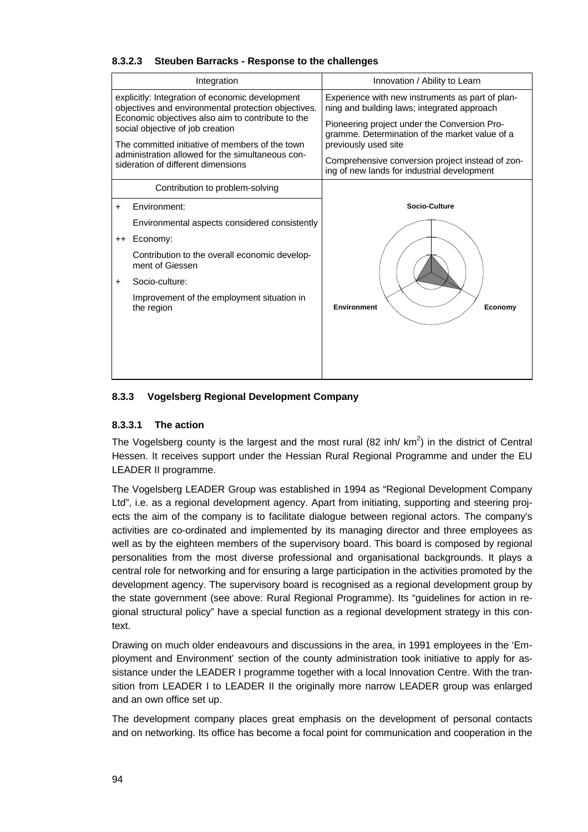|  | Integration                                                                                                                              | Innovation / Ability to Learn                                                                   |  |  |  |  |
|--|------------------------------------------------------------------------------------------------------------------------------------------|-------------------------------------------------------------------------------------------------|--|--|--|--|
|  | explicitly: Integration of economic development<br>objectives and environmental protection objectives.                                   | Experience with new instruments as part of plan-<br>ning and building laws; integrated approach |  |  |  |  |
|  | Economic objectives also aim to contribute to the<br>social objective of job creation<br>The committed initiative of members of the town | Pioneering project under the Conversion Pro-<br>gramme. Determination of the market value of a  |  |  |  |  |
|  |                                                                                                                                          | previously used site                                                                            |  |  |  |  |
|  | administration allowed for the simultaneous con-<br>sideration of different dimensions                                                   | Comprehensive conversion project instead of zon-<br>ing of new lands for industrial development |  |  |  |  |
|  | Contribution to problem-solving                                                                                                          |                                                                                                 |  |  |  |  |

## **8.3.2.3 Steuben Barracks - Response to the challenges**

# opment Contribution to problem-solving Environment: Environmental aspects considered consistently ++ Economy: Contribution to the overall economic development of Giessen + Socio-culture: Improvement of the employment situation in the region **Socio-Culture** Environment **Example 2** / Economy

## **8.3.3 Vogelsberg Regional Development Company**

## **8.3.3.1 The action**

The Vogelsberg county is the largest and the most rural (82 inh/  $km^2$ ) in the district of Central Hessen. It receives support under the Hessian Rural Regional Programme and under the EU LEADER II programme.

The Vogelsberg LEADER Group was established in 1994 as "Regional Development Company Ltd", i.e. as a regional development agency. Apart from initiating, supporting and steering projects the aim of the company is to facilitate dialogue between regional actors. The company's activities are co-ordinated and implemented by its managing director and three employees as well as by the eighteen members of the supervisory board. This board is composed by regional personalities from the most diverse professional and organisational backgrounds. It plays a central role for networking and for ensuring a large participation in the activities promoted by the development agency. The supervisory board is recognised as a regional development group by the state government (see above: Rural Regional Programme). Its "guidelines for action in regional structural policy" have a special function as a regional development strategy in this context.

Drawing on much older endeavours and discussions in the area, in 1991 employees in the 'Employment and Environment' section of the county administration took initiative to apply for assistance under the LEADER I programme together with a local Innovation Centre. With the transition from LEADER I to LEADER II the originally more narrow LEADER group was enlarged and an own office set up.

The development company places great emphasis on the development of personal contacts and on networking. Its office has become a focal point for communication and cooperation in the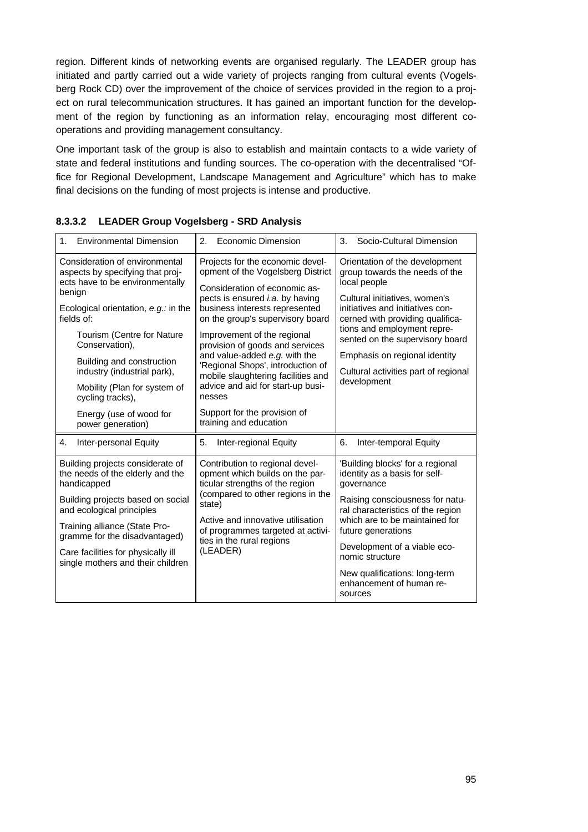region. Different kinds of networking events are organised regularly. The LEADER group has initiated and partly carried out a wide variety of projects ranging from cultural events (Vogelsberg Rock CD) over the improvement of the choice of services provided in the region to a project on rural telecommunication structures. It has gained an important function for the development of the region by functioning as an information relay, encouraging most different cooperations and providing management consultancy.

One important task of the group is also to establish and maintain contacts to a wide variety of state and federal institutions and funding sources. The co-operation with the decentralised "Office for Regional Development, Landscape Management and Agriculture" which has to make final decisions on the funding of most projects is intense and productive.

| 1 <sup>1</sup>                                                                                                                                                                                                                                                                                                                                                                          | 2 <sub>1</sub>                                                                                                                                                                                                                                                                                                                                                                                                                                                                                                | 3.                                                                                                                                                                                                                                                                                                                                                  |  |
|-----------------------------------------------------------------------------------------------------------------------------------------------------------------------------------------------------------------------------------------------------------------------------------------------------------------------------------------------------------------------------------------|---------------------------------------------------------------------------------------------------------------------------------------------------------------------------------------------------------------------------------------------------------------------------------------------------------------------------------------------------------------------------------------------------------------------------------------------------------------------------------------------------------------|-----------------------------------------------------------------------------------------------------------------------------------------------------------------------------------------------------------------------------------------------------------------------------------------------------------------------------------------------------|--|
| <b>Environmental Dimension</b>                                                                                                                                                                                                                                                                                                                                                          | Economic Dimension                                                                                                                                                                                                                                                                                                                                                                                                                                                                                            | Socio-Cultural Dimension                                                                                                                                                                                                                                                                                                                            |  |
| Consideration of environmental<br>aspects by specifying that proj-<br>ects have to be environmentally<br>benign<br>Ecological orientation, $e.g.:$ in the<br>fields of:<br>Tourism (Centre for Nature<br>Conservation),<br>Building and construction<br>industry (industrial park),<br>Mobility (Plan for system of<br>cycling tracks),<br>Energy (use of wood for<br>power generation) | Projects for the economic devel-<br>opment of the Vogelsberg District<br>Consideration of economic as-<br>pects is ensured <i>i.a.</i> by having<br>business interests represented<br>on the group's supervisory board<br>Improvement of the regional<br>provision of goods and services<br>and value-added e.g. with the<br>'Regional Shops', introduction of<br>mobile slaughtering facilities and<br>advice and aid for start-up busi-<br>nesses<br>Support for the provision of<br>training and education | Orientation of the development<br>group towards the needs of the<br>local people<br>Cultural initiatives, women's<br>initiatives and initiatives con-<br>cerned with providing qualifica-<br>tions and employment repre-<br>sented on the supervisory board<br>Emphasis on regional identity<br>Cultural activities part of regional<br>development |  |
| Inter-personal Equity                                                                                                                                                                                                                                                                                                                                                                   | 5.                                                                                                                                                                                                                                                                                                                                                                                                                                                                                                            | 6.                                                                                                                                                                                                                                                                                                                                                  |  |
| 4.                                                                                                                                                                                                                                                                                                                                                                                      | Inter-regional Equity                                                                                                                                                                                                                                                                                                                                                                                                                                                                                         | Inter-temporal Equity                                                                                                                                                                                                                                                                                                                               |  |
| Building projects considerate of<br>the needs of the elderly and the<br>handicapped<br>Building projects based on social<br>and ecological principles<br>Training alliance (State Pro-<br>gramme for the disadvantaged)<br>Care facilities for physically ill<br>single mothers and their children                                                                                      | Contribution to regional devel-<br>opment which builds on the par-<br>ticular strengths of the region<br>(compared to other regions in the<br>state)<br>Active and innovative utilisation<br>of programmes targeted at activi-<br>ties in the rural regions<br>(LEADER)                                                                                                                                                                                                                                       | 'Building blocks' for a regional<br>identity as a basis for self-<br>governance<br>Raising consciousness for natu-<br>ral characteristics of the region<br>which are to be maintained for<br>future generations<br>Development of a viable eco-<br>nomic structure<br>New qualifications: long-term<br>enhancement of human re-<br>sources          |  |

|  |  |  | 8.3.3.2 LEADER Group Vogelsberg - SRD Analysis |  |  |
|--|--|--|------------------------------------------------|--|--|
|--|--|--|------------------------------------------------|--|--|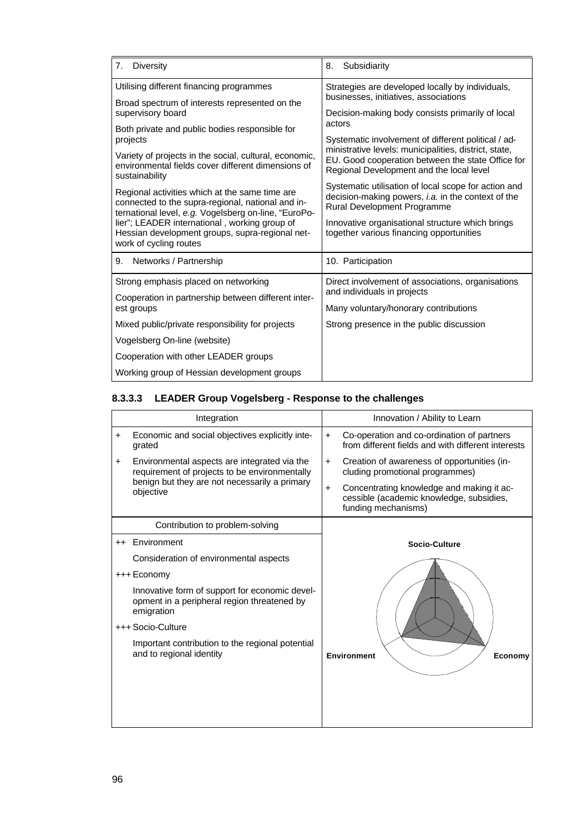| <b>Diversity</b><br>7.                                                                                                                                                                                                                                                                    | Subsidiarity<br>8.                                                                                                                                                                                                                        |
|-------------------------------------------------------------------------------------------------------------------------------------------------------------------------------------------------------------------------------------------------------------------------------------------|-------------------------------------------------------------------------------------------------------------------------------------------------------------------------------------------------------------------------------------------|
| Utilising different financing programmes                                                                                                                                                                                                                                                  | Strategies are developed locally by individuals,<br>businesses, initiatives, associations                                                                                                                                                 |
| Broad spectrum of interests represented on the<br>supervisory board                                                                                                                                                                                                                       | Decision-making body consists primarily of local                                                                                                                                                                                          |
| Both private and public bodies responsible for<br>projects                                                                                                                                                                                                                                | actors<br>Systematic involvement of different political / ad-                                                                                                                                                                             |
| Variety of projects in the social, cultural, economic,<br>environmental fields cover different dimensions of<br>sustainability                                                                                                                                                            | ministrative levels: municipalities, district, state,<br>EU. Good cooperation between the state Office for<br>Regional Development and the local level                                                                                    |
| Regional activities which at the same time are<br>connected to the supra-regional, national and in-<br>ternational level, e.g. Vogelsberg on-line, "EuroPo-<br>lier"; LEADER international, working group of<br>Hessian development groups, supra-regional net-<br>work of cycling routes | Systematic utilisation of local scope for action and<br>decision-making powers, i.a. in the context of the<br>Rural Development Programme<br>Innovative organisational structure which brings<br>together various financing opportunities |
| 9. Networks / Partnership                                                                                                                                                                                                                                                                 | 10. Participation                                                                                                                                                                                                                         |
| Strong emphasis placed on networking                                                                                                                                                                                                                                                      | Direct involvement of associations, organisations                                                                                                                                                                                         |
| Cooperation in partnership between different inter-<br>est groups                                                                                                                                                                                                                         | and individuals in projects<br>Many voluntary/honorary contributions                                                                                                                                                                      |
| Mixed public/private responsibility for projects                                                                                                                                                                                                                                          | Strong presence in the public discussion                                                                                                                                                                                                  |
| Vogelsberg On-line (website)                                                                                                                                                                                                                                                              |                                                                                                                                                                                                                                           |
| Cooperation with other LEADER groups                                                                                                                                                                                                                                                      |                                                                                                                                                                                                                                           |
| Working group of Hessian development groups                                                                                                                                                                                                                                               |                                                                                                                                                                                                                                           |

# **8.3.3.3 LEADER Group Vogelsberg - Response to the challenges**

|           | Integration                                                                                                 |           | Innovation / Ability to Learn                                                                                |  |  |
|-----------|-------------------------------------------------------------------------------------------------------------|-----------|--------------------------------------------------------------------------------------------------------------|--|--|
| +         | Economic and social objectives explicitly inte-<br>grated                                                   | $+$       | Co-operation and co-ordination of partners<br>from different fields and with different interests             |  |  |
| $\ddot{}$ | Environmental aspects are integrated via the<br>requirement of projects to be environmentally               | $+$       | Creation of awareness of opportunities (in-<br>cluding promotional programmes)                               |  |  |
|           | benign but they are not necessarily a primary<br>objective                                                  | $\ddot{}$ | Concentrating knowledge and making it ac-<br>cessible (academic knowledge, subsidies,<br>funding mechanisms) |  |  |
|           | Contribution to problem-solving                                                                             |           |                                                                                                              |  |  |
| $^{++}$   | Environment                                                                                                 |           | Socio-Culture                                                                                                |  |  |
|           | Consideration of environmental aspects                                                                      |           |                                                                                                              |  |  |
|           | +++ Economy                                                                                                 |           |                                                                                                              |  |  |
|           | Innovative form of support for economic devel-<br>opment in a peripheral region threatened by<br>emigration |           |                                                                                                              |  |  |
|           | +++ Socio-Culture                                                                                           |           |                                                                                                              |  |  |
|           | Important contribution to the regional potential<br>and to regional identity                                |           | <b>Environment</b><br>Economy                                                                                |  |  |
|           |                                                                                                             |           |                                                                                                              |  |  |
|           |                                                                                                             |           |                                                                                                              |  |  |
|           |                                                                                                             |           |                                                                                                              |  |  |
|           |                                                                                                             |           |                                                                                                              |  |  |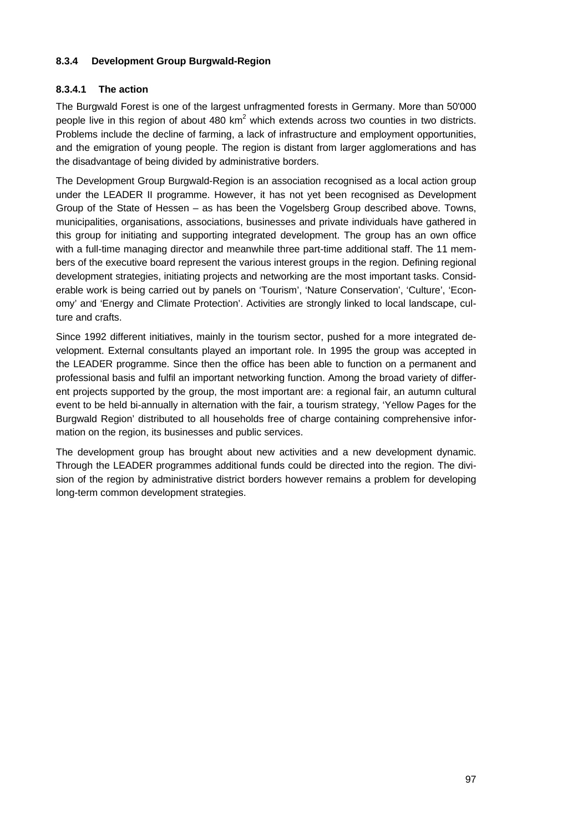## **8.3.4 Development Group Burgwald-Region**

## **8.3.4.1 The action**

The Burgwald Forest is one of the largest unfragmented forests in Germany. More than 50'000 people live in this region of about 480 km<sup>2</sup> which extends across two counties in two districts. Problems include the decline of farming, a lack of infrastructure and employment opportunities, and the emigration of young people. The region is distant from larger agglomerations and has the disadvantage of being divided by administrative borders.

The Development Group Burgwald-Region is an association recognised as a local action group under the LEADER II programme. However, it has not yet been recognised as Development Group of the State of Hessen – as has been the Vogelsberg Group described above. Towns, municipalities, organisations, associations, businesses and private individuals have gathered in this group for initiating and supporting integrated development. The group has an own office with a full-time managing director and meanwhile three part-time additional staff. The 11 members of the executive board represent the various interest groups in the region. Defining regional development strategies, initiating projects and networking are the most important tasks. Considerable work is being carried out by panels on 'Tourism', 'Nature Conservation', 'Culture', 'Economy' and 'Energy and Climate Protection'. Activities are strongly linked to local landscape, culture and crafts.

Since 1992 different initiatives, mainly in the tourism sector, pushed for a more integrated development. External consultants played an important role. In 1995 the group was accepted in the LEADER programme. Since then the office has been able to function on a permanent and professional basis and fulfil an important networking function. Among the broad variety of different projects supported by the group, the most important are: a regional fair, an autumn cultural event to be held bi-annually in alternation with the fair, a tourism strategy, 'Yellow Pages for the Burgwald Region' distributed to all households free of charge containing comprehensive information on the region, its businesses and public services.

The development group has brought about new activities and a new development dynamic. Through the LEADER programmes additional funds could be directed into the region. The division of the region by administrative district borders however remains a problem for developing long-term common development strategies.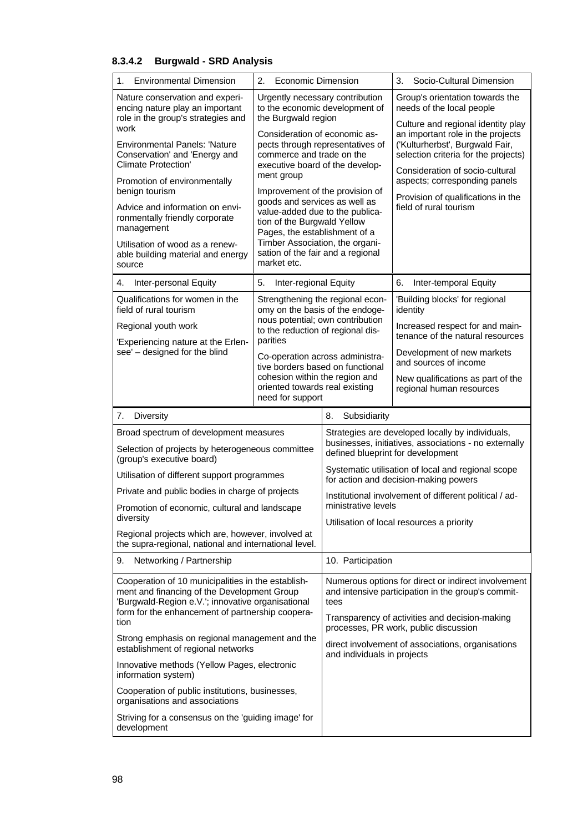## **8.3.4.2 Burgwald - SRD Analysis**

| 1.<br><b>Environmental Dimension</b>                                                                                                                   | 2.<br>Economic Dimension                                                                                    |                                                                                                                   | 3.<br>Socio-Cultural Dimension                                                                                                                  |  |
|--------------------------------------------------------------------------------------------------------------------------------------------------------|-------------------------------------------------------------------------------------------------------------|-------------------------------------------------------------------------------------------------------------------|-------------------------------------------------------------------------------------------------------------------------------------------------|--|
| Nature conservation and experi-<br>encing nature play an important<br>role in the group's strategies and                                               | Urgently necessary contribution<br>to the economic development of<br>the Burgwald region                    |                                                                                                                   | Group's orientation towards the<br>needs of the local people<br>Culture and regional identity play                                              |  |
| work<br><b>Environmental Panels: 'Nature</b><br>Conservation' and 'Energy and<br><b>Climate Protection'</b>                                            | Consideration of economic as-<br>commerce and trade on the<br>executive board of the develop-<br>ment group | pects through representatives of                                                                                  | an important role in the projects<br>('Kulturherbst', Burgwald Fair,<br>selection criteria for the projects)<br>Consideration of socio-cultural |  |
| Promotion of environmentally<br>benign tourism                                                                                                         | Improvement of the provision of<br>goods and services as well as                                            |                                                                                                                   | aspects; corresponding panels<br>Provision of qualifications in the                                                                             |  |
| Advice and information on envi-<br>ronmentally friendly corporate<br>management                                                                        | value-added due to the publica-<br>tion of the Burgwald Yellow<br>Pages, the establishment of a             |                                                                                                                   | field of rural tourism                                                                                                                          |  |
| Utilisation of wood as a renew-<br>able building material and energy<br>source                                                                         | Timber Association, the organi-<br>sation of the fair and a regional<br>market etc.                         |                                                                                                                   |                                                                                                                                                 |  |
| Inter-personal Equity<br>4.                                                                                                                            | Inter-regional Equity<br>5.                                                                                 |                                                                                                                   | Inter-temporal Equity<br>6.                                                                                                                     |  |
| Qualifications for women in the<br>field of rural tourism                                                                                              | omy on the basis of the endoge-<br>nous potential; own contribution                                         | Strengthening the regional econ-                                                                                  | 'Building blocks' for regional<br>identity                                                                                                      |  |
| Regional youth work<br>'Experiencing nature at the Erlen-                                                                                              | to the reduction of regional dis-<br>parities                                                               |                                                                                                                   | Increased respect for and main-<br>tenance of the natural resources                                                                             |  |
| see' - designed for the blind                                                                                                                          | Co-operation across administra-<br>tive borders based on functional                                         |                                                                                                                   | Development of new markets<br>and sources of income                                                                                             |  |
|                                                                                                                                                        | cohesion within the region and<br>oriented towards real existing<br>need for support                        |                                                                                                                   | New qualifications as part of the<br>regional human resources                                                                                   |  |
| <b>Diversity</b><br>7.                                                                                                                                 |                                                                                                             | 8.<br>Subsidiarity                                                                                                |                                                                                                                                                 |  |
| Broad spectrum of development measures<br>Selection of projects by heterogeneous committee                                                             |                                                                                                             |                                                                                                                   | Strategies are developed locally by individuals,<br>businesses, initiatives, associations - no externally<br>defined blueprint for development  |  |
| (group's executive board)<br>Utilisation of different support programmes                                                                               |                                                                                                             | Systematic utilisation of local and regional scope<br>for action and decision-making powers                       |                                                                                                                                                 |  |
| Private and public bodies in charge of projects                                                                                                        |                                                                                                             |                                                                                                                   | Institutional involvement of different political / ad-                                                                                          |  |
| Promotion of economic, cultural and landscape<br>diversity                                                                                             |                                                                                                             | ministrative levels                                                                                               |                                                                                                                                                 |  |
| Regional projects which are, however, involved at<br>the supra-regional, national and international level.                                             |                                                                                                             |                                                                                                                   | Utilisation of local resources a priority                                                                                                       |  |
| 9.<br>Networking / Partnership                                                                                                                         |                                                                                                             | 10. Participation                                                                                                 |                                                                                                                                                 |  |
| Cooperation of 10 municipalities in the establish-<br>ment and financing of the Development Group<br>'Burgwald-Region e.V.'; innovative organisational |                                                                                                             | Numerous options for direct or indirect involvement<br>and intensive participation in the group's commit-<br>tees |                                                                                                                                                 |  |
| form for the enhancement of partnership coopera-<br>tion                                                                                               |                                                                                                             | Transparency of activities and decision-making<br>processes, PR work, public discussion                           |                                                                                                                                                 |  |
| Strong emphasis on regional management and the<br>establishment of regional networks                                                                   |                                                                                                             | and individuals in projects                                                                                       | direct involvement of associations, organisations                                                                                               |  |
| Innovative methods (Yellow Pages, electronic<br>information system)                                                                                    |                                                                                                             |                                                                                                                   |                                                                                                                                                 |  |
| organisations and associations                                                                                                                         | Cooperation of public institutions, businesses,                                                             |                                                                                                                   |                                                                                                                                                 |  |
| Striving for a consensus on the 'guiding image' for<br>development                                                                                     |                                                                                                             |                                                                                                                   |                                                                                                                                                 |  |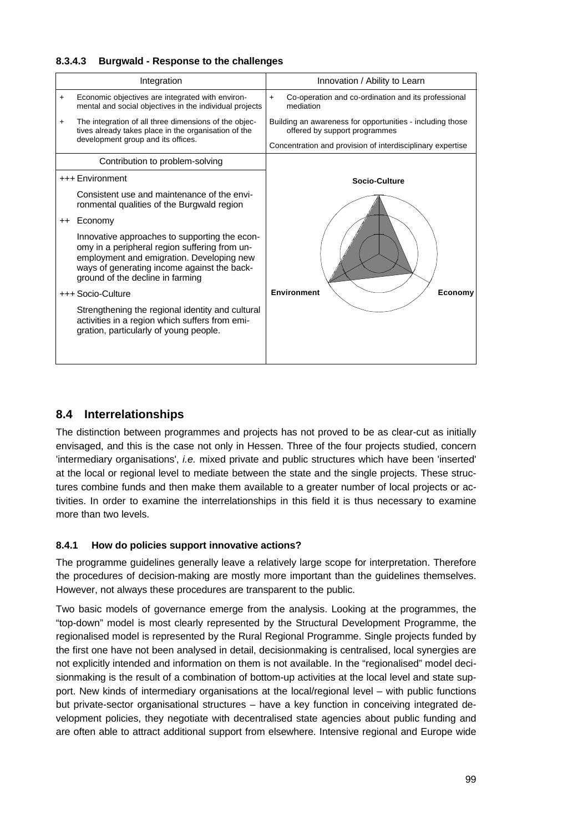## **8.3.4.3 Burgwald - Response to the challenges**

|     | Integration                                                                                                                                                                                                                    | Innovation / Ability to Learn                                                              |
|-----|--------------------------------------------------------------------------------------------------------------------------------------------------------------------------------------------------------------------------------|--------------------------------------------------------------------------------------------|
| $+$ | Economic objectives are integrated with environ-<br>mental and social objectives in the individual projects                                                                                                                    | Co-operation and co-ordination and its professional<br>$+$<br>mediation                    |
| $+$ | The integration of all three dimensions of the objec-<br>tives already takes place in the organisation of the                                                                                                                  | Building an awareness for opportunities - including those<br>offered by support programmes |
|     | development group and its offices.                                                                                                                                                                                             | Concentration and provision of interdisciplinary expertise                                 |
|     | Contribution to problem-solving                                                                                                                                                                                                |                                                                                            |
|     | +++ Environment                                                                                                                                                                                                                | <b>Socio-Culture</b>                                                                       |
|     | Consistent use and maintenance of the envi-<br>ronmental qualities of the Burgwald region                                                                                                                                      |                                                                                            |
|     | ++ Economy                                                                                                                                                                                                                     |                                                                                            |
|     | Innovative approaches to supporting the econ-<br>omy in a peripheral region suffering from un-<br>employment and emigration. Developing new<br>ways of generating income against the back-<br>ground of the decline in farming |                                                                                            |
|     | +++ Socio-Culture                                                                                                                                                                                                              | <b>Environment</b><br>Economy                                                              |
|     | Strengthening the regional identity and cultural<br>activities in a region which suffers from emi-<br>gration, particularly of young people.                                                                                   |                                                                                            |

## **8.4 Interrelationships**

The distinction between programmes and projects has not proved to be as clear-cut as initially envisaged, and this is the case not only in Hessen. Three of the four projects studied, concern 'intermediary organisations', *i.e.* mixed private and public structures which have been 'inserted' at the local or regional level to mediate between the state and the single projects. These structures combine funds and then make them available to a greater number of local projects or activities. In order to examine the interrelationships in this field it is thus necessary to examine more than two levels.

## **8.4.1 How do policies support innovative actions?**

The programme guidelines generally leave a relatively large scope for interpretation. Therefore the procedures of decision-making are mostly more important than the guidelines themselves. However, not always these procedures are transparent to the public.

Two basic models of governance emerge from the analysis. Looking at the programmes, the "top-down" model is most clearly represented by the Structural Development Programme, the regionalised model is represented by the Rural Regional Programme. Single projects funded by the first one have not been analysed in detail, decisionmaking is centralised, local synergies are not explicitly intended and information on them is not available. In the "regionalised" model decisionmaking is the result of a combination of bottom-up activities at the local level and state support. New kinds of intermediary organisations at the local/regional level – with public functions but private-sector organisational structures – have a key function in conceiving integrated development policies, they negotiate with decentralised state agencies about public funding and are often able to attract additional support from elsewhere. Intensive regional and Europe wide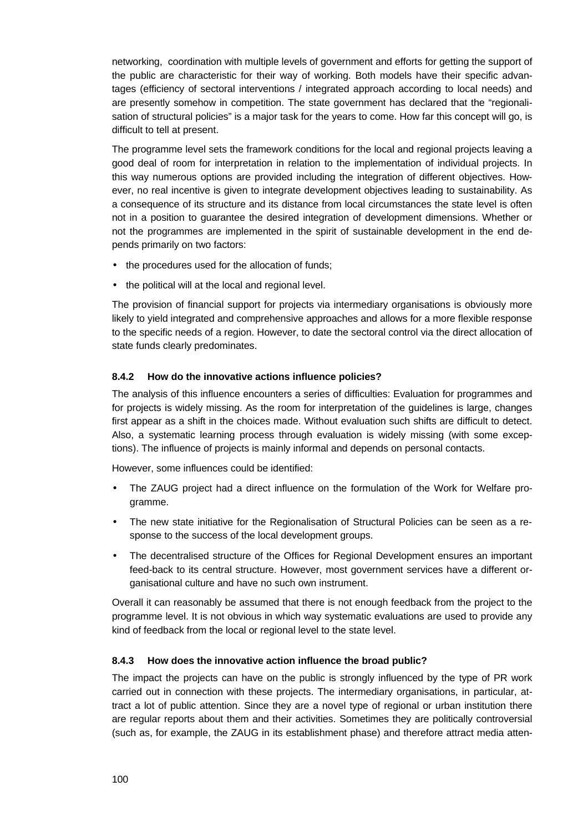networking, coordination with multiple levels of government and efforts for getting the support of the public are characteristic for their way of working. Both models have their specific advantages (efficiency of sectoral interventions / integrated approach according to local needs) and are presently somehow in competition. The state government has declared that the "regionalisation of structural policies" is a major task for the years to come. How far this concept will go, is difficult to tell at present.

The programme level sets the framework conditions for the local and regional projects leaving a good deal of room for interpretation in relation to the implementation of individual projects. In this way numerous options are provided including the integration of different objectives. However, no real incentive is given to integrate development objectives leading to sustainability. As a consequence of its structure and its distance from local circumstances the state level is often not in a position to guarantee the desired integration of development dimensions. Whether or not the programmes are implemented in the spirit of sustainable development in the end depends primarily on two factors:

- the procedures used for the allocation of funds;
- the political will at the local and regional level.

The provision of financial support for projects via intermediary organisations is obviously more likely to yield integrated and comprehensive approaches and allows for a more flexible response to the specific needs of a region. However, to date the sectoral control via the direct allocation of state funds clearly predominates.

## **8.4.2 How do the innovative actions influence policies?**

The analysis of this influence encounters a series of difficulties: Evaluation for programmes and for projects is widely missing. As the room for interpretation of the guidelines is large, changes first appear as a shift in the choices made. Without evaluation such shifts are difficult to detect. Also, a systematic learning process through evaluation is widely missing (with some exceptions). The influence of projects is mainly informal and depends on personal contacts.

However, some influences could be identified:

- The ZAUG project had a direct influence on the formulation of the Work for Welfare programme.
- The new state initiative for the Regionalisation of Structural Policies can be seen as a response to the success of the local development groups.
- The decentralised structure of the Offices for Regional Development ensures an important feed-back to its central structure. However, most government services have a different organisational culture and have no such own instrument.

Overall it can reasonably be assumed that there is not enough feedback from the project to the programme level. It is not obvious in which way systematic evaluations are used to provide any kind of feedback from the local or regional level to the state level.

#### **8.4.3 How does the innovative action influence the broad public?**

The impact the projects can have on the public is strongly influenced by the type of PR work carried out in connection with these projects. The intermediary organisations, in particular, attract a lot of public attention. Since they are a novel type of regional or urban institution there are regular reports about them and their activities. Sometimes they are politically controversial (such as, for example, the ZAUG in its establishment phase) and therefore attract media atten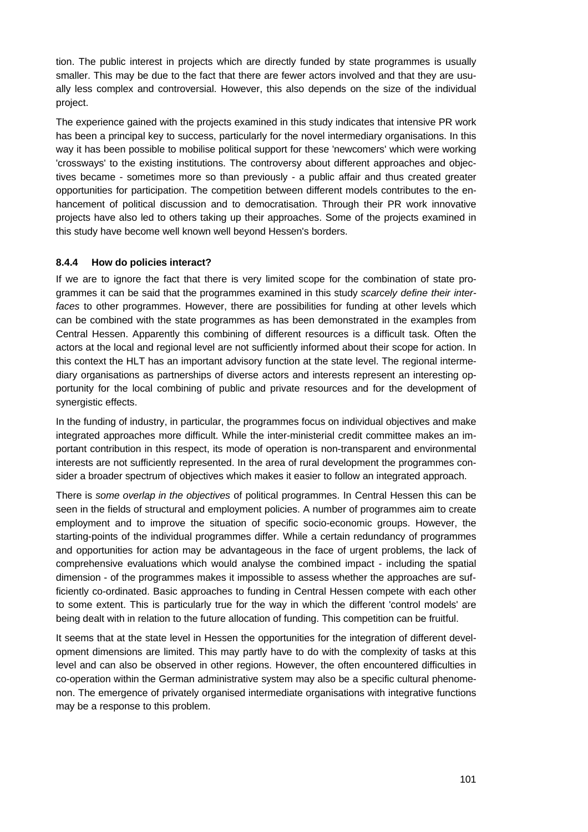tion. The public interest in projects which are directly funded by state programmes is usually smaller. This may be due to the fact that there are fewer actors involved and that they are usually less complex and controversial. However, this also depends on the size of the individual project.

The experience gained with the projects examined in this study indicates that intensive PR work has been a principal key to success, particularly for the novel intermediary organisations. In this way it has been possible to mobilise political support for these 'newcomers' which were working 'crossways' to the existing institutions. The controversy about different approaches and objectives became - sometimes more so than previously - a public affair and thus created greater opportunities for participation. The competition between different models contributes to the enhancement of political discussion and to democratisation. Through their PR work innovative projects have also led to others taking up their approaches. Some of the projects examined in this study have become well known well beyond Hessen's borders.

## **8.4.4 How do policies interact?**

If we are to ignore the fact that there is very limited scope for the combination of state programmes it can be said that the programmes examined in this study *scarcely define their interfaces* to other programmes. However, there are possibilities for funding at other levels which can be combined with the state programmes as has been demonstrated in the examples from Central Hessen. Apparently this combining of different resources is a difficult task. Often the actors at the local and regional level are not sufficiently informed about their scope for action. In this context the HLT has an important advisory function at the state level. The regional intermediary organisations as partnerships of diverse actors and interests represent an interesting opportunity for the local combining of public and private resources and for the development of synergistic effects.

In the funding of industry, in particular, the programmes focus on individual objectives and make integrated approaches more difficult. While the inter-ministerial credit committee makes an important contribution in this respect, its mode of operation is non-transparent and environmental interests are not sufficiently represented. In the area of rural development the programmes consider a broader spectrum of objectives which makes it easier to follow an integrated approach.

There is *some overlap in the objectives* of political programmes. In Central Hessen this can be seen in the fields of structural and employment policies. A number of programmes aim to create employment and to improve the situation of specific socio-economic groups. However, the starting-points of the individual programmes differ. While a certain redundancy of programmes and opportunities for action may be advantageous in the face of urgent problems, the lack of comprehensive evaluations which would analyse the combined impact - including the spatial dimension - of the programmes makes it impossible to assess whether the approaches are sufficiently co-ordinated. Basic approaches to funding in Central Hessen compete with each other to some extent. This is particularly true for the way in which the different 'control models' are being dealt with in relation to the future allocation of funding. This competition can be fruitful.

It seems that at the state level in Hessen the opportunities for the integration of different development dimensions are limited. This may partly have to do with the complexity of tasks at this level and can also be observed in other regions. However, the often encountered difficulties in co-operation within the German administrative system may also be a specific cultural phenomenon. The emergence of privately organised intermediate organisations with integrative functions may be a response to this problem.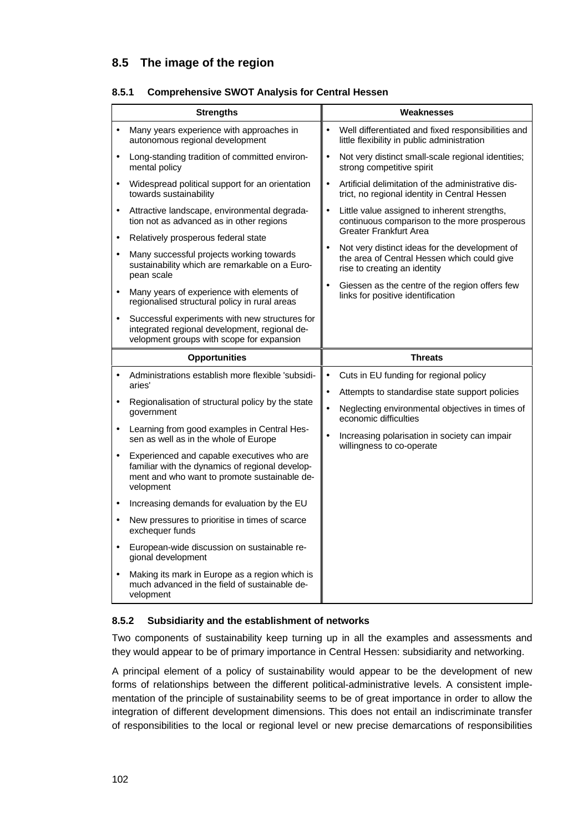## **8.5 The image of the region**

|  | 8.5.1 Comprehensive SWOT Analysis for Central Hessen |  |  |  |
|--|------------------------------------------------------|--|--|--|
|  |                                                      |  |  |  |

|           | <b>Strengths</b>                                                                                                                                           |           | Weaknesses                                                                                                                    |
|-----------|------------------------------------------------------------------------------------------------------------------------------------------------------------|-----------|-------------------------------------------------------------------------------------------------------------------------------|
|           |                                                                                                                                                            |           |                                                                                                                               |
| $\bullet$ | Many years experience with approaches in<br>autonomous regional development                                                                                | $\bullet$ | Well differentiated and fixed responsibilities and<br>little flexibility in public administration                             |
| $\bullet$ | Long-standing tradition of committed environ-<br>mental policy                                                                                             | $\bullet$ | Not very distinct small-scale regional identities;<br>strong competitive spirit                                               |
| $\bullet$ | Widespread political support for an orientation<br>towards sustainability                                                                                  | $\bullet$ | Artificial delimitation of the administrative dis-<br>trict, no regional identity in Central Hessen                           |
| $\bullet$ | Attractive landscape, environmental degrada-<br>tion not as advanced as in other regions                                                                   | $\bullet$ | Little value assigned to inherent strengths,<br>continuous comparison to the more prosperous                                  |
| $\bullet$ | Relatively prosperous federal state                                                                                                                        |           | <b>Greater Frankfurt Area</b>                                                                                                 |
| $\bullet$ | Many successful projects working towards<br>sustainability which are remarkable on a Euro-<br>pean scale                                                   |           | Not very distinct ideas for the development of<br>the area of Central Hessen which could give<br>rise to creating an identity |
| $\bullet$ | Many years of experience with elements of<br>regionalised structural policy in rural areas                                                                 | $\bullet$ | Giessen as the centre of the region offers few<br>links for positive identification                                           |
| $\bullet$ | Successful experiments with new structures for<br>integrated regional development, regional de-<br>velopment groups with scope for expansion               |           |                                                                                                                               |
|           |                                                                                                                                                            |           |                                                                                                                               |
|           | <b>Opportunities</b>                                                                                                                                       |           | <b>Threats</b>                                                                                                                |
|           | Administrations establish more flexible 'subsidi-<br>aries'                                                                                                | $\bullet$ | Cuts in EU funding for regional policy                                                                                        |
|           |                                                                                                                                                            | $\bullet$ | Attempts to standardise state support policies                                                                                |
| $\bullet$ | Regionalisation of structural policy by the state<br>aovernment                                                                                            | $\bullet$ | Neglecting environmental objectives in times of<br>economic difficulties                                                      |
|           | Learning from good examples in Central Hes-<br>sen as well as in the whole of Europe                                                                       |           | Increasing polarisation in society can impair                                                                                 |
| $\bullet$ | Experienced and capable executives who are<br>familiar with the dynamics of regional develop-<br>ment and who want to promote sustainable de-<br>velopment |           | willingness to co-operate                                                                                                     |
| $\bullet$ | Increasing demands for evaluation by the EU                                                                                                                |           |                                                                                                                               |
| $\bullet$ | New pressures to prioritise in times of scarce<br>exchequer funds                                                                                          |           |                                                                                                                               |
| $\bullet$ | European-wide discussion on sustainable re-<br>gional development                                                                                          |           |                                                                                                                               |

## **8.5.2 Subsidiarity and the establishment of networks**

Two components of sustainability keep turning up in all the examples and assessments and they would appear to be of primary importance in Central Hessen: subsidiarity and networking.

A principal element of a policy of sustainability would appear to be the development of new forms of relationships between the different political-administrative levels. A consistent implementation of the principle of sustainability seems to be of great importance in order to allow the integration of different development dimensions. This does not entail an indiscriminate transfer of responsibilities to the local or regional level or new precise demarcations of responsibilities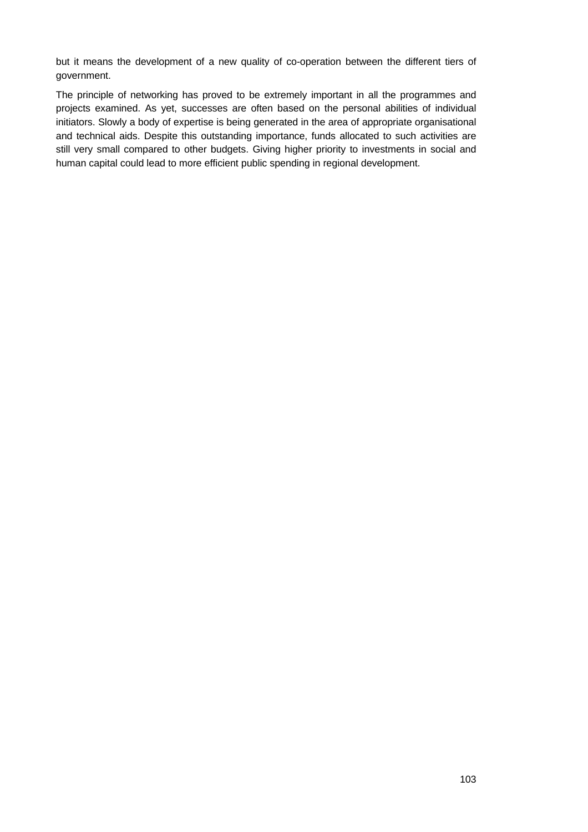but it means the development of a new quality of co-operation between the different tiers of government.

The principle of networking has proved to be extremely important in all the programmes and projects examined. As yet, successes are often based on the personal abilities of individual initiators. Slowly a body of expertise is being generated in the area of appropriate organisational and technical aids. Despite this outstanding importance, funds allocated to such activities are still very small compared to other budgets. Giving higher priority to investments in social and human capital could lead to more efficient public spending in regional development.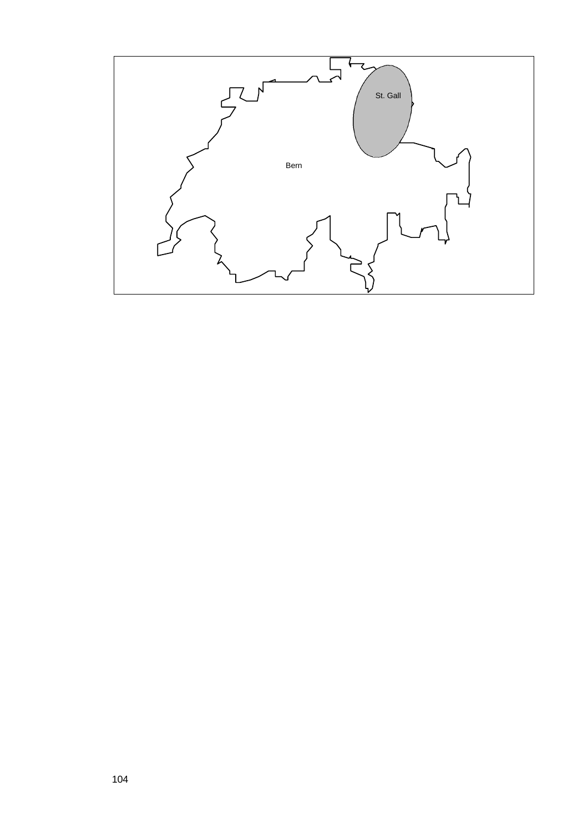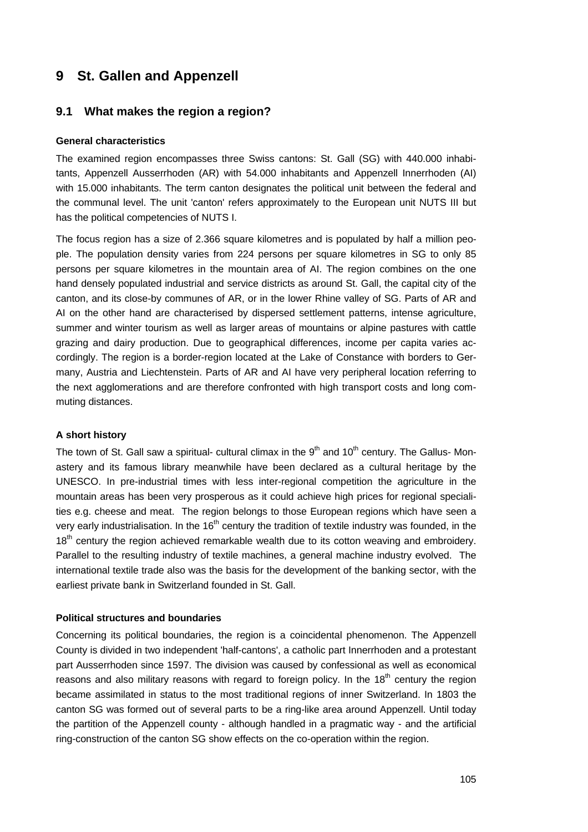## **9 St. Gallen and Appenzell**

## **9.1 What makes the region a region?**

#### **General characteristics**

The examined region encompasses three Swiss cantons: St. Gall (SG) with 440.000 inhabitants, Appenzell Ausserrhoden (AR) with 54.000 inhabitants and Appenzell Innerrhoden (AI) with 15.000 inhabitants. The term canton designates the political unit between the federal and the communal level. The unit 'canton' refers approximately to the European unit NUTS III but has the political competencies of NUTS I.

The focus region has a size of 2.366 square kilometres and is populated by half a million people. The population density varies from 224 persons per square kilometres in SG to only 85 persons per square kilometres in the mountain area of AI. The region combines on the one hand densely populated industrial and service districts as around St. Gall, the capital city of the canton, and its close-by communes of AR, or in the lower Rhine valley of SG. Parts of AR and AI on the other hand are characterised by dispersed settlement patterns, intense agriculture, summer and winter tourism as well as larger areas of mountains or alpine pastures with cattle grazing and dairy production. Due to geographical differences, income per capita varies accordingly. The region is a border-region located at the Lake of Constance with borders to Germany, Austria and Liechtenstein. Parts of AR and AI have very peripheral location referring to the next agglomerations and are therefore confronted with high transport costs and long commuting distances.

#### **A short history**

The town of St. Gall saw a spiritual- cultural climax in the  $9<sup>th</sup>$  and 10<sup>th</sup> century. The Gallus- Monastery and its famous library meanwhile have been declared as a cultural heritage by the UNESCO. In pre-industrial times with less inter-regional competition the agriculture in the mountain areas has been very prosperous as it could achieve high prices for regional specialities e.g. cheese and meat. The region belongs to those European regions which have seen a very early industrialisation. In the 16<sup>th</sup> century the tradition of textile industry was founded, in the 18<sup>th</sup> century the region achieved remarkable wealth due to its cotton weaving and embroidery. Parallel to the resulting industry of textile machines, a general machine industry evolved. The international textile trade also was the basis for the development of the banking sector, with the earliest private bank in Switzerland founded in St. Gall.

#### **Political structures and boundaries**

Concerning its political boundaries, the region is a coincidental phenomenon. The Appenzell County is divided in two independent 'half-cantons', a catholic part Innerrhoden and a protestant part Ausserrhoden since 1597. The division was caused by confessional as well as economical reasons and also military reasons with regard to foreign policy. In the 18<sup>th</sup> century the region became assimilated in status to the most traditional regions of inner Switzerland. In 1803 the canton SG was formed out of several parts to be a ring-like area around Appenzell. Until today the partition of the Appenzell county - although handled in a pragmatic way - and the artificial ring-construction of the canton SG show effects on the co-operation within the region.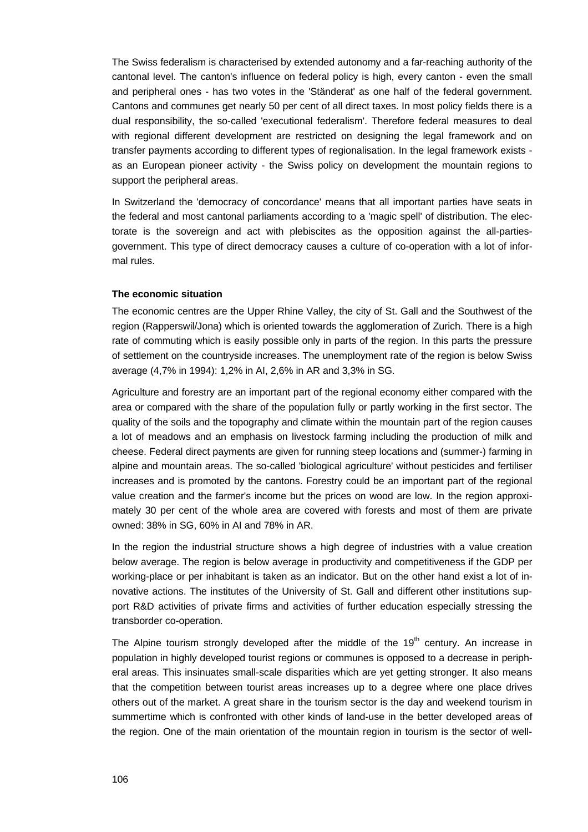The Swiss federalism is characterised by extended autonomy and a far-reaching authority of the cantonal level. The canton's influence on federal policy is high, every canton - even the small and peripheral ones - has two votes in the 'Ständerat' as one half of the federal government. Cantons and communes get nearly 50 per cent of all direct taxes. In most policy fields there is a dual responsibility, the so-called 'executional federalism'. Therefore federal measures to deal with regional different development are restricted on designing the legal framework and on transfer payments according to different types of regionalisation. In the legal framework exists as an European pioneer activity - the Swiss policy on development the mountain regions to support the peripheral areas.

In Switzerland the 'democracy of concordance' means that all important parties have seats in the federal and most cantonal parliaments according to a 'magic spell' of distribution. The electorate is the sovereign and act with plebiscites as the opposition against the all-partiesgovernment. This type of direct democracy causes a culture of co-operation with a lot of informal rules.

#### **The economic situation**

The economic centres are the Upper Rhine Valley, the city of St. Gall and the Southwest of the region (Rapperswil/Jona) which is oriented towards the agglomeration of Zurich. There is a high rate of commuting which is easily possible only in parts of the region. In this parts the pressure of settlement on the countryside increases. The unemployment rate of the region is below Swiss average (4,7% in 1994): 1,2% in AI, 2,6% in AR and 3,3% in SG.

Agriculture and forestry are an important part of the regional economy either compared with the area or compared with the share of the population fully or partly working in the first sector. The quality of the soils and the topography and climate within the mountain part of the region causes a lot of meadows and an emphasis on livestock farming including the production of milk and cheese. Federal direct payments are given for running steep locations and (summer-) farming in alpine and mountain areas. The so-called 'biological agriculture' without pesticides and fertiliser increases and is promoted by the cantons. Forestry could be an important part of the regional value creation and the farmer's income but the prices on wood are low. In the region approximately 30 per cent of the whole area are covered with forests and most of them are private owned: 38% in SG, 60% in AI and 78% in AR.

In the region the industrial structure shows a high degree of industries with a value creation below average. The region is below average in productivity and competitiveness if the GDP per working-place or per inhabitant is taken as an indicator. But on the other hand exist a lot of innovative actions. The institutes of the University of St. Gall and different other institutions support R&D activities of private firms and activities of further education especially stressing the transborder co-operation.

The Alpine tourism strongly developed after the middle of the  $19<sup>th</sup>$  century. An increase in population in highly developed tourist regions or communes is opposed to a decrease in peripheral areas. This insinuates small-scale disparities which are yet getting stronger. It also means that the competition between tourist areas increases up to a degree where one place drives others out of the market. A great share in the tourism sector is the day and weekend tourism in summertime which is confronted with other kinds of land-use in the better developed areas of the region. One of the main orientation of the mountain region in tourism is the sector of well-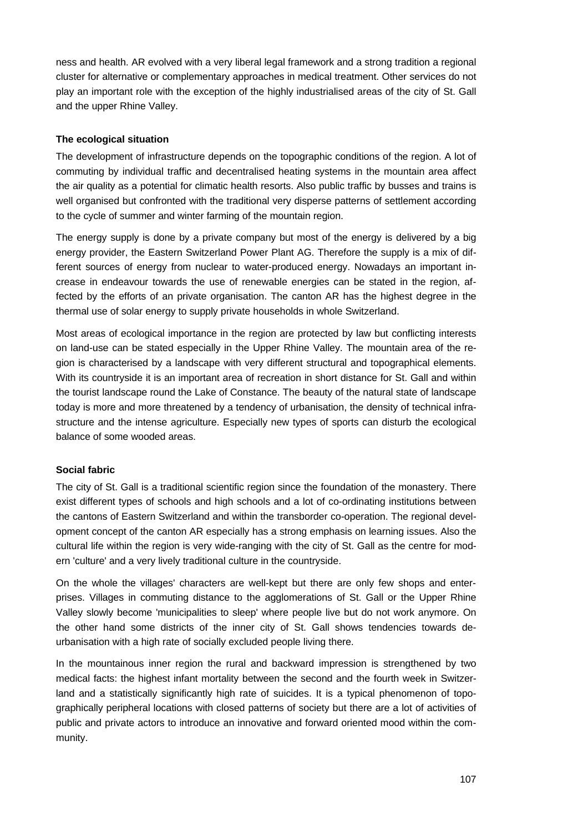ness and health. AR evolved with a very liberal legal framework and a strong tradition a regional cluster for alternative or complementary approaches in medical treatment. Other services do not play an important role with the exception of the highly industrialised areas of the city of St. Gall and the upper Rhine Valley.

### **The ecological situation**

The development of infrastructure depends on the topographic conditions of the region. A lot of commuting by individual traffic and decentralised heating systems in the mountain area affect the air quality as a potential for climatic health resorts. Also public traffic by busses and trains is well organised but confronted with the traditional very disperse patterns of settlement according to the cycle of summer and winter farming of the mountain region.

The energy supply is done by a private company but most of the energy is delivered by a big energy provider, the Eastern Switzerland Power Plant AG. Therefore the supply is a mix of different sources of energy from nuclear to water-produced energy. Nowadays an important increase in endeavour towards the use of renewable energies can be stated in the region, affected by the efforts of an private organisation. The canton AR has the highest degree in the thermal use of solar energy to supply private households in whole Switzerland.

Most areas of ecological importance in the region are protected by law but conflicting interests on land-use can be stated especially in the Upper Rhine Valley. The mountain area of the region is characterised by a landscape with very different structural and topographical elements. With its countryside it is an important area of recreation in short distance for St. Gall and within the tourist landscape round the Lake of Constance. The beauty of the natural state of landscape today is more and more threatened by a tendency of urbanisation, the density of technical infrastructure and the intense agriculture. Especially new types of sports can disturb the ecological balance of some wooded areas.

#### **Social fabric**

The city of St. Gall is a traditional scientific region since the foundation of the monastery. There exist different types of schools and high schools and a lot of co-ordinating institutions between the cantons of Eastern Switzerland and within the transborder co-operation. The regional development concept of the canton AR especially has a strong emphasis on learning issues. Also the cultural life within the region is very wide-ranging with the city of St. Gall as the centre for modern 'culture' and a very lively traditional culture in the countryside.

On the whole the villages' characters are well-kept but there are only few shops and enterprises. Villages in commuting distance to the agglomerations of St. Gall or the Upper Rhine Valley slowly become 'municipalities to sleep' where people live but do not work anymore. On the other hand some districts of the inner city of St. Gall shows tendencies towards deurbanisation with a high rate of socially excluded people living there.

In the mountainous inner region the rural and backward impression is strengthened by two medical facts: the highest infant mortality between the second and the fourth week in Switzerland and a statistically significantly high rate of suicides. It is a typical phenomenon of topographically peripheral locations with closed patterns of society but there are a lot of activities of public and private actors to introduce an innovative and forward oriented mood within the community.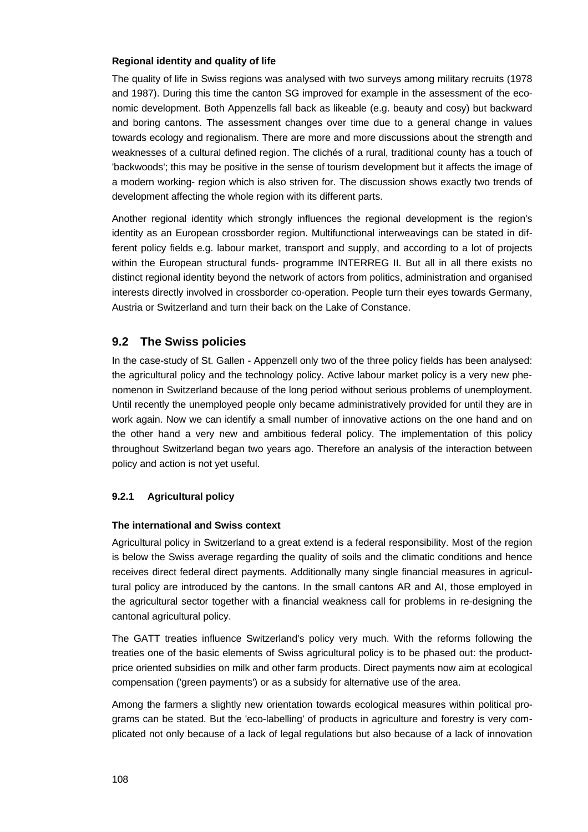#### **Regional identity and quality of life**

The quality of life in Swiss regions was analysed with two surveys among military recruits (1978 and 1987). During this time the canton SG improved for example in the assessment of the economic development. Both Appenzells fall back as likeable (e.g. beauty and cosy) but backward and boring cantons. The assessment changes over time due to a general change in values towards ecology and regionalism. There are more and more discussions about the strength and weaknesses of a cultural defined region. The clichés of a rural, traditional county has a touch of 'backwoods'; this may be positive in the sense of tourism development but it affects the image of a modern working- region which is also striven for. The discussion shows exactly two trends of development affecting the whole region with its different parts.

Another regional identity which strongly influences the regional development is the region's identity as an European crossborder region. Multifunctional interweavings can be stated in different policy fields e.g. labour market, transport and supply, and according to a lot of projects within the European structural funds- programme INTERREG II. But all in all there exists no distinct regional identity beyond the network of actors from politics, administration and organised interests directly involved in crossborder co-operation. People turn their eyes towards Germany, Austria or Switzerland and turn their back on the Lake of Constance.

## **9.2 The Swiss policies**

In the case-study of St. Gallen - Appenzell only two of the three policy fields has been analysed: the agricultural policy and the technology policy. Active labour market policy is a very new phenomenon in Switzerland because of the long period without serious problems of unemployment. Until recently the unemployed people only became administratively provided for until they are in work again. Now we can identify a small number of innovative actions on the one hand and on the other hand a very new and ambitious federal policy. The implementation of this policy throughout Switzerland began two years ago. Therefore an analysis of the interaction between policy and action is not yet useful.

#### **9.2.1 Agricultural policy**

#### **The international and Swiss context**

Agricultural policy in Switzerland to a great extend is a federal responsibility. Most of the region is below the Swiss average regarding the quality of soils and the climatic conditions and hence receives direct federal direct payments. Additionally many single financial measures in agricultural policy are introduced by the cantons. In the small cantons AR and AI, those employed in the agricultural sector together with a financial weakness call for problems in re-designing the cantonal agricultural policy.

The GATT treaties influence Switzerland's policy very much. With the reforms following the treaties one of the basic elements of Swiss agricultural policy is to be phased out: the productprice oriented subsidies on milk and other farm products. Direct payments now aim at ecological compensation ('green payments') or as a subsidy for alternative use of the area.

Among the farmers a slightly new orientation towards ecological measures within political programs can be stated. But the 'eco-labelling' of products in agriculture and forestry is very complicated not only because of a lack of legal regulations but also because of a lack of innovation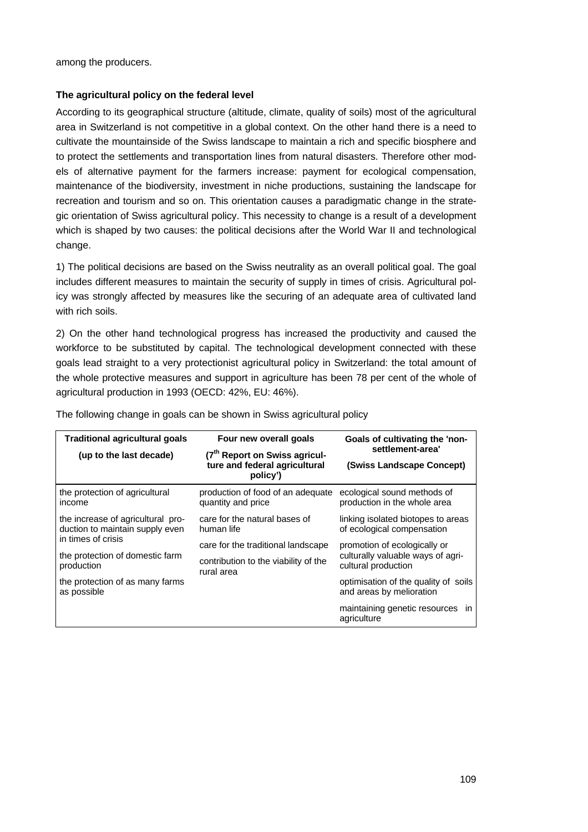among the producers.

#### **The agricultural policy on the federal level**

According to its geographical structure (altitude, climate, quality of soils) most of the agricultural area in Switzerland is not competitive in a global context. On the other hand there is a need to cultivate the mountainside of the Swiss landscape to maintain a rich and specific biosphere and to protect the settlements and transportation lines from natural disasters. Therefore other models of alternative payment for the farmers increase: payment for ecological compensation, maintenance of the biodiversity, investment in niche productions, sustaining the landscape for recreation and tourism and so on. This orientation causes a paradigmatic change in the strategic orientation of Swiss agricultural policy. This necessity to change is a result of a development which is shaped by two causes: the political decisions after the World War II and technological change.

1) The political decisions are based on the Swiss neutrality as an overall political goal. The goal includes different measures to maintain the security of supply in times of crisis. Agricultural policy was strongly affected by measures like the securing of an adequate area of cultivated land with rich soils

2) On the other hand technological progress has increased the productivity and caused the workforce to be substituted by capital. The technological development connected with these goals lead straight to a very protectionist agricultural policy in Switzerland: the total amount of the whole protective measures and support in agriculture has been 78 per cent of the whole of agricultural production in 1993 (OECD: 42%, EU: 46%).

| <b>Traditional agricultural goals</b>                                | Four new overall goals                                                                 | Goals of cultivating the 'non-                                   |
|----------------------------------------------------------------------|----------------------------------------------------------------------------------------|------------------------------------------------------------------|
| (up to the last decade)                                              | (7 <sup>th</sup> Report on Swiss agricul-<br>ture and federal agricultural<br>policy') | settlement-area'<br>(Swiss Landscape Concept)                    |
| the protection of agricultural<br>income                             | production of food of an adequate<br>quantity and price                                | ecological sound methods of<br>production in the whole area      |
| the increase of agricultural pro-<br>duction to maintain supply even | care for the natural bases of<br>human life                                            | linking isolated biotopes to areas<br>of ecological compensation |
| in times of crisis                                                   | care for the traditional landscape                                                     | promotion of ecologically or                                     |
| the protection of domestic farm<br>production                        | contribution to the viability of the<br>rural area                                     | culturally valuable ways of agri-<br>cultural production         |
| the protection of as many farms<br>as possible                       |                                                                                        | optimisation of the quality of soils<br>and areas by melioration |
|                                                                      |                                                                                        | maintaining genetic resources in<br>agriculture                  |

The following change in goals can be shown in Swiss agricultural policy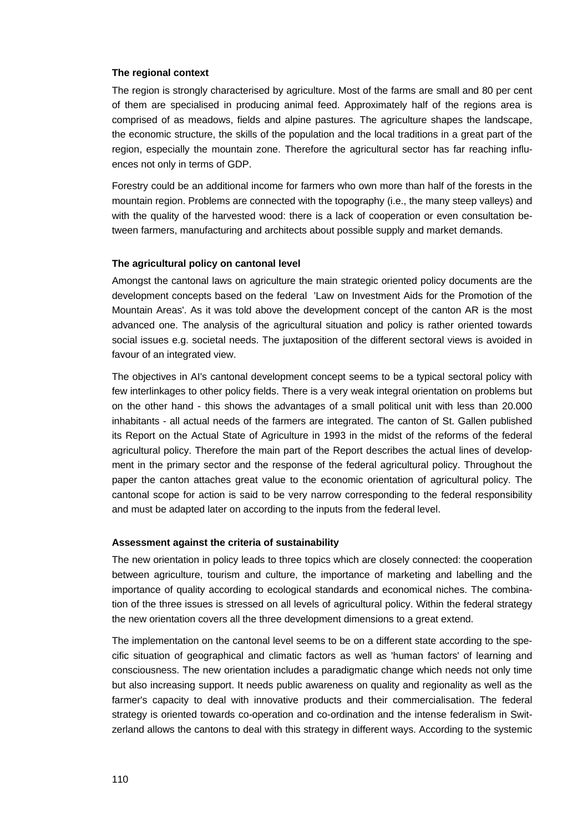#### **The regional context**

The region is strongly characterised by agriculture. Most of the farms are small and 80 per cent of them are specialised in producing animal feed. Approximately half of the regions area is comprised of as meadows, fields and alpine pastures. The agriculture shapes the landscape, the economic structure, the skills of the population and the local traditions in a great part of the region, especially the mountain zone. Therefore the agricultural sector has far reaching influences not only in terms of GDP.

Forestry could be an additional income for farmers who own more than half of the forests in the mountain region. Problems are connected with the topography (i.e., the many steep valleys) and with the quality of the harvested wood: there is a lack of cooperation or even consultation between farmers, manufacturing and architects about possible supply and market demands.

#### **The agricultural policy on cantonal level**

Amongst the cantonal laws on agriculture the main strategic oriented policy documents are the development concepts based on the federal 'Law on Investment Aids for the Promotion of the Mountain Areas'. As it was told above the development concept of the canton AR is the most advanced one. The analysis of the agricultural situation and policy is rather oriented towards social issues e.g. societal needs. The juxtaposition of the different sectoral views is avoided in favour of an integrated view.

The objectives in AI's cantonal development concept seems to be a typical sectoral policy with few interlinkages to other policy fields. There is a very weak integral orientation on problems but on the other hand - this shows the advantages of a small political unit with less than 20.000 inhabitants - all actual needs of the farmers are integrated. The canton of St. Gallen published its Report on the Actual State of Agriculture in 1993 in the midst of the reforms of the federal agricultural policy. Therefore the main part of the Report describes the actual lines of development in the primary sector and the response of the federal agricultural policy. Throughout the paper the canton attaches great value to the economic orientation of agricultural policy. The cantonal scope for action is said to be very narrow corresponding to the federal responsibility and must be adapted later on according to the inputs from the federal level.

#### **Assessment against the criteria of sustainability**

The new orientation in policy leads to three topics which are closely connected: the cooperation between agriculture, tourism and culture, the importance of marketing and labelling and the importance of quality according to ecological standards and economical niches. The combination of the three issues is stressed on all levels of agricultural policy. Within the federal strategy the new orientation covers all the three development dimensions to a great extend.

The implementation on the cantonal level seems to be on a different state according to the specific situation of geographical and climatic factors as well as 'human factors' of learning and consciousness. The new orientation includes a paradigmatic change which needs not only time but also increasing support. It needs public awareness on quality and regionality as well as the farmer's capacity to deal with innovative products and their commercialisation. The federal strategy is oriented towards co-operation and co-ordination and the intense federalism in Switzerland allows the cantons to deal with this strategy in different ways. According to the systemic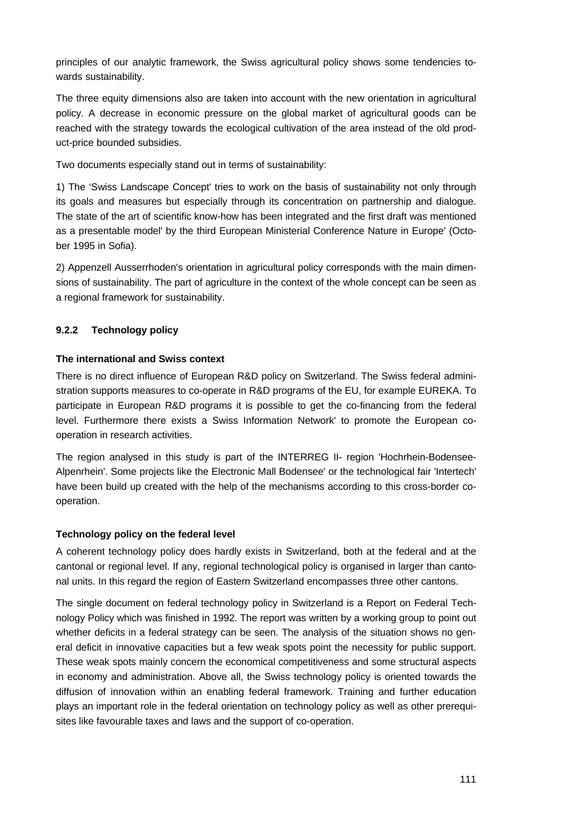principles of our analytic framework, the Swiss agricultural policy shows some tendencies towards sustainability.

The three equity dimensions also are taken into account with the new orientation in agricultural policy. A decrease in economic pressure on the global market of agricultural goods can be reached with the strategy towards the ecological cultivation of the area instead of the old product-price bounded subsidies.

Two documents especially stand out in terms of sustainability:

1) The 'Swiss Landscape Concept' tries to work on the basis of sustainability not only through its goals and measures but especially through its concentration on partnership and dialogue. The state of the art of scientific know-how has been integrated and the first draft was mentioned as a presentable model' by the third European Ministerial Conference Nature in Europe' (October 1995 in Sofia).

2) Appenzell Ausserrhoden's orientation in agricultural policy corresponds with the main dimensions of sustainability. The part of agriculture in the context of the whole concept can be seen as a regional framework for sustainability.

## **9.2.2 Technology policy**

## **The international and Swiss context**

There is no direct influence of European R&D policy on Switzerland. The Swiss federal administration supports measures to co-operate in R&D programs of the EU, for example EUREKA. To participate in European R&D programs it is possible to get the co-financing from the federal level. Furthermore there exists a Swiss Information Network' to promote the European cooperation in research activities.

The region analysed in this study is part of the INTERREG II- region 'Hochrhein-Bodensee-Alpenrhein'. Some projects like the Electronic Mall Bodensee' or the technological fair 'Intertech' have been build up created with the help of the mechanisms according to this cross-border cooperation.

## **Technology policy on the federal level**

A coherent technology policy does hardly exists in Switzerland, both at the federal and at the cantonal or regional level. If any, regional technological policy is organised in larger than cantonal units. In this regard the region of Eastern Switzerland encompasses three other cantons.

The single document on federal technology policy in Switzerland is a Report on Federal Technology Policy which was finished in 1992. The report was written by a working group to point out whether deficits in a federal strategy can be seen. The analysis of the situation shows no general deficit in innovative capacities but a few weak spots point the necessity for public support. These weak spots mainly concern the economical competitiveness and some structural aspects in economy and administration. Above all, the Swiss technology policy is oriented towards the diffusion of innovation within an enabling federal framework. Training and further education plays an important role in the federal orientation on technology policy as well as other prerequisites like favourable taxes and laws and the support of co-operation.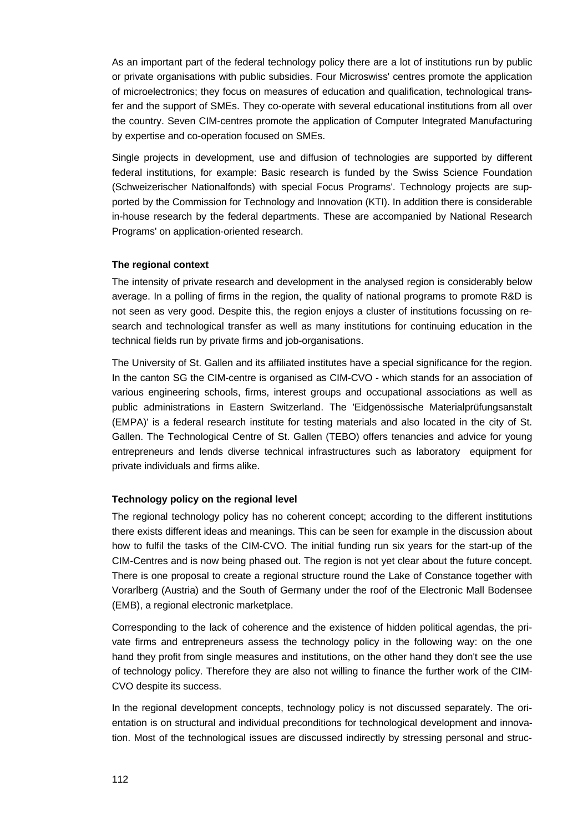As an important part of the federal technology policy there are a lot of institutions run by public or private organisations with public subsidies. Four Microswiss' centres promote the application of microelectronics; they focus on measures of education and qualification, technological transfer and the support of SMEs. They co-operate with several educational institutions from all over the country. Seven CIM-centres promote the application of Computer Integrated Manufacturing by expertise and co-operation focused on SMEs.

Single projects in development, use and diffusion of technologies are supported by different federal institutions, for example: Basic research is funded by the Swiss Science Foundation (Schweizerischer Nationalfonds) with special Focus Programs'. Technology projects are supported by the Commission for Technology and Innovation (KTI). In addition there is considerable in-house research by the federal departments. These are accompanied by National Research Programs' on application-oriented research.

#### **The regional context**

The intensity of private research and development in the analysed region is considerably below average. In a polling of firms in the region, the quality of national programs to promote R&D is not seen as very good. Despite this, the region enjoys a cluster of institutions focussing on research and technological transfer as well as many institutions for continuing education in the technical fields run by private firms and job-organisations.

The University of St. Gallen and its affiliated institutes have a special significance for the region. In the canton SG the CIM-centre is organised as CIM-CVO - which stands for an association of various engineering schools, firms, interest groups and occupational associations as well as public administrations in Eastern Switzerland. The 'Eidgenössische Materialprüfungsanstalt (EMPA)' is a federal research institute for testing materials and also located in the city of St. Gallen. The Technological Centre of St. Gallen (TEBO) offers tenancies and advice for young entrepreneurs and lends diverse technical infrastructures such as laboratory equipment for private individuals and firms alike.

#### **Technology policy on the regional level**

The regional technology policy has no coherent concept; according to the different institutions there exists different ideas and meanings. This can be seen for example in the discussion about how to fulfil the tasks of the CIM-CVO. The initial funding run six years for the start-up of the CIM-Centres and is now being phased out. The region is not yet clear about the future concept. There is one proposal to create a regional structure round the Lake of Constance together with Vorarlberg (Austria) and the South of Germany under the roof of the Electronic Mall Bodensee (EMB), a regional electronic marketplace.

Corresponding to the lack of coherence and the existence of hidden political agendas, the private firms and entrepreneurs assess the technology policy in the following way: on the one hand they profit from single measures and institutions, on the other hand they don't see the use of technology policy. Therefore they are also not willing to finance the further work of the CIM-CVO despite its success.

In the regional development concepts, technology policy is not discussed separately. The orientation is on structural and individual preconditions for technological development and innovation. Most of the technological issues are discussed indirectly by stressing personal and struc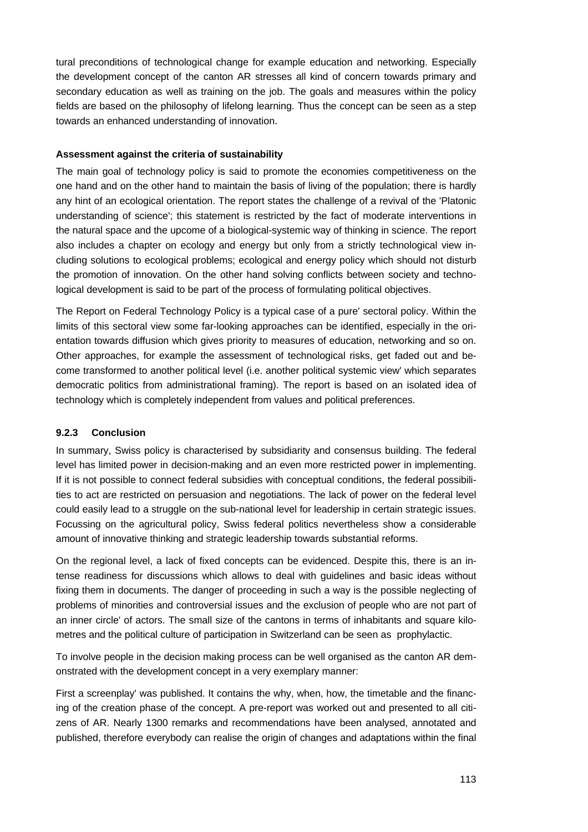tural preconditions of technological change for example education and networking. Especially the development concept of the canton AR stresses all kind of concern towards primary and secondary education as well as training on the job. The goals and measures within the policy fields are based on the philosophy of lifelong learning. Thus the concept can be seen as a step towards an enhanced understanding of innovation.

#### **Assessment against the criteria of sustainability**

The main goal of technology policy is said to promote the economies competitiveness on the one hand and on the other hand to maintain the basis of living of the population; there is hardly any hint of an ecological orientation. The report states the challenge of a revival of the 'Platonic understanding of science'; this statement is restricted by the fact of moderate interventions in the natural space and the upcome of a biological-systemic way of thinking in science. The report also includes a chapter on ecology and energy but only from a strictly technological view including solutions to ecological problems; ecological and energy policy which should not disturb the promotion of innovation. On the other hand solving conflicts between society and technological development is said to be part of the process of formulating political objectives.

The Report on Federal Technology Policy is a typical case of a pure' sectoral policy. Within the limits of this sectoral view some far-looking approaches can be identified, especially in the orientation towards diffusion which gives priority to measures of education, networking and so on. Other approaches, for example the assessment of technological risks, get faded out and become transformed to another political level (i.e. another political systemic view' which separates democratic politics from administrational framing). The report is based on an isolated idea of technology which is completely independent from values and political preferences.

#### **9.2.3 Conclusion**

In summary, Swiss policy is characterised by subsidiarity and consensus building. The federal level has limited power in decision-making and an even more restricted power in implementing. If it is not possible to connect federal subsidies with conceptual conditions, the federal possibilities to act are restricted on persuasion and negotiations. The lack of power on the federal level could easily lead to a struggle on the sub-national level for leadership in certain strategic issues. Focussing on the agricultural policy, Swiss federal politics nevertheless show a considerable amount of innovative thinking and strategic leadership towards substantial reforms.

On the regional level, a lack of fixed concepts can be evidenced. Despite this, there is an intense readiness for discussions which allows to deal with guidelines and basic ideas without fixing them in documents. The danger of proceeding in such a way is the possible neglecting of problems of minorities and controversial issues and the exclusion of people who are not part of an inner circle' of actors. The small size of the cantons in terms of inhabitants and square kilometres and the political culture of participation in Switzerland can be seen as prophylactic.

To involve people in the decision making process can be well organised as the canton AR demonstrated with the development concept in a very exemplary manner:

First a screenplay' was published. It contains the why, when, how, the timetable and the financing of the creation phase of the concept. A pre-report was worked out and presented to all citizens of AR. Nearly 1300 remarks and recommendations have been analysed, annotated and published, therefore everybody can realise the origin of changes and adaptations within the final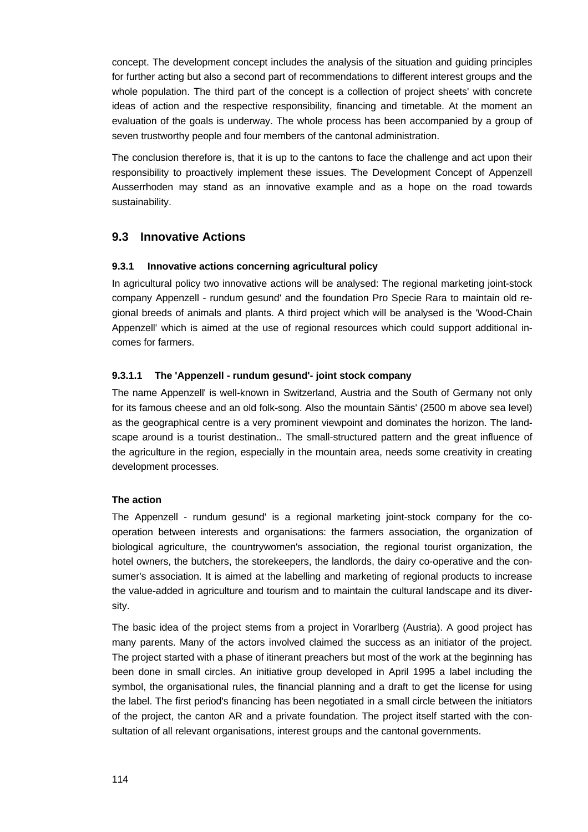concept. The development concept includes the analysis of the situation and guiding principles for further acting but also a second part of recommendations to different interest groups and the whole population. The third part of the concept is a collection of project sheets' with concrete ideas of action and the respective responsibility, financing and timetable. At the moment an evaluation of the goals is underway. The whole process has been accompanied by a group of seven trustworthy people and four members of the cantonal administration.

The conclusion therefore is, that it is up to the cantons to face the challenge and act upon their responsibility to proactively implement these issues. The Development Concept of Appenzell Ausserrhoden may stand as an innovative example and as a hope on the road towards sustainability.

## **9.3 Innovative Actions**

#### **9.3.1 Innovative actions concerning agricultural policy**

In agricultural policy two innovative actions will be analysed: The regional marketing joint-stock company Appenzell - rundum gesund' and the foundation Pro Specie Rara to maintain old regional breeds of animals and plants. A third project which will be analysed is the 'Wood-Chain Appenzell' which is aimed at the use of regional resources which could support additional incomes for farmers.

## **9.3.1.1 The 'Appenzell - rundum gesund'- joint stock company**

The name Appenzell' is well-known in Switzerland, Austria and the South of Germany not only for its famous cheese and an old folk-song. Also the mountain Säntis' (2500 m above sea level) as the geographical centre is a very prominent viewpoint and dominates the horizon. The landscape around is a tourist destination.. The small-structured pattern and the great influence of the agriculture in the region, especially in the mountain area, needs some creativity in creating development processes.

#### **The action**

The Appenzell - rundum gesund' is a regional marketing joint-stock company for the cooperation between interests and organisations: the farmers association, the organization of biological agriculture, the countrywomen's association, the regional tourist organization, the hotel owners, the butchers, the storekeepers, the landlords, the dairy co-operative and the consumer's association. It is aimed at the labelling and marketing of regional products to increase the value-added in agriculture and tourism and to maintain the cultural landscape and its diversity.

The basic idea of the project stems from a project in Vorarlberg (Austria). A good project has many parents. Many of the actors involved claimed the success as an initiator of the project. The project started with a phase of itinerant preachers but most of the work at the beginning has been done in small circles. An initiative group developed in April 1995 a label including the symbol, the organisational rules, the financial planning and a draft to get the license for using the label. The first period's financing has been negotiated in a small circle between the initiators of the project, the canton AR and a private foundation. The project itself started with the consultation of all relevant organisations, interest groups and the cantonal governments.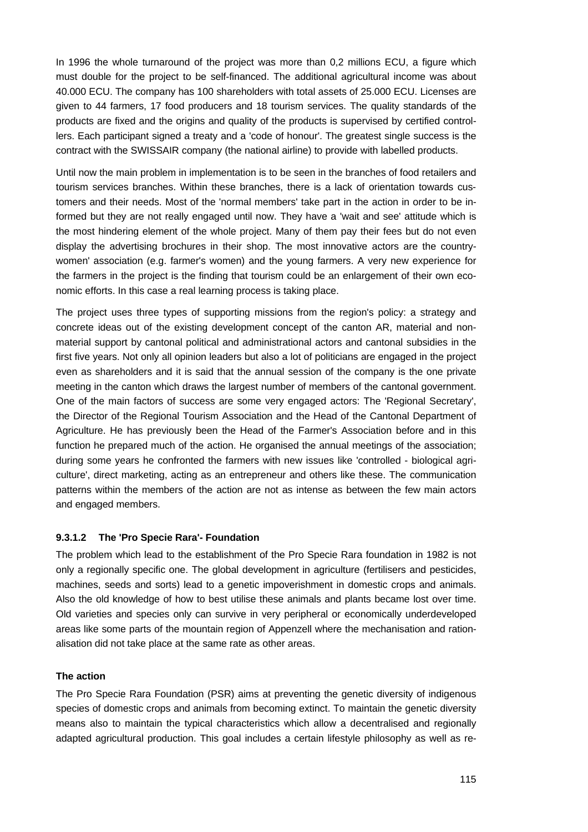In 1996 the whole turnaround of the project was more than 0,2 millions ECU, a figure which must double for the project to be self-financed. The additional agricultural income was about 40.000 ECU. The company has 100 shareholders with total assets of 25.000 ECU. Licenses are given to 44 farmers, 17 food producers and 18 tourism services. The quality standards of the products are fixed and the origins and quality of the products is supervised by certified controllers. Each participant signed a treaty and a 'code of honour'. The greatest single success is the contract with the SWISSAIR company (the national airline) to provide with labelled products.

Until now the main problem in implementation is to be seen in the branches of food retailers and tourism services branches. Within these branches, there is a lack of orientation towards customers and their needs. Most of the 'normal members' take part in the action in order to be informed but they are not really engaged until now. They have a 'wait and see' attitude which is the most hindering element of the whole project. Many of them pay their fees but do not even display the advertising brochures in their shop. The most innovative actors are the countrywomen' association (e.g. farmer's women) and the young farmers. A very new experience for the farmers in the project is the finding that tourism could be an enlargement of their own economic efforts. In this case a real learning process is taking place.

The project uses three types of supporting missions from the region's policy: a strategy and concrete ideas out of the existing development concept of the canton AR, material and nonmaterial support by cantonal political and administrational actors and cantonal subsidies in the first five years. Not only all opinion leaders but also a lot of politicians are engaged in the project even as shareholders and it is said that the annual session of the company is the one private meeting in the canton which draws the largest number of members of the cantonal government. One of the main factors of success are some very engaged actors: The 'Regional Secretary', the Director of the Regional Tourism Association and the Head of the Cantonal Department of Agriculture. He has previously been the Head of the Farmer's Association before and in this function he prepared much of the action. He organised the annual meetings of the association; during some years he confronted the farmers with new issues like 'controlled - biological agriculture', direct marketing, acting as an entrepreneur and others like these. The communication patterns within the members of the action are not as intense as between the few main actors and engaged members.

#### **9.3.1.2 The 'Pro Specie Rara'- Foundation**

The problem which lead to the establishment of the Pro Specie Rara foundation in 1982 is not only a regionally specific one. The global development in agriculture (fertilisers and pesticides, machines, seeds and sorts) lead to a genetic impoverishment in domestic crops and animals. Also the old knowledge of how to best utilise these animals and plants became lost over time. Old varieties and species only can survive in very peripheral or economically underdeveloped areas like some parts of the mountain region of Appenzell where the mechanisation and rationalisation did not take place at the same rate as other areas.

#### **The action**

The Pro Specie Rara Foundation (PSR) aims at preventing the genetic diversity of indigenous species of domestic crops and animals from becoming extinct. To maintain the genetic diversity means also to maintain the typical characteristics which allow a decentralised and regionally adapted agricultural production. This goal includes a certain lifestyle philosophy as well as re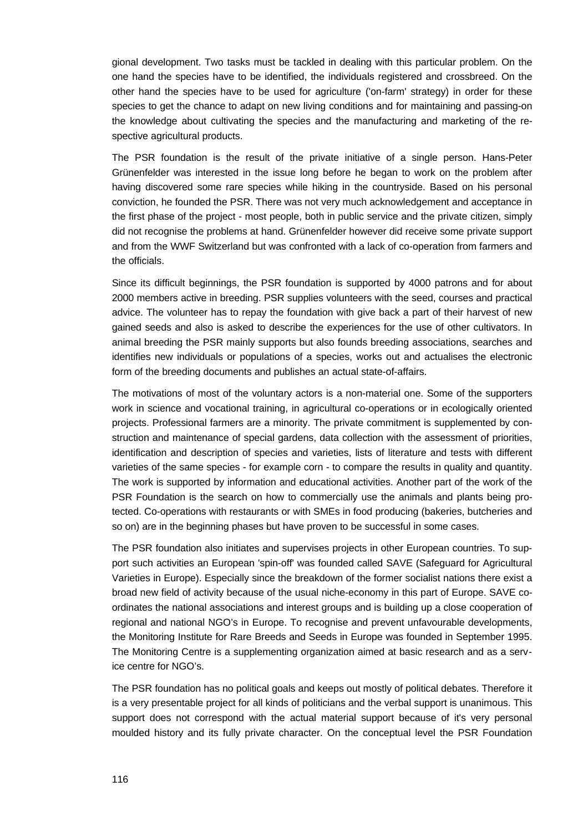gional development. Two tasks must be tackled in dealing with this particular problem. On the one hand the species have to be identified, the individuals registered and crossbreed. On the other hand the species have to be used for agriculture ('on-farm' strategy) in order for these species to get the chance to adapt on new living conditions and for maintaining and passing-on the knowledge about cultivating the species and the manufacturing and marketing of the respective agricultural products.

The PSR foundation is the result of the private initiative of a single person. Hans-Peter Grünenfelder was interested in the issue long before he began to work on the problem after having discovered some rare species while hiking in the countryside. Based on his personal conviction, he founded the PSR. There was not very much acknowledgement and acceptance in the first phase of the project - most people, both in public service and the private citizen, simply did not recognise the problems at hand. Grünenfelder however did receive some private support and from the WWF Switzerland but was confronted with a lack of co-operation from farmers and the officials.

Since its difficult beginnings, the PSR foundation is supported by 4000 patrons and for about 2000 members active in breeding. PSR supplies volunteers with the seed, courses and practical advice. The volunteer has to repay the foundation with give back a part of their harvest of new gained seeds and also is asked to describe the experiences for the use of other cultivators. In animal breeding the PSR mainly supports but also founds breeding associations, searches and identifies new individuals or populations of a species, works out and actualises the electronic form of the breeding documents and publishes an actual state-of-affairs.

The motivations of most of the voluntary actors is a non-material one. Some of the supporters work in science and vocational training, in agricultural co-operations or in ecologically oriented projects. Professional farmers are a minority. The private commitment is supplemented by construction and maintenance of special gardens, data collection with the assessment of priorities, identification and description of species and varieties, lists of literature and tests with different varieties of the same species - for example corn - to compare the results in quality and quantity. The work is supported by information and educational activities. Another part of the work of the PSR Foundation is the search on how to commercially use the animals and plants being protected. Co-operations with restaurants or with SMEs in food producing (bakeries, butcheries and so on) are in the beginning phases but have proven to be successful in some cases.

The PSR foundation also initiates and supervises projects in other European countries. To support such activities an European 'spin-off' was founded called SAVE (Safeguard for Agricultural Varieties in Europe). Especially since the breakdown of the former socialist nations there exist a broad new field of activity because of the usual niche-economy in this part of Europe. SAVE coordinates the national associations and interest groups and is building up a close cooperation of regional and national NGO's in Europe. To recognise and prevent unfavourable developments, the Monitoring Institute for Rare Breeds and Seeds in Europe was founded in September 1995. The Monitoring Centre is a supplementing organization aimed at basic research and as a service centre for NGO's.

The PSR foundation has no political goals and keeps out mostly of political debates. Therefore it is a very presentable project for all kinds of politicians and the verbal support is unanimous. This support does not correspond with the actual material support because of it's very personal moulded history and its fully private character. On the conceptual level the PSR Foundation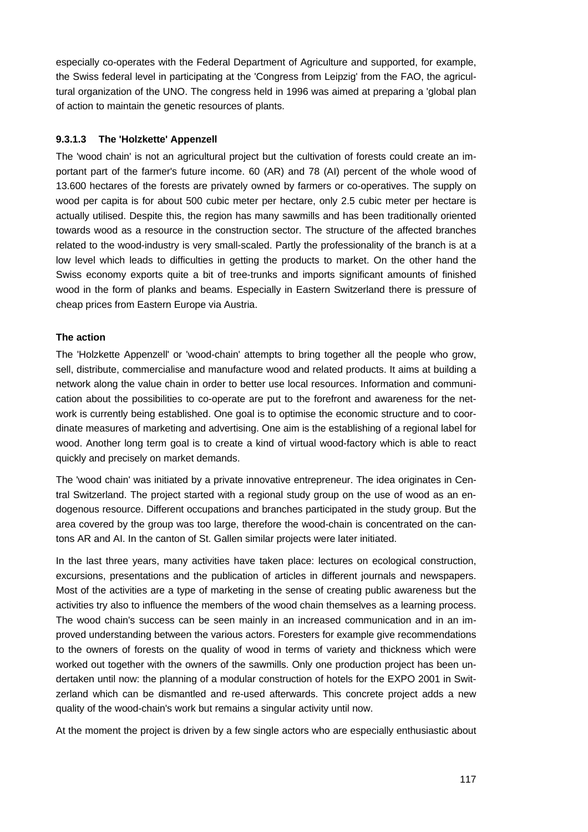especially co-operates with the Federal Department of Agriculture and supported, for example, the Swiss federal level in participating at the 'Congress from Leipzig' from the FAO, the agricultural organization of the UNO. The congress held in 1996 was aimed at preparing a 'global plan of action to maintain the genetic resources of plants.

#### **9.3.1.3 The 'Holzkette' Appenzell**

The 'wood chain' is not an agricultural project but the cultivation of forests could create an important part of the farmer's future income. 60 (AR) and 78 (AI) percent of the whole wood of 13.600 hectares of the forests are privately owned by farmers or co-operatives. The supply on wood per capita is for about 500 cubic meter per hectare, only 2.5 cubic meter per hectare is actually utilised. Despite this, the region has many sawmills and has been traditionally oriented towards wood as a resource in the construction sector. The structure of the affected branches related to the wood-industry is very small-scaled. Partly the professionality of the branch is at a low level which leads to difficulties in getting the products to market. On the other hand the Swiss economy exports quite a bit of tree-trunks and imports significant amounts of finished wood in the form of planks and beams. Especially in Eastern Switzerland there is pressure of cheap prices from Eastern Europe via Austria.

#### **The action**

The 'Holzkette Appenzell' or 'wood-chain' attempts to bring together all the people who grow, sell, distribute, commercialise and manufacture wood and related products. It aims at building a network along the value chain in order to better use local resources. Information and communication about the possibilities to co-operate are put to the forefront and awareness for the network is currently being established. One goal is to optimise the economic structure and to coordinate measures of marketing and advertising. One aim is the establishing of a regional label for wood. Another long term goal is to create a kind of virtual wood-factory which is able to react quickly and precisely on market demands.

The 'wood chain' was initiated by a private innovative entrepreneur. The idea originates in Central Switzerland. The project started with a regional study group on the use of wood as an endogenous resource. Different occupations and branches participated in the study group. But the area covered by the group was too large, therefore the wood-chain is concentrated on the cantons AR and AI. In the canton of St. Gallen similar projects were later initiated.

In the last three years, many activities have taken place: lectures on ecological construction, excursions, presentations and the publication of articles in different journals and newspapers. Most of the activities are a type of marketing in the sense of creating public awareness but the activities try also to influence the members of the wood chain themselves as a learning process. The wood chain's success can be seen mainly in an increased communication and in an improved understanding between the various actors. Foresters for example give recommendations to the owners of forests on the quality of wood in terms of variety and thickness which were worked out together with the owners of the sawmills. Only one production project has been undertaken until now: the planning of a modular construction of hotels for the EXPO 2001 in Switzerland which can be dismantled and re-used afterwards. This concrete project adds a new quality of the wood-chain's work but remains a singular activity until now.

At the moment the project is driven by a few single actors who are especially enthusiastic about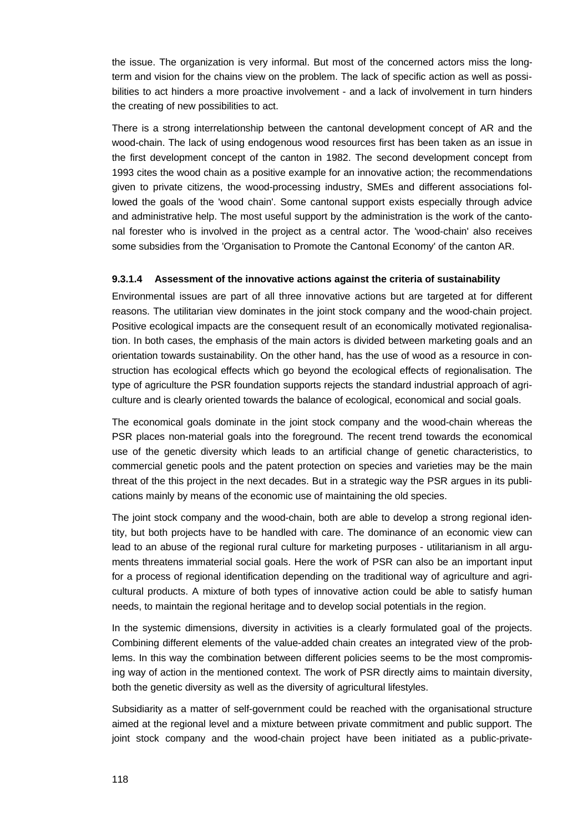the issue. The organization is very informal. But most of the concerned actors miss the longterm and vision for the chains view on the problem. The lack of specific action as well as possibilities to act hinders a more proactive involvement - and a lack of involvement in turn hinders the creating of new possibilities to act.

There is a strong interrelationship between the cantonal development concept of AR and the wood-chain. The lack of using endogenous wood resources first has been taken as an issue in the first development concept of the canton in 1982. The second development concept from 1993 cites the wood chain as a positive example for an innovative action; the recommendations given to private citizens, the wood-processing industry, SMEs and different associations followed the goals of the 'wood chain'. Some cantonal support exists especially through advice and administrative help. The most useful support by the administration is the work of the cantonal forester who is involved in the project as a central actor. The 'wood-chain' also receives some subsidies from the 'Organisation to Promote the Cantonal Economy' of the canton AR.

#### **9.3.1.4 Assessment of the innovative actions against the criteria of sustainability**

Environmental issues are part of all three innovative actions but are targeted at for different reasons. The utilitarian view dominates in the joint stock company and the wood-chain project. Positive ecological impacts are the consequent result of an economically motivated regionalisation. In both cases, the emphasis of the main actors is divided between marketing goals and an orientation towards sustainability. On the other hand, has the use of wood as a resource in construction has ecological effects which go beyond the ecological effects of regionalisation. The type of agriculture the PSR foundation supports rejects the standard industrial approach of agriculture and is clearly oriented towards the balance of ecological, economical and social goals.

The economical goals dominate in the joint stock company and the wood-chain whereas the PSR places non-material goals into the foreground. The recent trend towards the economical use of the genetic diversity which leads to an artificial change of genetic characteristics, to commercial genetic pools and the patent protection on species and varieties may be the main threat of the this project in the next decades. But in a strategic way the PSR argues in its publications mainly by means of the economic use of maintaining the old species.

The joint stock company and the wood-chain, both are able to develop a strong regional identity, but both projects have to be handled with care. The dominance of an economic view can lead to an abuse of the regional rural culture for marketing purposes - utilitarianism in all arguments threatens immaterial social goals. Here the work of PSR can also be an important input for a process of regional identification depending on the traditional way of agriculture and agricultural products. A mixture of both types of innovative action could be able to satisfy human needs, to maintain the regional heritage and to develop social potentials in the region.

In the systemic dimensions, diversity in activities is a clearly formulated goal of the projects. Combining different elements of the value-added chain creates an integrated view of the problems. In this way the combination between different policies seems to be the most compromising way of action in the mentioned context. The work of PSR directly aims to maintain diversity, both the genetic diversity as well as the diversity of agricultural lifestyles.

Subsidiarity as a matter of self-government could be reached with the organisational structure aimed at the regional level and a mixture between private commitment and public support. The joint stock company and the wood-chain project have been initiated as a public-private-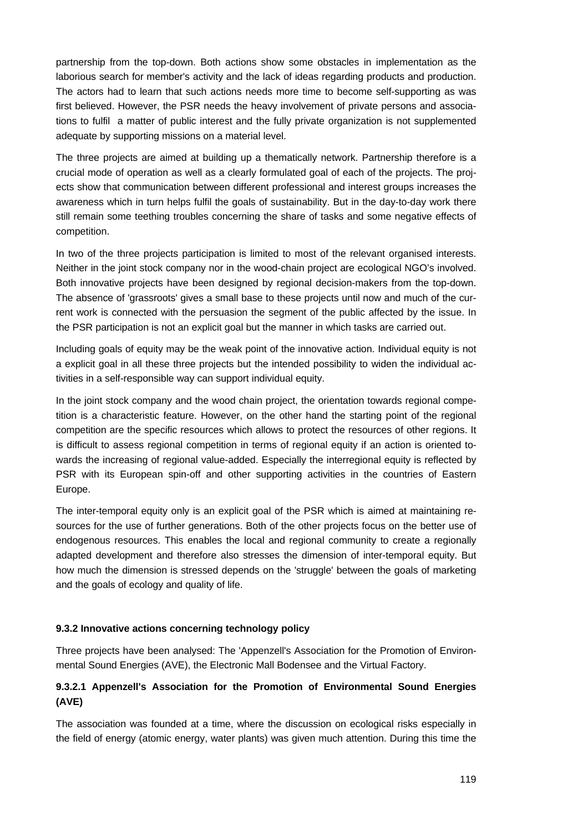partnership from the top-down. Both actions show some obstacles in implementation as the laborious search for member's activity and the lack of ideas regarding products and production. The actors had to learn that such actions needs more time to become self-supporting as was first believed. However, the PSR needs the heavy involvement of private persons and associations to fulfil a matter of public interest and the fully private organization is not supplemented adequate by supporting missions on a material level.

The three projects are aimed at building up a thematically network. Partnership therefore is a crucial mode of operation as well as a clearly formulated goal of each of the projects. The projects show that communication between different professional and interest groups increases the awareness which in turn helps fulfil the goals of sustainability. But in the day-to-day work there still remain some teething troubles concerning the share of tasks and some negative effects of competition.

In two of the three projects participation is limited to most of the relevant organised interests. Neither in the joint stock company nor in the wood-chain project are ecological NGO's involved. Both innovative projects have been designed by regional decision-makers from the top-down. The absence of 'grassroots' gives a small base to these projects until now and much of the current work is connected with the persuasion the segment of the public affected by the issue. In the PSR participation is not an explicit goal but the manner in which tasks are carried out.

Including goals of equity may be the weak point of the innovative action. Individual equity is not a explicit goal in all these three projects but the intended possibility to widen the individual activities in a self-responsible way can support individual equity.

In the joint stock company and the wood chain project, the orientation towards regional competition is a characteristic feature. However, on the other hand the starting point of the regional competition are the specific resources which allows to protect the resources of other regions. It is difficult to assess regional competition in terms of regional equity if an action is oriented towards the increasing of regional value-added. Especially the interregional equity is reflected by PSR with its European spin-off and other supporting activities in the countries of Eastern Europe.

The inter-temporal equity only is an explicit goal of the PSR which is aimed at maintaining resources for the use of further generations. Both of the other projects focus on the better use of endogenous resources. This enables the local and regional community to create a regionally adapted development and therefore also stresses the dimension of inter-temporal equity. But how much the dimension is stressed depends on the 'struggle' between the goals of marketing and the goals of ecology and quality of life.

#### **9.3.2 Innovative actions concerning technology policy**

Three projects have been analysed: The 'Appenzell's Association for the Promotion of Environmental Sound Energies (AVE), the Electronic Mall Bodensee and the Virtual Factory.

## **9.3.2.1 Appenzell's Association for the Promotion of Environmental Sound Energies (AVE)**

The association was founded at a time, where the discussion on ecological risks especially in the field of energy (atomic energy, water plants) was given much attention. During this time the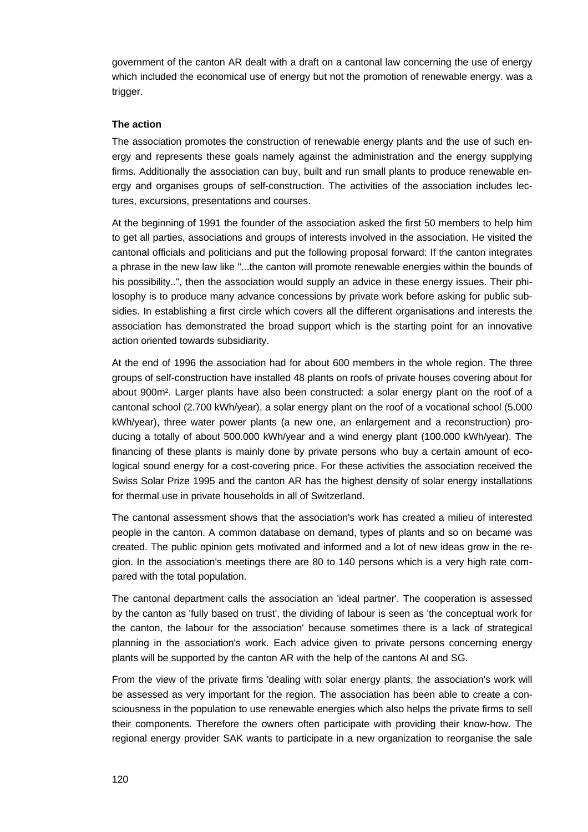government of the canton AR dealt with a draft on a cantonal law concerning the use of energy which included the economical use of energy but not the promotion of renewable energy. was a trigger.

#### **The action**

The association promotes the construction of renewable energy plants and the use of such energy and represents these goals namely against the administration and the energy supplying firms. Additionally the association can buy, built and run small plants to produce renewable energy and organises groups of self-construction. The activities of the association includes lectures, excursions, presentations and courses.

At the beginning of 1991 the founder of the association asked the first 50 members to help him to get all parties, associations and groups of interests involved in the association. He visited the cantonal officials and politicians and put the following proposal forward: If the canton integrates a phrase in the new law like "...the canton will promote renewable energies within the bounds of his possibility..", then the association would supply an advice in these energy issues. Their philosophy is to produce many advance concessions by private work before asking for public subsidies. In establishing a first circle which covers all the different organisations and interests the association has demonstrated the broad support which is the starting point for an innovative action oriented towards subsidiarity.

At the end of 1996 the association had for about 600 members in the whole region. The three groups of self-construction have installed 48 plants on roofs of private houses covering about for about 900m². Larger plants have also been constructed: a solar energy plant on the roof of a cantonal school (2.700 kWh/year), a solar energy plant on the roof of a vocational school (5.000 kWh/year), three water power plants (a new one, an enlargement and a reconstruction) producing a totally of about 500.000 kWh/year and a wind energy plant (100.000 kWh/year). The financing of these plants is mainly done by private persons who buy a certain amount of ecological sound energy for a cost-covering price. For these activities the association received the Swiss Solar Prize 1995 and the canton AR has the highest density of solar energy installations for thermal use in private households in all of Switzerland.

The cantonal assessment shows that the association's work has created a milieu of interested people in the canton. A common database on demand, types of plants and so on became was created. The public opinion gets motivated and informed and a lot of new ideas grow in the region. In the association's meetings there are 80 to 140 persons which is a very high rate compared with the total population.

The cantonal department calls the association an 'ideal partner'. The cooperation is assessed by the canton as 'fully based on trust', the dividing of labour is seen as 'the conceptual work for the canton, the labour for the association' because sometimes there is a lack of strategical planning in the association's work. Each advice given to private persons concerning energy plants will be supported by the canton AR with the help of the cantons AI and SG.

From the view of the private firms 'dealing with solar energy plants, the association's work will be assessed as very important for the region. The association has been able to create a consciousness in the population to use renewable energies which also helps the private firms to sell their components. Therefore the owners often participate with providing their know-how. The regional energy provider SAK wants to participate in a new organization to reorganise the sale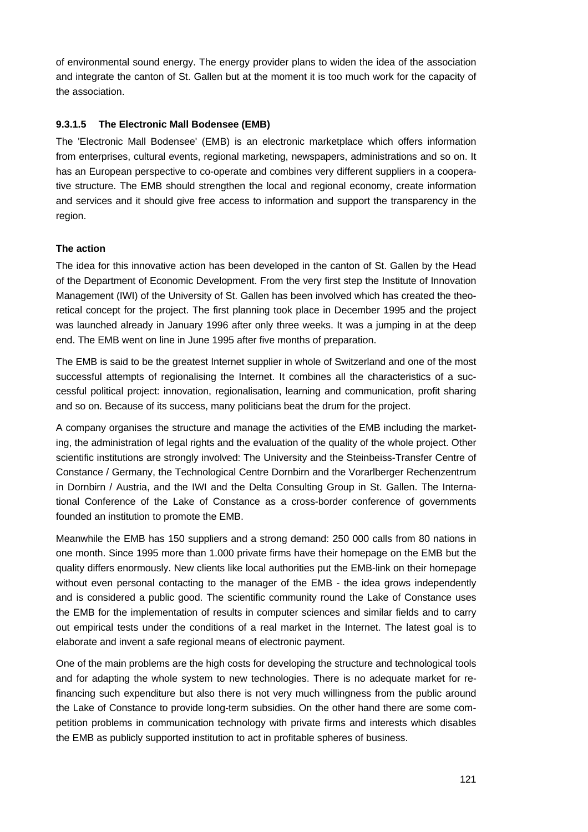of environmental sound energy. The energy provider plans to widen the idea of the association and integrate the canton of St. Gallen but at the moment it is too much work for the capacity of the association.

## **9.3.1.5 The Electronic Mall Bodensee (EMB)**

The 'Electronic Mall Bodensee' (EMB) is an electronic marketplace which offers information from enterprises, cultural events, regional marketing, newspapers, administrations and so on. It has an European perspective to co-operate and combines very different suppliers in a cooperative structure. The EMB should strengthen the local and regional economy, create information and services and it should give free access to information and support the transparency in the region.

## **The action**

The idea for this innovative action has been developed in the canton of St. Gallen by the Head of the Department of Economic Development. From the very first step the Institute of Innovation Management (IWI) of the University of St. Gallen has been involved which has created the theoretical concept for the project. The first planning took place in December 1995 and the project was launched already in January 1996 after only three weeks. It was a jumping in at the deep end. The EMB went on line in June 1995 after five months of preparation.

The EMB is said to be the greatest Internet supplier in whole of Switzerland and one of the most successful attempts of regionalising the Internet. It combines all the characteristics of a successful political project: innovation, regionalisation, learning and communication, profit sharing and so on. Because of its success, many politicians beat the drum for the project.

A company organises the structure and manage the activities of the EMB including the marketing, the administration of legal rights and the evaluation of the quality of the whole project. Other scientific institutions are strongly involved: The University and the Steinbeiss-Transfer Centre of Constance / Germany, the Technological Centre Dornbirn and the Vorarlberger Rechenzentrum in Dornbirn / Austria, and the IWI and the Delta Consulting Group in St. Gallen. The International Conference of the Lake of Constance as a cross-border conference of governments founded an institution to promote the EMB.

Meanwhile the EMB has 150 suppliers and a strong demand: 250 000 calls from 80 nations in one month. Since 1995 more than 1.000 private firms have their homepage on the EMB but the quality differs enormously. New clients like local authorities put the EMB-link on their homepage without even personal contacting to the manager of the EMB - the idea grows independently and is considered a public good. The scientific community round the Lake of Constance uses the EMB for the implementation of results in computer sciences and similar fields and to carry out empirical tests under the conditions of a real market in the Internet. The latest goal is to elaborate and invent a safe regional means of electronic payment.

One of the main problems are the high costs for developing the structure and technological tools and for adapting the whole system to new technologies. There is no adequate market for refinancing such expenditure but also there is not very much willingness from the public around the Lake of Constance to provide long-term subsidies. On the other hand there are some competition problems in communication technology with private firms and interests which disables the EMB as publicly supported institution to act in profitable spheres of business.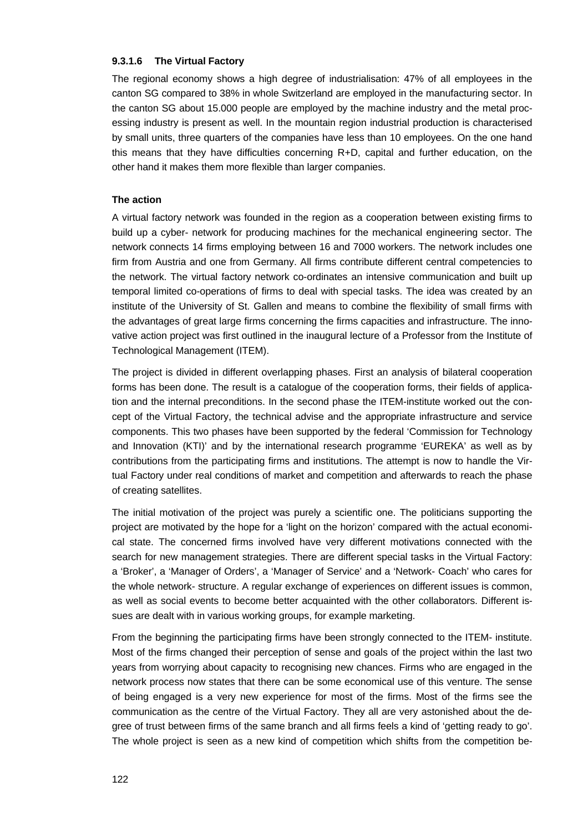#### **9.3.1.6 The Virtual Factory**

The regional economy shows a high degree of industrialisation: 47% of all employees in the canton SG compared to 38% in whole Switzerland are employed in the manufacturing sector. In the canton SG about 15.000 people are employed by the machine industry and the metal processing industry is present as well. In the mountain region industrial production is characterised by small units, three quarters of the companies have less than 10 employees. On the one hand this means that they have difficulties concerning R+D, capital and further education, on the other hand it makes them more flexible than larger companies.

#### **The action**

A virtual factory network was founded in the region as a cooperation between existing firms to build up a cyber- network for producing machines for the mechanical engineering sector. The network connects 14 firms employing between 16 and 7000 workers. The network includes one firm from Austria and one from Germany. All firms contribute different central competencies to the network. The virtual factory network co-ordinates an intensive communication and built up temporal limited co-operations of firms to deal with special tasks. The idea was created by an institute of the University of St. Gallen and means to combine the flexibility of small firms with the advantages of great large firms concerning the firms capacities and infrastructure. The innovative action project was first outlined in the inaugural lecture of a Professor from the Institute of Technological Management (ITEM).

The project is divided in different overlapping phases. First an analysis of bilateral cooperation forms has been done. The result is a catalogue of the cooperation forms, their fields of application and the internal preconditions. In the second phase the ITEM-institute worked out the concept of the Virtual Factory, the technical advise and the appropriate infrastructure and service components. This two phases have been supported by the federal 'Commission for Technology and Innovation (KTI)' and by the international research programme 'EUREKA' as well as by contributions from the participating firms and institutions. The attempt is now to handle the Virtual Factory under real conditions of market and competition and afterwards to reach the phase of creating satellites.

The initial motivation of the project was purely a scientific one. The politicians supporting the project are motivated by the hope for a 'light on the horizon' compared with the actual economical state. The concerned firms involved have very different motivations connected with the search for new management strategies. There are different special tasks in the Virtual Factory: a 'Broker', a 'Manager of Orders', a 'Manager of Service' and a 'Network- Coach' who cares for the whole network- structure. A regular exchange of experiences on different issues is common, as well as social events to become better acquainted with the other collaborators. Different issues are dealt with in various working groups, for example marketing.

From the beginning the participating firms have been strongly connected to the ITEM- institute. Most of the firms changed their perception of sense and goals of the project within the last two years from worrying about capacity to recognising new chances. Firms who are engaged in the network process now states that there can be some economical use of this venture. The sense of being engaged is a very new experience for most of the firms. Most of the firms see the communication as the centre of the Virtual Factory. They all are very astonished about the degree of trust between firms of the same branch and all firms feels a kind of 'getting ready to go'. The whole project is seen as a new kind of competition which shifts from the competition be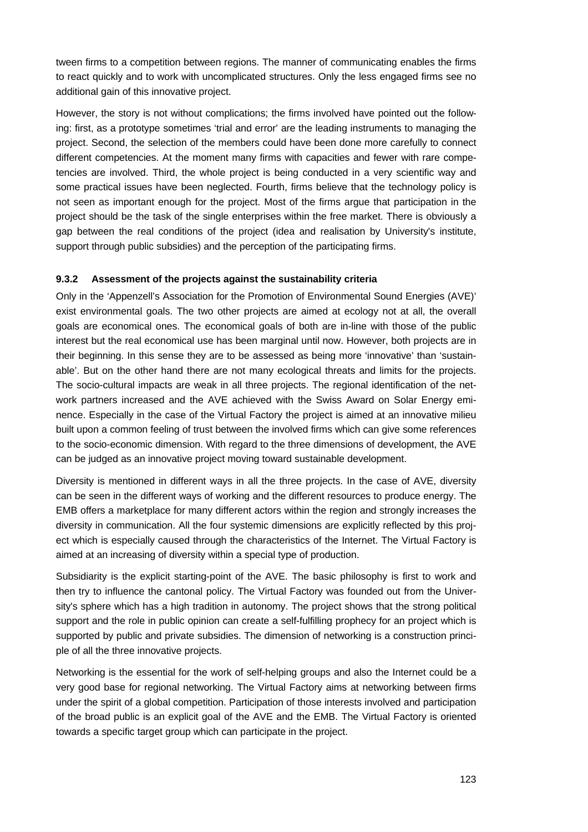tween firms to a competition between regions. The manner of communicating enables the firms to react quickly and to work with uncomplicated structures. Only the less engaged firms see no additional gain of this innovative project.

However, the story is not without complications; the firms involved have pointed out the following: first, as a prototype sometimes 'trial and error' are the leading instruments to managing the project. Second, the selection of the members could have been done more carefully to connect different competencies. At the moment many firms with capacities and fewer with rare competencies are involved. Third, the whole project is being conducted in a very scientific way and some practical issues have been neglected. Fourth, firms believe that the technology policy is not seen as important enough for the project. Most of the firms argue that participation in the project should be the task of the single enterprises within the free market. There is obviously a gap between the real conditions of the project (idea and realisation by University's institute, support through public subsidies) and the perception of the participating firms.

#### **9.3.2 Assessment of the projects against the sustainability criteria**

Only in the 'Appenzell's Association for the Promotion of Environmental Sound Energies (AVE)' exist environmental goals. The two other projects are aimed at ecology not at all, the overall goals are economical ones. The economical goals of both are in-line with those of the public interest but the real economical use has been marginal until now. However, both projects are in their beginning. In this sense they are to be assessed as being more 'innovative' than 'sustainable'. But on the other hand there are not many ecological threats and limits for the projects. The socio-cultural impacts are weak in all three projects. The regional identification of the network partners increased and the AVE achieved with the Swiss Award on Solar Energy eminence. Especially in the case of the Virtual Factory the project is aimed at an innovative milieu built upon a common feeling of trust between the involved firms which can give some references to the socio-economic dimension. With regard to the three dimensions of development, the AVE can be judged as an innovative project moving toward sustainable development.

Diversity is mentioned in different ways in all the three projects. In the case of AVE, diversity can be seen in the different ways of working and the different resources to produce energy. The EMB offers a marketplace for many different actors within the region and strongly increases the diversity in communication. All the four systemic dimensions are explicitly reflected by this project which is especially caused through the characteristics of the Internet. The Virtual Factory is aimed at an increasing of diversity within a special type of production.

Subsidiarity is the explicit starting-point of the AVE. The basic philosophy is first to work and then try to influence the cantonal policy. The Virtual Factory was founded out from the University's sphere which has a high tradition in autonomy. The project shows that the strong political support and the role in public opinion can create a self-fulfilling prophecy for an project which is supported by public and private subsidies. The dimension of networking is a construction principle of all the three innovative projects.

Networking is the essential for the work of self-helping groups and also the Internet could be a very good base for regional networking. The Virtual Factory aims at networking between firms under the spirit of a global competition. Participation of those interests involved and participation of the broad public is an explicit goal of the AVE and the EMB. The Virtual Factory is oriented towards a specific target group which can participate in the project.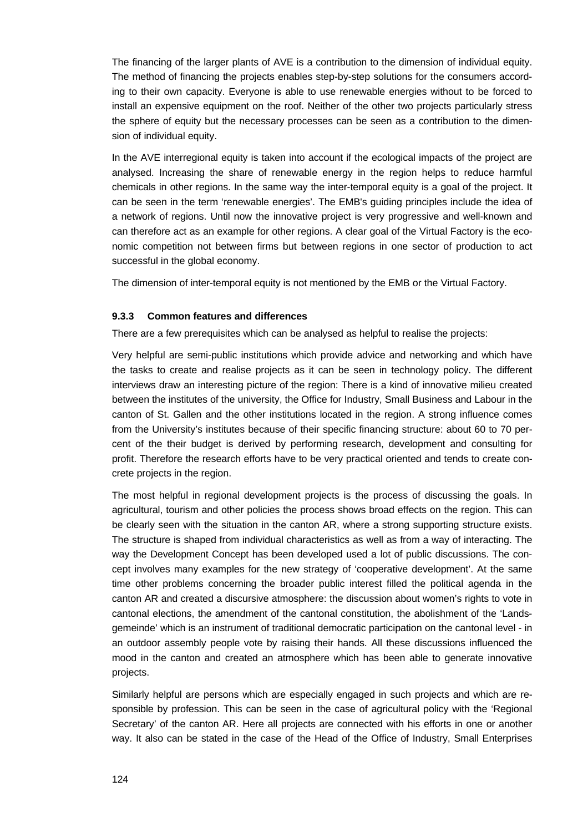The financing of the larger plants of AVE is a contribution to the dimension of individual equity. The method of financing the projects enables step-by-step solutions for the consumers according to their own capacity. Everyone is able to use renewable energies without to be forced to install an expensive equipment on the roof. Neither of the other two projects particularly stress the sphere of equity but the necessary processes can be seen as a contribution to the dimension of individual equity.

In the AVE interregional equity is taken into account if the ecological impacts of the project are analysed. Increasing the share of renewable energy in the region helps to reduce harmful chemicals in other regions. In the same way the inter-temporal equity is a goal of the project. It can be seen in the term 'renewable energies'. The EMB's guiding principles include the idea of a network of regions. Until now the innovative project is very progressive and well-known and can therefore act as an example for other regions. A clear goal of the Virtual Factory is the economic competition not between firms but between regions in one sector of production to act successful in the global economy.

The dimension of inter-temporal equity is not mentioned by the EMB or the Virtual Factory.

#### **9.3.3 Common features and differences**

There are a few prerequisites which can be analysed as helpful to realise the projects:

Very helpful are semi-public institutions which provide advice and networking and which have the tasks to create and realise projects as it can be seen in technology policy. The different interviews draw an interesting picture of the region: There is a kind of innovative milieu created between the institutes of the university, the Office for Industry, Small Business and Labour in the canton of St. Gallen and the other institutions located in the region. A strong influence comes from the University's institutes because of their specific financing structure: about 60 to 70 percent of the their budget is derived by performing research, development and consulting for profit. Therefore the research efforts have to be very practical oriented and tends to create concrete projects in the region.

The most helpful in regional development projects is the process of discussing the goals. In agricultural, tourism and other policies the process shows broad effects on the region. This can be clearly seen with the situation in the canton AR, where a strong supporting structure exists. The structure is shaped from individual characteristics as well as from a way of interacting. The way the Development Concept has been developed used a lot of public discussions. The concept involves many examples for the new strategy of 'cooperative development'. At the same time other problems concerning the broader public interest filled the political agenda in the canton AR and created a discursive atmosphere: the discussion about women's rights to vote in cantonal elections, the amendment of the cantonal constitution, the abolishment of the 'Landsgemeinde' which is an instrument of traditional democratic participation on the cantonal level - in an outdoor assembly people vote by raising their hands. All these discussions influenced the mood in the canton and created an atmosphere which has been able to generate innovative projects.

Similarly helpful are persons which are especially engaged in such projects and which are responsible by profession. This can be seen in the case of agricultural policy with the 'Regional Secretary' of the canton AR. Here all projects are connected with his efforts in one or another way. It also can be stated in the case of the Head of the Office of Industry, Small Enterprises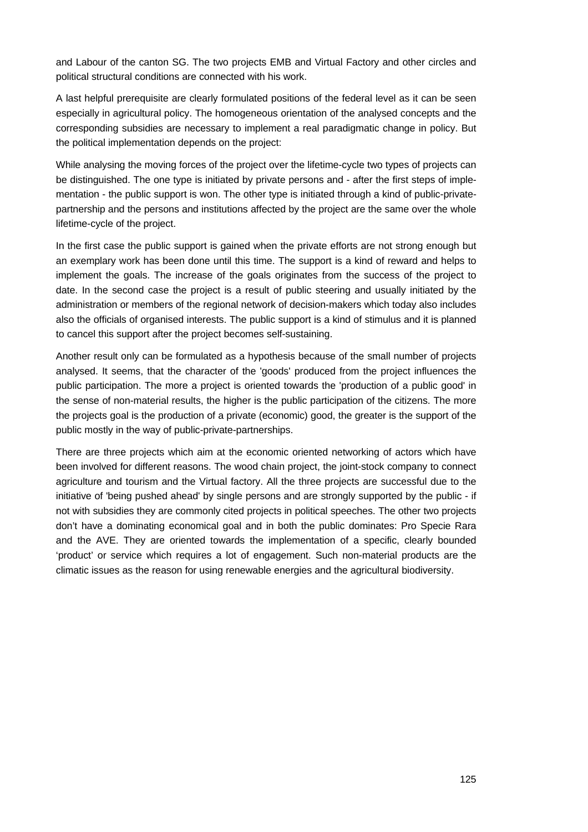and Labour of the canton SG. The two projects EMB and Virtual Factory and other circles and political structural conditions are connected with his work.

A last helpful prerequisite are clearly formulated positions of the federal level as it can be seen especially in agricultural policy. The homogeneous orientation of the analysed concepts and the corresponding subsidies are necessary to implement a real paradigmatic change in policy. But the political implementation depends on the project:

While analysing the moving forces of the project over the lifetime-cycle two types of projects can be distinguished. The one type is initiated by private persons and - after the first steps of implementation - the public support is won. The other type is initiated through a kind of public-privatepartnership and the persons and institutions affected by the project are the same over the whole lifetime-cycle of the project.

In the first case the public support is gained when the private efforts are not strong enough but an exemplary work has been done until this time. The support is a kind of reward and helps to implement the goals. The increase of the goals originates from the success of the project to date. In the second case the project is a result of public steering and usually initiated by the administration or members of the regional network of decision-makers which today also includes also the officials of organised interests. The public support is a kind of stimulus and it is planned to cancel this support after the project becomes self-sustaining.

Another result only can be formulated as a hypothesis because of the small number of projects analysed. It seems, that the character of the 'goods' produced from the project influences the public participation. The more a project is oriented towards the 'production of a public good' in the sense of non-material results, the higher is the public participation of the citizens. The more the projects goal is the production of a private (economic) good, the greater is the support of the public mostly in the way of public-private-partnerships.

There are three projects which aim at the economic oriented networking of actors which have been involved for different reasons. The wood chain project, the joint-stock company to connect agriculture and tourism and the Virtual factory. All the three projects are successful due to the initiative of 'being pushed ahead' by single persons and are strongly supported by the public - if not with subsidies they are commonly cited projects in political speeches. The other two projects don't have a dominating economical goal and in both the public dominates: Pro Specie Rara and the AVE. They are oriented towards the implementation of a specific, clearly bounded 'product' or service which requires a lot of engagement. Such non-material products are the climatic issues as the reason for using renewable energies and the agricultural biodiversity.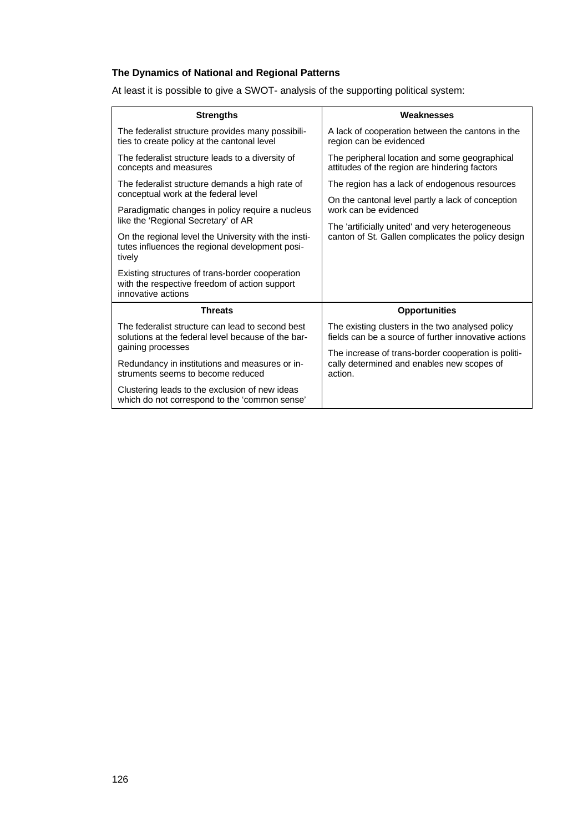## **The Dynamics of National and Regional Patterns**

At least it is possible to give a SWOT- analysis of the supporting political system:

| <b>Strengths</b>                                                                                                       | Weaknesses                                                                                                   |
|------------------------------------------------------------------------------------------------------------------------|--------------------------------------------------------------------------------------------------------------|
| The federalist structure provides many possibili-<br>ties to create policy at the cantonal level                       | A lack of cooperation between the cantons in the<br>region can be evidenced                                  |
| The federalist structure leads to a diversity of<br>concepts and measures                                              | The peripheral location and some geographical<br>attitudes of the region are hindering factors               |
| The federalist structure demands a high rate of<br>conceptual work at the federal level                                | The region has a lack of endogenous resources                                                                |
| Paradigmatic changes in policy require a nucleus<br>like the 'Regional Secretary' of AR                                | On the cantonal level partly a lack of conception<br>work can be evidenced                                   |
| On the regional level the University with the insti-<br>tutes influences the regional development posi-<br>tively      | The 'artificially united' and very heterogeneous<br>canton of St. Gallen complicates the policy design       |
| Existing structures of trans-border cooperation<br>with the respective freedom of action support<br>innovative actions |                                                                                                              |
| <b>Threats</b>                                                                                                         | <b>Opportunities</b>                                                                                         |
| The federalist structure can lead to second best<br>solutions at the federal level because of the bar-                 | The existing clusters in the two analysed policy<br>fields can be a source of further innovative actions     |
| gaining processes                                                                                                      | The increase of trans-border cooperation is politi-<br>cally determined and enables new scopes of<br>action. |
| Redundancy in institutions and measures or in-<br>struments seems to become reduced                                    |                                                                                                              |
| Clustering leads to the exclusion of new ideas<br>which do not correspond to the 'common sense'                        |                                                                                                              |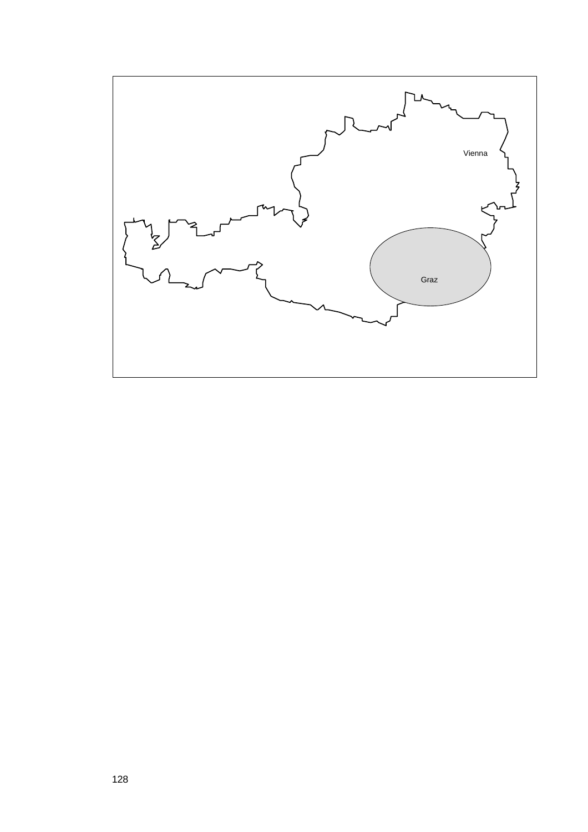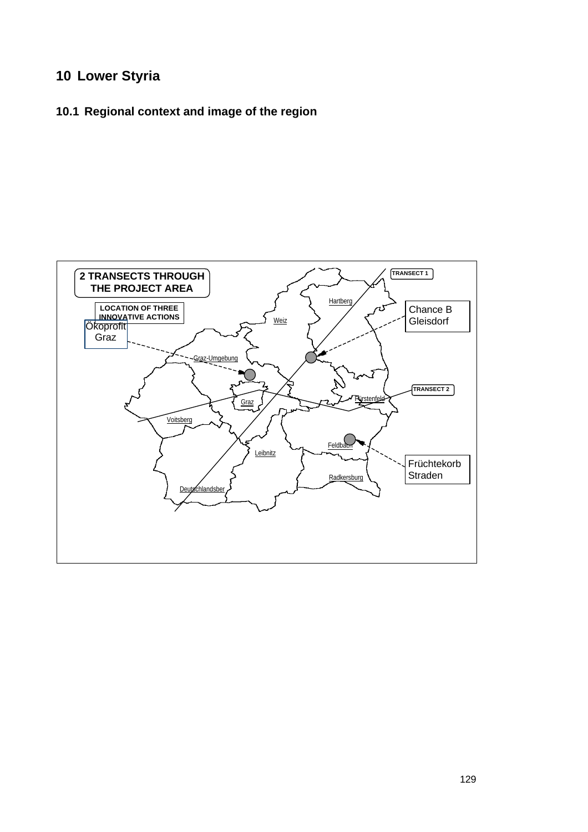# **10 Lower Styria**

# **10.1 Regional context and image of the region**

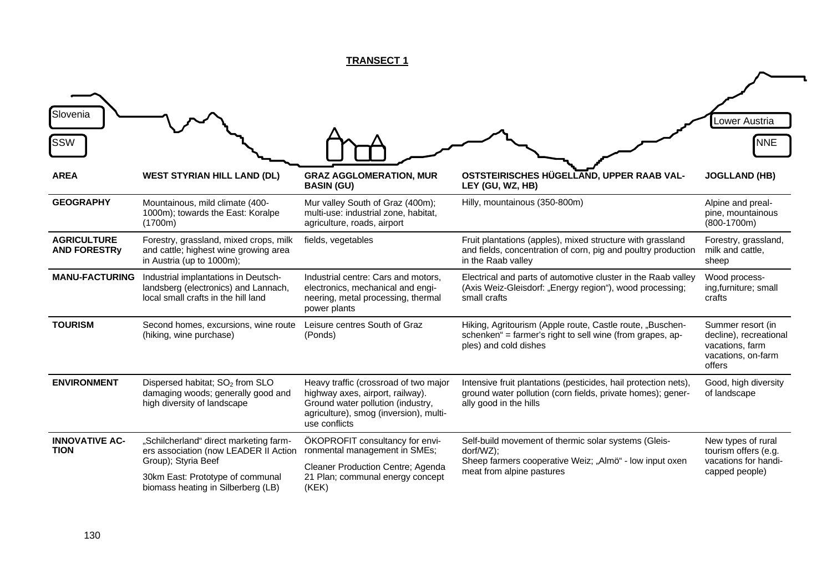# **TRANSECT 1**

| Slovenia<br><b>SSW</b>                    |                                                                                                                                                                                  |                                                                                                                                                                           |                                                                                                                                                           | Lower Austria<br><b>NNE</b>                                                                    |
|-------------------------------------------|----------------------------------------------------------------------------------------------------------------------------------------------------------------------------------|---------------------------------------------------------------------------------------------------------------------------------------------------------------------------|-----------------------------------------------------------------------------------------------------------------------------------------------------------|------------------------------------------------------------------------------------------------|
| <b>AREA</b>                               | <b>WEST STYRIAN HILL LAND (DL)</b>                                                                                                                                               | <b>GRAZ AGGLOMERATION, MUR</b><br><b>BASIN (GU)</b>                                                                                                                       | OSTSTEIRISCHES HÜGELLAND, UPPER RAAB VAL-<br>LEY (GU, WZ, HB)                                                                                             | <b>JOGLLAND (HB)</b>                                                                           |
| <b>GEOGRAPHY</b>                          | Mountainous, mild climate (400-<br>1000m); towards the East: Koralpe<br>(1700m)                                                                                                  | Mur valley South of Graz (400m);<br>multi-use: industrial zone, habitat,<br>agriculture, roads, airport                                                                   | Hilly, mountainous (350-800m)                                                                                                                             | Alpine and preal-<br>pine, mountainous<br>$(800-1700m)$                                        |
| <b>AGRICULTURE</b><br><b>AND FORESTRy</b> | Forestry, grassland, mixed crops, milk<br>and cattle; highest wine growing area<br>in Austria (up to 1000m);                                                                     | fields, vegetables                                                                                                                                                        | Fruit plantations (apples), mixed structure with grassland<br>and fields, concentration of corn, pig and poultry production<br>in the Raab valley         | Forestry, grassland,<br>milk and cattle,<br>sheep                                              |
| <b>MANU-FACTURING</b>                     | Industrial implantations in Deutsch-<br>landsberg (electronics) and Lannach,<br>local small crafts in the hill land                                                              | Industrial centre: Cars and motors,<br>electronics, mechanical and engi-<br>neering, metal processing, thermal<br>power plants                                            | Electrical and parts of automotive cluster in the Raab valley<br>(Axis Weiz-Gleisdorf: "Energy region"), wood processing;<br>small crafts                 | Wood process-<br>ing,furniture; small<br>crafts                                                |
| <b>TOURISM</b>                            | Second homes, excursions, wine route<br>(hiking, wine purchase)                                                                                                                  | Leisure centres South of Graz<br>(Ponds)                                                                                                                                  | Hiking, Agritourism (Apple route, Castle route, "Buschen-<br>schenken" = farmer's right to sell wine (from grapes, ap-<br>ples) and cold dishes           | Summer resort (in<br>decline), recreational<br>vacations, farm<br>vacations, on-farm<br>offers |
| <b>ENVIRONMENT</b>                        | Dispersed habitat; SO <sub>2</sub> from SLO<br>damaging woods; generally good and<br>high diversity of landscape                                                                 | Heavy traffic (crossroad of two major<br>highway axes, airport, railway).<br>Ground water pollution (industry,<br>agriculture), smog (inversion), multi-<br>use conflicts | Intensive fruit plantations (pesticides, hail protection nets),<br>ground water pollution (corn fields, private homes); gener-<br>ally good in the hills  | Good, high diversity<br>of landscape                                                           |
| <b>INNOVATIVE AC-</b><br><b>TION</b>      | "Schilcherland" direct marketing farm-<br>ers association (now LEADER II Action<br>Group); Styria Beef<br>30km East: Prototype of communal<br>biomass heating in Silberberg (LB) | ÖKOPROFIT consultancy for envi-<br>ronmental management in SMEs;<br>Cleaner Production Centre; Agenda<br>21 Plan; communal energy concept<br>(KEK)                        | Self-build movement of thermic solar systems (Gleis-<br>dorf/WZ);<br>Sheep farmers cooperative Weiz; "Almö" - low input oxen<br>meat from alpine pastures | New types of rural<br>tourism offers (e.g.<br>vacations for handi-<br>capped people)           |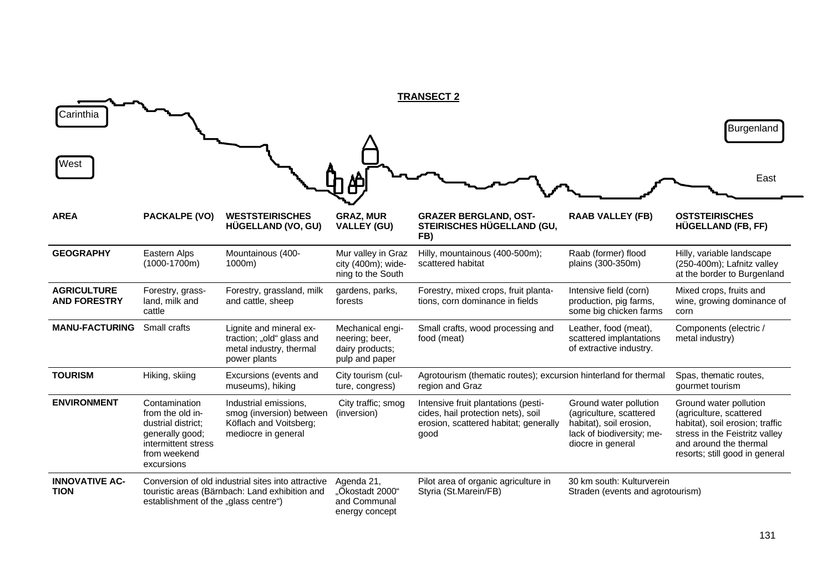|                                           |                                                                                                                                 |                                                                                                      |                                                                         | <b>TRANSECT 2</b>                                                                                                          |                                                                                                                                |                                                                                                                                                                                    |
|-------------------------------------------|---------------------------------------------------------------------------------------------------------------------------------|------------------------------------------------------------------------------------------------------|-------------------------------------------------------------------------|----------------------------------------------------------------------------------------------------------------------------|--------------------------------------------------------------------------------------------------------------------------------|------------------------------------------------------------------------------------------------------------------------------------------------------------------------------------|
| Carinthia                                 |                                                                                                                                 |                                                                                                      |                                                                         |                                                                                                                            |                                                                                                                                | Burgenland                                                                                                                                                                         |
| West                                      |                                                                                                                                 |                                                                                                      |                                                                         |                                                                                                                            |                                                                                                                                | East                                                                                                                                                                               |
| <b>AREA</b>                               | <b>PACKALPE (VO)</b>                                                                                                            | <b>WESTSTEIRISCHES</b><br>HÜGELLAND (VO, GU)                                                         | <b>GRAZ, MUR</b><br><b>VALLEY (GU)</b>                                  | <b>GRAZER BERGLAND, OST-</b><br>STEIRISCHES HÜGELLAND (GU,<br>FB)                                                          | <b>RAAB VALLEY (FB)</b>                                                                                                        | <b>OSTSTEIRISCHES</b><br>HÜGELLAND (FB, FF)                                                                                                                                        |
| <b>GEOGRAPHY</b>                          | Eastern Alps<br>$(1000-1700m)$                                                                                                  | Mountainous (400-<br>1000m)                                                                          | Mur valley in Graz<br>city (400m); wide-<br>ning to the South           | Hilly, mountainous (400-500m);<br>scattered habitat                                                                        | Raab (former) flood<br>plains (300-350m)                                                                                       | Hilly, variable landscape<br>(250-400m); Lafnitz valley<br>at the border to Burgenland                                                                                             |
| <b>AGRICULTURE</b><br><b>AND FORESTRY</b> | Forestry, grass-<br>land, milk and<br>cattle                                                                                    | Forestry, grassland, milk<br>and cattle, sheep                                                       | gardens, parks,<br>forests                                              | Forestry, mixed crops, fruit planta-<br>tions, corn dominance in fields                                                    | Intensive field (corn)<br>production, pig farms,<br>some big chicken farms                                                     | Mixed crops, fruits and<br>wine, growing dominance of<br>corn                                                                                                                      |
| <b>MANU-FACTURING</b>                     | Small crafts                                                                                                                    | Lignite and mineral ex-<br>traction; "old" glass and<br>metal industry, thermal<br>power plants      | Mechanical engi-<br>neering; beer,<br>dairy products;<br>pulp and paper | Small crafts, wood processing and<br>food (meat)                                                                           | Leather, food (meat),<br>scattered implantations<br>of extractive industry.                                                    | Components (electric /<br>metal industry)                                                                                                                                          |
| <b>TOURISM</b>                            | Hiking, skiing                                                                                                                  | Excursions (events and<br>museums), hiking                                                           | City tourism (cul-<br>ture, congress)                                   | Agrotourism (thematic routes); excursion hinterland for thermal<br>region and Graz                                         |                                                                                                                                | Spas, thematic routes,<br>gourmet tourism                                                                                                                                          |
| <b>ENVIRONMENT</b>                        | Contamination<br>from the old in-<br>dustrial district:<br>generally good;<br>intermittent stress<br>from weekend<br>excursions | Industrial emissions,<br>smog (inversion) between<br>Köflach and Voitsberg;<br>mediocre in general   | City traffic; smog<br>(inversion)                                       | Intensive fruit plantations (pesti-<br>cides, hail protection nets), soil<br>erosion, scattered habitat; generally<br>good | Ground water pollution<br>(agriculture, scattered<br>habitat), soil erosion,<br>lack of biodiversity; me-<br>diocre in general | Ground water pollution<br>(agriculture, scattered<br>habitat), soil erosion; traffic<br>stress in the Feistritz valley<br>and around the thermal<br>resorts; still good in general |
| <b>INNOVATIVE AC-</b><br><b>TION</b>      | establishment of the "glass centre")                                                                                            | Conversion of old industrial sites into attractive<br>touristic areas (Bärnbach: Land exhibition and | Agenda 21,<br>"Ökostadt 2000"<br>and Communal<br>energy concept         | Pilot area of organic agriculture in<br>Styria (St.Marein/FB)                                                              | 30 km south: Kulturverein<br>Straden (events and agrotourism)                                                                  |                                                                                                                                                                                    |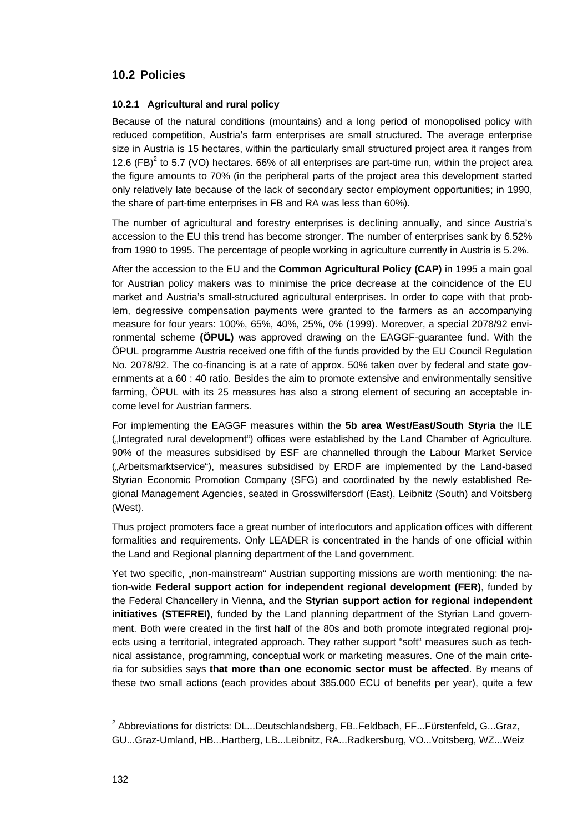# **10.2 Policies**

### **10.2.1 Agricultural and rural policy**

Because of the natural conditions (mountains) and a long period of monopolised policy with reduced competition, Austria's farm enterprises are small structured. The average enterprise size in Austria is 15 hectares, within the particularly small structured project area it ranges from 12.6 (FB)<sup>2</sup> to 5.7 (VO) hectares. 66% of all enterprises are part-time run, within the project area the figure amounts to 70% (in the peripheral parts of the project area this development started only relatively late because of the lack of secondary sector employment opportunities; in 1990, the share of part-time enterprises in FB and RA was less than 60%).

The number of agricultural and forestry enterprises is declining annually, and since Austria's accession to the EU this trend has become stronger. The number of enterprises sank by 6.52% from 1990 to 1995. The percentage of people working in agriculture currently in Austria is 5.2%.

After the accession to the EU and the **Common Agricultural Policy (CAP)** in 1995 a main goal for Austrian policy makers was to minimise the price decrease at the coincidence of the EU market and Austria's small-structured agricultural enterprises. In order to cope with that problem, degressive compensation payments were granted to the farmers as an accompanying measure for four years: 100%, 65%, 40%, 25%, 0% (1999). Moreover, a special 2078/92 environmental scheme **(ÖPUL)** was approved drawing on the EAGGF-guarantee fund. With the ÖPUL programme Austria received one fifth of the funds provided by the EU Council Regulation No. 2078/92. The co-financing is at a rate of approx. 50% taken over by federal and state governments at a 60 : 40 ratio. Besides the aim to promote extensive and environmentally sensitive farming, ÖPUL with its 25 measures has also a strong element of securing an acceptable income level for Austrian farmers.

For implementing the EAGGF measures within the **5b area West/East/South Styria** the ILE (...Integrated rural development") offices were established by the Land Chamber of Agriculture. 90% of the measures subsidised by ESF are channelled through the Labour Market Service ("Arbeitsmarktservice"), measures subsidised by ERDF are implemented by the Land-based Styrian Economic Promotion Company (SFG) and coordinated by the newly established Regional Management Agencies, seated in Grosswilfersdorf (East), Leibnitz (South) and Voitsberg (West).

Thus project promoters face a great number of interlocutors and application offices with different formalities and requirements. Only LEADER is concentrated in the hands of one official within the Land and Regional planning department of the Land government.

Yet two specific, "non-mainstream" Austrian supporting missions are worth mentioning: the nation-wide **Federal support action for independent regional development (FER)**, funded by the Federal Chancellery in Vienna, and the **Styrian support action for regional independent initiatives (STEFREI)**, funded by the Land planning department of the Styrian Land government. Both were created in the first half of the 80s and both promote integrated regional projects using a territorial, integrated approach. They rather support "soft" measures such as technical assistance, programming, conceptual work or marketing measures. One of the main criteria for subsidies says **that more than one economic sector must be affected**. By means of these two small actions (each provides about 385.000 ECU of benefits per year), quite a few

l

 $^2$  Abbreviations for districts: DL...Deutschlandsberg, FB..Feldbach, FF...Fürstenfeld, G...Graz, GU...Graz-Umland, HB...Hartberg, LB...Leibnitz, RA...Radkersburg, VO...Voitsberg, WZ...Weiz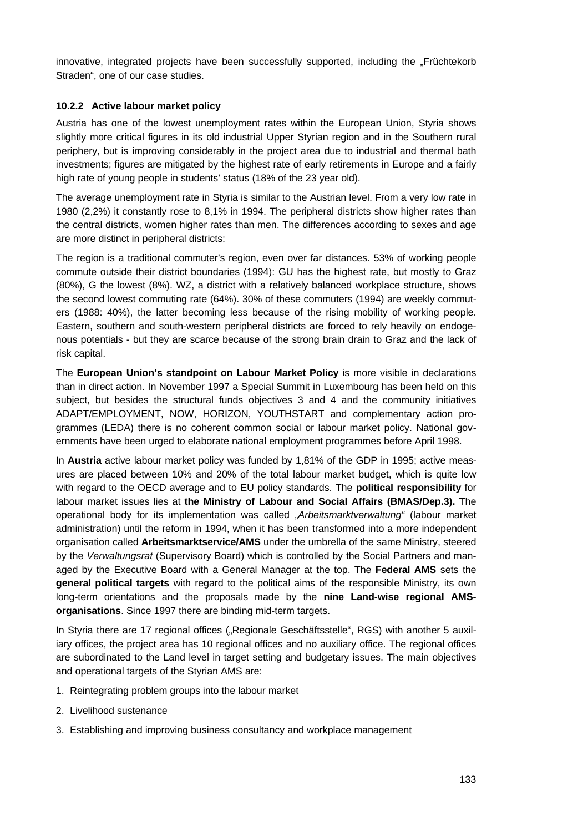innovative, integrated projects have been successfully supported, including the "Früchtekorb Straden", one of our case studies.

### **10.2.2 Active labour market policy**

Austria has one of the lowest unemployment rates within the European Union, Styria shows slightly more critical figures in its old industrial Upper Styrian region and in the Southern rural periphery, but is improving considerably in the project area due to industrial and thermal bath investments; figures are mitigated by the highest rate of early retirements in Europe and a fairly high rate of young people in students' status (18% of the 23 year old).

The average unemployment rate in Styria is similar to the Austrian level. From a very low rate in 1980 (2,2%) it constantly rose to 8,1% in 1994. The peripheral districts show higher rates than the central districts, women higher rates than men. The differences according to sexes and age are more distinct in peripheral districts:

The region is a traditional commuter's region, even over far distances. 53% of working people commute outside their district boundaries (1994): GU has the highest rate, but mostly to Graz (80%), G the lowest (8%). WZ, a district with a relatively balanced workplace structure, shows the second lowest commuting rate (64%). 30% of these commuters (1994) are weekly commuters (1988: 40%), the latter becoming less because of the rising mobility of working people. Eastern, southern and south-western peripheral districts are forced to rely heavily on endogenous potentials - but they are scarce because of the strong brain drain to Graz and the lack of risk capital.

The **European Union's standpoint on Labour Market Policy** is more visible in declarations than in direct action. In November 1997 a Special Summit in Luxembourg has been held on this subject, but besides the structural funds objectives 3 and 4 and the community initiatives ADAPT/EMPLOYMENT, NOW, HORIZON, YOUTHSTART and complementary action programmes (LEDA) there is no coherent common social or labour market policy. National governments have been urged to elaborate national employment programmes before April 1998.

In **Austria** active labour market policy was funded by 1,81% of the GDP in 1995; active measures are placed between 10% and 20% of the total labour market budget, which is quite low with regard to the OECD average and to EU policy standards. The **political responsibility** for labour market issues lies at **the Ministry of Labour and Social Affairs (BMAS/Dep.3).** The operational body for its implementation was called "*Arbeitsmarktverwaltung"* (labour market administration) until the reform in 1994, when it has been transformed into a more independent organisation called **Arbeitsmarktservice/AMS** under the umbrella of the same Ministry, steered by the *Verwaltungsrat* (Supervisory Board) which is controlled by the Social Partners and managed by the Executive Board with a General Manager at the top. The **Federal AMS** sets the **general political targets** with regard to the political aims of the responsible Ministry, its own long-term orientations and the proposals made by the **nine Land-wise regional AMSorganisations**. Since 1997 there are binding mid-term targets.

In Styria there are 17 regional offices ("Regionale Geschäftsstelle", RGS) with another 5 auxiliary offices, the project area has 10 regional offices and no auxiliary office. The regional offices are subordinated to the Land level in target setting and budgetary issues. The main objectives and operational targets of the Styrian AMS are:

- 1. Reintegrating problem groups into the labour market
- 2. Livelihood sustenance
- 3. Establishing and improving business consultancy and workplace management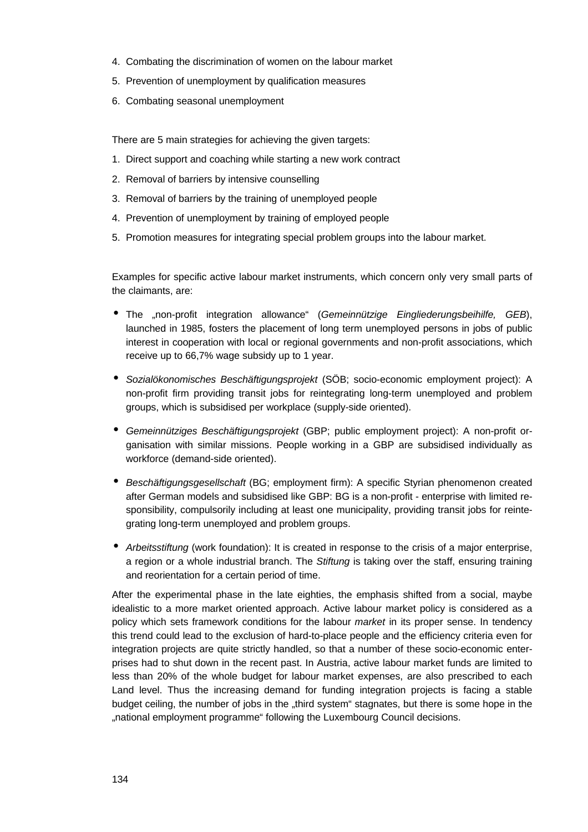- 4. Combating the discrimination of women on the labour market
- 5. Prevention of unemployment by qualification measures
- 6. Combating seasonal unemployment

There are 5 main strategies for achieving the given targets:

- 1. Direct support and coaching while starting a new work contract
- 2. Removal of barriers by intensive counselling
- 3. Removal of barriers by the training of unemployed people
- 4. Prevention of unemployment by training of employed people
- 5. Promotion measures for integrating special problem groups into the labour market.

Examples for specific active labour market instruments, which concern only very small parts of the claimants, are:

- The "non-profit integration allowance" (*Gemeinnützige Eingliederungsbeihilfe, GEB*), launched in 1985, fosters the placement of long term unemployed persons in jobs of public interest in cooperation with local or regional governments and non-profit associations, which receive up to 66,7% wage subsidy up to 1 year.
- *Sozialökonomisches Beschäftigungsprojekt* (SÖB; socio-economic employment project): A non-profit firm providing transit jobs for reintegrating long-term unemployed and problem groups, which is subsidised per workplace (supply-side oriented).
- *Gemeinnütziges Beschäftigungsprojekt* (GBP; public employment project): A non-profit organisation with similar missions. People working in a GBP are subsidised individually as workforce (demand-side oriented).
- *Beschäftigungsgesellschaft* (BG; employment firm): A specific Styrian phenomenon created after German models and subsidised like GBP: BG is a non-profit - enterprise with limited responsibility, compulsorily including at least one municipality, providing transit jobs for reintegrating long-term unemployed and problem groups.
- *Arbeitsstiftung* (work foundation): It is created in response to the crisis of a major enterprise, a region or a whole industrial branch. The *Stiftung* is taking over the staff, ensuring training and reorientation for a certain period of time.

After the experimental phase in the late eighties, the emphasis shifted from a social, maybe idealistic to a more market oriented approach. Active labour market policy is considered as a policy which sets framework conditions for the labour *market* in its proper sense. In tendency this trend could lead to the exclusion of hard-to-place people and the efficiency criteria even for integration projects are quite strictly handled, so that a number of these socio-economic enterprises had to shut down in the recent past. In Austria, active labour market funds are limited to less than 20% of the whole budget for labour market expenses, are also prescribed to each Land level. Thus the increasing demand for funding integration projects is facing a stable budget ceiling, the number of jobs in the "third system" stagnates, but there is some hope in the "national employment programme" following the Luxembourg Council decisions.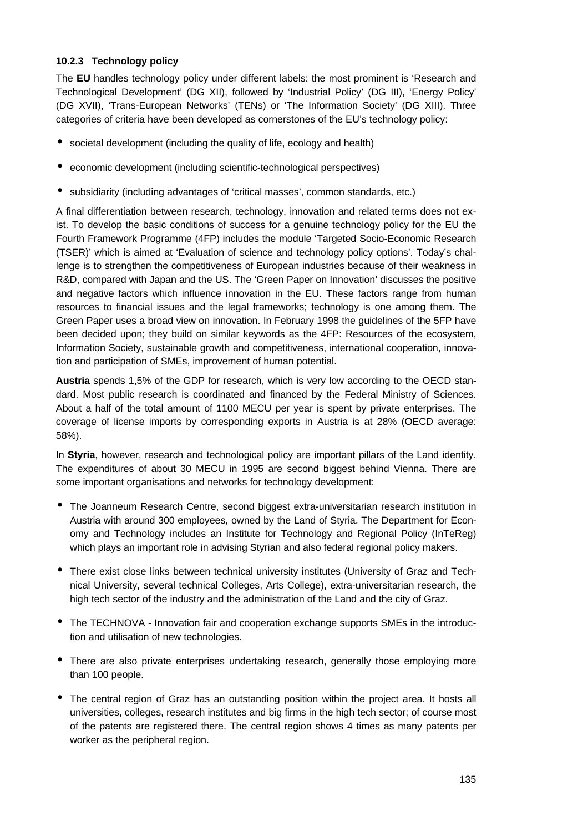### **10.2.3 Technology policy**

The **EU** handles technology policy under different labels: the most prominent is 'Research and Technological Development' (DG XII), followed by 'Industrial Policy' (DG III), 'Energy Policy' (DG XVII), 'Trans-European Networks' (TENs) or 'The Information Society' (DG XIII). Three categories of criteria have been developed as cornerstones of the EU's technology policy:

- societal development (including the quality of life, ecology and health)
- economic development (including scientific-technological perspectives)
- subsidiarity (including advantages of 'critical masses', common standards, etc.)

A final differentiation between research, technology, innovation and related terms does not exist. To develop the basic conditions of success for a genuine technology policy for the EU the Fourth Framework Programme (4FP) includes the module 'Targeted Socio-Economic Research (TSER)' which is aimed at 'Evaluation of science and technology policy options'. Today's challenge is to strengthen the competitiveness of European industries because of their weakness in R&D, compared with Japan and the US. The 'Green Paper on Innovation' discusses the positive and negative factors which influence innovation in the EU. These factors range from human resources to financial issues and the legal frameworks; technology is one among them. The Green Paper uses a broad view on innovation. In February 1998 the guidelines of the 5FP have been decided upon; they build on similar keywords as the 4FP: Resources of the ecosystem, Information Society, sustainable growth and competitiveness, international cooperation, innovation and participation of SMEs, improvement of human potential.

**Austria** spends 1,5% of the GDP for research, which is very low according to the OECD standard. Most public research is coordinated and financed by the Federal Ministry of Sciences. About a half of the total amount of 1100 MECU per year is spent by private enterprises. The coverage of license imports by corresponding exports in Austria is at 28% (OECD average: 58%).

In **Styria**, however, research and technological policy are important pillars of the Land identity. The expenditures of about 30 MECU in 1995 are second biggest behind Vienna. There are some important organisations and networks for technology development:

- The Joanneum Research Centre, second biggest extra-universitarian research institution in Austria with around 300 employees, owned by the Land of Styria. The Department for Economy and Technology includes an Institute for Technology and Regional Policy (InTeReg) which plays an important role in advising Styrian and also federal regional policy makers.
- There exist close links between technical university institutes (University of Graz and Technical University, several technical Colleges, Arts College), extra-universitarian research, the high tech sector of the industry and the administration of the Land and the city of Graz.
- The TECHNOVA Innovation fair and cooperation exchange supports SMEs in the introduction and utilisation of new technologies.
- There are also private enterprises undertaking research, generally those employing more than 100 people.
- The central region of Graz has an outstanding position within the project area. It hosts all universities, colleges, research institutes and big firms in the high tech sector; of course most of the patents are registered there. The central region shows 4 times as many patents per worker as the peripheral region.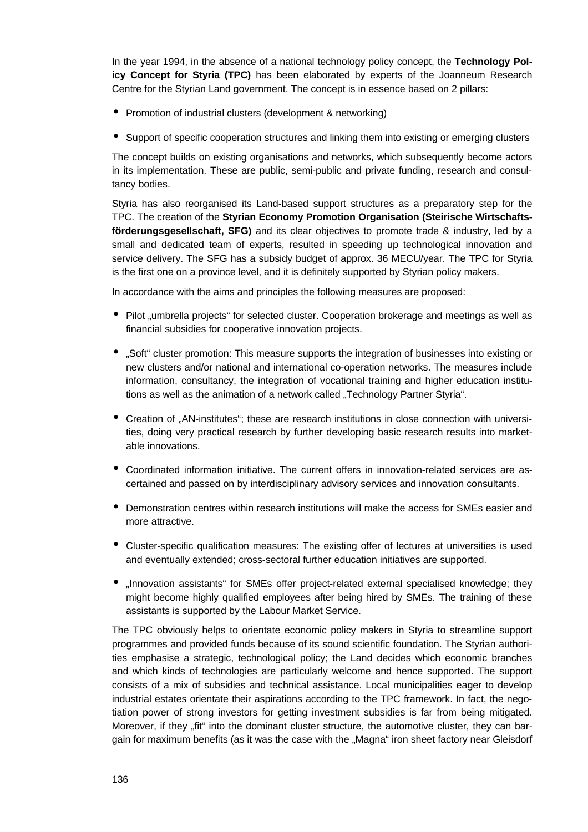In the year 1994, in the absence of a national technology policy concept, the **Technology Policy Concept for Styria (TPC)** has been elaborated by experts of the Joanneum Research Centre for the Styrian Land government. The concept is in essence based on 2 pillars:

- Promotion of industrial clusters (development & networking)
- Support of specific cooperation structures and linking them into existing or emerging clusters

The concept builds on existing organisations and networks, which subsequently become actors in its implementation. These are public, semi-public and private funding, research and consultancy bodies.

Styria has also reorganised its Land-based support structures as a preparatory step for the TPC. The creation of the **Styrian Economy Promotion Organisation (Steirische Wirtschaftsförderungsgesellschaft, SFG)** and its clear objectives to promote trade & industry, led by a small and dedicated team of experts, resulted in speeding up technological innovation and service delivery. The SFG has a subsidy budget of approx. 36 MECU/year. The TPC for Styria is the first one on a province level, and it is definitely supported by Styrian policy makers.

In accordance with the aims and principles the following measures are proposed:

- Pilot "umbrella projects" for selected cluster. Cooperation brokerage and meetings as well as financial subsidies for cooperative innovation projects.
- "Soft" cluster promotion: This measure supports the integration of businesses into existing or new clusters and/or national and international co-operation networks. The measures include information, consultancy, the integration of vocational training and higher education institutions as well as the animation of a network called "Technology Partner Styria".
- Creation of "AN-institutes"; these are research institutions in close connection with universities, doing very practical research by further developing basic research results into marketable innovations.
- Coordinated information initiative. The current offers in innovation-related services are ascertained and passed on by interdisciplinary advisory services and innovation consultants.
- Demonstration centres within research institutions will make the access for SMEs easier and more attractive.
- Cluster-specific qualification measures: The existing offer of lectures at universities is used and eventually extended; cross-sectoral further education initiatives are supported.
- "Innovation assistants" for SMEs offer project-related external specialised knowledge; they might become highly qualified employees after being hired by SMEs. The training of these assistants is supported by the Labour Market Service.

The TPC obviously helps to orientate economic policy makers in Styria to streamline support programmes and provided funds because of its sound scientific foundation. The Styrian authorities emphasise a strategic, technological policy; the Land decides which economic branches and which kinds of technologies are particularly welcome and hence supported. The support consists of a mix of subsidies and technical assistance. Local municipalities eager to develop industrial estates orientate their aspirations according to the TPC framework. In fact, the negotiation power of strong investors for getting investment subsidies is far from being mitigated. Moreover, if they "fit" into the dominant cluster structure, the automotive cluster, they can bargain for maximum benefits (as it was the case with the "Magna" iron sheet factory near Gleisdorf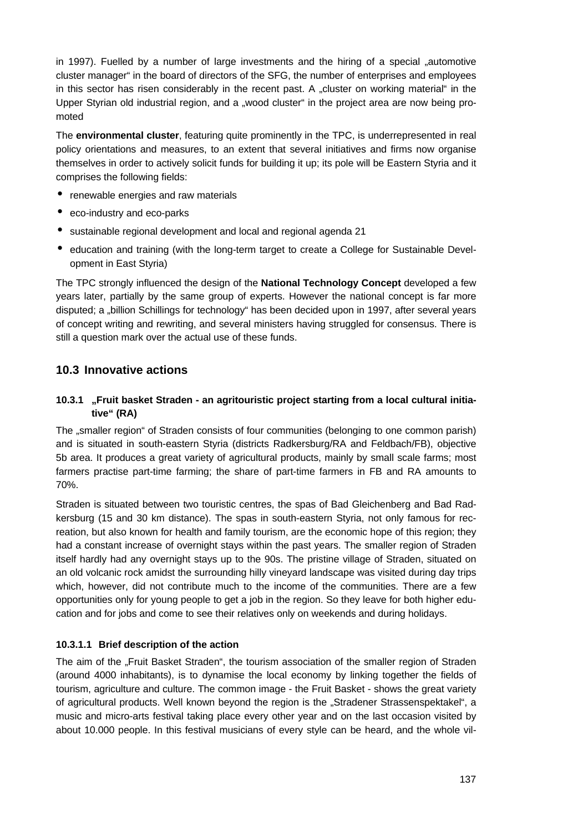in 1997). Fuelled by a number of large investments and the hiring of a special "automotive cluster manager" in the board of directors of the SFG, the number of enterprises and employees in this sector has risen considerably in the recent past. A "cluster on working material" in the Upper Styrian old industrial region, and a "wood cluster" in the project area are now being promoted

The **environmental cluster**, featuring quite prominently in the TPC, is underrepresented in real policy orientations and measures, to an extent that several initiatives and firms now organise themselves in order to actively solicit funds for building it up; its pole will be Eastern Styria and it comprises the following fields:

- renewable energies and raw materials
- eco-industry and eco-parks
- sustainable regional development and local and regional agenda 21
- education and training (with the long-term target to create a College for Sustainable Development in East Styria)

The TPC strongly influenced the design of the **National Technology Concept** developed a few years later, partially by the same group of experts. However the national concept is far more disputed; a "billion Schillings for technology" has been decided upon in 1997, after several years of concept writing and rewriting, and several ministers having struggled for consensus. There is still a question mark over the actual use of these funds.

# **10.3 Innovative actions**

# **10.3.1 "Fruit basket Straden - an agritouristic project starting from a local cultural initiative" (RA)**

The "smaller region" of Straden consists of four communities (belonging to one common parish) and is situated in south-eastern Styria (districts Radkersburg/RA and Feldbach/FB), objective 5b area. It produces a great variety of agricultural products, mainly by small scale farms; most farmers practise part-time farming; the share of part-time farmers in FB and RA amounts to 70%.

Straden is situated between two touristic centres, the spas of Bad Gleichenberg and Bad Radkersburg (15 and 30 km distance). The spas in south-eastern Styria, not only famous for recreation, but also known for health and family tourism, are the economic hope of this region; they had a constant increase of overnight stays within the past years. The smaller region of Straden itself hardly had any overnight stays up to the 90s. The pristine village of Straden, situated on an old volcanic rock amidst the surrounding hilly vineyard landscape was visited during day trips which, however, did not contribute much to the income of the communities. There are a few opportunities only for young people to get a job in the region. So they leave for both higher education and for jobs and come to see their relatives only on weekends and during holidays.

# **10.3.1.1 Brief description of the action**

The aim of the "Fruit Basket Straden", the tourism association of the smaller region of Straden (around 4000 inhabitants), is to dynamise the local economy by linking together the fields of tourism, agriculture and culture. The common image - the Fruit Basket - shows the great variety of agricultural products. Well known beyond the region is the "Stradener Strassenspektakel", a music and micro-arts festival taking place every other year and on the last occasion visited by about 10.000 people. In this festival musicians of every style can be heard, and the whole vil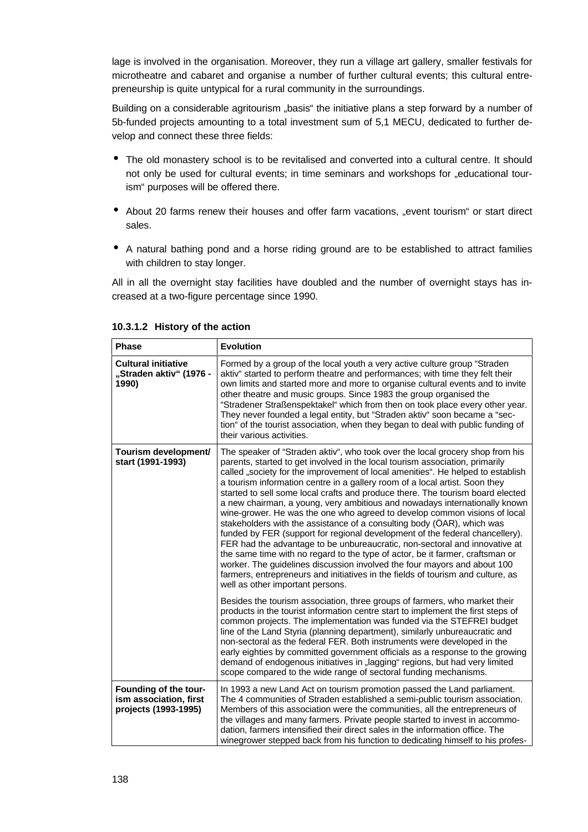lage is involved in the organisation. Moreover, they run a village art gallery, smaller festivals for microtheatre and cabaret and organise a number of further cultural events; this cultural entrepreneurship is quite untypical for a rural community in the surroundings.

Building on a considerable agritourism "basis" the initiative plans a step forward by a number of 5b-funded projects amounting to a total investment sum of 5,1 MECU, dedicated to further develop and connect these three fields:

- The old monastery school is to be revitalised and converted into a cultural centre. It should not only be used for cultural events; in time seminars and workshops for "educational tourism" purposes will be offered there.
- About 20 farms renew their houses and offer farm vacations, "event tourism" or start direct sales.
- A natural bathing pond and a horse riding ground are to be established to attract families with children to stay longer.

All in all the overnight stay facilities have doubled and the number of overnight stays has increased at a two-figure percentage since 1990.

| <b>Phase</b>                                                            | <b>Evolution</b>                                                                                                                                                                                                                                                                                                                                                                                                                                                                                                                                                                                                                                                                                                                                                                                                                                                                                                                                                                                                                                                                                         |
|-------------------------------------------------------------------------|----------------------------------------------------------------------------------------------------------------------------------------------------------------------------------------------------------------------------------------------------------------------------------------------------------------------------------------------------------------------------------------------------------------------------------------------------------------------------------------------------------------------------------------------------------------------------------------------------------------------------------------------------------------------------------------------------------------------------------------------------------------------------------------------------------------------------------------------------------------------------------------------------------------------------------------------------------------------------------------------------------------------------------------------------------------------------------------------------------|
| <b>Cultural initiative</b><br>"Straden aktiv" (1976 -<br>1990)          | Formed by a group of the local youth a very active culture group "Straden"<br>aktiv" started to perform theatre and performances; with time they felt their<br>own limits and started more and more to organise cultural events and to invite<br>other theatre and music groups. Since 1983 the group organised the<br>"Stradener Straßenspektakel" which from then on took place every other year.<br>They never founded a legal entity, but "Straden aktiv" soon became a "sec-<br>tion" of the tourist association, when they began to deal with public funding of<br>their various activities.                                                                                                                                                                                                                                                                                                                                                                                                                                                                                                       |
| Tourism development/<br>start (1991-1993)                               | The speaker of "Straden aktiv", who took over the local grocery shop from his<br>parents, started to get involved in the local tourism association, primarily<br>called "society for the improvement of local amenities". He helped to establish<br>a tourism information centre in a gallery room of a local artist. Soon they<br>started to sell some local crafts and produce there. The tourism board elected<br>a new chairman, a young, very ambitious and nowadays internationally known<br>wine-grower. He was the one who agreed to develop common visions of local<br>stakeholders with the assistance of a consulting body (ÖAR), which was<br>funded by FER (support for regional development of the federal chancellery).<br>FER had the advantage to be unbureaucratic, non-sectoral and innovative at<br>the same time with no regard to the type of actor, be it farmer, craftsman or<br>worker. The guidelines discussion involved the four mayors and about 100<br>farmers, entrepreneurs and initiatives in the fields of tourism and culture, as<br>well as other important persons. |
|                                                                         | Besides the tourism association, three groups of farmers, who market their<br>products in the tourist information centre start to implement the first steps of<br>common projects. The implementation was funded via the STEFREI budget<br>line of the Land Styria (planning department), similarly unbureaucratic and<br>non-sectoral as the federal FER. Both instruments were developed in the<br>early eighties by committed government officials as a response to the growing<br>demand of endogenous initiatives in "lagging" regions, but had very limited<br>scope compared to the wide range of sectoral funding mechanisms.                                                                                                                                                                                                                                                                                                                                                                                                                                                                    |
| Founding of the tour-<br>ism association, first<br>projects (1993-1995) | In 1993 a new Land Act on tourism promotion passed the Land parliament.<br>The 4 communities of Straden established a semi-public tourism association.<br>Members of this association were the communities, all the entrepreneurs of<br>the villages and many farmers. Private people started to invest in accommo-<br>dation, farmers intensified their direct sales in the information office. The<br>winegrower stepped back from his function to dedicating himself to his profes-                                                                                                                                                                                                                                                                                                                                                                                                                                                                                                                                                                                                                   |

**10.3.1.2 History of the action**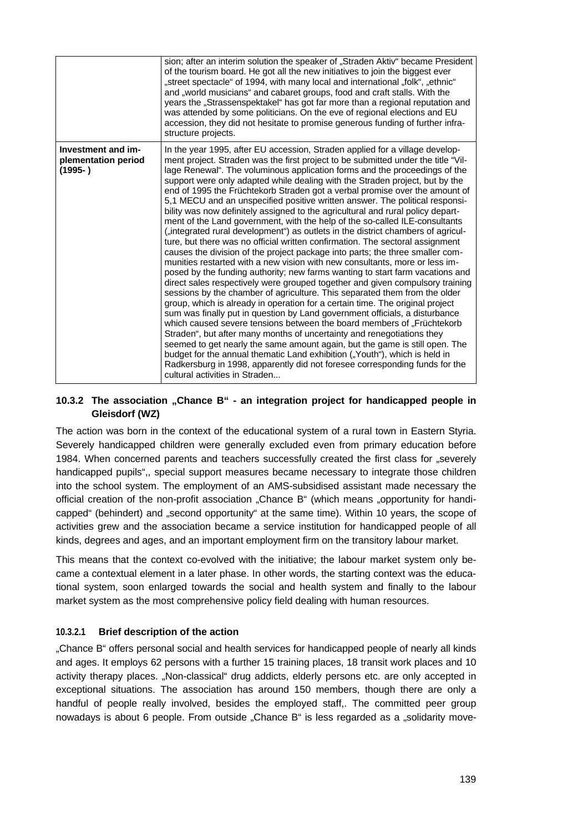|                                                         | sion; after an interim solution the speaker of "Straden Aktiv" became President<br>of the tourism board. He got all the new initiatives to join the biggest ever<br>"street spectacle" of 1994, with many local and international "folk", "ethnic"<br>and "world musicians" and cabaret groups, food and craft stalls. With the<br>years the "Strassenspektakel" has got far more than a regional reputation and<br>was attended by some politicians. On the eve of regional elections and EU<br>accession, they did not hesitate to promise generous funding of further infra-<br>structure projects.                                                                                                                                                                                                                                                                                                                                                                                                                                                                                                                                                                                                                                                                                                                                                                                                                                                                                                                                                                                                                                                                                                                                                                                                                                                  |
|---------------------------------------------------------|---------------------------------------------------------------------------------------------------------------------------------------------------------------------------------------------------------------------------------------------------------------------------------------------------------------------------------------------------------------------------------------------------------------------------------------------------------------------------------------------------------------------------------------------------------------------------------------------------------------------------------------------------------------------------------------------------------------------------------------------------------------------------------------------------------------------------------------------------------------------------------------------------------------------------------------------------------------------------------------------------------------------------------------------------------------------------------------------------------------------------------------------------------------------------------------------------------------------------------------------------------------------------------------------------------------------------------------------------------------------------------------------------------------------------------------------------------------------------------------------------------------------------------------------------------------------------------------------------------------------------------------------------------------------------------------------------------------------------------------------------------------------------------------------------------------------------------------------------------|
| Investment and im-<br>plementation period<br>$(1995- )$ | In the year 1995, after EU accession, Straden applied for a village develop-<br>ment project. Straden was the first project to be submitted under the title "Vil-<br>lage Renewal". The voluminous application forms and the proceedings of the<br>support were only adapted while dealing with the Straden project, but by the<br>end of 1995 the Früchtekorb Straden got a verbal promise over the amount of<br>5,1 MECU and an unspecified positive written answer. The political responsi-<br>bility was now definitely assigned to the agricultural and rural policy depart-<br>ment of the Land government, with the help of the so-called ILE-consultants<br>("integrated rural development") as outlets in the district chambers of agricul-<br>ture, but there was no official written confirmation. The sectoral assignment<br>causes the division of the project package into parts; the three smaller com-<br>munities restarted with a new vision with new consultants, more or less im-<br>posed by the funding authority; new farms wanting to start farm vacations and<br>direct sales respectively were grouped together and given compulsory training<br>sessions by the chamber of agriculture. This separated them from the older<br>group, which is already in operation for a certain time. The original project<br>sum was finally put in question by Land government officials, a disturbance<br>which caused severe tensions between the board members of "Früchtekorb<br>Straden", but after many months of uncertainty and renegotiations they<br>seemed to get nearly the same amount again, but the game is still open. The<br>budget for the annual thematic Land exhibition ("Youth"), which is held in<br>Radkersburg in 1998, apparently did not foresee corresponding funds for the<br>cultural activities in Straden |

### **10.3.2 The association "Chance B" - an integration project for handicapped people in Gleisdorf (WZ)**

The action was born in the context of the educational system of a rural town in Eastern Styria. Severely handicapped children were generally excluded even from primary education before 1984. When concerned parents and teachers successfully created the first class for "severely handicapped pupils",, special support measures became necessary to integrate those children into the school system. The employment of an AMS-subsidised assistant made necessary the official creation of the non-profit association "Chance B" (which means "opportunity for handicapped" (behindert) and "second opportunity" at the same time). Within 10 years, the scope of activities grew and the association became a service institution for handicapped people of all kinds, degrees and ages, and an important employment firm on the transitory labour market.

This means that the context co-evolved with the initiative; the labour market system only became a contextual element in a later phase. In other words, the starting context was the educational system, soon enlarged towards the social and health system and finally to the labour market system as the most comprehensive policy field dealing with human resources.

#### **10.3.2.1 Brief description of the action**

"Chance B" offers personal social and health services for handicapped people of nearly all kinds and ages. It employs 62 persons with a further 15 training places, 18 transit work places and 10 activity therapy places. "Non-classical" drug addicts, elderly persons etc. are only accepted in exceptional situations. The association has around 150 members, though there are only a handful of people really involved, besides the employed staff,. The committed peer group nowadays is about 6 people. From outside "Chance B" is less regarded as a "solidarity move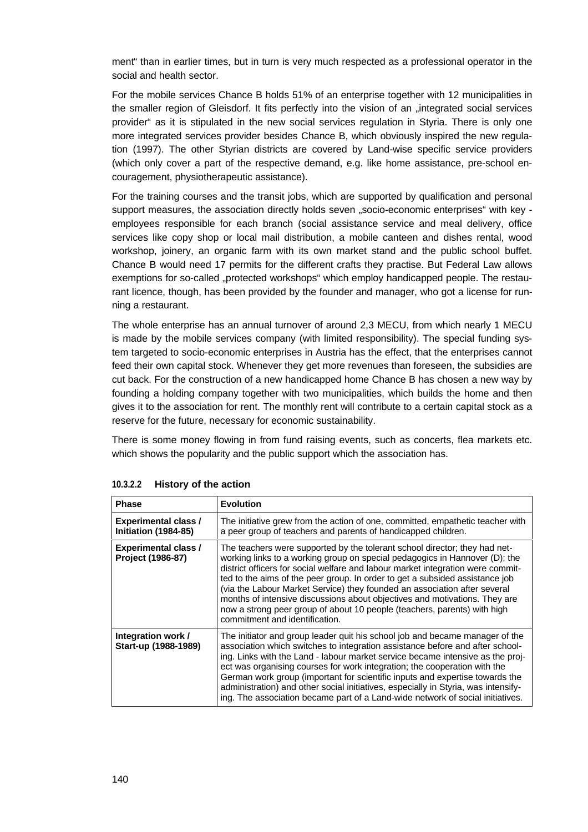ment" than in earlier times, but in turn is very much respected as a professional operator in the social and health sector.

For the mobile services Chance B holds 51% of an enterprise together with 12 municipalities in the smaller region of Gleisdorf. It fits perfectly into the vision of an "integrated social services provider" as it is stipulated in the new social services regulation in Styria. There is only one more integrated services provider besides Chance B, which obviously inspired the new regulation (1997). The other Styrian districts are covered by Land-wise specific service providers (which only cover a part of the respective demand, e.g. like home assistance, pre-school encouragement, physiotherapeutic assistance).

For the training courses and the transit jobs, which are supported by qualification and personal support measures, the association directly holds seven "socio-economic enterprises" with key employees responsible for each branch (social assistance service and meal delivery, office services like copy shop or local mail distribution, a mobile canteen and dishes rental, wood workshop, joinery, an organic farm with its own market stand and the public school buffet. Chance B would need 17 permits for the different crafts they practise. But Federal Law allows exemptions for so-called "protected workshops" which employ handicapped people. The restaurant licence, though, has been provided by the founder and manager, who got a license for running a restaurant.

The whole enterprise has an annual turnover of around 2,3 MECU, from which nearly 1 MECU is made by the mobile services company (with limited responsibility). The special funding system targeted to socio-economic enterprises in Austria has the effect, that the enterprises cannot feed their own capital stock. Whenever they get more revenues than foreseen, the subsidies are cut back. For the construction of a new handicapped home Chance B has chosen a new way by founding a holding company together with two municipalities, which builds the home and then gives it to the association for rent. The monthly rent will contribute to a certain capital stock as a reserve for the future, necessary for economic sustainability.

There is some money flowing in from fund raising events, such as concerts, flea markets etc. which shows the popularity and the public support which the association has.

| <b>Phase</b>                                        | <b>Evolution</b>                                                                                                                                                                                                                                                                                                                                                                                                                                                                                                                                                                                      |
|-----------------------------------------------------|-------------------------------------------------------------------------------------------------------------------------------------------------------------------------------------------------------------------------------------------------------------------------------------------------------------------------------------------------------------------------------------------------------------------------------------------------------------------------------------------------------------------------------------------------------------------------------------------------------|
| <b>Experimental class /</b><br>Initiation (1984-85) | The initiative grew from the action of one, committed, empathetic teacher with<br>a peer group of teachers and parents of handicapped children.                                                                                                                                                                                                                                                                                                                                                                                                                                                       |
| <b>Experimental class /</b><br>Project (1986-87)    | The teachers were supported by the tolerant school director; they had net-<br>working links to a working group on special pedagogics in Hannover (D); the<br>district officers for social welfare and labour market integration were commit-<br>ted to the aims of the peer group. In order to get a subsided assistance job<br>(via the Labour Market Service) they founded an association after several<br>months of intensive discussions about objectives and motivations. They are<br>now a strong peer group of about 10 people (teachers, parents) with high<br>commitment and identification. |
| Integration work/<br>Start-up (1988-1989)           | The initiator and group leader quit his school job and became manager of the<br>association which switches to integration assistance before and after school-<br>ing. Links with the Land - labour market service became intensive as the proj-<br>ect was organising courses for work integration; the cooperation with the<br>German work group (important for scientific inputs and expertise towards the<br>administration) and other social initiatives, especially in Styria, was intensify-<br>ing. The association became part of a Land-wide network of social initiatives.                  |

**10.3.2.2 History of the action**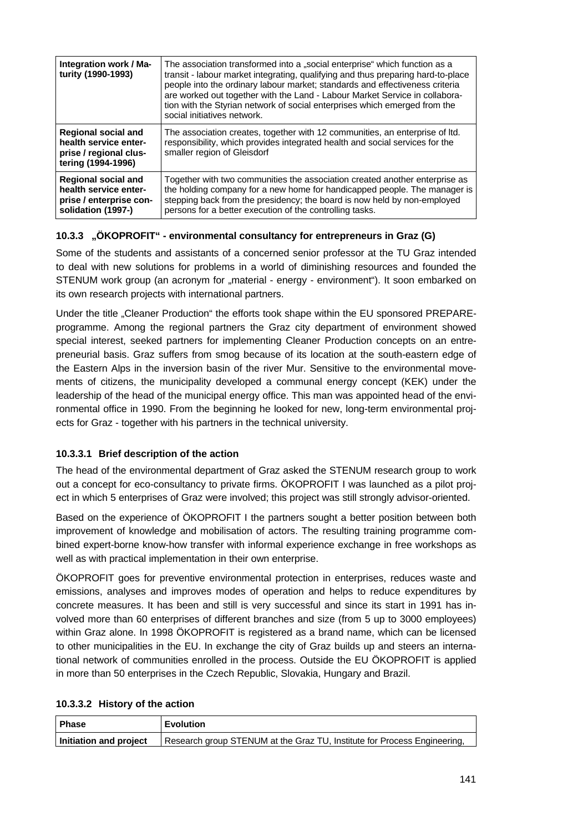| Integration work / Ma-<br>turity (1990-1993)                                                         | The association transformed into a "social enterprise" which function as a<br>transit - labour market integrating, qualifying and thus preparing hard-to-place<br>people into the ordinary labour market; standards and effectiveness criteria<br>are worked out together with the Land - Labour Market Service in collabora-<br>tion with the Styrian network of social enterprises which emerged from the<br>social initiatives network. |
|------------------------------------------------------------------------------------------------------|--------------------------------------------------------------------------------------------------------------------------------------------------------------------------------------------------------------------------------------------------------------------------------------------------------------------------------------------------------------------------------------------------------------------------------------------|
| <b>Regional social and</b><br>health service enter-<br>prise / regional clus-<br>tering (1994-1996)  | The association creates, together with 12 communities, an enterprise of Itd.<br>responsibility, which provides integrated health and social services for the<br>smaller region of Gleisdorf                                                                                                                                                                                                                                                |
| <b>Regional social and</b><br>health service enter-<br>prise / enterprise con-<br>solidation (1997-) | Together with two communities the association created another enterprise as<br>the holding company for a new home for handicapped people. The manager is<br>stepping back from the presidency; the board is now held by non-employed<br>persons for a better execution of the controlling tasks.                                                                                                                                           |

### **10.3.3 "ÖKOPROFIT" - environmental consultancy for entrepreneurs in Graz (G)**

Some of the students and assistants of a concerned senior professor at the TU Graz intended to deal with new solutions for problems in a world of diminishing resources and founded the STENUM work group (an acronym for "material - energy - environment"). It soon embarked on its own research projects with international partners.

Under the title "Cleaner Production" the efforts took shape within the EU sponsored PREPAREprogramme. Among the regional partners the Graz city department of environment showed special interest, seeked partners for implementing Cleaner Production concepts on an entrepreneurial basis. Graz suffers from smog because of its location at the south-eastern edge of the Eastern Alps in the inversion basin of the river Mur. Sensitive to the environmental movements of citizens, the municipality developed a communal energy concept (KEK) under the leadership of the head of the municipal energy office. This man was appointed head of the environmental office in 1990. From the beginning he looked for new, long-term environmental projects for Graz - together with his partners in the technical university.

# **10.3.3.1 Brief description of the action**

The head of the environmental department of Graz asked the STENUM research group to work out a concept for eco-consultancy to private firms. ÖKOPROFIT I was launched as a pilot project in which 5 enterprises of Graz were involved; this project was still strongly advisor-oriented.

Based on the experience of ÖKOPROFIT I the partners sought a better position between both improvement of knowledge and mobilisation of actors. The resulting training programme combined expert-borne know-how transfer with informal experience exchange in free workshops as well as with practical implementation in their own enterprise.

ÖKOPROFIT goes for preventive environmental protection in enterprises, reduces waste and emissions, analyses and improves modes of operation and helps to reduce expenditures by concrete measures. It has been and still is very successful and since its start in 1991 has involved more than 60 enterprises of different branches and size (from 5 up to 3000 employees) within Graz alone. In 1998 ÖKOPROFIT is registered as a brand name, which can be licensed to other municipalities in the EU. In exchange the city of Graz builds up and steers an international network of communities enrolled in the process. Outside the EU ÖKOPROFIT is applied in more than 50 enterprises in the Czech Republic, Slovakia, Hungary and Brazil.

#### **10.3.3.2 History of the action**

| Phase                  | <b>Evolution</b>                                                         |
|------------------------|--------------------------------------------------------------------------|
| Initiation and project | Research group STENUM at the Graz TU, Institute for Process Engineering, |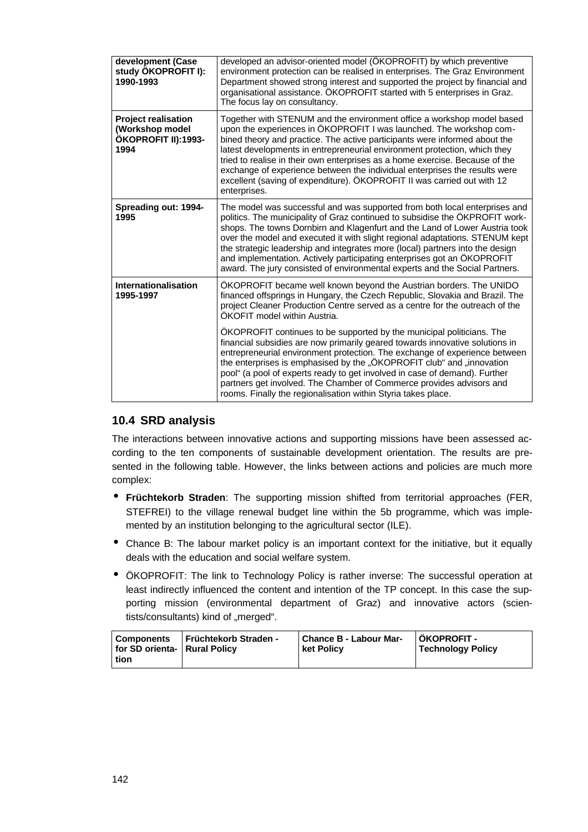| development (Case<br>study ÖKOPROFIT I):<br>1990-1993                        | developed an advisor-oriented model (ÖKOPROFIT) by which preventive<br>environment protection can be realised in enterprises. The Graz Environment<br>Department showed strong interest and supported the project by financial and<br>organisational assistance. ÖKOPROFIT started with 5 enterprises in Graz.<br>The focus lay on consultancy.                                                                                                                                                                                                                      |
|------------------------------------------------------------------------------|----------------------------------------------------------------------------------------------------------------------------------------------------------------------------------------------------------------------------------------------------------------------------------------------------------------------------------------------------------------------------------------------------------------------------------------------------------------------------------------------------------------------------------------------------------------------|
| <b>Project realisation</b><br>(Workshop model<br>ÖKOPROFIT II):1993-<br>1994 | Together with STENUM and the environment office a workshop model based<br>upon the experiences in ÖKOPROFIT I was launched. The workshop com-<br>bined theory and practice. The active participants were informed about the<br>latest developments in entrepreneurial environment protection, which they<br>tried to realise in their own enterprises as a home exercise. Because of the<br>exchange of experience between the individual enterprises the results were<br>excellent (saving of expenditure). ÖKOPROFIT II was carried out with 12<br>enterprises.    |
| Spreading out: 1994-<br>1995                                                 | The model was successful and was supported from both local enterprises and<br>politics. The municipality of Graz continued to subsidise the ÖKPROFIT work-<br>shops. The towns Dornbirn and Klagenfurt and the Land of Lower Austria took<br>over the model and executed it with slight regional adaptations. STENUM kept<br>the strategic leadership and integrates more (local) partners into the design<br>and implementation. Actively participating enterprises got an ÖKOPROFIT<br>award. The jury consisted of environmental experts and the Social Partners. |
| Internationalisation<br>1995-1997                                            | ÖKOPROFIT became well known beyond the Austrian borders. The UNIDO<br>financed offsprings in Hungary, the Czech Republic, Slovakia and Brazil. The<br>project Cleaner Production Centre served as a centre for the outreach of the<br>ÖKOFIT model within Austria.                                                                                                                                                                                                                                                                                                   |
|                                                                              | OKOPROFIT continues to be supported by the municipal politicians. The<br>financial subsidies are now primarily geared towards innovative solutions in<br>entrepreneurial environment protection. The exchange of experience between<br>the enterprises is emphasised by the "ÖKOPROFIT club" and "innovation<br>pool" (a pool of experts ready to get involved in case of demand). Further<br>partners get involved. The Chamber of Commerce provides advisors and<br>rooms. Finally the regionalisation within Styria takes place.                                  |

# **10.4 SRD analysis**

The interactions between innovative actions and supporting missions have been assessed according to the ten components of sustainable development orientation. The results are presented in the following table. However, the links between actions and policies are much more complex:

- **Früchtekorb Straden**: The supporting mission shifted from territorial approaches (FER, STEFREI) to the village renewal budget line within the 5b programme, which was implemented by an institution belonging to the agricultural sector (ILE).
- Chance B: The labour market policy is an important context for the initiative, but it equally deals with the education and social welfare system.
- ÖKOPROFIT: The link to Technology Policy is rather inverse: The successful operation at least indirectly influenced the content and intention of the TP concept. In this case the supporting mission (environmental department of Graz) and innovative actors (scientists/consultants) kind of "merged".

| <b>Früchtekorb Straden -</b><br>l Components<br>for SD orienta-   Rural Policy<br>tion | Chance B - Labour Mar-<br><b>ket Policy</b> | ÖKOPROFIT -<br><b>Technology Policy</b> |
|----------------------------------------------------------------------------------------|---------------------------------------------|-----------------------------------------|
|----------------------------------------------------------------------------------------|---------------------------------------------|-----------------------------------------|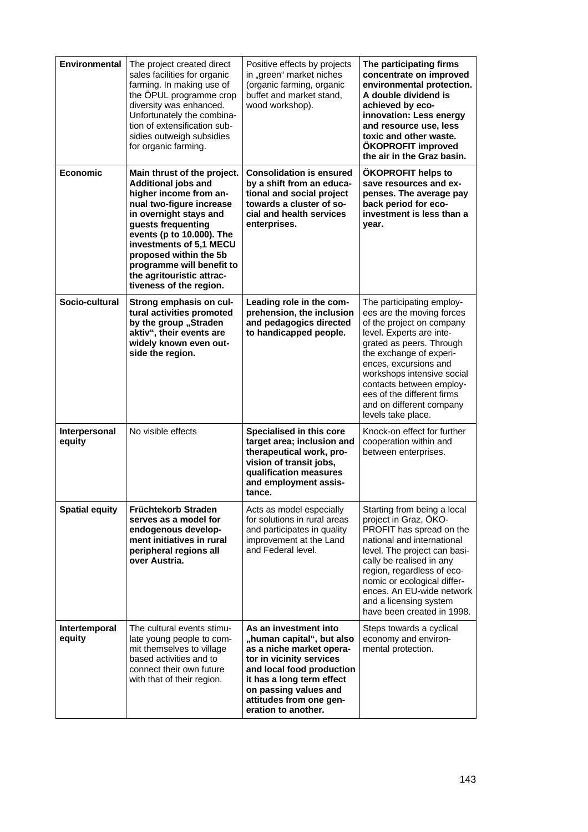| Environmental           | The project created direct<br>sales facilities for organic<br>farming. In making use of<br>the OPUL programme crop<br>diversity was enhanced.<br>Unfortunately the combina-<br>tion of extensification sub-<br>sidies outweigh subsidies<br>for organic farming.                                                                | Positive effects by projects<br>in "green" market niches<br>(organic farming, organic<br>buffet and market stand,<br>wood workshop).                                                                                                            | The participating firms<br>concentrate on improved<br>environmental protection.<br>A double dividend is<br>achieved by eco-<br>innovation: Less energy<br>and resource use, less<br>toxic and other waste.<br>ÖKOPROFIT improved<br>the air in the Graz basin.                                                                            |
|-------------------------|---------------------------------------------------------------------------------------------------------------------------------------------------------------------------------------------------------------------------------------------------------------------------------------------------------------------------------|-------------------------------------------------------------------------------------------------------------------------------------------------------------------------------------------------------------------------------------------------|-------------------------------------------------------------------------------------------------------------------------------------------------------------------------------------------------------------------------------------------------------------------------------------------------------------------------------------------|
| <b>Economic</b>         | Main thrust of the project.<br>Additional jobs and<br>higher income from an-<br>nual two-figure increase<br>in overnight stays and<br>guests frequenting<br>events (p to 10.000). The<br>investments of 5,1 MECU<br>proposed within the 5b<br>programme will benefit to<br>the agritouristic attrac-<br>tiveness of the region. | <b>Consolidation is ensured</b><br>by a shift from an educa-<br>tional and social project<br>towards a cluster of so-<br>cial and health services<br>enterprises.                                                                               | ÖKOPROFIT helps to<br>save resources and ex-<br>penses. The average pay<br>back period for eco-<br>investment is less than a<br>year.                                                                                                                                                                                                     |
| Socio-cultural          | Strong emphasis on cul-<br>tural activities promoted<br>by the group "Straden<br>aktiv", their events are<br>widely known even out-<br>side the region.                                                                                                                                                                         | Leading role in the com-<br>prehension, the inclusion<br>and pedagogics directed<br>to handicapped people.                                                                                                                                      | The participating employ-<br>ees are the moving forces<br>of the project on company<br>level. Experts are inte-<br>grated as peers. Through<br>the exchange of experi-<br>ences, excursions and<br>workshops intensive social<br>contacts between employ-<br>ees of the different firms<br>and on different company<br>levels take place. |
| Interpersonal<br>equity | No visible effects                                                                                                                                                                                                                                                                                                              | Specialised in this core<br>target area; inclusion and<br>therapeutical work, pro-<br>vision of transit jobs,<br>qualification measures<br>and employment assis-<br>tance.                                                                      | Knock-on effect for further<br>cooperation within and<br>between enterprises.                                                                                                                                                                                                                                                             |
| <b>Spatial equity</b>   | Früchtekorb Straden<br>serves as a model for<br>endogenous develop-<br>ment initiatives in rural<br>peripheral regions all<br>over Austria.                                                                                                                                                                                     | Acts as model especially<br>for solutions in rural areas<br>and participates in quality<br>improvement at the Land<br>and Federal level.                                                                                                        | Starting from being a local<br>project in Graz, ÖKO-<br>PROFIT has spread on the<br>national and international<br>level. The project can basi-<br>cally be realised in any<br>region, regardless of eco-<br>nomic or ecological differ-<br>ences. An EU-wide network<br>and a licensing system<br>have been created in 1998.              |
| Intertemporal<br>equity | The cultural events stimu-<br>late young people to com-<br>mit themselves to village<br>based activities and to<br>connect their own future<br>with that of their region.                                                                                                                                                       | As an investment into<br>"human capital", but also<br>as a niche market opera-<br>tor in vicinity services<br>and local food production<br>it has a long term effect<br>on passing values and<br>attitudes from one gen-<br>eration to another. | Steps towards a cyclical<br>economy and environ-<br>mental protection.                                                                                                                                                                                                                                                                    |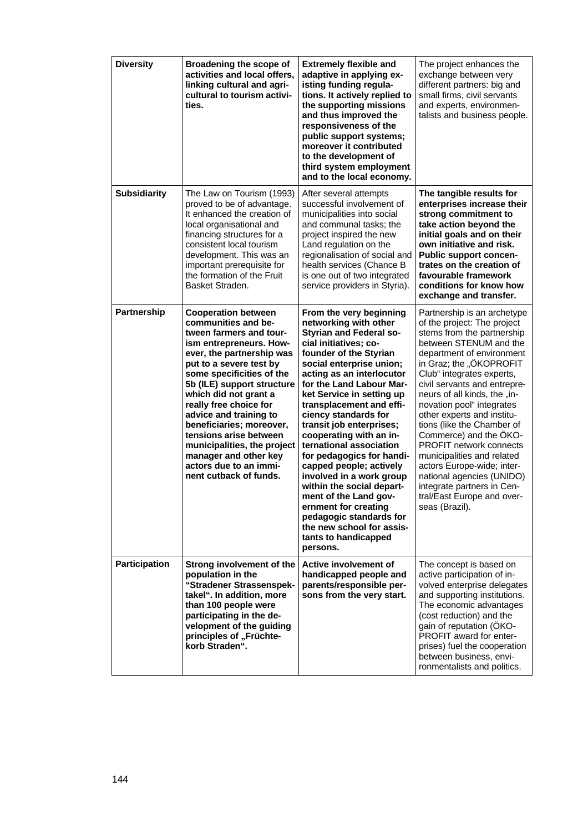| <b>Diversity</b>     | Broadening the scope of<br>activities and local offers,<br>linking cultural and agri-<br>cultural to tourism activi-<br>ties.                                                                                                                                                                                                                                                                                                                                             | <b>Extremely flexible and</b><br>adaptive in applying ex-<br>isting funding regula-<br>tions. It actively replied to<br>the supporting missions<br>and thus improved the<br>responsiveness of the<br>public support systems;<br>moreover it contributed<br>to the development of<br>third system employment<br>and to the local economy.                                                                                                                                                                                                                                                                                                                   | The project enhances the<br>exchange between very<br>different partners: big and<br>small firms, civil servants<br>and experts, environmen-<br>talists and business people.                                                                                                                                                                                                                                                                                                                                                                                                                         |
|----------------------|---------------------------------------------------------------------------------------------------------------------------------------------------------------------------------------------------------------------------------------------------------------------------------------------------------------------------------------------------------------------------------------------------------------------------------------------------------------------------|------------------------------------------------------------------------------------------------------------------------------------------------------------------------------------------------------------------------------------------------------------------------------------------------------------------------------------------------------------------------------------------------------------------------------------------------------------------------------------------------------------------------------------------------------------------------------------------------------------------------------------------------------------|-----------------------------------------------------------------------------------------------------------------------------------------------------------------------------------------------------------------------------------------------------------------------------------------------------------------------------------------------------------------------------------------------------------------------------------------------------------------------------------------------------------------------------------------------------------------------------------------------------|
| <b>Subsidiarity</b>  | The Law on Tourism (1993)<br>proved to be of advantage.<br>It enhanced the creation of<br>local organisational and<br>financing structures for a<br>consistent local tourism<br>development. This was an<br>important prerequisite for<br>the formation of the Fruit<br>Basket Straden.                                                                                                                                                                                   | After several attempts<br>successful involvement of<br>municipalities into social<br>and communal tasks; the<br>project inspired the new<br>Land regulation on the<br>regionalisation of social and<br>health services (Chance B<br>is one out of two integrated<br>service providers in Styria).                                                                                                                                                                                                                                                                                                                                                          | The tangible results for<br>enterprises increase their<br>strong commitment to<br>take action beyond the<br>initial goals and on their<br>own initiative and risk.<br><b>Public support concen-</b><br>trates on the creation of<br>favourable framework<br>conditions for know how<br>exchange and transfer.                                                                                                                                                                                                                                                                                       |
| Partnership          | <b>Cooperation between</b><br>communities and be-<br>tween farmers and tour-<br>ism entrepreneurs. How-<br>ever, the partnership was<br>put to a severe test by<br>some specificities of the<br>5b (ILE) support structure<br>which did not grant a<br>really free choice for<br>advice and training to<br>beneficiaries; moreover,<br>tensions arise between<br>municipalities, the project<br>manager and other key<br>actors due to an immi-<br>nent cutback of funds. | From the very beginning<br>networking with other<br><b>Styrian and Federal so-</b><br>cial initiatives; co-<br>founder of the Styrian<br>social enterprise union;<br>acting as an interlocutor<br>for the Land Labour Mar-<br>ket Service in setting up<br>transplacement and effi-<br>ciency standards for<br>transit job enterprises;<br>cooperating with an in-<br>ternational association<br>for pedagogics for handi-<br>capped people; actively<br>involved in a work group<br>within the social depart-<br>ment of the Land gov<br>ernment for creating<br>pedagogic standards for<br>the new school for assis-<br>tants to handicapped<br>persons. | Partnership is an archetype<br>of the project: The project<br>stems from the partnership<br>between STENUM and the<br>department of environment<br>in Graz; the "ÖKOPROFIT<br>Club" integrates experts,<br>civil servants and entrepre-<br>neurs of all kinds, the "in-<br>novation pool" integrates<br>other experts and institu-<br>tions (like the Chamber of<br>Commerce) and the OKO-<br><b>PROFIT network connects</b><br>municipalities and related<br>actors Europe-wide; inter-<br>national agencies (UNIDO)<br>integrate partners in Cen-<br>tral/East Europe and over-<br>seas (Brazil). |
| <b>Participation</b> | Strong involvement of the<br>population in the<br>"Stradener Strassenspek-<br>takel". In addition, more<br>than 100 people were<br>participating in the de-<br>velopment of the guiding<br>principles of "Früchte-<br>korb Straden".                                                                                                                                                                                                                                      | Active involvement of<br>handicapped people and<br>parents/responsible per-<br>sons from the very start.                                                                                                                                                                                                                                                                                                                                                                                                                                                                                                                                                   | The concept is based on<br>active participation of in-<br>volved enterprise delegates<br>and supporting institutions.<br>The economic advantages<br>(cost reduction) and the<br>gain of reputation (ÖKO-<br>PROFIT award for enter-<br>prises) fuel the cooperation<br>between business, envi-<br>ronmentalists and politics.                                                                                                                                                                                                                                                                       |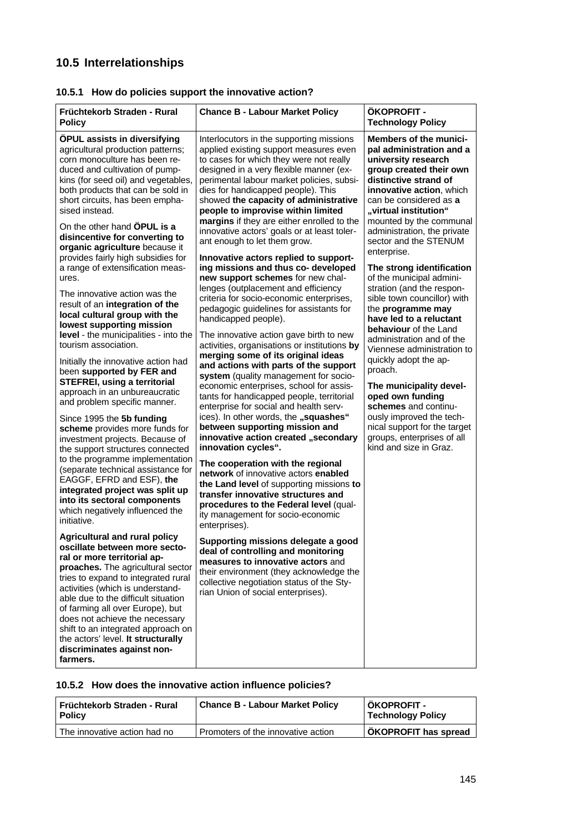# **10.5 Interrelationships**

| <b>Chance B - Labour Market Policy</b>                                                                                                                                                                                                                                                                                                                                                                                                                                                                                                                                                                                                                                                                                                                                                                                                                                                                                                                                                                                                                                                                                                                                                                                                                                                                                         | ÖKOPROFIT -<br><b>Technology Policy</b>                                                                                                                                                                                                                                                                                                                                                                                                                                                                                                                                                                                                                                                                                                                                                                       |
|--------------------------------------------------------------------------------------------------------------------------------------------------------------------------------------------------------------------------------------------------------------------------------------------------------------------------------------------------------------------------------------------------------------------------------------------------------------------------------------------------------------------------------------------------------------------------------------------------------------------------------------------------------------------------------------------------------------------------------------------------------------------------------------------------------------------------------------------------------------------------------------------------------------------------------------------------------------------------------------------------------------------------------------------------------------------------------------------------------------------------------------------------------------------------------------------------------------------------------------------------------------------------------------------------------------------------------|---------------------------------------------------------------------------------------------------------------------------------------------------------------------------------------------------------------------------------------------------------------------------------------------------------------------------------------------------------------------------------------------------------------------------------------------------------------------------------------------------------------------------------------------------------------------------------------------------------------------------------------------------------------------------------------------------------------------------------------------------------------------------------------------------------------|
| Interlocutors in the supporting missions<br>applied existing support measures even<br>to cases for which they were not really<br>designed in a very flexible manner (ex-<br>perimental labour market policies, subsi-<br>dies for handicapped people). This<br>showed the capacity of administrative<br>people to improvise within limited<br>margins if they are either enrolled to the<br>innovative actors' goals or at least toler-<br>ant enough to let them grow.<br>Innovative actors replied to support-<br>ing missions and thus co- developed<br>new support schemes for new chal-<br>lenges (outplacement and efficiency<br>criteria for socio-economic enterprises,<br>pedagogic guidelines for assistants for<br>handicapped people).<br>The innovative action gave birth to new<br>activities, organisations or institutions by<br>merging some of its original ideas<br>and actions with parts of the support<br>system (quality management for socio-<br>economic enterprises, school for assis-<br>tants for handicapped people, territorial<br>enterprise for social and health serv-<br>ices). In other words, the "squashes"<br>between supporting mission and<br>innovative action created "secondary<br>innovation cycles".<br>The cooperation with the regional<br>network of innovative actors enabled | <b>Members of the munici-</b><br>pal administration and a<br>university research<br>group created their own<br>distinctive strand of<br>innovative action, which<br>can be considered as a<br>"virtual institution"<br>mounted by the communal<br>administration, the private<br>sector and the STENUM<br>enterprise.<br>The strong identification<br>of the municipal admini-<br>stration (and the respon-<br>sible town councillor) with<br>the programme may<br>have led to a reluctant<br>behaviour of the Land<br>administration and of the<br>Viennese administration to<br>quickly adopt the ap-<br>proach.<br>The municipality devel-<br>oped own funding<br>schemes and continu-<br>ously improved the tech-<br>nical support for the target<br>groups, enterprises of all<br>kind and size in Graz. |
| the Land level of supporting missions to<br>transfer innovative structures and<br>procedures to the Federal level (qual-<br>ity management for socio-economic                                                                                                                                                                                                                                                                                                                                                                                                                                                                                                                                                                                                                                                                                                                                                                                                                                                                                                                                                                                                                                                                                                                                                                  |                                                                                                                                                                                                                                                                                                                                                                                                                                                                                                                                                                                                                                                                                                                                                                                                               |
| Supporting missions delegate a good<br>deal of controlling and monitoring<br>measures to innovative actors and<br>their environment (they acknowledge the<br>collective negotiation status of the Sty-<br>rian Union of social enterprises).                                                                                                                                                                                                                                                                                                                                                                                                                                                                                                                                                                                                                                                                                                                                                                                                                                                                                                                                                                                                                                                                                   |                                                                                                                                                                                                                                                                                                                                                                                                                                                                                                                                                                                                                                                                                                                                                                                                               |
| level - the municipalities - into the<br>to the programme implementation<br>shift to an integrated approach on                                                                                                                                                                                                                                                                                                                                                                                                                                                                                                                                                                                                                                                                                                                                                                                                                                                                                                                                                                                                                                                                                                                                                                                                                 | enterprises).                                                                                                                                                                                                                                                                                                                                                                                                                                                                                                                                                                                                                                                                                                                                                                                                 |

# **10.5.1 How do policies support the innovative action?**

# **10.5.2 How does the innovative action influence policies?**

| l Früchtekorb Straden - Rural<br><b>Policy</b> | <b>Chance B - Labour Market Policy</b> | ÖKOPROFIT -<br><b>Technology Policy</b> |
|------------------------------------------------|----------------------------------------|-----------------------------------------|
| The innovative action had no                   | Promoters of the innovative action     | <b>ÖKOPROFIT has spread</b>             |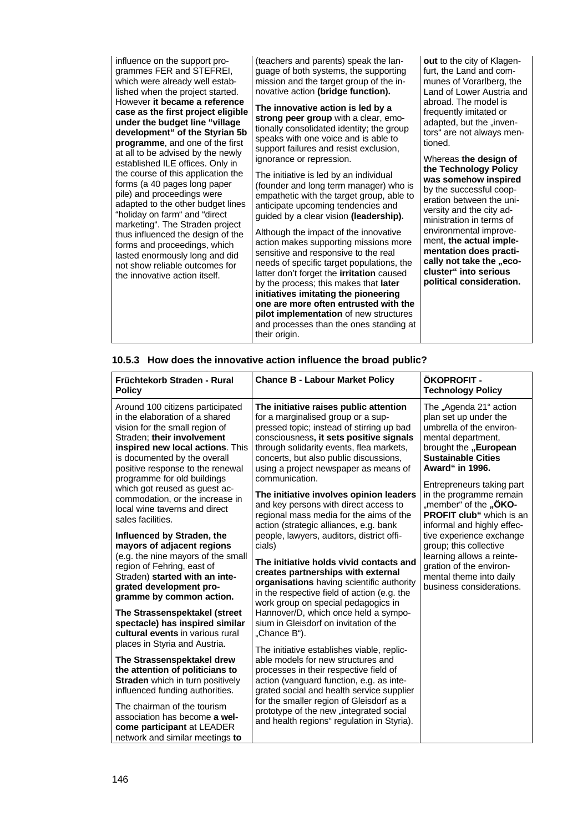influence on the support programmes FER and STEFREI, which were already well established when the project started. However **it became a reference case as the first project eligible under the budget line "village development" of the Styrian 5b programme**, and one of the first at all to be advised by the newly established ILE offices. Only in the course of this application the forms (a 40 pages long paper pile) and proceedings were adapted to the other budget lines "holiday on farm" and "direct marketing". The Straden project thus influenced the design of the forms and proceedings, which lasted enormously long and did not show reliable outcomes for the innovative action itself.

(teachers and parents) speak the language of both systems, the supporting mission and the target group of the innovative action **(bridge function).**

**The innovative action is led by a strong peer group** with a clear, emotionally consolidated identity; the group speaks with one voice and is able to support failures and resist exclusion, ignorance or repression.

The initiative is led by an individual (founder and long term manager) who is empathetic with the target group, able to anticipate upcoming tendencies and guided by a clear vision **(leadership).**

Although the impact of the innovative action makes supporting missions more sensitive and responsive to the real needs of specific target populations, the latter don't forget the **irritation** caused by the process; this makes that **later initiatives imitating the pioneering one are more often entrusted with the pilot implementation** of new structures and processes than the ones standing at their origin.

**out** to the city of Klagenfurt, the Land and communes of Vorarlberg, the Land of Lower Austria and abroad. The model is frequently imitated or adapted, but the "inventors" are not always mentioned.

Whereas **the design of the Technology Policy was somehow inspired** by the successful cooperation between the university and the city administration in terms of environmental improvement, **the actual implementation does practi**cally not take the **..ecocluster" into serious political consideration.**

### **10.5.3 How does the innovative action influence the broad public?**

| Früchtekorb Straden - Rural<br><b>Policy</b>                                                                                                                                                                                                                                                                                                                                                                                      | <b>Chance B - Labour Market Policy</b>                                                                                                                                                                                                                                                                                                                                                                                                                                                                                                      | <b>ÖKOPROFIT -</b><br><b>Technology Policy</b>                                                                                                                                                                                                                                                                                                            |  |
|-----------------------------------------------------------------------------------------------------------------------------------------------------------------------------------------------------------------------------------------------------------------------------------------------------------------------------------------------------------------------------------------------------------------------------------|---------------------------------------------------------------------------------------------------------------------------------------------------------------------------------------------------------------------------------------------------------------------------------------------------------------------------------------------------------------------------------------------------------------------------------------------------------------------------------------------------------------------------------------------|-----------------------------------------------------------------------------------------------------------------------------------------------------------------------------------------------------------------------------------------------------------------------------------------------------------------------------------------------------------|--|
| Around 100 citizens participated<br>in the elaboration of a shared<br>vision for the small region of<br>Straden; their involvement<br>inspired new local actions. This<br>is documented by the overall<br>positive response to the renewal<br>programme for old buildings<br>which got reused as guest ac-<br>commodation, or the increase in<br>local wine taverns and direct<br>sales facilities.<br>Influenced by Straden, the | The initiative raises public attention<br>for a marginalised group or a sup-<br>pressed topic; instead of stirring up bad<br>consciousness, it sets positive signals<br>through solidarity events, flea markets,<br>concerts, but also public discussions,<br>using a project newspaper as means of<br>communication.<br>The initiative involves opinion leaders<br>and key persons with direct access to<br>regional mass media for the aims of the<br>action (strategic alliances, e.g. bank<br>people, lawyers, auditors, district offi- | The "Agenda 21" action<br>plan set up under the<br>umbrella of the environ-<br>mental department,<br>brought the "European<br><b>Sustainable Cities</b><br>Award" in 1996.<br>Entrepreneurs taking part<br>in the programme remain<br>"member" of the " <b>ÖKO-</b><br>PROFIT club" which is an<br>informal and highly effec-<br>tive experience exchange |  |
| mayors of adjacent regions<br>(e.g. the nine mayors of the small<br>region of Fehring, east of<br>Straden) started with an inte-<br>grated development pro-<br>gramme by common action.                                                                                                                                                                                                                                           | cials)<br>The initiative holds vivid contacts and<br>creates partnerships with external<br>organisations having scientific authority<br>in the respective field of action (e.g. the<br>work group on special pedagogics in                                                                                                                                                                                                                                                                                                                  | group; this collective<br>learning allows a reinte-<br>gration of the environ-<br>mental theme into daily<br>business considerations.                                                                                                                                                                                                                     |  |
| The Strassenspektakel (street<br>spectacle) has inspired similar<br>cultural events in various rural                                                                                                                                                                                                                                                                                                                              | Hannover/D, which once held a sympo-<br>sium in Gleisdorf on invitation of the<br>"Chance B").                                                                                                                                                                                                                                                                                                                                                                                                                                              |                                                                                                                                                                                                                                                                                                                                                           |  |
| places in Styria and Austria.<br>The Strassenspektakel drew<br>the attention of politicians to<br>Straden which in turn positively<br>influenced funding authorities.<br>The chairman of the tourism<br>association has become a wel-<br>come participant at LEADER<br>network and similar meetings to                                                                                                                            | The initiative establishes viable, replic-<br>able models for new structures and<br>processes in their respective field of<br>action (vanguard function, e.g. as inte-<br>grated social and health service supplier<br>for the smaller region of Gleisdorf as a<br>prototype of the new "integrated social<br>and health regions" regulation in Styria).                                                                                                                                                                                    |                                                                                                                                                                                                                                                                                                                                                           |  |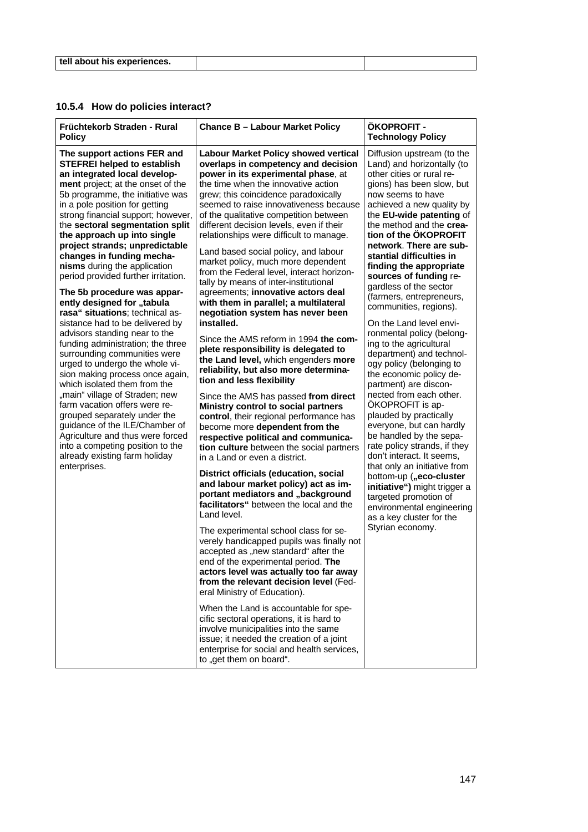| tell about his experiences. |  |
|-----------------------------|--|

# **10.5.4 How do policies interact?**

| Früchtekorb Straden - Rural<br><b>Policy</b>                                                                                                                                                                                                                                                                                                                                                                                                                                                                                                                                                                                                                                                                                                                                                                                                                                                                                                                                                                                                                           | <b>Chance B - Labour Market Policy</b>                                                                                                                                                                                                                                                                                                                                                                                                                                                                                                                                                                                                                                                                                                                                                                                                                                                                                                                                                                                                                                                                                                                                                                                                                                                                                                                                                                                                                                                                                                                                                                                                                                                                                                                                                                                                                                                              | ÖKOPROFIT -<br><b>Technology Policy</b>                                                                                                                                                                                                                                                                                                                                                                                                                                                                                                                                                                                                                                                                                                                                                                                                                                                                                                                                                                                                        |
|------------------------------------------------------------------------------------------------------------------------------------------------------------------------------------------------------------------------------------------------------------------------------------------------------------------------------------------------------------------------------------------------------------------------------------------------------------------------------------------------------------------------------------------------------------------------------------------------------------------------------------------------------------------------------------------------------------------------------------------------------------------------------------------------------------------------------------------------------------------------------------------------------------------------------------------------------------------------------------------------------------------------------------------------------------------------|-----------------------------------------------------------------------------------------------------------------------------------------------------------------------------------------------------------------------------------------------------------------------------------------------------------------------------------------------------------------------------------------------------------------------------------------------------------------------------------------------------------------------------------------------------------------------------------------------------------------------------------------------------------------------------------------------------------------------------------------------------------------------------------------------------------------------------------------------------------------------------------------------------------------------------------------------------------------------------------------------------------------------------------------------------------------------------------------------------------------------------------------------------------------------------------------------------------------------------------------------------------------------------------------------------------------------------------------------------------------------------------------------------------------------------------------------------------------------------------------------------------------------------------------------------------------------------------------------------------------------------------------------------------------------------------------------------------------------------------------------------------------------------------------------------------------------------------------------------------------------------------------------------|------------------------------------------------------------------------------------------------------------------------------------------------------------------------------------------------------------------------------------------------------------------------------------------------------------------------------------------------------------------------------------------------------------------------------------------------------------------------------------------------------------------------------------------------------------------------------------------------------------------------------------------------------------------------------------------------------------------------------------------------------------------------------------------------------------------------------------------------------------------------------------------------------------------------------------------------------------------------------------------------------------------------------------------------|
| The support actions FER and<br><b>STEFREI helped to establish</b><br>an integrated local develop-<br>ment project; at the onset of the<br>5b programme, the initiative was<br>in a pole position for getting<br>strong financial support; however,<br>the sectoral segmentation split<br>the approach up into single<br>project strands; unpredictable<br>changes in funding mecha-<br>nisms during the application<br>period provided further irritation.<br>The 5b procedure was appar-<br>ently designed for "tabula<br>rasa" situations; technical as-<br>sistance had to be delivered by<br>advisors standing near to the<br>funding administration; the three<br>surrounding communities were<br>urged to undergo the whole vi-<br>sion making process once again,<br>which isolated them from the<br>"main" village of Straden; new<br>farm vacation offers were re-<br>grouped separately under the<br>guidance of the ILE/Chamber of<br>Agriculture and thus were forced<br>into a competing position to the<br>already existing farm holiday<br>enterprises. | <b>Labour Market Policy showed vertical</b><br>overlaps in competency and decision<br>power in its experimental phase, at<br>the time when the innovative action<br>grew; this coincidence paradoxically<br>seemed to raise innovativeness because<br>of the qualitative competition between<br>different decision levels, even if their<br>relationships were difficult to manage.<br>Land based social policy, and labour<br>market policy, much more dependent<br>from the Federal level, interact horizon-<br>tally by means of inter-institutional<br>agreements; innovative actors deal<br>with them in parallel; a multilateral<br>negotiation system has never been<br>installed.<br>Since the AMS reform in 1994 the com-<br>plete responsibility is delegated to<br>the Land level, which engenders more<br>reliability, but also more determina-<br>tion and less flexibility<br>Since the AMS has passed from direct<br>Ministry control to social partners<br>control, their regional performance has<br>become more dependent from the<br>respective political and communica-<br>tion culture between the social partners<br>in a Land or even a district.<br>District officials (education, social<br>and labour market policy) act as im-<br>portant mediators and "background<br>facilitators" between the local and the<br>Land level.<br>The experimental school class for se-<br>verely handicapped pupils was finally not<br>accepted as "new standard" after the<br>end of the experimental period. The<br>actors level was actually too far away<br>from the relevant decision level (Fed-<br>eral Ministry of Education).<br>When the Land is accountable for spe-<br>cific sectoral operations, it is hard to<br>involve municipalities into the same<br>issue; it needed the creation of a joint<br>enterprise for social and health services,<br>to "get them on board". | Diffusion upstream (to the<br>Land) and horizontally (to<br>other cities or rural re-<br>gions) has been slow, but<br>now seems to have<br>achieved a new quality by<br>the EU-wide patenting of<br>the method and the crea-<br>tion of the ÖKOPROFIT<br>network. There are sub-<br>stantial difficulties in<br>finding the appropriate<br>sources of funding re-<br>gardless of the sector<br>(farmers, entrepreneurs,<br>communities, regions).<br>On the Land level envi-<br>ronmental policy (belong-<br>ing to the agricultural<br>department) and technol-<br>ogy policy (belonging to<br>the economic policy de-<br>partment) are discon-<br>nected from each other.<br>ÖKOPROFIT is ap-<br>plauded by practically<br>everyone, but can hardly<br>be handled by the sepa-<br>rate policy strands, if they<br>don't interact. It seems,<br>that only an initiative from<br>bottom-up ("eco-cluster<br>initiative") might trigger a<br>targeted promotion of<br>environmental engineering<br>as a key cluster for the<br>Styrian economy. |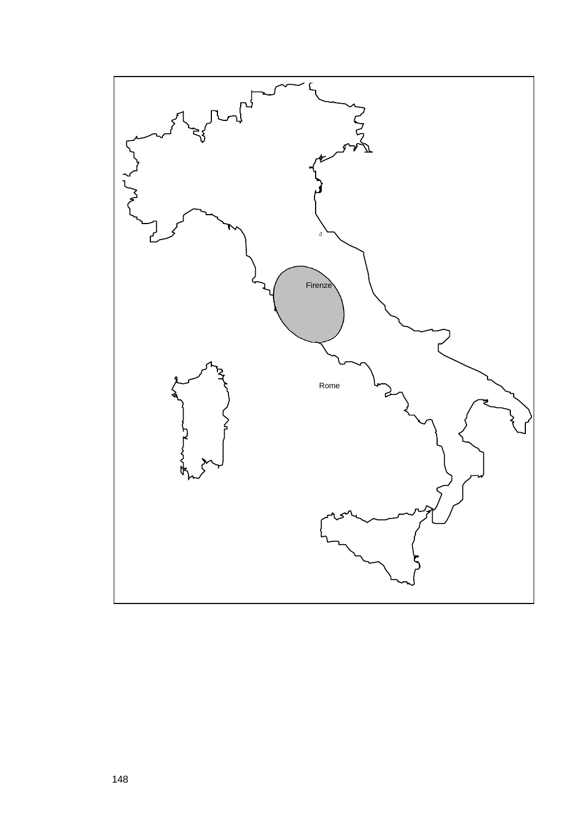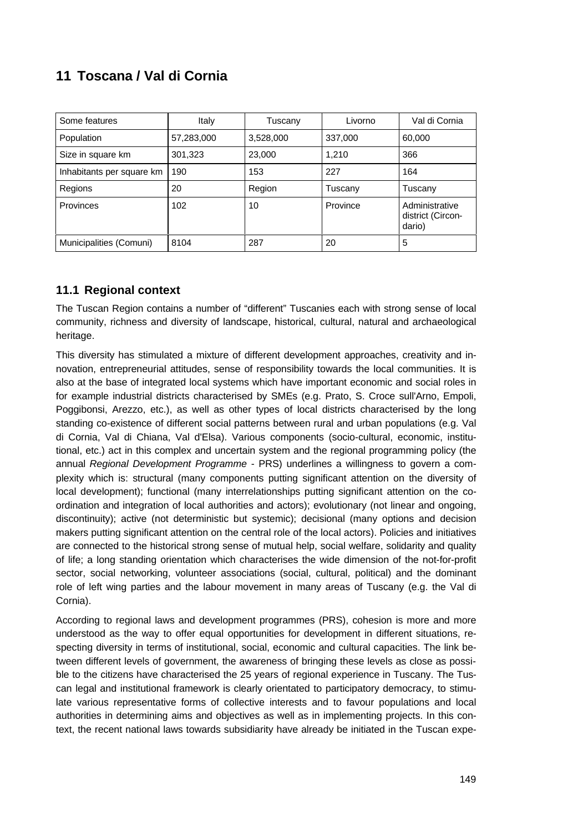# **11 Toscana / Val di Cornia**

| Some features             | Italy      | Tuscany   | Livorno  | Val di Cornia                                 |
|---------------------------|------------|-----------|----------|-----------------------------------------------|
| Population                | 57,283,000 | 3,528,000 | 337,000  | 60,000                                        |
| Size in square km         | 301,323    | 23,000    | 1.210    | 366                                           |
| Inhabitants per square km | 190        | 153       | 227      | 164                                           |
| Regions                   | 20         | Region    | Tuscany  | Tuscany                                       |
| Provinces                 | 102        | 10        | Province | Administrative<br>district (Circon-<br>dario) |
| Municipalities (Comuni)   | 8104       | 287       | 20       | 5                                             |

# **11.1 Regional context**

The Tuscan Region contains a number of "different" Tuscanies each with strong sense of local community, richness and diversity of landscape, historical, cultural, natural and archaeological heritage.

This diversity has stimulated a mixture of different development approaches, creativity and innovation, entrepreneurial attitudes, sense of responsibility towards the local communities. It is also at the base of integrated local systems which have important economic and social roles in for example industrial districts characterised by SMEs (e.g. Prato, S. Croce sull'Arno, Empoli, Poggibonsi, Arezzo, etc.), as well as other types of local districts characterised by the long standing co-existence of different social patterns between rural and urban populations (e.g. Val di Cornia, Val di Chiana, Val d'Elsa). Various components (socio-cultural, economic, institutional, etc.) act in this complex and uncertain system and the regional programming policy (the annual *Regional Development Programme* - PRS) underlines a willingness to govern a complexity which is: structural (many components putting significant attention on the diversity of local development); functional (many interrelationships putting significant attention on the coordination and integration of local authorities and actors); evolutionary (not linear and ongoing, discontinuity); active (not deterministic but systemic); decisional (many options and decision makers putting significant attention on the central role of the local actors). Policies and initiatives are connected to the historical strong sense of mutual help, social welfare, solidarity and quality of life; a long standing orientation which characterises the wide dimension of the not-for-profit sector, social networking, volunteer associations (social, cultural, political) and the dominant role of left wing parties and the labour movement in many areas of Tuscany (e.g. the Val di Cornia).

According to regional laws and development programmes (PRS), cohesion is more and more understood as the way to offer equal opportunities for development in different situations, respecting diversity in terms of institutional, social, economic and cultural capacities. The link between different levels of government, the awareness of bringing these levels as close as possible to the citizens have characterised the 25 years of regional experience in Tuscany. The Tuscan legal and institutional framework is clearly orientated to participatory democracy, to stimulate various representative forms of collective interests and to favour populations and local authorities in determining aims and objectives as well as in implementing projects. In this context, the recent national laws towards subsidiarity have already be initiated in the Tuscan expe-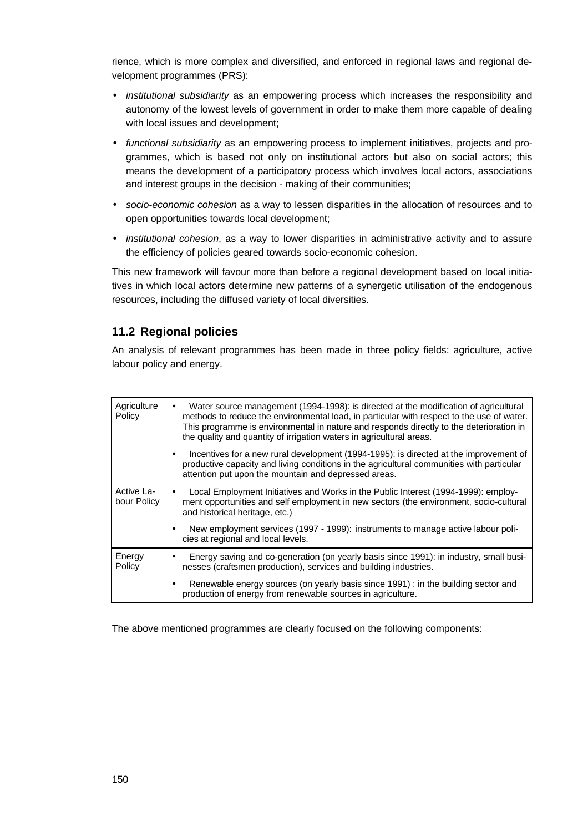rience, which is more complex and diversified, and enforced in regional laws and regional development programmes (PRS):

- *institutional subsidiarity* as an empowering process which increases the responsibility and autonomy of the lowest levels of government in order to make them more capable of dealing with local issues and development;
- *functional subsidiarity* as an empowering process to implement initiatives, projects and programmes, which is based not only on institutional actors but also on social actors; this means the development of a participatory process which involves local actors, associations and interest groups in the decision - making of their communities;
- *socio-economic cohesion* as a way to lessen disparities in the allocation of resources and to open opportunities towards local development;
- *institutional cohesion*, as a way to lower disparities in administrative activity and to assure the efficiency of policies geared towards socio-economic cohesion.

This new framework will favour more than before a regional development based on local initiatives in which local actors determine new patterns of a synergetic utilisation of the endogenous resources, including the diffused variety of local diversities.

# **11.2 Regional policies**

An analysis of relevant programmes has been made in three policy fields: agriculture, active labour policy and energy.

| Agriculture<br>Policy     | Water source management (1994-1998): is directed at the modification of agricultural<br>methods to reduce the environmental load, in particular with respect to the use of water.<br>This programme is environmental in nature and responds directly to the deterioration in<br>the quality and quantity of irrigation waters in agricultural areas. |
|---------------------------|------------------------------------------------------------------------------------------------------------------------------------------------------------------------------------------------------------------------------------------------------------------------------------------------------------------------------------------------------|
|                           | Incentives for a new rural development (1994-1995): is directed at the improvement of<br>productive capacity and living conditions in the agricultural communities with particular<br>attention put upon the mountain and depressed areas.                                                                                                           |
| Active La-<br>bour Policy | Local Employment Initiatives and Works in the Public Interest (1994-1999): employ-<br>ment opportunities and self employment in new sectors (the environment, socio-cultural<br>and historical heritage, etc.)                                                                                                                                       |
|                           | New employment services (1997 - 1999): instruments to manage active labour poli-<br>cies at regional and local levels.                                                                                                                                                                                                                               |
| Energy<br>Policy          | Energy saving and co-generation (on yearly basis since 1991): in industry, small busi-<br>nesses (craftsmen production), services and building industries.                                                                                                                                                                                           |
|                           | Renewable energy sources (on yearly basis since 1991) : in the building sector and<br>production of energy from renewable sources in agriculture.                                                                                                                                                                                                    |

The above mentioned programmes are clearly focused on the following components: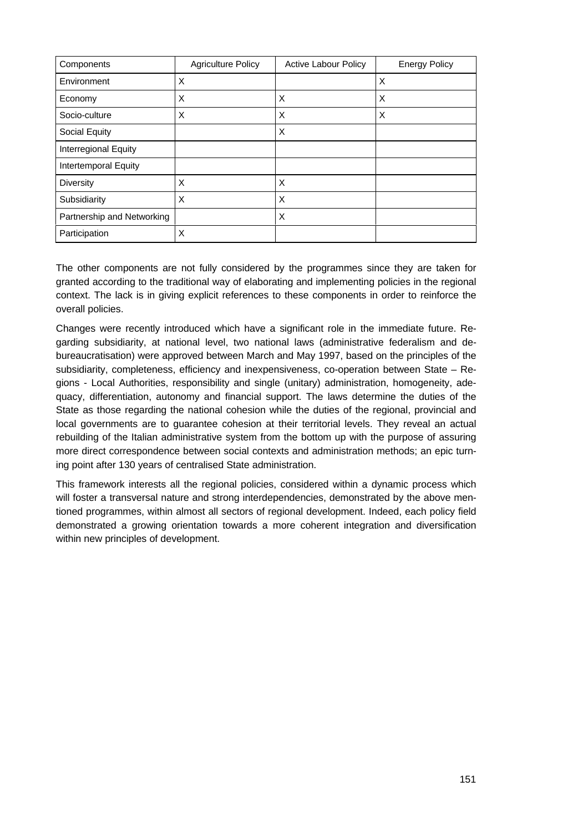| Components                 | <b>Agriculture Policy</b> | <b>Active Labour Policy</b> | <b>Energy Policy</b> |
|----------------------------|---------------------------|-----------------------------|----------------------|
| Environment                | X                         |                             | X                    |
| Economy                    | X                         | X                           | X                    |
| Socio-culture              | X                         | X                           | X                    |
| Social Equity              |                           | X                           |                      |
| Interregional Equity       |                           |                             |                      |
| Intertemporal Equity       |                           |                             |                      |
| <b>Diversity</b>           | X                         | X                           |                      |
| Subsidiarity               | X                         | X                           |                      |
| Partnership and Networking |                           | X                           |                      |
| Participation              | X                         |                             |                      |

The other components are not fully considered by the programmes since they are taken for granted according to the traditional way of elaborating and implementing policies in the regional context. The lack is in giving explicit references to these components in order to reinforce the overall policies.

Changes were recently introduced which have a significant role in the immediate future. Regarding subsidiarity, at national level, two national laws (administrative federalism and debureaucratisation) were approved between March and May 1997, based on the principles of the subsidiarity, completeness, efficiency and inexpensiveness, co-operation between State – Regions - Local Authorities, responsibility and single (unitary) administration, homogeneity, adequacy, differentiation, autonomy and financial support. The laws determine the duties of the State as those regarding the national cohesion while the duties of the regional, provincial and local governments are to guarantee cohesion at their territorial levels. They reveal an actual rebuilding of the Italian administrative system from the bottom up with the purpose of assuring more direct correspondence between social contexts and administration methods; an epic turning point after 130 years of centralised State administration.

This framework interests all the regional policies, considered within a dynamic process which will foster a transversal nature and strong interdependencies, demonstrated by the above mentioned programmes, within almost all sectors of regional development. Indeed, each policy field demonstrated a growing orientation towards a more coherent integration and diversification within new principles of development.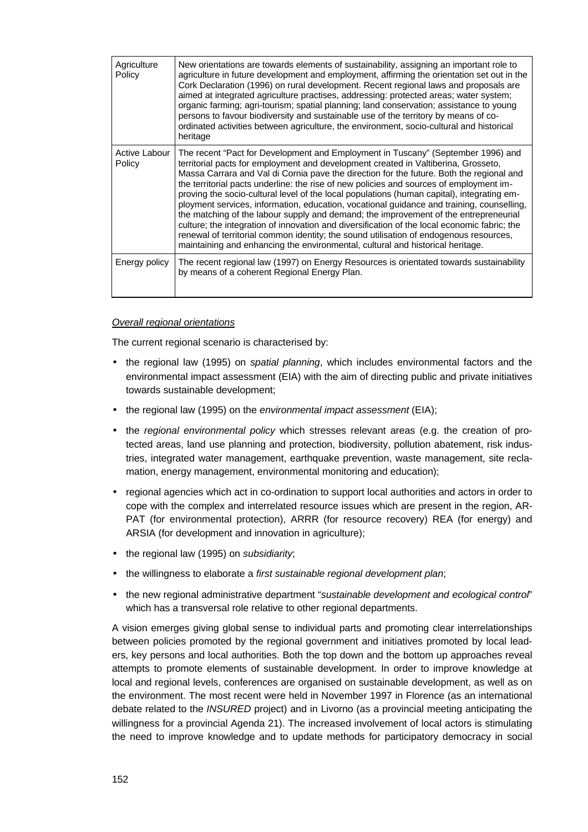| Agriculture<br>Policy   | New orientations are towards elements of sustainability, assigning an important role to<br>agriculture in future development and employment, affirming the orientation set out in the<br>Cork Declaration (1996) on rural development. Recent regional laws and proposals are<br>aimed at integrated agriculture practises, addressing: protected areas; water system;<br>organic farming; agri-tourism; spatial planning; land conservation; assistance to young<br>persons to favour biodiversity and sustainable use of the territory by means of co-<br>ordinated activities between agriculture, the environment, socio-cultural and historical<br>heritage                                                                                                                                                                                                                                                             |
|-------------------------|------------------------------------------------------------------------------------------------------------------------------------------------------------------------------------------------------------------------------------------------------------------------------------------------------------------------------------------------------------------------------------------------------------------------------------------------------------------------------------------------------------------------------------------------------------------------------------------------------------------------------------------------------------------------------------------------------------------------------------------------------------------------------------------------------------------------------------------------------------------------------------------------------------------------------|
| Active Labour<br>Policy | The recent "Pact for Development and Employment in Tuscany" (September 1996) and<br>territorial pacts for employment and development created in Valtiberina, Grosseto,<br>Massa Carrara and Val di Cornia pave the direction for the future. Both the regional and<br>the territorial pacts underline: the rise of new policies and sources of employment im-<br>proving the socio-cultural level of the local populations (human capital), integrating em-<br>ployment services, information, education, vocational guidance and training, counselling,<br>the matching of the labour supply and demand; the improvement of the entrepreneurial<br>culture; the integration of innovation and diversification of the local economic fabric; the<br>renewal of territorial common identity; the sound utilisation of endogenous resources,<br>maintaining and enhancing the environmental, cultural and historical heritage. |
| Energy policy           | The recent regional law (1997) on Energy Resources is orientated towards sustainability<br>by means of a coherent Regional Energy Plan.                                                                                                                                                                                                                                                                                                                                                                                                                                                                                                                                                                                                                                                                                                                                                                                      |

#### *Overall regional orientations*

The current regional scenario is characterised by:

- the regional law (1995) on *spatial planning*, which includes environmental factors and the environmental impact assessment (EIA) with the aim of directing public and private initiatives towards sustainable development;
- the regional law (1995) on the *environmental impact assessment* (EIA);
- the *regional environmental policy* which stresses relevant areas (e.g. the creation of protected areas, land use planning and protection, biodiversity, pollution abatement, risk industries, integrated water management, earthquake prevention, waste management, site reclamation, energy management, environmental monitoring and education);
- regional agencies which act in co-ordination to support local authorities and actors in order to cope with the complex and interrelated resource issues which are present in the region, AR-PAT (for environmental protection), ARRR (for resource recovery) REA (for energy) and ARSIA (for development and innovation in agriculture);
- the regional law (1995) on *subsidiarity*;
- the willingness to elaborate a *first sustainable regional development plan*;
- the new regional administrative department "*sustainable development and ecological control*" which has a transversal role relative to other regional departments.

A vision emerges giving global sense to individual parts and promoting clear interrelationships between policies promoted by the regional government and initiatives promoted by local leaders, key persons and local authorities. Both the top down and the bottom up approaches reveal attempts to promote elements of sustainable development. In order to improve knowledge at local and regional levels, conferences are organised on sustainable development, as well as on the environment. The most recent were held in November 1997 in Florence (as an international debate related to the *INSURED* project) and in Livorno (as a provincial meeting anticipating the willingness for a provincial Agenda 21). The increased involvement of local actors is stimulating the need to improve knowledge and to update methods for participatory democracy in social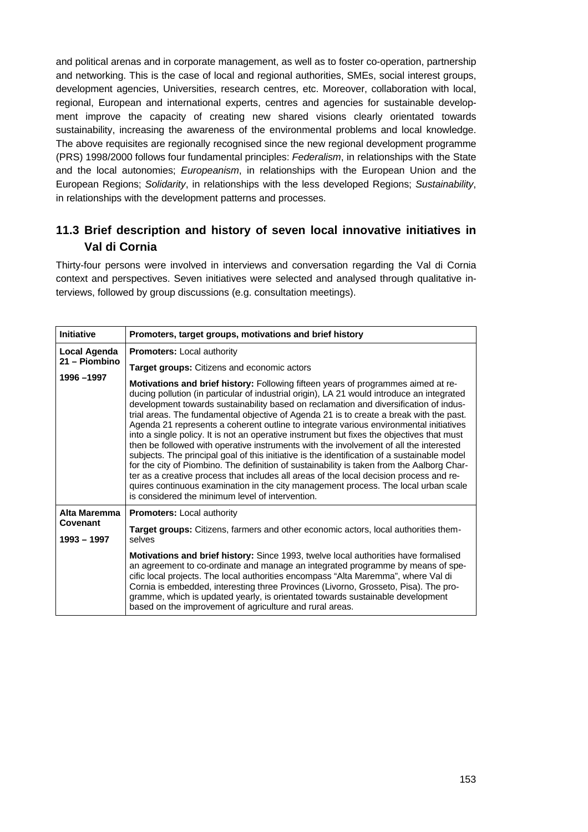and political arenas and in corporate management, as well as to foster co-operation, partnership and networking. This is the case of local and regional authorities, SMEs, social interest groups, development agencies, Universities, research centres, etc. Moreover, collaboration with local, regional, European and international experts, centres and agencies for sustainable development improve the capacity of creating new shared visions clearly orientated towards sustainability, increasing the awareness of the environmental problems and local knowledge. The above requisites are regionally recognised since the new regional development programme (PRS) 1998/2000 follows four fundamental principles: *Federalism*, in relationships with the State and the local autonomies; *Europeanism*, in relationships with the European Union and the European Regions; *Solidarity*, in relationships with the less developed Regions; *Sustainability*, in relationships with the development patterns and processes.

# **11.3 Brief description and history of seven local innovative initiatives in Val di Cornia**

Thirty-four persons were involved in interviews and conversation regarding the Val di Cornia context and perspectives. Seven initiatives were selected and analysed through qualitative interviews, followed by group discussions (e.g. consultation meetings).

| <b>Initiative</b>       | Promoters, target groups, motivations and brief history                                                                                                                                                                                                                                                                                                                                                                                                                                                                                                                                                                                                                                                                                                                                                                                                                                                                                                                                                                                                                                   |
|-------------------------|-------------------------------------------------------------------------------------------------------------------------------------------------------------------------------------------------------------------------------------------------------------------------------------------------------------------------------------------------------------------------------------------------------------------------------------------------------------------------------------------------------------------------------------------------------------------------------------------------------------------------------------------------------------------------------------------------------------------------------------------------------------------------------------------------------------------------------------------------------------------------------------------------------------------------------------------------------------------------------------------------------------------------------------------------------------------------------------------|
| Local Agenda            | <b>Promoters: Local authority</b>                                                                                                                                                                                                                                                                                                                                                                                                                                                                                                                                                                                                                                                                                                                                                                                                                                                                                                                                                                                                                                                         |
| 21 - Piombino           | <b>Target groups:</b> Citizens and economic actors                                                                                                                                                                                                                                                                                                                                                                                                                                                                                                                                                                                                                                                                                                                                                                                                                                                                                                                                                                                                                                        |
| 1996 - 1997             | Motivations and brief history: Following fifteen years of programmes aimed at re-<br>ducing pollution (in particular of industrial origin), LA 21 would introduce an integrated<br>development towards sustainability based on reclamation and diversification of indus-<br>trial areas. The fundamental objective of Agenda 21 is to create a break with the past.<br>Agenda 21 represents a coherent outline to integrate various environmental initiatives<br>into a single policy. It is not an operative instrument but fixes the objectives that must<br>then be followed with operative instruments with the involvement of all the interested<br>subjects. The principal goal of this initiative is the identification of a sustainable model<br>for the city of Piombino. The definition of sustainability is taken from the Aalborg Char-<br>ter as a creative process that includes all areas of the local decision process and re-<br>quires continuous examination in the city management process. The local urban scale<br>is considered the minimum level of intervention. |
| Alta Maremma            | <b>Promoters:</b> Local authority                                                                                                                                                                                                                                                                                                                                                                                                                                                                                                                                                                                                                                                                                                                                                                                                                                                                                                                                                                                                                                                         |
| Covenant<br>1993 - 1997 | <b>Target groups:</b> Citizens, farmers and other economic actors, local authorities them-<br>selves                                                                                                                                                                                                                                                                                                                                                                                                                                                                                                                                                                                                                                                                                                                                                                                                                                                                                                                                                                                      |
|                         | <b>Motivations and brief history:</b> Since 1993, twelve local authorities have formalised<br>an agreement to co-ordinate and manage an integrated programme by means of spe-<br>cific local projects. The local authorities encompass "Alta Maremma", where Val di<br>Cornia is embedded, interesting three Provinces (Livorno, Grosseto, Pisa). The pro-<br>gramme, which is updated yearly, is orientated towards sustainable development<br>based on the improvement of agriculture and rural areas.                                                                                                                                                                                                                                                                                                                                                                                                                                                                                                                                                                                  |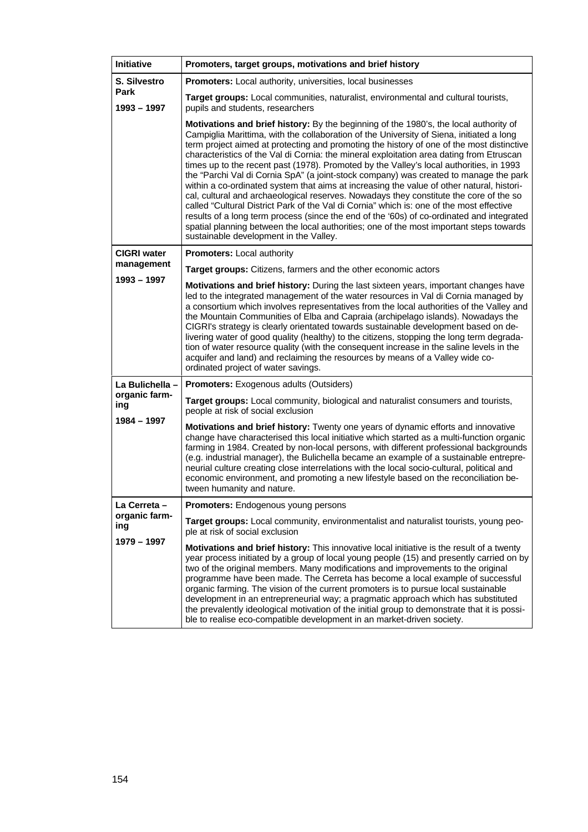| <b>Initiative</b>            | Promoters, target groups, motivations and brief history                                                                                                                                                                                                                                                                                                                                                                                                                                                                                                                                                                                                                                                                                                                                                                                                                                                                                                                                                                                                                             |  |  |
|------------------------------|-------------------------------------------------------------------------------------------------------------------------------------------------------------------------------------------------------------------------------------------------------------------------------------------------------------------------------------------------------------------------------------------------------------------------------------------------------------------------------------------------------------------------------------------------------------------------------------------------------------------------------------------------------------------------------------------------------------------------------------------------------------------------------------------------------------------------------------------------------------------------------------------------------------------------------------------------------------------------------------------------------------------------------------------------------------------------------------|--|--|
| S. Silvestro                 | <b>Promoters:</b> Local authority, universities, local businesses                                                                                                                                                                                                                                                                                                                                                                                                                                                                                                                                                                                                                                                                                                                                                                                                                                                                                                                                                                                                                   |  |  |
| <b>Park</b><br>$1993 - 1997$ | Target groups: Local communities, naturalist, environmental and cultural tourists,<br>pupils and students, researchers                                                                                                                                                                                                                                                                                                                                                                                                                                                                                                                                                                                                                                                                                                                                                                                                                                                                                                                                                              |  |  |
|                              | Motivations and brief history: By the beginning of the 1980's, the local authority of<br>Campiglia Marittima, with the collaboration of the University of Siena, initiated a long<br>term project aimed at protecting and promoting the history of one of the most distinctive<br>characteristics of the Val di Cornia: the mineral exploitation area dating from Etruscan<br>times up to the recent past (1978). Promoted by the Valley's local authorities, in 1993<br>the "Parchi Val di Cornia SpA" (a joint-stock company) was created to manage the park<br>within a co-ordinated system that aims at increasing the value of other natural, histori-<br>cal, cultural and archaeological reserves. Nowadays they constitute the core of the so<br>called "Cultural District Park of the Val di Cornia" which is: one of the most effective<br>results of a long term process (since the end of the '60s) of co-ordinated and integrated<br>spatial planning between the local authorities; one of the most important steps towards<br>sustainable development in the Valley. |  |  |
| <b>CIGRI water</b>           | <b>Promoters:</b> Local authority                                                                                                                                                                                                                                                                                                                                                                                                                                                                                                                                                                                                                                                                                                                                                                                                                                                                                                                                                                                                                                                   |  |  |
| management                   | <b>Target groups:</b> Citizens, farmers and the other economic actors                                                                                                                                                                                                                                                                                                                                                                                                                                                                                                                                                                                                                                                                                                                                                                                                                                                                                                                                                                                                               |  |  |
| 1993 - 1997                  | Motivations and brief history: During the last sixteen years, important changes have<br>led to the integrated management of the water resources in Val di Cornia managed by<br>a consortium which involves representatives from the local authorities of the Valley and<br>the Mountain Communities of Elba and Capraia (archipelago islands). Nowadays the<br>CIGRI's strategy is clearly orientated towards sustainable development based on de-<br>livering water of good quality (healthy) to the citizens, stopping the long term degrada-<br>tion of water resource quality (with the consequent increase in the saline levels in the<br>acquifer and land) and reclaiming the resources by means of a Valley wide co-<br>ordinated project of water savings.                                                                                                                                                                                                                                                                                                                 |  |  |
| La Bulichella -              | <b>Promoters:</b> Exogenous adults (Outsiders)                                                                                                                                                                                                                                                                                                                                                                                                                                                                                                                                                                                                                                                                                                                                                                                                                                                                                                                                                                                                                                      |  |  |
| organic farm-<br>ing         | Target groups: Local community, biological and naturalist consumers and tourists,<br>people at risk of social exclusion                                                                                                                                                                                                                                                                                                                                                                                                                                                                                                                                                                                                                                                                                                                                                                                                                                                                                                                                                             |  |  |
| 1984 - 1997                  | Motivations and brief history: Twenty one years of dynamic efforts and innovative<br>change have characterised this local initiative which started as a multi-function organic<br>farming in 1984. Created by non-local persons, with different professional backgrounds<br>(e.g. industrial manager), the Bulichella became an example of a sustainable entrepre-<br>neurial culture creating close interrelations with the local socio-cultural, political and<br>economic environment, and promoting a new lifestyle based on the reconciliation be-<br>tween humanity and nature.                                                                                                                                                                                                                                                                                                                                                                                                                                                                                               |  |  |
| La Cerreta -                 | <b>Promoters:</b> Endogenous young persons                                                                                                                                                                                                                                                                                                                                                                                                                                                                                                                                                                                                                                                                                                                                                                                                                                                                                                                                                                                                                                          |  |  |
| organic farm-<br>ing         | Target groups: Local community, environmentalist and naturalist tourists, young peo-<br>ple at risk of social exclusion                                                                                                                                                                                                                                                                                                                                                                                                                                                                                                                                                                                                                                                                                                                                                                                                                                                                                                                                                             |  |  |
| 1979 - 1997                  | Motivations and brief history: This innovative local initiative is the result of a twenty<br>year process initiated by a group of local young people (15) and presently carried on by<br>two of the original members. Many modifications and improvements to the original<br>programme have been made. The Cerreta has become a local example of successful<br>organic farming. The vision of the current promoters is to pursue local sustainable<br>development in an entrepreneurial way; a pragmatic approach which has substituted<br>the prevalently ideological motivation of the initial group to demonstrate that it is possi-<br>ble to realise eco-compatible development in an market-driven society.                                                                                                                                                                                                                                                                                                                                                                   |  |  |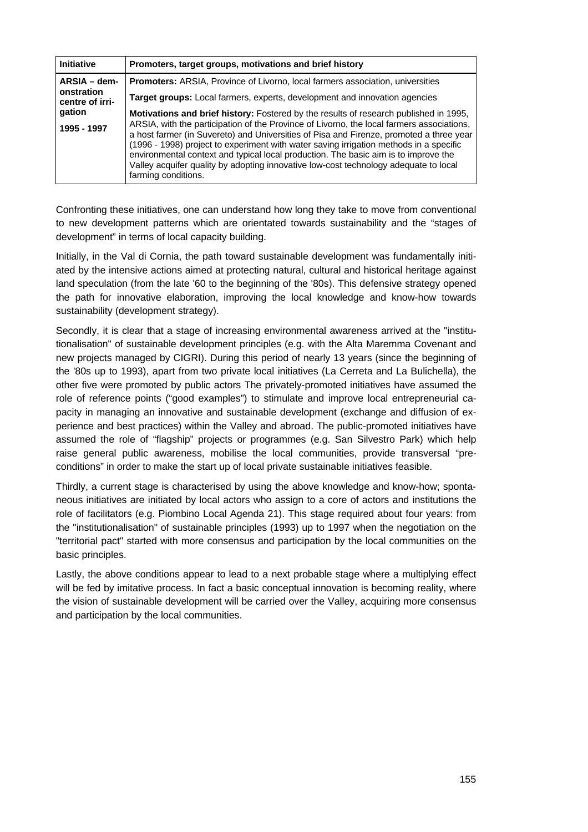| <b>Initiative</b>                                                                                                  | Promoters, target groups, motivations and brief history                                                                                                                                                                                                                                                                                                                                                                                                                                                                                                                              |  |  |
|--------------------------------------------------------------------------------------------------------------------|--------------------------------------------------------------------------------------------------------------------------------------------------------------------------------------------------------------------------------------------------------------------------------------------------------------------------------------------------------------------------------------------------------------------------------------------------------------------------------------------------------------------------------------------------------------------------------------|--|--|
| ARSIA - dem-                                                                                                       | <b>Promoters:</b> ARSIA, Province of Livorno, local farmers association, universities                                                                                                                                                                                                                                                                                                                                                                                                                                                                                                |  |  |
| onstration<br><b>Target groups:</b> Local farmers, experts, development and innovation agencies<br>centre of irri- |                                                                                                                                                                                                                                                                                                                                                                                                                                                                                                                                                                                      |  |  |
| gation<br>1995 - 1997                                                                                              | <b>Motivations and brief history:</b> Fostered by the results of research published in 1995,<br>ARSIA, with the participation of the Province of Livorno, the local farmers associations,<br>a host farmer (in Suvereto) and Universities of Pisa and Firenze, promoted a three year<br>(1996 - 1998) project to experiment with water saving irrigation methods in a specific<br>environmental context and typical local production. The basic aim is to improve the<br>Valley acquifer quality by adopting innovative low-cost technology adequate to local<br>farming conditions. |  |  |

Confronting these initiatives, one can understand how long they take to move from conventional to new development patterns which are orientated towards sustainability and the "stages of development" in terms of local capacity building.

Initially, in the Val di Cornia, the path toward sustainable development was fundamentally initiated by the intensive actions aimed at protecting natural, cultural and historical heritage against land speculation (from the late '60 to the beginning of the '80s). This defensive strategy opened the path for innovative elaboration, improving the local knowledge and know-how towards sustainability (development strategy).

Secondly, it is clear that a stage of increasing environmental awareness arrived at the "institutionalisation" of sustainable development principles (e.g. with the Alta Maremma Covenant and new projects managed by CIGRI). During this period of nearly 13 years (since the beginning of the '80s up to 1993), apart from two private local initiatives (La Cerreta and La Bulichella), the other five were promoted by public actors The privately-promoted initiatives have assumed the role of reference points ("good examples") to stimulate and improve local entrepreneurial capacity in managing an innovative and sustainable development (exchange and diffusion of experience and best practices) within the Valley and abroad. The public-promoted initiatives have assumed the role of "flagship" projects or programmes (e.g. San Silvestro Park) which help raise general public awareness, mobilise the local communities, provide transversal "preconditions" in order to make the start up of local private sustainable initiatives feasible.

Thirdly, a current stage is characterised by using the above knowledge and know-how; spontaneous initiatives are initiated by local actors who assign to a core of actors and institutions the role of facilitators (e.g. Piombino Local Agenda 21). This stage required about four years: from the "institutionalisation" of sustainable principles (1993) up to 1997 when the negotiation on the "territorial pact" started with more consensus and participation by the local communities on the basic principles.

Lastly, the above conditions appear to lead to a next probable stage where a multiplying effect will be fed by imitative process. In fact a basic conceptual innovation is becoming reality, where the vision of sustainable development will be carried over the Valley, acquiring more consensus and participation by the local communities.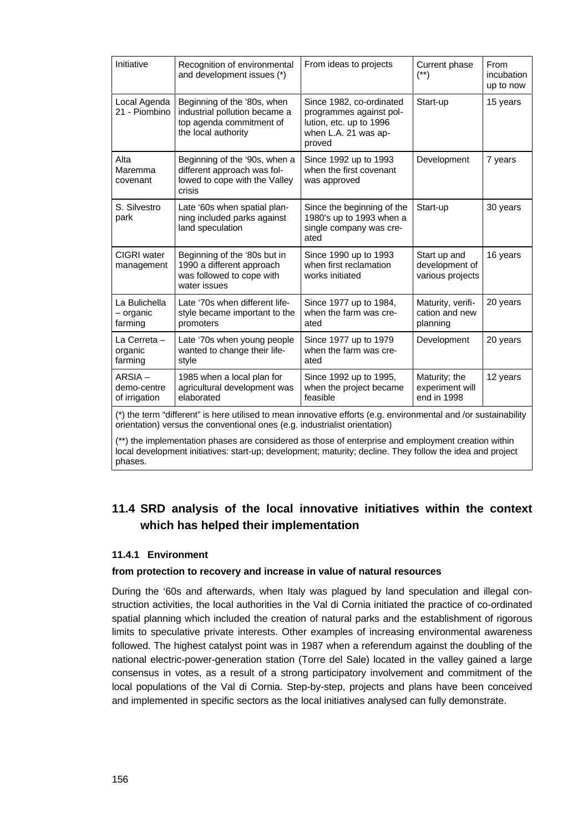| Initiative                                                                                                                                                                                    | Recognition of environmental<br>and development issues (*)                                                      | From ideas to projects                                                                                           | Current phase<br>$(**)$                            | From<br>incubation<br>up to now |
|-----------------------------------------------------------------------------------------------------------------------------------------------------------------------------------------------|-----------------------------------------------------------------------------------------------------------------|------------------------------------------------------------------------------------------------------------------|----------------------------------------------------|---------------------------------|
| Local Agenda<br>21 - Piombino                                                                                                                                                                 | Beginning of the '80s, when<br>industrial pollution became a<br>top agenda commitment of<br>the local authority | Since 1982, co-ordinated<br>programmes against pol-<br>lution, etc. up to 1996<br>when L.A. 21 was ap-<br>proved | Start-up                                           | 15 years                        |
| Alta<br>Maremma<br>covenant                                                                                                                                                                   | Beginning of the '90s, when a<br>different approach was fol-<br>lowed to cope with the Valley<br>crisis         | Since 1992 up to 1993<br>when the first covenant<br>was approved                                                 | Development                                        | 7 years                         |
| S. Silvestro<br>park                                                                                                                                                                          | Late '60s when spatial plan-<br>ning included parks against<br>land speculation                                 | Since the beginning of the<br>1980's up to 1993 when a<br>single company was cre-<br>ated                        | Start-up                                           | 30 years                        |
| CIGRI water<br>management                                                                                                                                                                     | Beginning of the '80s but in<br>1990 a different approach<br>was followed to cope with<br>water issues          | Since 1990 up to 1993<br>when first reclamation<br>works initiated                                               | Start up and<br>development of<br>various projects | 16 years                        |
| La Bulichella<br>- organic<br>farming                                                                                                                                                         | Late '70s when different life-<br>style became important to the<br>promoters                                    | Since 1977 up to 1984,<br>when the farm was cre-<br>ated                                                         | Maturity, verifi-<br>cation and new<br>planning    | 20 years                        |
| La Cerreta -<br>organic<br>farming                                                                                                                                                            | Late '70s when young people<br>wanted to change their life-<br>style                                            | Since 1977 up to 1979<br>when the farm was cre-<br>ated                                                          | Development                                        | 20 years                        |
| $ARSIA -$<br>demo-centre<br>of irrigation                                                                                                                                                     | 1985 when a local plan for<br>agricultural development was<br>elaborated                                        | Since 1992 up to 1995,<br>when the project became<br>feasible                                                    | Maturity; the<br>experiment will<br>end in 1998    | 12 years                        |
| (*) the term "different" is here utilised to mean innovative efforts (e.g. environmental and /or sustainability<br>orientation) versus the conventional ones (e.g. industrialist orientation) |                                                                                                                 |                                                                                                                  |                                                    |                                 |

(\*\*) the implementation phases are considered as those of enterprise and employment creation within local development initiatives: start-up; development; maturity; decline. They follow the idea and project phases.

# **11.4 SRD analysis of the local innovative initiatives within the context which has helped their implementation**

#### **11.4.1 Environment**

#### **from protection to recovery and increase in value of natural resources**

During the '60s and afterwards, when Italy was plagued by land speculation and illegal construction activities, the local authorities in the Val di Cornia initiated the practice of co-ordinated spatial planning which included the creation of natural parks and the establishment of rigorous limits to speculative private interests. Other examples of increasing environmental awareness followed. The highest catalyst point was in 1987 when a referendum against the doubling of the national electric-power-generation station (Torre del Sale) located in the valley gained a large consensus in votes, as a result of a strong participatory involvement and commitment of the local populations of the Val di Cornia. Step-by-step, projects and plans have been conceived and implemented in specific sectors as the local initiatives analysed can fully demonstrate.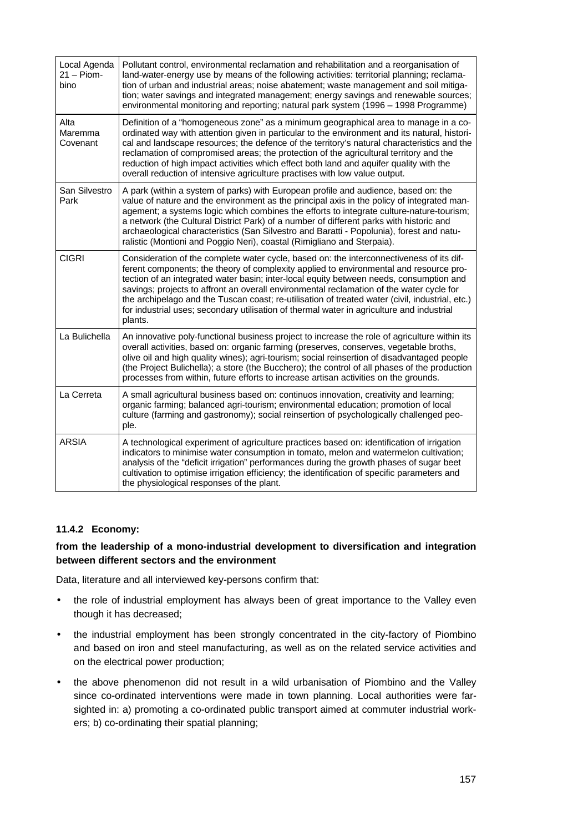| Local Agenda<br>$21 -$ Piom-<br>bino | Pollutant control, environmental reclamation and rehabilitation and a reorganisation of<br>land-water-energy use by means of the following activities: territorial planning; reclama-<br>tion of urban and industrial areas; noise abatement; waste management and soil mitiga-<br>tion; water savings and integrated management; energy savings and renewable sources;<br>environmental monitoring and reporting; natural park system (1996 - 1998 Programme)                                                                                                                       |
|--------------------------------------|--------------------------------------------------------------------------------------------------------------------------------------------------------------------------------------------------------------------------------------------------------------------------------------------------------------------------------------------------------------------------------------------------------------------------------------------------------------------------------------------------------------------------------------------------------------------------------------|
| Alta<br>Maremma<br>Covenant          | Definition of a "homogeneous zone" as a minimum geographical area to manage in a co-<br>ordinated way with attention given in particular to the environment and its natural, histori-<br>cal and landscape resources; the defence of the territory's natural characteristics and the<br>reclamation of compromised areas; the protection of the agricultural territory and the<br>reduction of high impact activities which effect both land and aquifer quality with the<br>overall reduction of intensive agriculture practises with low value output.                             |
| San Silvestro<br>Park                | A park (within a system of parks) with European profile and audience, based on: the<br>value of nature and the environment as the principal axis in the policy of integrated man-<br>agement; a systems logic which combines the efforts to integrate culture-nature-tourism;<br>a network (the Cultural District Park) of a number of different parks with historic and<br>archaeological characteristics (San Silvestro and Baratti - Popolunia), forest and natu-<br>ralistic (Montioni and Poggio Neri), coastal (Rimigliano and Sterpaia).                                      |
| <b>CIGRI</b>                         | Consideration of the complete water cycle, based on: the interconnectiveness of its dif-<br>ferent components; the theory of complexity applied to environmental and resource pro-<br>tection of an integrated water basin; inter-local equity between needs, consumption and<br>savings; projects to affront an overall environmental reclamation of the water cycle for<br>the archipelago and the Tuscan coast; re-utilisation of treated water (civil, industrial, etc.)<br>for industrial uses; secondary utilisation of thermal water in agriculture and industrial<br>plants. |
| La Bulichella                        | An innovative poly-functional business project to increase the role of agriculture within its<br>overall activities, based on: organic farming (preserves, conserves, vegetable broths,<br>olive oil and high quality wines); agri-tourism; social reinsertion of disadvantaged people<br>(the Project Bulichella); a store (the Bucchero); the control of all phases of the production<br>processes from within, future efforts to increase artisan activities on the grounds.                                                                                                      |
| La Cerreta                           | A small agricultural business based on: continuos innovation, creativity and learning;<br>organic farming; balanced agri-tourism; environmental education; promotion of local<br>culture (farming and gastronomy); social reinsertion of psychologically challenged peo-<br>ple.                                                                                                                                                                                                                                                                                                     |
| <b>ARSIA</b>                         | A technological experiment of agriculture practices based on: identification of irrigation<br>indicators to minimise water consumption in tomato, melon and watermelon cultivation;<br>analysis of the "deficit irrigation" performances during the growth phases of sugar beet<br>cultivation to optimise irrigation efficiency; the identification of specific parameters and<br>the physiological responses of the plant.                                                                                                                                                         |

# **11.4.2 Economy:**

### **from the leadership of a mono-industrial development to diversification and integration between different sectors and the environment**

Data, literature and all interviewed key-persons confirm that:

- the role of industrial employment has always been of great importance to the Valley even though it has decreased;
- the industrial employment has been strongly concentrated in the city-factory of Piombino and based on iron and steel manufacturing, as well as on the related service activities and on the electrical power production;
- the above phenomenon did not result in a wild urbanisation of Piombino and the Valley since co-ordinated interventions were made in town planning. Local authorities were farsighted in: a) promoting a co-ordinated public transport aimed at commuter industrial workers; b) co-ordinating their spatial planning;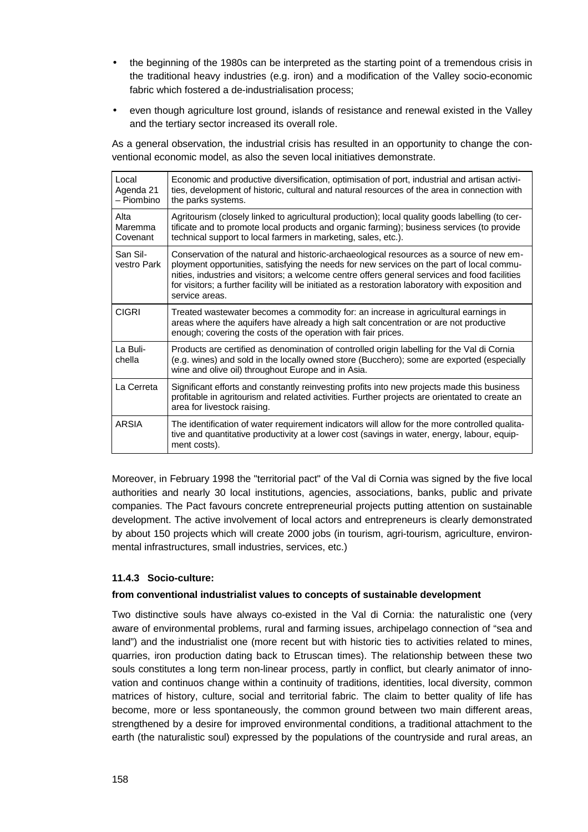- the beginning of the 1980s can be interpreted as the starting point of a tremendous crisis in the traditional heavy industries (e.g. iron) and a modification of the Valley socio-economic fabric which fostered a de-industrialisation process;
- even though agriculture lost ground, islands of resistance and renewal existed in the Valley and the tertiary sector increased its overall role.

As a general observation, the industrial crisis has resulted in an opportunity to change the conventional economic model, as also the seven local initiatives demonstrate.

| Local<br>Agenda 21<br>- Piombino | Economic and productive diversification, optimisation of port, industrial and artisan activi-<br>ties, development of historic, cultural and natural resources of the area in connection with<br>the parks systems.                                                                                                                                                                                            |
|----------------------------------|----------------------------------------------------------------------------------------------------------------------------------------------------------------------------------------------------------------------------------------------------------------------------------------------------------------------------------------------------------------------------------------------------------------|
| Alta<br>Maremma<br>Covenant      | Agritourism (closely linked to agricultural production); local quality goods labelling (to cer-<br>tificate and to promote local products and organic farming); business services (to provide<br>technical support to local farmers in marketing, sales, etc.).                                                                                                                                                |
| San Sil-<br>vestro Park          | Conservation of the natural and historic-archaeological resources as a source of new em-<br>ployment opportunities, satisfying the needs for new services on the part of local commu-<br>nities, industries and visitors; a welcome centre offers general services and food facilities<br>for visitors; a further facility will be initiated as a restoration laboratory with exposition and<br>service areas. |
| <b>CIGRI</b>                     | Treated wastewater becomes a commodity for: an increase in agricultural earnings in<br>areas where the aquifers have already a high salt concentration or are not productive<br>enough; covering the costs of the operation with fair prices.                                                                                                                                                                  |
| La Buli-<br>chella               | Products are certified as denomination of controlled origin labelling for the Val di Cornia<br>(e.g. wines) and sold in the locally owned store (Bucchero); some are exported (especially<br>wine and olive oil) throughout Europe and in Asia.                                                                                                                                                                |
| La Cerreta                       | Significant efforts and constantly reinvesting profits into new projects made this business<br>profitable in agritourism and related activities. Further projects are orientated to create an<br>area for livestock raising.                                                                                                                                                                                   |
| ARSIA                            | The identification of water requirement indicators will allow for the more controlled qualita-<br>tive and quantitative productivity at a lower cost (savings in water, energy, labour, equip-<br>ment costs).                                                                                                                                                                                                 |

Moreover, in February 1998 the "territorial pact" of the Val di Cornia was signed by the five local authorities and nearly 30 local institutions, agencies, associations, banks, public and private companies. The Pact favours concrete entrepreneurial projects putting attention on sustainable development. The active involvement of local actors and entrepreneurs is clearly demonstrated by about 150 projects which will create 2000 jobs (in tourism, agri-tourism, agriculture, environmental infrastructures, small industries, services, etc.)

#### **11.4.3 Socio-culture:**

#### **from conventional industrialist values to concepts of sustainable development**

Two distinctive souls have always co-existed in the Val di Cornia: the naturalistic one (very aware of environmental problems, rural and farming issues, archipelago connection of "sea and land") and the industrialist one (more recent but with historic ties to activities related to mines, quarries, iron production dating back to Etruscan times). The relationship between these two souls constitutes a long term non-linear process, partly in conflict, but clearly animator of innovation and continuos change within a continuity of traditions, identities, local diversity, common matrices of history, culture, social and territorial fabric. The claim to better quality of life has become, more or less spontaneously, the common ground between two main different areas, strengthened by a desire for improved environmental conditions, a traditional attachment to the earth (the naturalistic soul) expressed by the populations of the countryside and rural areas, an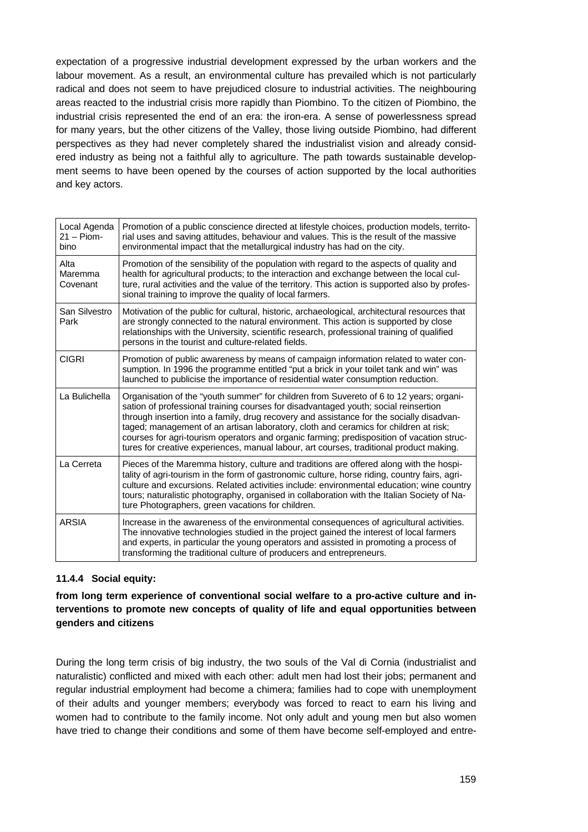expectation of a progressive industrial development expressed by the urban workers and the labour movement. As a result, an environmental culture has prevailed which is not particularly radical and does not seem to have prejudiced closure to industrial activities. The neighbouring areas reacted to the industrial crisis more rapidly than Piombino. To the citizen of Piombino, the industrial crisis represented the end of an era: the iron-era. A sense of powerlessness spread for many years, but the other citizens of the Valley, those living outside Piombino, had different perspectives as they had never completely shared the industrialist vision and already considered industry as being not a faithful ally to agriculture. The path towards sustainable development seems to have been opened by the courses of action supported by the local authorities and key actors.

| Local Agenda<br>$21 -$ Piom-<br>bino | Promotion of a public conscience directed at lifestyle choices, production models, territo-<br>rial uses and saving attitudes, behaviour and values. This is the result of the massive<br>environmental impact that the metallurgical industry has had on the city.                                                                                                                                                                                                                                                                                        |
|--------------------------------------|------------------------------------------------------------------------------------------------------------------------------------------------------------------------------------------------------------------------------------------------------------------------------------------------------------------------------------------------------------------------------------------------------------------------------------------------------------------------------------------------------------------------------------------------------------|
| Alta<br>Maremma<br>Covenant          | Promotion of the sensibility of the population with regard to the aspects of quality and<br>health for agricultural products; to the interaction and exchange between the local cul-<br>ture, rural activities and the value of the territory. This action is supported also by profes-<br>sional training to improve the quality of local farmers.                                                                                                                                                                                                        |
| San Silvestro<br>Park                | Motivation of the public for cultural, historic, archaeological, architectural resources that<br>are strongly connected to the natural environment. This action is supported by close<br>relationships with the University, scientific research, professional training of qualified<br>persons in the tourist and culture-related fields.                                                                                                                                                                                                                  |
| <b>CIGRI</b>                         | Promotion of public awareness by means of campaign information related to water con-<br>sumption. In 1996 the programme entitled "put a brick in your toilet tank and win" was<br>launched to publicise the importance of residential water consumption reduction.                                                                                                                                                                                                                                                                                         |
| La Bulichella                        | Organisation of the "youth summer" for children from Suvereto of 6 to 12 years; organi-<br>sation of professional training courses for disadvantaged youth; social reinsertion<br>through insertion into a family, drug recovery and assistance for the socially disadvan-<br>taged; management of an artisan laboratory, cloth and ceramics for children at risk;<br>courses for agri-tourism operators and organic farming; predisposition of vacation struc-<br>tures for creative experiences, manual labour, art courses, traditional product making. |
| La Cerreta                           | Pieces of the Maremma history, culture and traditions are offered along with the hospi-<br>tality of agri-tourism in the form of gastronomic culture, horse riding, country fairs, agri-<br>culture and excursions. Related activities include: environmental education; wine country<br>tours; naturalistic photography, organised in collaboration with the Italian Society of Na-<br>ture Photographers, green vacations for children.                                                                                                                  |
| <b>ARSIA</b>                         | Increase in the awareness of the environmental consequences of agricultural activities.<br>The innovative technologies studied in the project gained the interest of local farmers<br>and experts, in particular the young operators and assisted in promoting a process of<br>transforming the traditional culture of producers and entrepreneurs.                                                                                                                                                                                                        |

# **11.4.4 Social equity:**

**from long term experience of conventional social welfare to a pro-active culture and interventions to promote new concepts of quality of life and equal opportunities between genders and citizens**

During the long term crisis of big industry, the two souls of the Val di Cornia (industrialist and naturalistic) conflicted and mixed with each other: adult men had lost their jobs; permanent and regular industrial employment had become a chimera; families had to cope with unemployment of their adults and younger members; everybody was forced to react to earn his living and women had to contribute to the family income. Not only adult and young men but also women have tried to change their conditions and some of them have become self-employed and entre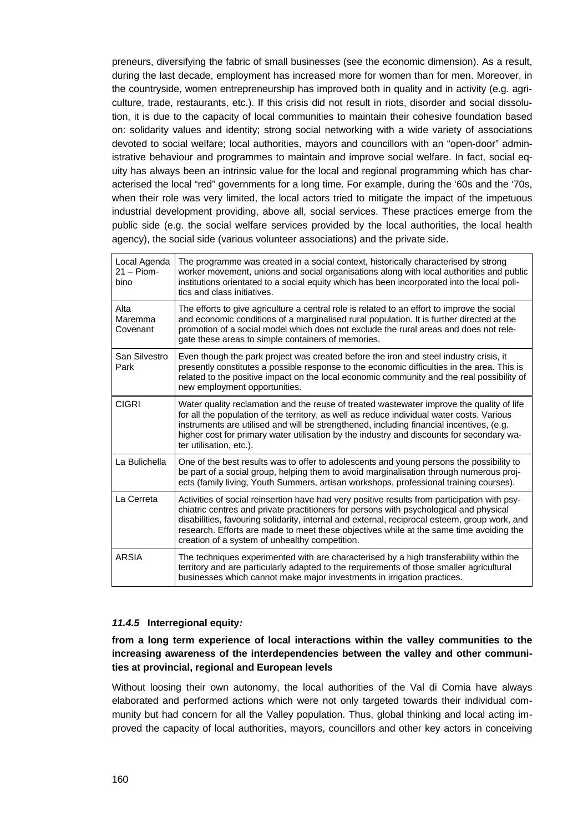preneurs, diversifying the fabric of small businesses (see the economic dimension). As a result, during the last decade, employment has increased more for women than for men. Moreover, in the countryside, women entrepreneurship has improved both in quality and in activity (e.g. agriculture, trade, restaurants, etc.). If this crisis did not result in riots, disorder and social dissolution, it is due to the capacity of local communities to maintain their cohesive foundation based on: solidarity values and identity; strong social networking with a wide variety of associations devoted to social welfare; local authorities, mayors and councillors with an "open-door" administrative behaviour and programmes to maintain and improve social welfare. In fact, social equity has always been an intrinsic value for the local and regional programming which has characterised the local "red" governments for a long time. For example, during the '60s and the '70s, when their role was very limited, the local actors tried to mitigate the impact of the impetuous industrial development providing, above all, social services. These practices emerge from the public side (e.g. the social welfare services provided by the local authorities, the local health agency), the social side (various volunteer associations) and the private side.

| Local Agenda<br>$21 -$ Piom-<br>bino | The programme was created in a social context, historically characterised by strong<br>worker movement, unions and social organisations along with local authorities and public<br>institutions orientated to a social equity which has been incorporated into the local poli-<br>tics and class initiatives.                                                                                                                        |
|--------------------------------------|--------------------------------------------------------------------------------------------------------------------------------------------------------------------------------------------------------------------------------------------------------------------------------------------------------------------------------------------------------------------------------------------------------------------------------------|
| Alta<br>Maremma<br>Covenant          | The efforts to give agriculture a central role is related to an effort to improve the social<br>and economic conditions of a marginalised rural population. It is further directed at the<br>promotion of a social model which does not exclude the rural areas and does not rele-<br>gate these areas to simple containers of memories.                                                                                             |
| San Silvestro<br>Park                | Even though the park project was created before the iron and steel industry crisis, it<br>presently constitutes a possible response to the economic difficulties in the area. This is<br>related to the positive impact on the local economic community and the real possibility of<br>new employment opportunities.                                                                                                                 |
| <b>CIGRI</b>                         | Water quality reclamation and the reuse of treated wastewater improve the quality of life<br>for all the population of the territory, as well as reduce individual water costs. Various<br>instruments are utilised and will be strengthened, including financial incentives, (e.g.<br>higher cost for primary water utilisation by the industry and discounts for secondary wa-<br>ter utilisation, etc.).                          |
| La Bulichella                        | One of the best results was to offer to adolescents and young persons the possibility to<br>be part of a social group, helping them to avoid marginalisation through numerous proj-<br>ects (family living, Youth Summers, artisan workshops, professional training courses).                                                                                                                                                        |
| La Cerreta                           | Activities of social reinsertion have had very positive results from participation with psy-<br>chiatric centres and private practitioners for persons with psychological and physical<br>disabilities, favouring solidarity, internal and external, reciprocal esteem, group work, and<br>research. Efforts are made to meet these objectives while at the same time avoiding the<br>creation of a system of unhealthy competition. |
| <b>ARSIA</b>                         | The techniques experimented with are characterised by a high transferability within the<br>territory and are particularly adapted to the requirements of those smaller agricultural<br>businesses which cannot make major investments in irrigation practices.                                                                                                                                                                       |

#### *11.4.5* **Interregional equity***:*

### **from a long term experience of local interactions within the valley communities to the increasing awareness of the interdependencies between the valley and other communities at provincial, regional and European levels**

Without loosing their own autonomy, the local authorities of the Val di Cornia have always elaborated and performed actions which were not only targeted towards their individual community but had concern for all the Valley population. Thus, global thinking and local acting improved the capacity of local authorities, mayors, councillors and other key actors in conceiving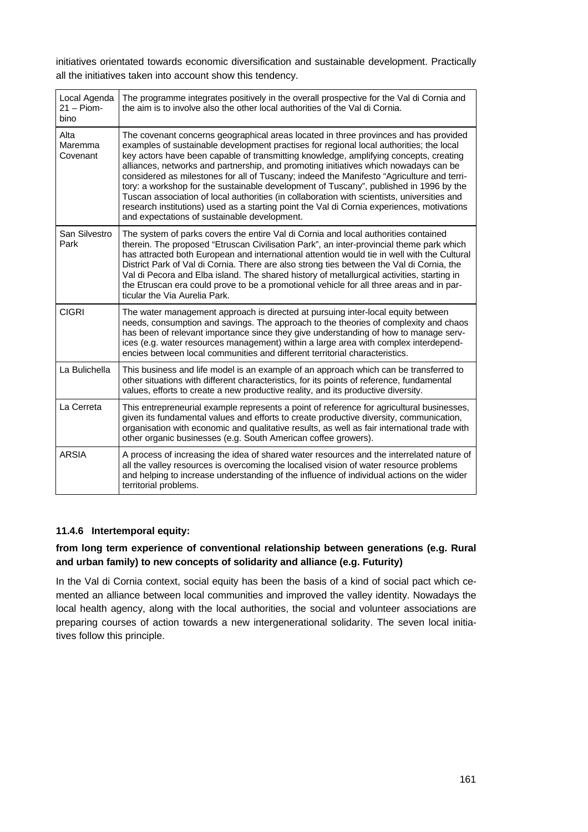initiatives orientated towards economic diversification and sustainable development. Practically all the initiatives taken into account show this tendency.

| Local Agenda<br>$21 -$ Piom-<br>bino | The programme integrates positively in the overall prospective for the Val di Cornia and<br>the aim is to involve also the other local authorities of the Val di Cornia.                                                                                                                                                                                                                                                                                                                                                                                                                                                                                                                                                                                                                             |
|--------------------------------------|------------------------------------------------------------------------------------------------------------------------------------------------------------------------------------------------------------------------------------------------------------------------------------------------------------------------------------------------------------------------------------------------------------------------------------------------------------------------------------------------------------------------------------------------------------------------------------------------------------------------------------------------------------------------------------------------------------------------------------------------------------------------------------------------------|
| Alta<br>Maremma<br>Covenant          | The covenant concerns geographical areas located in three provinces and has provided<br>examples of sustainable development practises for regional local authorities; the local<br>key actors have been capable of transmitting knowledge, amplifying concepts, creating<br>alliances, networks and partnership, and promoting initiatives which nowadays can be<br>considered as milestones for all of Tuscany; indeed the Manifesto "Agriculture and terri-<br>tory: a workshop for the sustainable development of Tuscany", published in 1996 by the<br>Tuscan association of local authorities (in collaboration with scientists, universities and<br>research institutions) used as a starting point the Val di Cornia experiences, motivations<br>and expectations of sustainable development. |
| San Silvestro<br>Park                | The system of parks covers the entire Val di Cornia and local authorities contained<br>therein. The proposed "Etruscan Civilisation Park", an inter-provincial theme park which<br>has attracted both European and international attention would tie in well with the Cultural<br>District Park of Val di Cornia. There are also strong ties between the Val di Cornia, the<br>Val di Pecora and Elba island. The shared history of metallurgical activities, starting in<br>the Etruscan era could prove to be a promotional vehicle for all three areas and in par-<br>ticular the Via Aurelia Park.                                                                                                                                                                                               |
| <b>CIGRI</b>                         | The water management approach is directed at pursuing inter-local equity between<br>needs, consumption and savings. The approach to the theories of complexity and chaos<br>has been of relevant importance since they give understanding of how to manage serv-<br>ices (e.g. water resources management) within a large area with complex interdepend-<br>encies between local communities and different territorial characteristics.                                                                                                                                                                                                                                                                                                                                                              |
| La Bulichella                        | This business and life model is an example of an approach which can be transferred to<br>other situations with different characteristics, for its points of reference, fundamental<br>values, efforts to create a new productive reality, and its productive diversity.                                                                                                                                                                                                                                                                                                                                                                                                                                                                                                                              |
| La Cerreta                           | This entrepreneurial example represents a point of reference for agricultural businesses,<br>given its fundamental values and efforts to create productive diversity, communication,<br>organisation with economic and qualitative results, as well as fair international trade with<br>other organic businesses (e.g. South American coffee growers).                                                                                                                                                                                                                                                                                                                                                                                                                                               |
| <b>ARSIA</b>                         | A process of increasing the idea of shared water resources and the interrelated nature of<br>all the valley resources is overcoming the localised vision of water resource problems<br>and helping to increase understanding of the influence of individual actions on the wider<br>territorial problems.                                                                                                                                                                                                                                                                                                                                                                                                                                                                                            |
|                                      |                                                                                                                                                                                                                                                                                                                                                                                                                                                                                                                                                                                                                                                                                                                                                                                                      |

# **11.4.6 Intertemporal equity:**

## **from long term experience of conventional relationship between generations (e.g. Rural and urban family) to new concepts of solidarity and alliance (e.g. Futurity)**

In the Val di Cornia context, social equity has been the basis of a kind of social pact which cemented an alliance between local communities and improved the valley identity. Nowadays the local health agency, along with the local authorities, the social and volunteer associations are preparing courses of action towards a new intergenerational solidarity. The seven local initiatives follow this principle.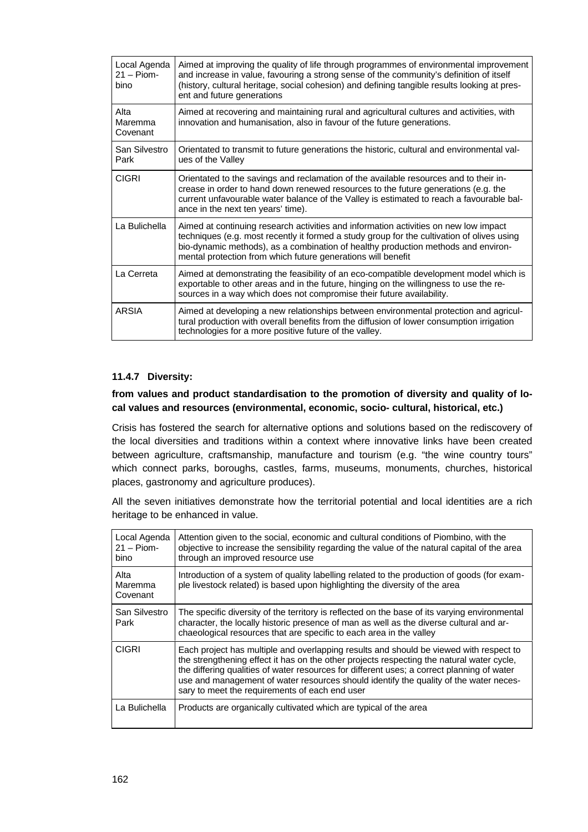| Local Agenda<br>$21 -$ Piom-<br>bino | Aimed at improving the quality of life through programmes of environmental improvement<br>and increase in value, favouring a strong sense of the community's definition of itself<br>(history, cultural heritage, social cohesion) and defining tangible results looking at pres-<br>ent and future generations                         |
|--------------------------------------|-----------------------------------------------------------------------------------------------------------------------------------------------------------------------------------------------------------------------------------------------------------------------------------------------------------------------------------------|
| Alta<br>Maremma<br>Covenant          | Aimed at recovering and maintaining rural and agricultural cultures and activities, with<br>innovation and humanisation, also in favour of the future generations.                                                                                                                                                                      |
| San Silvestro<br>Park                | Orientated to transmit to future generations the historic, cultural and environmental val-<br>ues of the Valley                                                                                                                                                                                                                         |
| <b>CIGRI</b>                         | Orientated to the savings and reclamation of the available resources and to their in-<br>crease in order to hand down renewed resources to the future generations (e.g. the<br>current unfavourable water balance of the Valley is estimated to reach a favourable bal-<br>ance in the next ten years' time).                           |
| La Bulichella                        | Aimed at continuing research activities and information activities on new low impact<br>techniques (e.g. most recently it formed a study group for the cultivation of olives using<br>bio-dynamic methods), as a combination of healthy production methods and environ-<br>mental protection from which future generations will benefit |
| La Cerreta                           | Aimed at demonstrating the feasibility of an eco-compatible development model which is<br>exportable to other areas and in the future, hinging on the willingness to use the re-<br>sources in a way which does not compromise their future availability.                                                                               |
| <b>ARSIA</b>                         | Aimed at developing a new relationships between environmental protection and agricul-<br>tural production with overall benefits from the diffusion of lower consumption irrigation<br>technologies for a more positive future of the valley.                                                                                            |

### **11.4.7 Diversity:**

### **from values and product standardisation to the promotion of diversity and quality of local values and resources (environmental, economic, socio- cultural, historical, etc.)**

Crisis has fostered the search for alternative options and solutions based on the rediscovery of the local diversities and traditions within a context where innovative links have been created between agriculture, craftsmanship, manufacture and tourism (e.g. "the wine country tours" which connect parks, boroughs, castles, farms, museums, monuments, churches, historical places, gastronomy and agriculture produces).

All the seven initiatives demonstrate how the territorial potential and local identities are a rich heritage to be enhanced in value.

| Local Agenda<br>$21 -$ Piom-<br>bino | Attention given to the social, economic and cultural conditions of Piombino, with the<br>objective to increase the sensibility regarding the value of the natural capital of the area<br>through an improved resource use                                                                                                                                                                                                    |
|--------------------------------------|------------------------------------------------------------------------------------------------------------------------------------------------------------------------------------------------------------------------------------------------------------------------------------------------------------------------------------------------------------------------------------------------------------------------------|
| Alta<br>Maremma<br>Covenant          | Introduction of a system of quality labelling related to the production of goods (for exam-<br>ple livestock related) is based upon highlighting the diversity of the area                                                                                                                                                                                                                                                   |
| San Silvestro<br>Park                | The specific diversity of the territory is reflected on the base of its varying environmental<br>character, the locally historic presence of man as well as the diverse cultural and ar-<br>chaeological resources that are specific to each area in the valley                                                                                                                                                              |
| <b>CIGRI</b>                         | Each project has multiple and overlapping results and should be viewed with respect to<br>the strengthening effect it has on the other projects respecting the natural water cycle,<br>the differing qualities of water resources for different uses; a correct planning of water<br>use and management of water resources should identify the quality of the water neces-<br>sary to meet the requirements of each end user |
| La Bulichella                        | Products are organically cultivated which are typical of the area                                                                                                                                                                                                                                                                                                                                                            |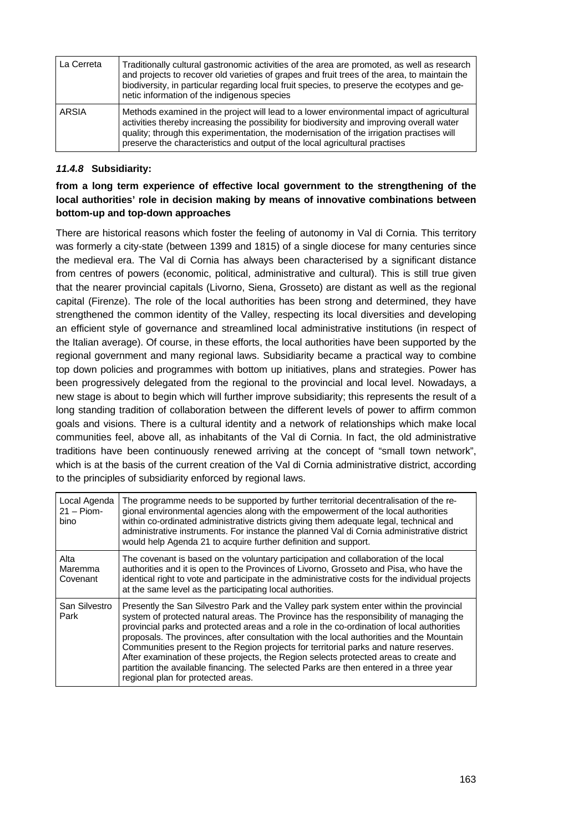| La Cerreta | Traditionally cultural gastronomic activities of the area are promoted, as well as research<br>and projects to recover old varieties of grapes and fruit trees of the area, to maintain the<br>biodiversity, in particular regarding local fruit species, to preserve the ecotypes and ge-<br>netic information of the indigenous species                           |
|------------|---------------------------------------------------------------------------------------------------------------------------------------------------------------------------------------------------------------------------------------------------------------------------------------------------------------------------------------------------------------------|
| ARSIA      | Methods examined in the project will lead to a lower environmental impact of agricultural<br>activities thereby increasing the possibility for biodiversity and improving overall water<br>quality; through this experimentation, the modernisation of the irrigation practises will<br>preserve the characteristics and output of the local agricultural practises |

### *11.4.8* **Subsidiarity:**

# **from a long term experience of effective local government to the strengthening of the local authorities' role in decision making by means of innovative combinations between bottom-up and top-down approaches**

There are historical reasons which foster the feeling of autonomy in Val di Cornia. This territory was formerly a city-state (between 1399 and 1815) of a single diocese for many centuries since the medieval era. The Val di Cornia has always been characterised by a significant distance from centres of powers (economic, political, administrative and cultural). This is still true given that the nearer provincial capitals (Livorno, Siena, Grosseto) are distant as well as the regional capital (Firenze). The role of the local authorities has been strong and determined, they have strengthened the common identity of the Valley, respecting its local diversities and developing an efficient style of governance and streamlined local administrative institutions (in respect of the Italian average). Of course, in these efforts, the local authorities have been supported by the regional government and many regional laws. Subsidiarity became a practical way to combine top down policies and programmes with bottom up initiatives, plans and strategies. Power has been progressively delegated from the regional to the provincial and local level. Nowadays, a new stage is about to begin which will further improve subsidiarity; this represents the result of a long standing tradition of collaboration between the different levels of power to affirm common goals and visions. There is a cultural identity and a network of relationships which make local communities feel, above all, as inhabitants of the Val di Cornia. In fact, the old administrative traditions have been continuously renewed arriving at the concept of "small town network", which is at the basis of the current creation of the Val di Cornia administrative district, according to the principles of subsidiarity enforced by regional laws.

| Local Agenda<br>$21 -$ Piom-<br>bino | The programme needs to be supported by further territorial decentralisation of the re-<br>gional environmental agencies along with the empowerment of the local authorities<br>within co-ordinated administrative districts giving them adequate legal, technical and<br>administrative instruments. For instance the planned Val di Cornia administrative district<br>would help Agenda 21 to acquire further definition and support.                                                                                                                                                                                                                                                       |
|--------------------------------------|----------------------------------------------------------------------------------------------------------------------------------------------------------------------------------------------------------------------------------------------------------------------------------------------------------------------------------------------------------------------------------------------------------------------------------------------------------------------------------------------------------------------------------------------------------------------------------------------------------------------------------------------------------------------------------------------|
| Alta<br>Maremma<br>Covenant          | The covenant is based on the voluntary participation and collaboration of the local<br>authorities and it is open to the Provinces of Livorno, Grosseto and Pisa, who have the<br>identical right to vote and participate in the administrative costs for the individual projects<br>at the same level as the participating local authorities.                                                                                                                                                                                                                                                                                                                                               |
| San Silvestro<br>Park                | Presently the San Silvestro Park and the Valley park system enter within the provincial<br>system of protected natural areas. The Province has the responsibility of managing the<br>provincial parks and protected areas and a role in the co-ordination of local authorities<br>proposals. The provinces, after consultation with the local authorities and the Mountain<br>Communities present to the Region projects for territorial parks and nature reserves.<br>After examination of these projects, the Region selects protected areas to create and<br>partition the available financing. The selected Parks are then entered in a three year<br>regional plan for protected areas. |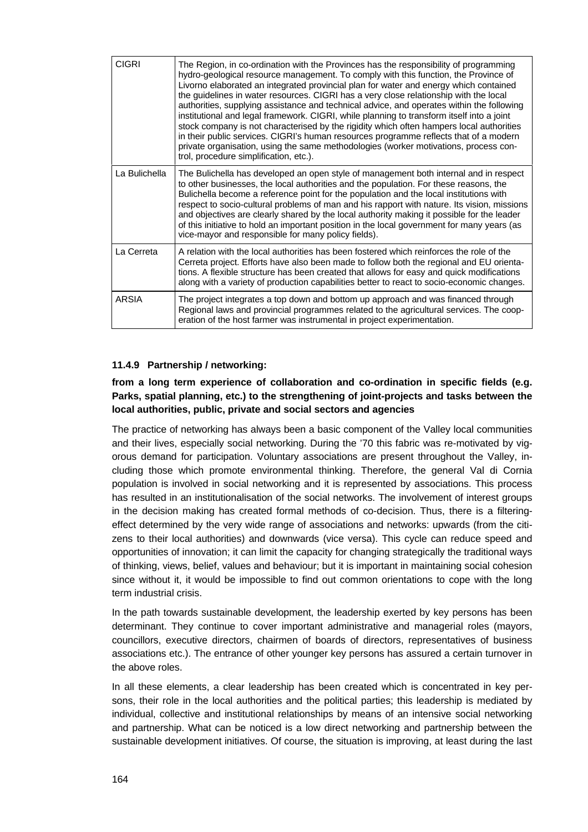| <b>CIGRI</b>  | The Region, in co-ordination with the Provinces has the responsibility of programming<br>hydro-geological resource management. To comply with this function, the Province of<br>Livorno elaborated an integrated provincial plan for water and energy which contained<br>the guidelines in water resources. CIGRI has a very close relationship with the local<br>authorities, supplying assistance and technical advice, and operates within the following<br>institutional and legal framework. CIGRI, while planning to transform itself into a joint<br>stock company is not characterised by the rigidity which often hampers local authorities<br>in their public services. CIGRI's human resources programme reflects that of a modern<br>private organisation, using the same methodologies (worker motivations, process con-<br>trol, procedure simplification, etc.). |
|---------------|---------------------------------------------------------------------------------------------------------------------------------------------------------------------------------------------------------------------------------------------------------------------------------------------------------------------------------------------------------------------------------------------------------------------------------------------------------------------------------------------------------------------------------------------------------------------------------------------------------------------------------------------------------------------------------------------------------------------------------------------------------------------------------------------------------------------------------------------------------------------------------|
| La Bulichella | The Bulichella has developed an open style of management both internal and in respect<br>to other businesses, the local authorities and the population. For these reasons, the<br>Bulichella become a reference point for the population and the local institutions with<br>respect to socio-cultural problems of man and his rapport with nature. Its vision, missions<br>and objectives are clearly shared by the local authority making it possible for the leader<br>of this initiative to hold an important position in the local government for many years (as<br>vice-mayor and responsible for many policy fields).                                                                                                                                                                                                                                                     |
| La Cerreta    | A relation with the local authorities has been fostered which reinforces the role of the<br>Cerreta project. Efforts have also been made to follow both the regional and EU orienta-<br>tions. A flexible structure has been created that allows for easy and quick modifications<br>along with a variety of production capabilities better to react to socio-economic changes.                                                                                                                                                                                                                                                                                                                                                                                                                                                                                                 |
| <b>ARSIA</b>  | The project integrates a top down and bottom up approach and was financed through<br>Regional laws and provincial programmes related to the agricultural services. The coop-<br>eration of the host farmer was instrumental in project experimentation.                                                                                                                                                                                                                                                                                                                                                                                                                                                                                                                                                                                                                         |

#### **11.4.9 Partnership / networking:**

## **from a long term experience of collaboration and co-ordination in specific fields (e.g. Parks, spatial planning, etc.) to the strengthening of joint-projects and tasks between the local authorities, public, private and social sectors and agencies**

The practice of networking has always been a basic component of the Valley local communities and their lives, especially social networking. During the '70 this fabric was re-motivated by vigorous demand for participation. Voluntary associations are present throughout the Valley, including those which promote environmental thinking. Therefore, the general Val di Cornia population is involved in social networking and it is represented by associations. This process has resulted in an institutionalisation of the social networks. The involvement of interest groups in the decision making has created formal methods of co-decision. Thus, there is a filteringeffect determined by the very wide range of associations and networks: upwards (from the citizens to their local authorities) and downwards (vice versa). This cycle can reduce speed and opportunities of innovation; it can limit the capacity for changing strategically the traditional ways of thinking, views, belief, values and behaviour; but it is important in maintaining social cohesion since without it, it would be impossible to find out common orientations to cope with the long term industrial crisis.

In the path towards sustainable development, the leadership exerted by key persons has been determinant. They continue to cover important administrative and managerial roles (mayors, councillors, executive directors, chairmen of boards of directors, representatives of business associations etc.). The entrance of other younger key persons has assured a certain turnover in the above roles.

In all these elements, a clear leadership has been created which is concentrated in key persons, their role in the local authorities and the political parties; this leadership is mediated by individual, collective and institutional relationships by means of an intensive social networking and partnership. What can be noticed is a low direct networking and partnership between the sustainable development initiatives. Of course, the situation is improving, at least during the last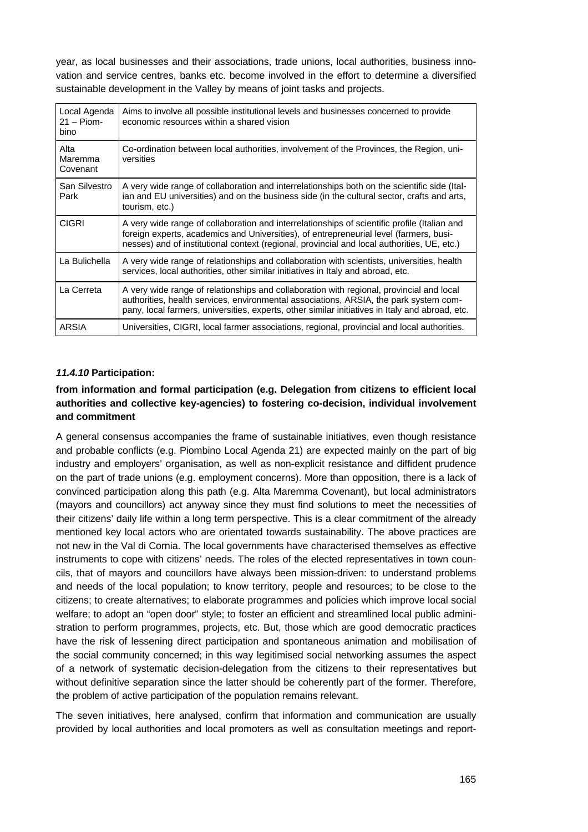year, as local businesses and their associations, trade unions, local authorities, business innovation and service centres, banks etc. become involved in the effort to determine a diversified sustainable development in the Valley by means of joint tasks and projects.

| Local Agenda<br>$21 -$ Piom-<br>bino | Aims to involve all possible institutional levels and businesses concerned to provide<br>economic resources within a shared vision                                                                                                                                                    |  |
|--------------------------------------|---------------------------------------------------------------------------------------------------------------------------------------------------------------------------------------------------------------------------------------------------------------------------------------|--|
| Alta<br>Maremma<br>Covenant          | Co-ordination between local authorities, involvement of the Provinces, the Region, uni-<br>versities                                                                                                                                                                                  |  |
| San Silvestro<br>Park                | A very wide range of collaboration and interrelationships both on the scientific side (Ital-<br>ian and EU universities) and on the business side (in the cultural sector, crafts and arts,<br>tourism, etc.)                                                                         |  |
| <b>CIGRI</b>                         | A very wide range of collaboration and interrelationships of scientific profile (Italian and<br>foreign experts, academics and Universities), of entrepreneurial level (farmers, busi-<br>nesses) and of institutional context (regional, provincial and local authorities, UE, etc.) |  |
| La Bulichella                        | A very wide range of relationships and collaboration with scientists, universities, health<br>services, local authorities, other similar initiatives in Italy and abroad, etc.                                                                                                        |  |
| La Cerreta                           | A very wide range of relationships and collaboration with regional, provincial and local<br>authorities, health services, environmental associations, ARSIA, the park system com-<br>pany, local farmers, universities, experts, other similar initiatives in Italy and abroad, etc.  |  |
| ARSIA                                | Universities, CIGRI, local farmer associations, regional, provincial and local authorities.                                                                                                                                                                                           |  |

### *11.4.10* **Participation:**

### **from information and formal participation (e.g. Delegation from citizens to efficient local authorities and collective key-agencies) to fostering co-decision, individual involvement and commitment**

A general consensus accompanies the frame of sustainable initiatives, even though resistance and probable conflicts (e.g. Piombino Local Agenda 21) are expected mainly on the part of big industry and employers' organisation, as well as non-explicit resistance and diffident prudence on the part of trade unions (e.g. employment concerns). More than opposition, there is a lack of convinced participation along this path (e.g. Alta Maremma Covenant), but local administrators (mayors and councillors) act anyway since they must find solutions to meet the necessities of their citizens' daily life within a long term perspective. This is a clear commitment of the already mentioned key local actors who are orientated towards sustainability. The above practices are not new in the Val di Cornia. The local governments have characterised themselves as effective instruments to cope with citizens' needs. The roles of the elected representatives in town councils, that of mayors and councillors have always been mission-driven: to understand problems and needs of the local population; to know territory, people and resources; to be close to the citizens; to create alternatives; to elaborate programmes and policies which improve local social welfare; to adopt an "open door" style; to foster an efficient and streamlined local public administration to perform programmes, projects, etc. But, those which are good democratic practices have the risk of lessening direct participation and spontaneous animation and mobilisation of the social community concerned; in this way legitimised social networking assumes the aspect of a network of systematic decision-delegation from the citizens to their representatives but without definitive separation since the latter should be coherently part of the former. Therefore, the problem of active participation of the population remains relevant.

The seven initiatives, here analysed, confirm that information and communication are usually provided by local authorities and local promoters as well as consultation meetings and report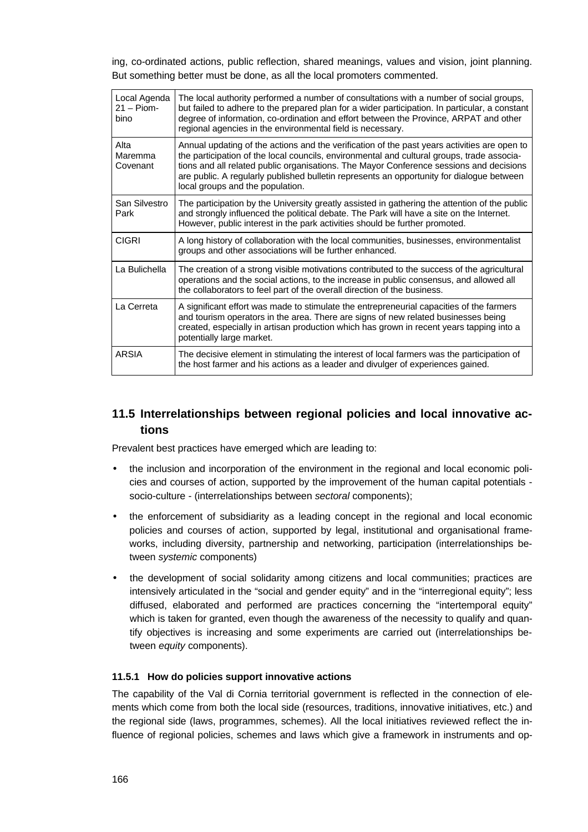ing, co-ordinated actions, public reflection, shared meanings, values and vision, joint planning. But something better must be done, as all the local promoters commented.

| Local Agenda<br>$21 -$ Piom-<br>bino | The local authority performed a number of consultations with a number of social groups,<br>but failed to adhere to the prepared plan for a wider participation. In particular, a constant<br>degree of information, co-ordination and effort between the Province, ARPAT and other<br>regional agencies in the environmental field is necessary.                                                                       |
|--------------------------------------|------------------------------------------------------------------------------------------------------------------------------------------------------------------------------------------------------------------------------------------------------------------------------------------------------------------------------------------------------------------------------------------------------------------------|
| Alta<br>Maremma<br>Covenant          | Annual updating of the actions and the verification of the past years activities are open to<br>the participation of the local councils, environmental and cultural groups, trade associa-<br>tions and all related public organisations. The Mayor Conference sessions and decisions<br>are public. A regularly published bulletin represents an opportunity for dialogue between<br>local groups and the population. |
| San Silvestro<br>Park                | The participation by the University greatly assisted in gathering the attention of the public<br>and strongly influenced the political debate. The Park will have a site on the Internet.<br>However, public interest in the park activities should be further promoted.                                                                                                                                               |
| <b>CIGRI</b>                         | A long history of collaboration with the local communities, businesses, environmentalist<br>groups and other associations will be further enhanced.                                                                                                                                                                                                                                                                    |
| La Bulichella                        | The creation of a strong visible motivations contributed to the success of the agricultural<br>operations and the social actions, to the increase in public consensus, and allowed all<br>the collaborators to feel part of the overall direction of the business.                                                                                                                                                     |
| La Cerreta                           | A significant effort was made to stimulate the entrepreneurial capacities of the farmers<br>and tourism operators in the area. There are signs of new related businesses being<br>created, especially in artisan production which has grown in recent years tapping into a<br>potentially large market.                                                                                                                |
| <b>ARSIA</b>                         | The decisive element in stimulating the interest of local farmers was the participation of<br>the host farmer and his actions as a leader and divulger of experiences gained.                                                                                                                                                                                                                                          |

# **11.5 Interrelationships between regional policies and local innovative actions**

Prevalent best practices have emerged which are leading to:

- the inclusion and incorporation of the environment in the regional and local economic policies and courses of action, supported by the improvement of the human capital potentials socio-culture - (interrelationships between *sectoral* components);
- the enforcement of subsidiarity as a leading concept in the regional and local economic policies and courses of action, supported by legal, institutional and organisational frameworks, including diversity, partnership and networking, participation (interrelationships between *systemic* components)
- the development of social solidarity among citizens and local communities; practices are intensively articulated in the "social and gender equity" and in the "interregional equity"; less diffused, elaborated and performed are practices concerning the "intertemporal equity" which is taken for granted, even though the awareness of the necessity to qualify and quantify objectives is increasing and some experiments are carried out (interrelationships between *equity* components).

#### **11.5.1 How do policies support innovative actions**

The capability of the Val di Cornia territorial government is reflected in the connection of elements which come from both the local side (resources, traditions, innovative initiatives, etc.) and the regional side (laws, programmes, schemes). All the local initiatives reviewed reflect the influence of regional policies, schemes and laws which give a framework in instruments and op-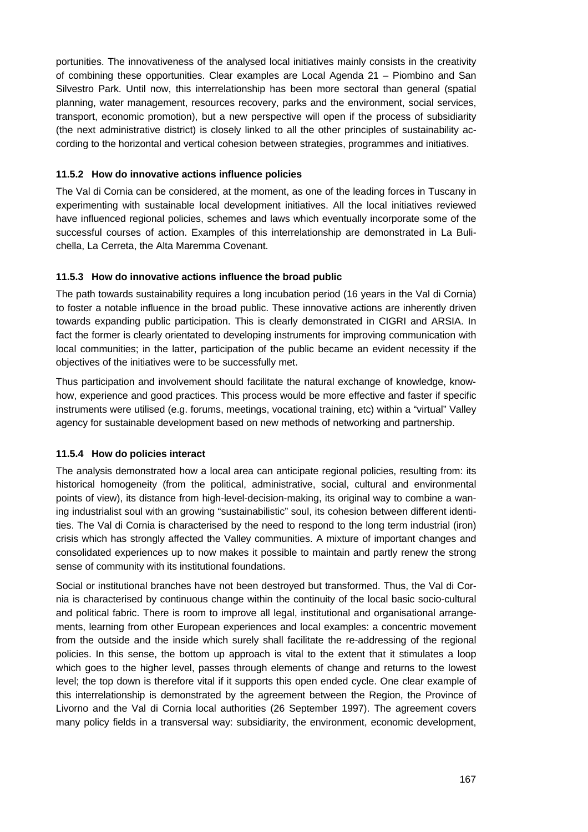portunities. The innovativeness of the analysed local initiatives mainly consists in the creativity of combining these opportunities. Clear examples are Local Agenda 21 – Piombino and San Silvestro Park. Until now, this interrelationship has been more sectoral than general (spatial planning, water management, resources recovery, parks and the environment, social services, transport, economic promotion), but a new perspective will open if the process of subsidiarity (the next administrative district) is closely linked to all the other principles of sustainability according to the horizontal and vertical cohesion between strategies, programmes and initiatives.

### **11.5.2 How do innovative actions influence policies**

The Val di Cornia can be considered, at the moment, as one of the leading forces in Tuscany in experimenting with sustainable local development initiatives. All the local initiatives reviewed have influenced regional policies, schemes and laws which eventually incorporate some of the successful courses of action. Examples of this interrelationship are demonstrated in La Bulichella, La Cerreta, the Alta Maremma Covenant.

### **11.5.3 How do innovative actions influence the broad public**

The path towards sustainability requires a long incubation period (16 years in the Val di Cornia) to foster a notable influence in the broad public. These innovative actions are inherently driven towards expanding public participation. This is clearly demonstrated in CIGRI and ARSIA. In fact the former is clearly orientated to developing instruments for improving communication with local communities; in the latter, participation of the public became an evident necessity if the objectives of the initiatives were to be successfully met.

Thus participation and involvement should facilitate the natural exchange of knowledge, knowhow, experience and good practices. This process would be more effective and faster if specific instruments were utilised (e.g. forums, meetings, vocational training, etc) within a "virtual" Valley agency for sustainable development based on new methods of networking and partnership.

## **11.5.4 How do policies interact**

The analysis demonstrated how a local area can anticipate regional policies, resulting from: its historical homogeneity (from the political, administrative, social, cultural and environmental points of view), its distance from high-level-decision-making, its original way to combine a waning industrialist soul with an growing "sustainabilistic" soul, its cohesion between different identities. The Val di Cornia is characterised by the need to respond to the long term industrial (iron) crisis which has strongly affected the Valley communities. A mixture of important changes and consolidated experiences up to now makes it possible to maintain and partly renew the strong sense of community with its institutional foundations.

Social or institutional branches have not been destroyed but transformed. Thus, the Val di Cornia is characterised by continuous change within the continuity of the local basic socio-cultural and political fabric. There is room to improve all legal, institutional and organisational arrangements, learning from other European experiences and local examples: a concentric movement from the outside and the inside which surely shall facilitate the re-addressing of the regional policies. In this sense, the bottom up approach is vital to the extent that it stimulates a loop which goes to the higher level, passes through elements of change and returns to the lowest level; the top down is therefore vital if it supports this open ended cycle. One clear example of this interrelationship is demonstrated by the agreement between the Region, the Province of Livorno and the Val di Cornia local authorities (26 September 1997). The agreement covers many policy fields in a transversal way: subsidiarity, the environment, economic development,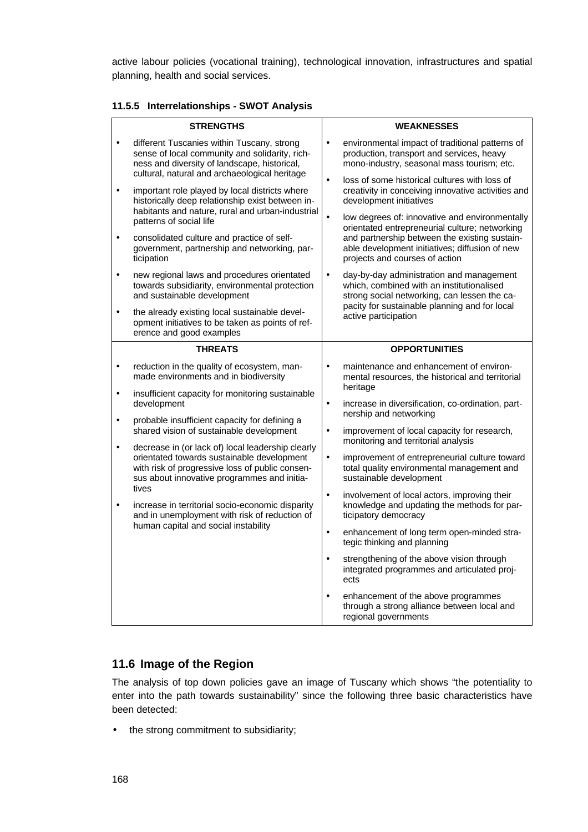active labour policies (vocational training), technological innovation, infrastructures and spatial planning, health and social services.

#### **11.5.5 Interrelationships - SWOT Analysis**

| <b>STRENGTHS</b>       |                                                                                                                                                                                                                                                                                                                                                                                                                                                                                                                         | <b>WEAKNESSES</b>                   |                                                                                                                                                                                                                                                                                                                                                                         |  |
|------------------------|-------------------------------------------------------------------------------------------------------------------------------------------------------------------------------------------------------------------------------------------------------------------------------------------------------------------------------------------------------------------------------------------------------------------------------------------------------------------------------------------------------------------------|-------------------------------------|-------------------------------------------------------------------------------------------------------------------------------------------------------------------------------------------------------------------------------------------------------------------------------------------------------------------------------------------------------------------------|--|
|                        | different Tuscanies within Tuscany, strong<br>sense of local community and solidarity, rich-<br>ness and diversity of landscape, historical,<br>cultural, natural and archaeological heritage                                                                                                                                                                                                                                                                                                                           | $\bullet$<br>$\bullet$<br>$\bullet$ | environmental impact of traditional patterns of<br>production, transport and services, heavy<br>mono-industry, seasonal mass tourism; etc.                                                                                                                                                                                                                              |  |
| $\bullet$<br>$\bullet$ | important role played by local districts where<br>historically deep relationship exist between in-<br>habitants and nature, rural and urban-industrial<br>patterns of social life<br>consolidated culture and practice of self-<br>government, partnership and networking, par-<br>ticipation                                                                                                                                                                                                                           |                                     | loss of some historical cultures with loss of<br>creativity in conceiving innovative activities and<br>development initiatives<br>low degrees of: innovative and environmentally<br>orientated entrepreneurial culture; networking<br>and partnership between the existing sustain-<br>able development initiatives; diffusion of new<br>projects and courses of action |  |
| $\bullet$              | new regional laws and procedures orientated<br>towards subsidiarity, environmental protection<br>and sustainable development<br>the already existing local sustainable devel-<br>opment initiatives to be taken as points of ref-<br>erence and good examples                                                                                                                                                                                                                                                           | $\bullet$                           | day-by-day administration and management<br>which, combined with an institutionalised<br>strong social networking, can lessen the ca-<br>pacity for sustainable planning and for local<br>active participation                                                                                                                                                          |  |
|                        | <b>THREATS</b>                                                                                                                                                                                                                                                                                                                                                                                                                                                                                                          |                                     | <b>OPPORTUNITIES</b>                                                                                                                                                                                                                                                                                                                                                    |  |
| $\bullet$              | reduction in the quality of ecosystem, man-<br>made environments and in biodiversity                                                                                                                                                                                                                                                                                                                                                                                                                                    | $\bullet$                           | maintenance and enhancement of environ-<br>mental resources, the historical and territorial<br>heritage                                                                                                                                                                                                                                                                 |  |
| $\bullet$<br>$\bullet$ | insufficient capacity for monitoring sustainable<br>development<br>probable insufficient capacity for defining a<br>shared vision of sustainable development<br>decrease in (or lack of) local leadership clearly<br>orientated towards sustainable development<br>with risk of progressive loss of public consen-<br>sus about innovative programmes and initia-<br>tives<br>increase in territorial socio-economic disparity<br>and in unemployment with risk of reduction of<br>human capital and social instability | $\bullet$<br>$\bullet$              | increase in diversification, co-ordination, part-<br>nership and networking<br>improvement of local capacity for research,<br>monitoring and territorial analysis                                                                                                                                                                                                       |  |
| $\bullet$              |                                                                                                                                                                                                                                                                                                                                                                                                                                                                                                                         | $\bullet$                           | improvement of entrepreneurial culture toward<br>total quality environmental management and<br>sustainable development                                                                                                                                                                                                                                                  |  |
| $\bullet$              |                                                                                                                                                                                                                                                                                                                                                                                                                                                                                                                         | $\bullet$                           | involvement of local actors, improving their<br>knowledge and updating the methods for par-<br>ticipatory democracy                                                                                                                                                                                                                                                     |  |
|                        |                                                                                                                                                                                                                                                                                                                                                                                                                                                                                                                         | $\bullet$                           | enhancement of long term open-minded stra-<br>tegic thinking and planning                                                                                                                                                                                                                                                                                               |  |
|                        |                                                                                                                                                                                                                                                                                                                                                                                                                                                                                                                         | $\bullet$                           | strengthening of the above vision through<br>integrated programmes and articulated proj-<br>ects                                                                                                                                                                                                                                                                        |  |
|                        |                                                                                                                                                                                                                                                                                                                                                                                                                                                                                                                         |                                     | enhancement of the above programmes<br>through a strong alliance between local and<br>regional governments                                                                                                                                                                                                                                                              |  |

## **11.6 Image of the Region**

The analysis of top down policies gave an image of Tuscany which shows "the potentiality to enter into the path towards sustainability" since the following three basic characteristics have been detected:

• the strong commitment to subsidiarity;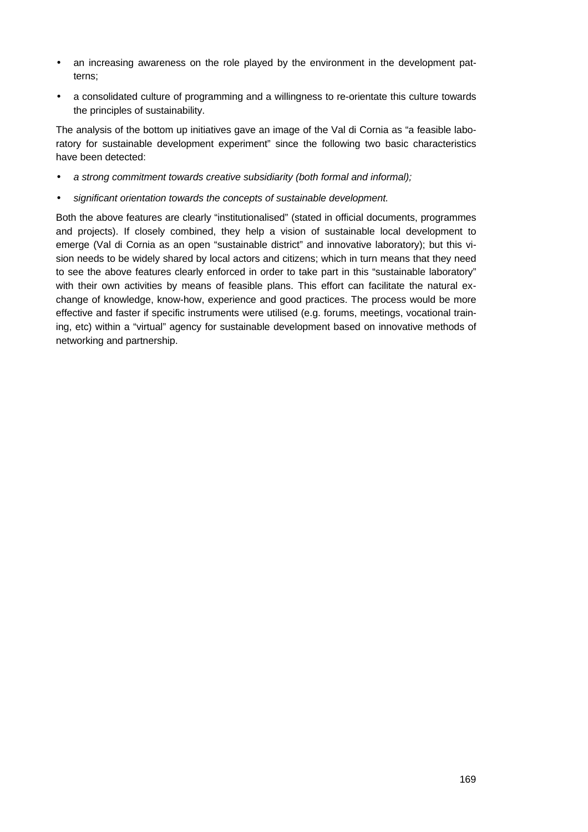- an increasing awareness on the role played by the environment in the development patterns;
- a consolidated culture of programming and a willingness to re-orientate this culture towards the principles of sustainability.

The analysis of the bottom up initiatives gave an image of the Val di Cornia as "a feasible laboratory for sustainable development experiment" since the following two basic characteristics have been detected:

- *· a strong commitment towards creative subsidiarity (both formal and informal);*
- *· significant orientation towards the concepts of sustainable development.*

Both the above features are clearly "institutionalised" (stated in official documents, programmes and projects). If closely combined, they help a vision of sustainable local development to emerge (Val di Cornia as an open "sustainable district" and innovative laboratory); but this vision needs to be widely shared by local actors and citizens; which in turn means that they need to see the above features clearly enforced in order to take part in this "sustainable laboratory" with their own activities by means of feasible plans. This effort can facilitate the natural exchange of knowledge, know-how, experience and good practices. The process would be more effective and faster if specific instruments were utilised (e.g. forums, meetings, vocational training, etc) within a "virtual" agency for sustainable development based on innovative methods of networking and partnership.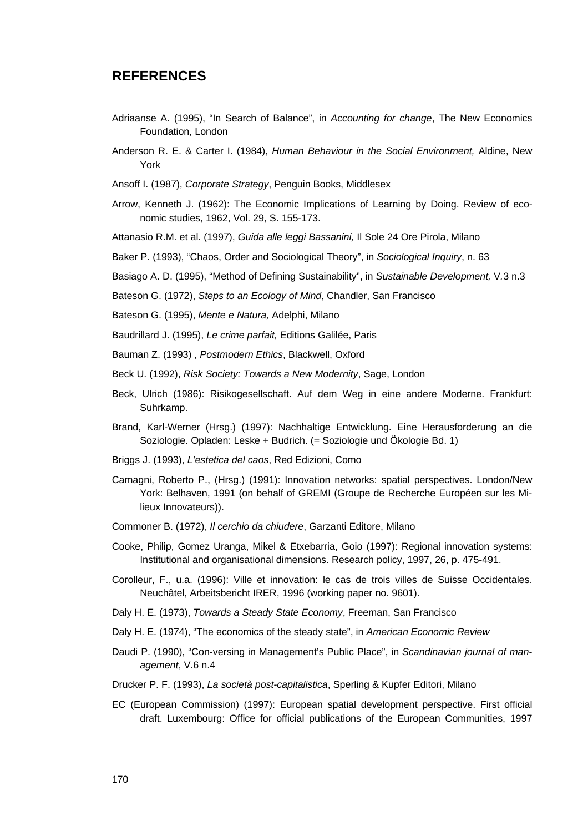# **REFERENCES**

- Adriaanse A. (1995), "In Search of Balance", in *Accounting for change*, The New Economics Foundation, London
- Anderson R. E. & Carter I. (1984), *Human Behaviour in the Social Environment,* Aldine, New York
- Ansoff I. (1987), *Corporate Strategy*, Penguin Books, Middlesex
- Arrow, Kenneth J. (1962): The Economic Implications of Learning by Doing. Review of economic studies, 1962, Vol. 29, S. 155-173.
- Attanasio R.M. et al. (1997), *Guida alle leggi Bassanini,* Il Sole 24 Ore Pirola, Milano
- Baker P. (1993), "Chaos, Order and Sociological Theory", in *Sociological Inquiry*, n. 63
- Basiago A. D. (1995), "Method of Defining Sustainability", in *Sustainable Development,* V*.*3 n.3
- Bateson G. (1972), *Steps to an Ecology of Mind*, Chandler, San Francisco
- Bateson G. (1995), *Mente e Natura,* Adelphi, Milano
- Baudrillard J. (1995), *Le crime parfait,* Editions Galilée, Paris
- Bauman Z. (1993) , *Postmodern Ethics*, Blackwell, Oxford
- Beck U. (1992), *Risk Society: Towards a New Modernity*, Sage, London
- Beck, Ulrich (1986): Risikogesellschaft. Auf dem Weg in eine andere Moderne. Frankfurt: Suhrkamp.
- Brand, Karl-Werner (Hrsg.) (1997): Nachhaltige Entwicklung. Eine Herausforderung an die Soziologie. Opladen: Leske + Budrich. (= Soziologie und Ökologie Bd. 1)
- Briggs J. (1993), *L'estetica del caos*, Red Edizioni, Como
- Camagni, Roberto P., (Hrsg.) (1991): Innovation networks: spatial perspectives. London/New York: Belhaven, 1991 (on behalf of GREMI (Groupe de Recherche Européen sur les Milieux Innovateurs)).
- Commoner B. (1972), *Il cerchio da chiudere*, Garzanti Editore, Milano
- Cooke, Philip, Gomez Uranga, Mikel & Etxebarria, Goio (1997): Regional innovation systems: Institutional and organisational dimensions. Research policy, 1997, 26, p. 475-491.
- Corolleur, F., u.a. (1996): Ville et innovation: le cas de trois villes de Suisse Occidentales. Neuchâtel, Arbeitsbericht IRER, 1996 (working paper no. 9601).
- Daly H. E. (1973), *Towards a Steady State Economy*, Freeman, San Francisco
- Daly H. E. (1974), "The economics of the steady state", in *American Economic Review*
- Daudi P. (1990), "Con-versing in Management's Public Place", in *Scandinavian journal of management*, V.6 n.4
- Drucker P. F. (1993), *La società post-capitalistica*, Sperling & Kupfer Editori, Milano
- EC (European Commission) (1997): European spatial development perspective. First official draft. Luxembourg: Office for official publications of the European Communities, 1997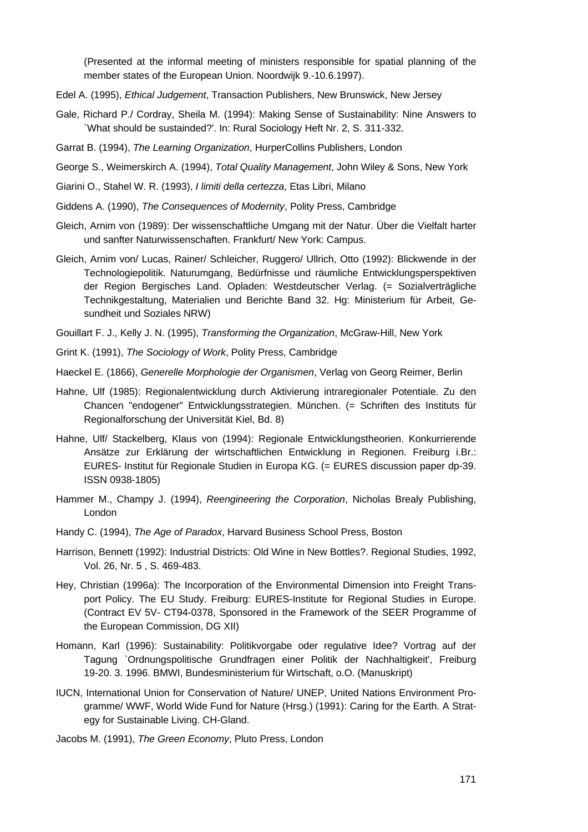(Presented at the informal meeting of ministers responsible for spatial planning of the member states of the European Union. Noordwijk 9.-10.6.1997).

- Edel A. (1995), *Ethical Judgement*, Transaction Publishers, New Brunswick, New Jersey
- Gale, Richard P./ Cordray, Sheila M. (1994): Making Sense of Sustainability: Nine Answers to `What should be sustainded?'. In: Rural Sociology Heft Nr. 2, S. 311-332.
- Garrat B. (1994), *The Learning Organization*, HurperCollins Publishers, London
- George S., Weimerskirch A. (1994), *Total Quality Management*, John Wiley & Sons, New York
- Giarini O., Stahel W. R. (1993), *I limiti della certezza*, Etas Libri, Milano
- Giddens A. (1990), *The Consequences of Modernity*, Polity Press, Cambridge
- Gleich, Arnim von (1989): Der wissenschaftliche Umgang mit der Natur. Über die Vielfalt harter und sanfter Naturwissenschaften. Frankfurt/ New York: Campus.
- Gleich, Arnim von/ Lucas, Rainer/ Schleicher, Ruggero/ Ullrich, Otto (1992): Blickwende in der Technologiepolitik. Naturumgang, Bedürfnisse und räumliche Entwicklungsperspektiven der Region Bergisches Land. Opladen: Westdeutscher Verlag. (= Sozialverträgliche Technikgestaltung, Materialien und Berichte Band 32. Hg: Ministerium für Arbeit, Gesundheit und Soziales NRW)
- Gouillart F. J., Kelly J. N. (1995), *Transforming the Organization*, McGraw-Hill, New York
- Grint K. (1991), *The Sociology of Work*, Polity Press, Cambridge
- Haeckel E. (1866), *Generelle Morphologie der Organismen*, Verlag von Georg Reimer, Berlin
- Hahne, Ulf (1985): Regionalentwicklung durch Aktivierung intraregionaler Potentiale. Zu den Chancen "endogener" Entwicklungsstrategien. München. (= Schriften des Instituts für Regionalforschung der Universität Kiel, Bd. 8)
- Hahne, Ulf/ Stackelberg, Klaus von (1994): Regionale Entwicklungstheorien. Konkurrierende Ansätze zur Erklärung der wirtschaftlichen Entwicklung in Regionen. Freiburg i.Br.: EURES- Institut für Regionale Studien in Europa KG. (= EURES discussion paper dp-39. ISSN 0938-1805)
- Hammer M., Champy J. (1994), *Reengineering the Corporation*, Nicholas Brealy Publishing, London
- Handy C. (1994), *The Age of Paradox*, Harvard Business School Press, Boston
- Harrison, Bennett (1992): Industrial Districts: Old Wine in New Bottles?. Regional Studies, 1992, Vol. 26, Nr. 5 , S. 469-483.
- Hey, Christian (1996a): The Incorporation of the Environmental Dimension into Freight Transport Policy. The EU Study. Freiburg: EURES-Institute for Regional Studies in Europe. (Contract EV 5V- CT94-0378, Sponsored in the Framework of the SEER Programme of the European Commission, DG XII)
- Homann, Karl (1996): Sustainability: Politikvorgabe oder regulative Idee? Vortrag auf der Tagung `Ordnungspolitische Grundfragen einer Politik der Nachhaltigkeit', Freiburg 19-20. 3. 1996. BMWI, Bundesministerium für Wirtschaft, o.O. (Manuskript)
- IUCN, International Union for Conservation of Nature/ UNEP, United Nations Environment Programme/ WWF, World Wide Fund for Nature (Hrsg.) (1991): Caring for the Earth. A Strategy for Sustainable Living. CH-Gland.
- Jacobs M. (1991), *The Green Economy*, Pluto Press, London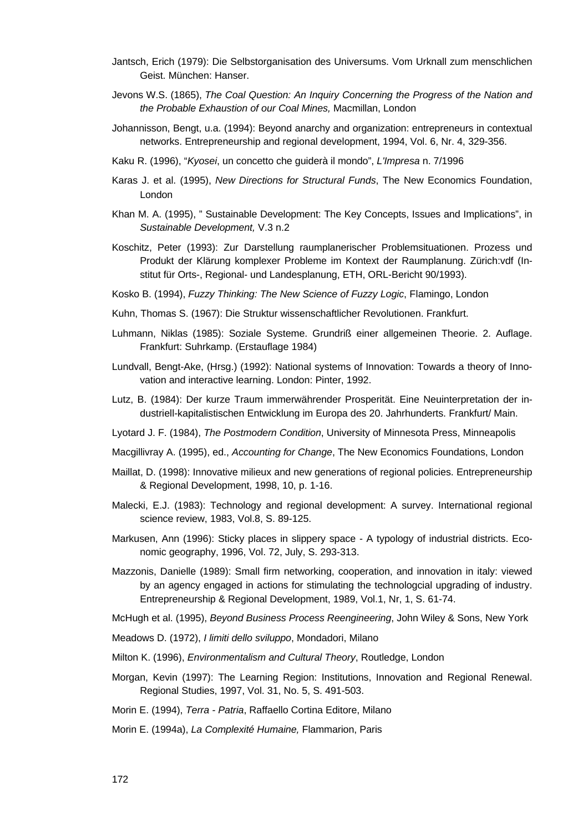- Jantsch, Erich (1979): Die Selbstorganisation des Universums. Vom Urknall zum menschlichen Geist. München: Hanser.
- Jevons W.S. (1865), *The Coal Question: An Inquiry Concerning the Progress of the Nation and the Probable Exhaustion of our Coal Mines,* Macmillan, London
- Johannisson, Bengt, u.a. (1994): Beyond anarchy and organization: entrepreneurs in contextual networks. Entrepreneurship and regional development, 1994, Vol. 6, Nr. 4, 329-356.
- Kaku R. (1996), "*Kyosei*, un concetto che guiderà il mondo", *L'Impresa* n. 7/1996
- Karas J. et al. (1995), *New Directions for Structural Funds*, The New Economics Foundation, London
- Khan M. A. (1995), " Sustainable Development: The Key Concepts, Issues and Implications", in *Sustainable Development,* V.3 n.2
- Koschitz, Peter (1993): Zur Darstellung raumplanerischer Problemsituationen. Prozess und Produkt der Klärung komplexer Probleme im Kontext der Raumplanung. Zürich:vdf (Institut für Orts-, Regional- und Landesplanung, ETH, ORL-Bericht 90/1993).
- Kosko B. (1994), *Fuzzy Thinking: The New Science of Fuzzy Logic*, Flamingo, London
- Kuhn, Thomas S. (1967): Die Struktur wissenschaftlicher Revolutionen. Frankfurt.
- Luhmann, Niklas (1985): Soziale Systeme. Grundriß einer allgemeinen Theorie. 2. Auflage. Frankfurt: Suhrkamp. (Erstauflage 1984)
- Lundvall, Bengt-Ake, (Hrsg.) (1992): National systems of Innovation: Towards a theory of Innovation and interactive learning. London: Pinter, 1992.
- Lutz, B. (1984): Der kurze Traum immerwährender Prosperität. Eine Neuinterpretation der industriell-kapitalistischen Entwicklung im Europa des 20. Jahrhunderts. Frankfurt/ Main.
- Lyotard J. F. (1984), *The Postmodern Condition*, University of Minnesota Press, Minneapolis
- Macgillivray A. (1995), ed., *Accounting for Change*, The New Economics Foundations, London
- Maillat, D. (1998): Innovative milieux and new generations of regional policies. Entrepreneurship & Regional Development, 1998, 10, p. 1-16.
- Malecki, E.J. (1983): Technology and regional development: A survey. International regional science review, 1983, Vol.8, S. 89-125.
- Markusen, Ann (1996): Sticky places in slippery space A typology of industrial districts. Economic geography, 1996, Vol. 72, July, S. 293-313.
- Mazzonis, Danielle (1989): Small firm networking, cooperation, and innovation in italy: viewed by an agency engaged in actions for stimulating the technologcial upgrading of industry. Entrepreneurship & Regional Development, 1989, Vol.1, Nr, 1, S. 61-74.
- McHugh et al. (1995), *Beyond Business Process Reengineering*, John Wiley & Sons, New York
- Meadows D. (1972), *I limiti dello sviluppo*, Mondadori, Milano
- Milton K. (1996), *Environmentalism and Cultural Theory*, Routledge, London
- Morgan, Kevin (1997): The Learning Region: Institutions, Innovation and Regional Renewal. Regional Studies, 1997, Vol. 31, No. 5, S. 491-503.
- Morin E. (1994), *Terra Patria*, Raffaello Cortina Editore, Milano
- Morin E. (1994a), *La Complexité Humaine,* Flammarion, Paris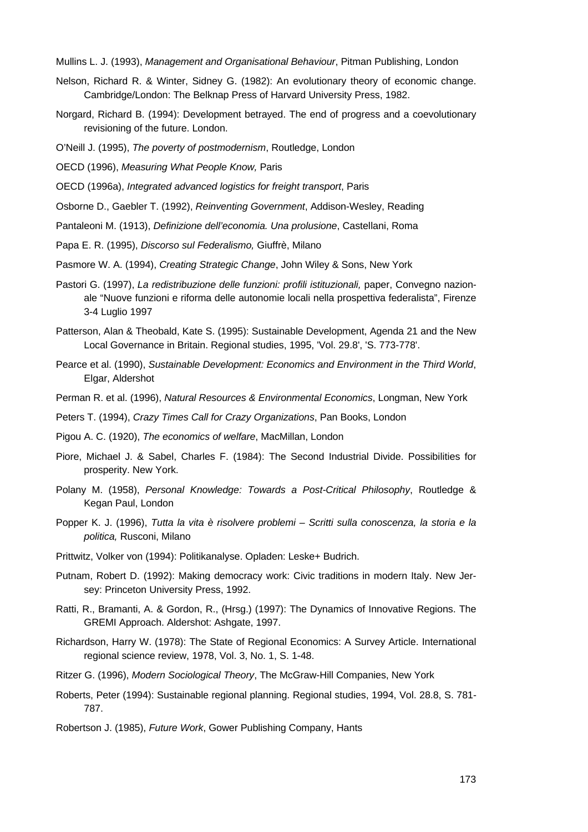Mullins L. J. (1993), *Management and Organisational Behaviour*, Pitman Publishing, London

- Nelson, Richard R. & Winter, Sidney G. (1982): An evolutionary theory of economic change. Cambridge/London: The Belknap Press of Harvard University Press, 1982.
- Norgard, Richard B. (1994): Development betrayed. The end of progress and a coevolutionary revisioning of the future. London.
- O'Neill J. (1995), *The poverty of postmodernism*, Routledge, London
- OECD (1996), *Measuring What People Know,* Paris
- OECD (1996a), *Integrated advanced logistics for freight transport*, Paris
- Osborne D., Gaebler T. (1992), *Reinventing Government*, Addison-Wesley, Reading
- Pantaleoni M. (1913), *Definizione dell'economia. Una prolusione*, Castellani, Roma
- Papa E. R. (1995), *Discorso sul Federalismo,* Giuffrè, Milano
- Pasmore W. A. (1994), *Creating Strategic Change*, John Wiley & Sons, New York
- Pastori G. (1997), *La redistribuzione delle funzioni: profili istituzionali,* paper, Convegno nazionale "Nuove funzioni e riforma delle autonomie locali nella prospettiva federalista", Firenze 3-4 Luglio 1997
- Patterson, Alan & Theobald, Kate S. (1995): Sustainable Development, Agenda 21 and the New Local Governance in Britain. Regional studies, 1995, 'Vol. 29.8', 'S. 773-778'.
- Pearce et al. (1990), *Sustainable Development: Economics and Environment in the Third World*, Elgar, Aldershot
- Perman R. et al. (1996), *Natural Resources & Environmental Economics*, Longman, New York
- Peters T. (1994), *Crazy Times Call for Crazy Organizations*, Pan Books, London
- Pigou A. C. (1920), *The economics of welfare*, MacMillan, London
- Piore, Michael J. & Sabel, Charles F. (1984): The Second Industrial Divide. Possibilities for prosperity. New York.
- Polany M. (1958), *Personal Knowledge: Towards a Post-Critical Philosophy*, Routledge & Kegan Paul, London
- Popper K. J. (1996), *Tutta la vita è risolvere problemi Scritti sulla conoscenza, la storia e la politica,* Rusconi, Milano
- Prittwitz, Volker von (1994): Politikanalyse. Opladen: Leske+ Budrich.
- Putnam, Robert D. (1992): Making democracy work: Civic traditions in modern Italy. New Jersey: Princeton University Press, 1992.
- Ratti, R., Bramanti, A. & Gordon, R., (Hrsg.) (1997): The Dynamics of Innovative Regions. The GREMI Approach. Aldershot: Ashgate, 1997.
- Richardson, Harry W. (1978): The State of Regional Economics: A Survey Article. International regional science review, 1978, Vol. 3, No. 1, S. 1-48.
- Ritzer G. (1996), *Modern Sociological Theory*, The McGraw-Hill Companies, New York
- Roberts, Peter (1994): Sustainable regional planning. Regional studies, 1994, Vol. 28.8, S. 781- 787.
- Robertson J. (1985), *Future Work*, Gower Publishing Company, Hants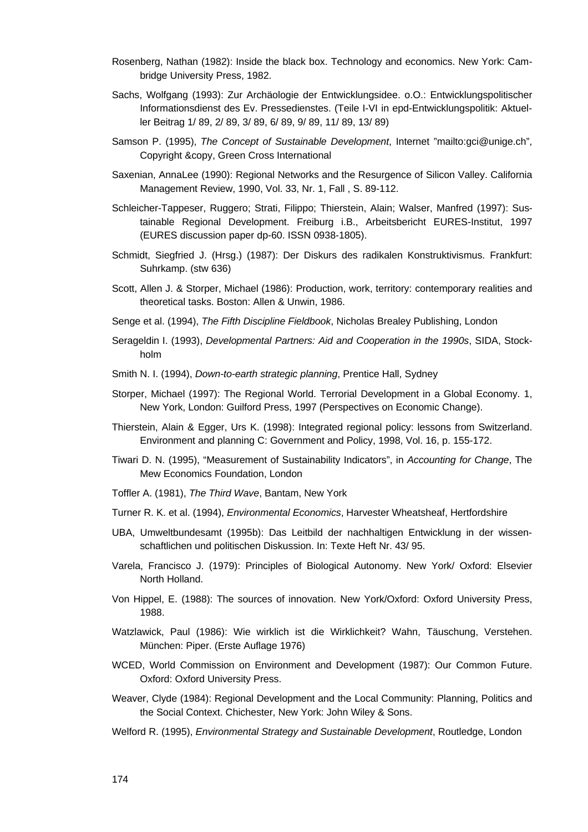- Rosenberg, Nathan (1982): Inside the black box. Technology and economics. New York: Cambridge University Press, 1982.
- Sachs, Wolfgang (1993): Zur Archäologie der Entwicklungsidee. o.O.: Entwicklungspolitischer Informationsdienst des Ev. Pressedienstes. (Teile I-VI in epd-Entwicklungspolitik: Aktueller Beitrag 1/ 89, 2/ 89, 3/ 89, 6/ 89, 9/ 89, 11/ 89, 13/ 89)
- Samson P. (1995), *The Concept of Sustainable Development*, Internet "mailto:gci@unige.ch", Copyright &copy, Green Cross International
- Saxenian, AnnaLee (1990): Regional Networks and the Resurgence of Silicon Valley. California Management Review, 1990, Vol. 33, Nr. 1, Fall , S. 89-112.
- Schleicher-Tappeser, Ruggero; Strati, Filippo; Thierstein, Alain; Walser, Manfred (1997): Sustainable Regional Development. Freiburg i.B., Arbeitsbericht EURES-Institut, 1997 (EURES discussion paper dp-60. ISSN 0938-1805).
- Schmidt, Siegfried J. (Hrsg.) (1987): Der Diskurs des radikalen Konstruktivismus. Frankfurt: Suhrkamp. (stw 636)
- Scott, Allen J. & Storper, Michael (1986): Production, work, territory: contemporary realities and theoretical tasks. Boston: Allen & Unwin, 1986.
- Senge et al. (1994), *The Fifth Discipline Fieldbook*, Nicholas Brealey Publishing, London
- Serageldin I. (1993), *Developmental Partners: Aid and Cooperation in the 1990s*, SIDA, Stockholm
- Smith N. I. (1994), *Down-to-earth strategic planning*, Prentice Hall, Sydney
- Storper, Michael (1997): The Regional World. Terrorial Development in a Global Economy. 1, New York, London: Guilford Press, 1997 (Perspectives on Economic Change).
- Thierstein, Alain & Egger, Urs K. (1998): Integrated regional policy: lessons from Switzerland. Environment and planning C: Government and Policy, 1998, Vol. 16, p. 155-172.
- Tiwari D. N. (1995), "Measurement of Sustainability Indicators", in *Accounting for Change*, The Mew Economics Foundation, London
- Toffler A. (1981), *The Third Wave*, Bantam, New York
- Turner R. K. et al. (1994), *Environmental Economics*, Harvester Wheatsheaf, Hertfordshire
- UBA, Umweltbundesamt (1995b): Das Leitbild der nachhaltigen Entwicklung in der wissenschaftlichen und politischen Diskussion. In: Texte Heft Nr. 43/ 95.
- Varela, Francisco J. (1979): Principles of Biological Autonomy. New York/ Oxford: Elsevier North Holland.
- Von Hippel, E. (1988): The sources of innovation. New York/Oxford: Oxford University Press, 1988.
- Watzlawick, Paul (1986): Wie wirklich ist die Wirklichkeit? Wahn, Täuschung, Verstehen. München: Piper. (Erste Auflage 1976)
- WCED, World Commission on Environment and Development (1987): Our Common Future. Oxford: Oxford University Press.
- Weaver, Clyde (1984): Regional Development and the Local Community: Planning, Politics and the Social Context. Chichester, New York: John Wiley & Sons.
- Welford R. (1995), *Environmental Strategy and Sustainable Development*, Routledge, London